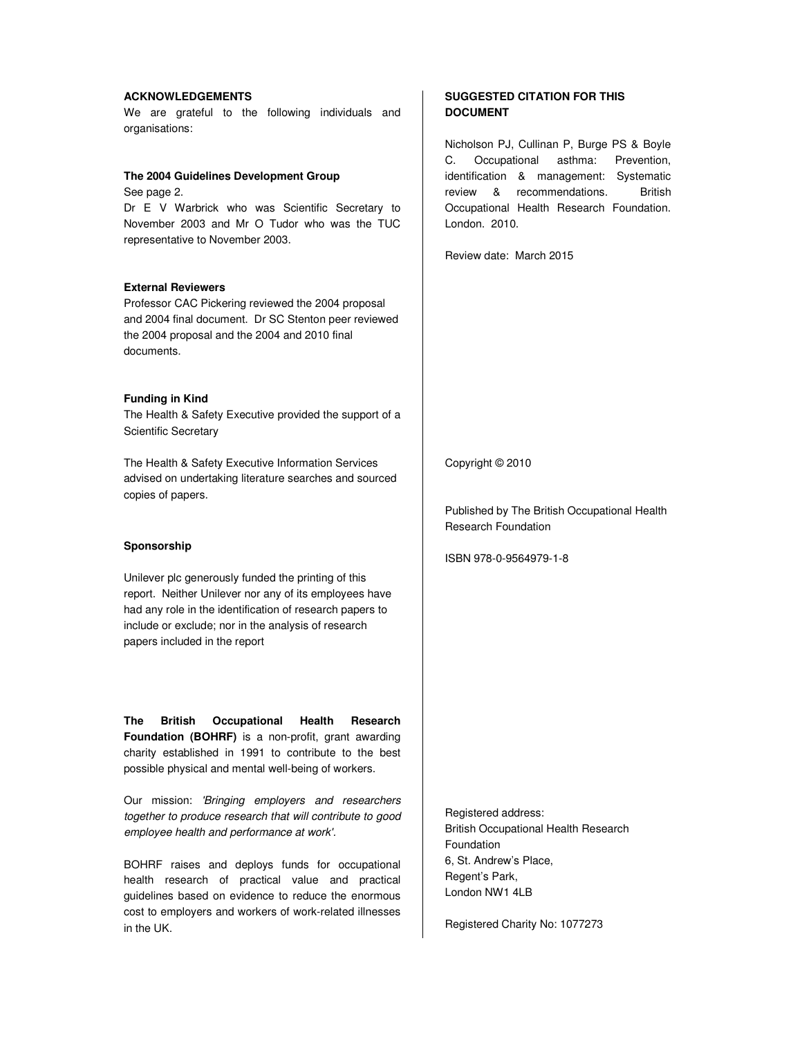### **ACKNOWLEDGEMENTS**

We are grateful to the following individuals and organisations:

#### **The 2004 Guidelines Development Group**

See page 2. Dr E V Warbrick who was Scientific Secretary to November 2003 and Mr O Tudor who was the TUC representative to November 2003.

#### **External Reviewers**

Professor CAC Pickering reviewed the 2004 proposal and 2004 final document. Dr SC Stenton peer reviewed the 2004 proposal and the 2004 and 2010 final documents.

### **Funding in Kind**

The Health & Safety Executive provided the support of a Scientific Secretary

The Health & Safety Executive Information Services advised on undertaking literature searches and sourced copies of papers.

#### **Sponsorship**

Unilever plc generously funded the printing of this report. Neither Unilever nor any of its employees have had any role in the identification of research papers to include or exclude; nor in the analysis of research papers included in the report

**The British Occupational Health Research Foundation (BOHRF)** is a non-profit, grant awarding charity established in 1991 to contribute to the best possible physical and mental well-being of workers.

Our mission: *'Bringing employers and researchers together to produce research that will contribute to good employee health and performance at work'.*

BOHRF raises and deploys funds for occupational health research of practical value and practical guidelines based on evidence to reduce the enormous cost to employers and workers of work-related illnesses in the UK.

## **SUGGESTED CITATION FOR THIS DOCUMENT**

Nicholson PJ, Cullinan P, Burge PS & Boyle C. Occupational asthma: Prevention, identification & management: Systematic review & recommendations. British Occupational Health Research Foundation. London. 2010.

Review date: March 2015

Copyright © 2010

Published by The British Occupational Health Research Foundation

ISBN 978-0-9564979-1-8

Registered address: British Occupational Health Research Foundation 6, St. Andrew's Place, Regent's Park, London NW1 4LB

Registered Charity No: 1077273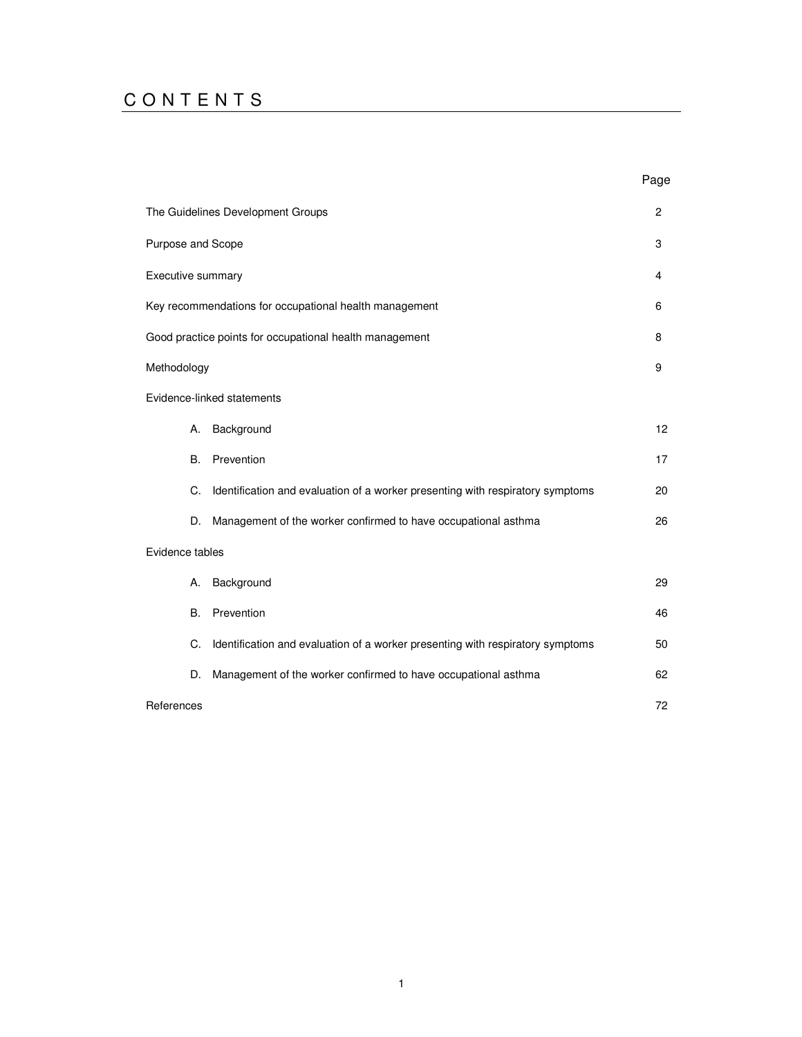# C O N T E N T S

|                   |                                                                                | Page         |
|-------------------|--------------------------------------------------------------------------------|--------------|
|                   | The Guidelines Development Groups                                              | $\mathbf{2}$ |
| Purpose and Scope |                                                                                | 3            |
| Executive summary |                                                                                | 4            |
|                   | Key recommendations for occupational health management                         | 6            |
|                   | Good practice points for occupational health management                        | 8            |
| Methodology       |                                                                                | 9            |
|                   | Evidence-linked statements                                                     |              |
| А.                | Background                                                                     | 12           |
| B.                | Prevention                                                                     | 17           |
| C.                | Identification and evaluation of a worker presenting with respiratory symptoms | 20           |
| D.                | Management of the worker confirmed to have occupational asthma                 | 26           |
| Evidence tables   |                                                                                |              |
| А.                | Background                                                                     | 29           |
| <b>B.</b>         | Prevention                                                                     | 46           |
| C.                | Identification and evaluation of a worker presenting with respiratory symptoms | 50           |
| D.                | Management of the worker confirmed to have occupational asthma                 | 62           |
| References        |                                                                                | 72           |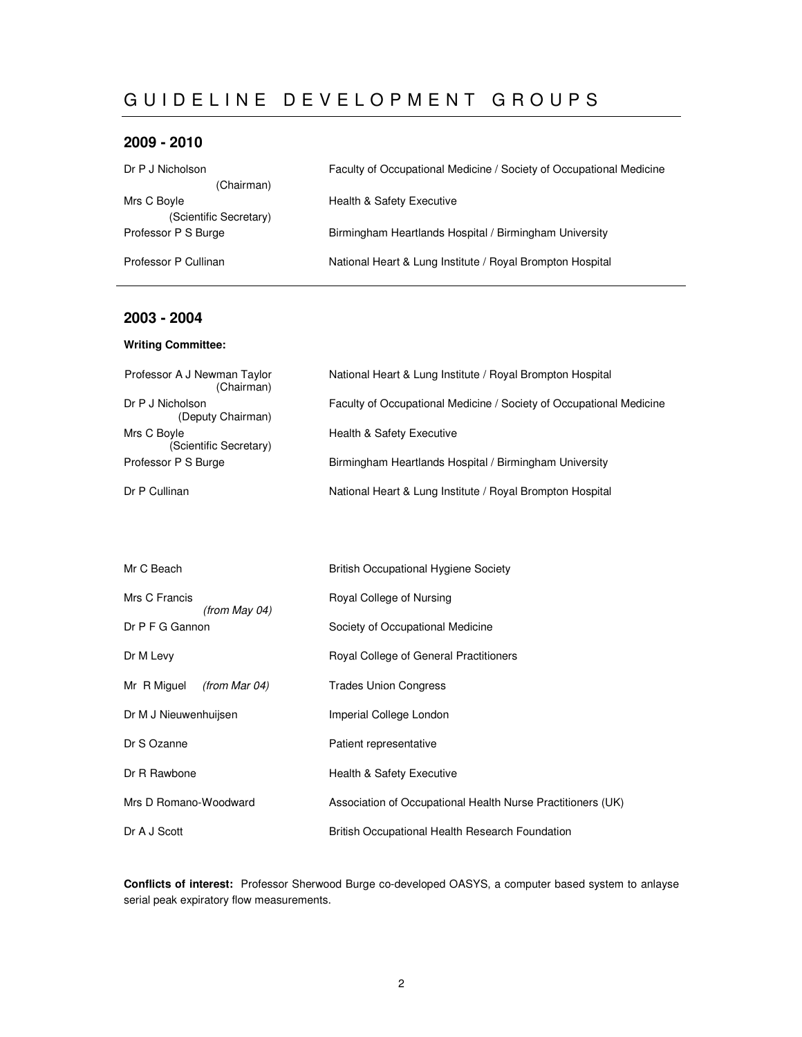# GUIDELINE DEVELOPMENT GROUPS

## **2009 - 2010**

| Dr P J Nicholson       | Faculty of Occupational Medicine / Society of Occupational Medicine |
|------------------------|---------------------------------------------------------------------|
| (Chairman)             |                                                                     |
| Mrs C Boyle            | Health & Safety Executive                                           |
| (Scientific Secretary) |                                                                     |
| Professor P S Burge    | Birmingham Heartlands Hospital / Birmingham University              |
|                        |                                                                     |
| Professor P Cullinan   | National Heart & Lung Institute / Royal Brompton Hospital           |
|                        |                                                                     |

## **2003 - 2004**

## **Writing Committee:**

| Professor A J Newman Taylor<br>(Chairman) | National Heart & Lung Institute / Royal Brompton Hospital           |
|-------------------------------------------|---------------------------------------------------------------------|
| Dr P J Nicholson<br>(Deputy Chairman)     | Faculty of Occupational Medicine / Society of Occupational Medicine |
| Mrs C Boyle<br>(Scientific Secretary)     | <b>Health &amp; Safety Executive</b>                                |
| Professor P S Burge                       | Birmingham Heartlands Hospital / Birmingham University              |
| Dr P Cullinan                             | National Heart & Lung Institute / Royal Brompton Hospital           |

| Mr C Beach                     | <b>British Occupational Hygiene Society</b>                 |
|--------------------------------|-------------------------------------------------------------|
| Mrs C Francis<br>(from May 04) | Royal College of Nursing                                    |
| Dr P F G Gannon                | Society of Occupational Medicine                            |
| Dr M Levy                      | Royal College of General Practitioners                      |
| Mr R Miguel<br>(from Mar 04)   | <b>Trades Union Congress</b>                                |
| Dr M J Nieuwenhuijsen          | Imperial College London                                     |
| Dr S Ozanne                    | Patient representative                                      |
| Dr R Rawbone                   | Health & Safety Executive                                   |
| Mrs D Romano-Woodward          | Association of Occupational Health Nurse Practitioners (UK) |
| Dr A J Scott                   | British Occupational Health Research Foundation             |

**Conflicts of interest:** Professor Sherwood Burge co-developed OASYS, a computer based system to anlayse serial peak expiratory flow measurements.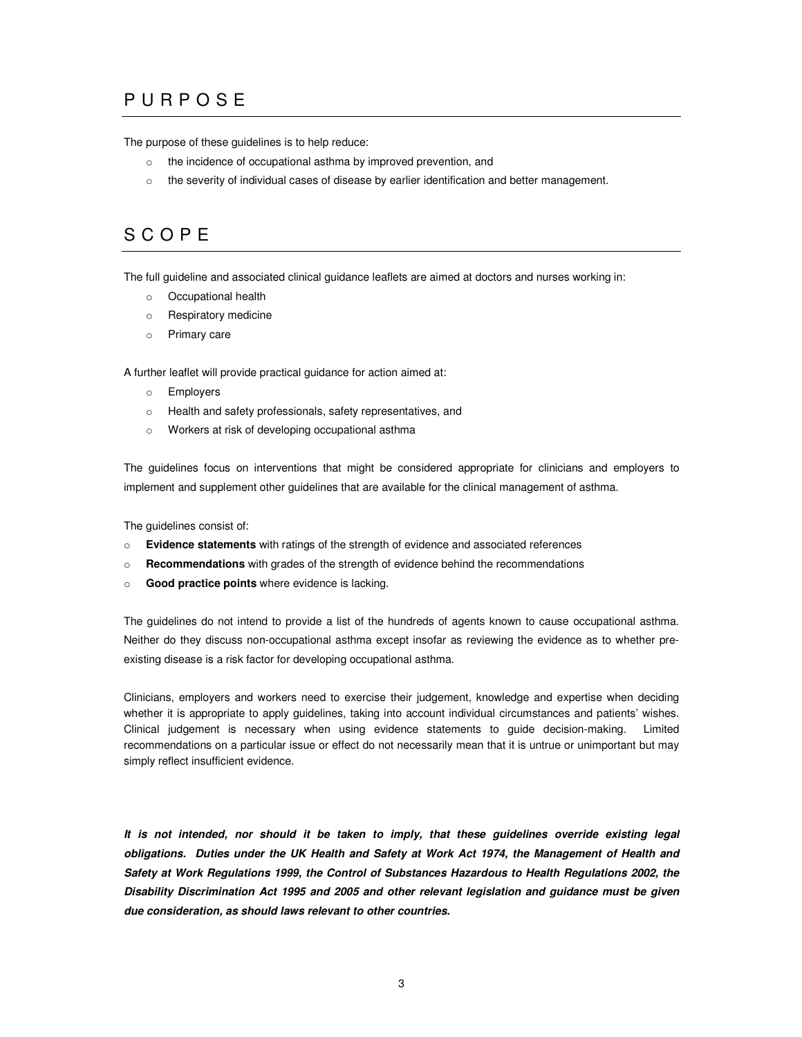# P U R P O S E

The purpose of these guidelines is to help reduce:

- o the incidence of occupational asthma by improved prevention, and
- $\circ$  the severity of individual cases of disease by earlier identification and better management.

# S C O P E

The full guideline and associated clinical guidance leaflets are aimed at doctors and nurses working in:

- o Occupational health
- o Respiratory medicine
- o Primary care

A further leaflet will provide practical guidance for action aimed at:

- o Employers
- o Health and safety professionals, safety representatives, and
- o Workers at risk of developing occupational asthma

The guidelines focus on interventions that might be considered appropriate for clinicians and employers to implement and supplement other guidelines that are available for the clinical management of asthma.

The guidelines consist of:

- o **Evidence statements** with ratings of the strength of evidence and associated references
- o **Recommendations** with grades of the strength of evidence behind the recommendations
- o **Good practice points** where evidence is lacking.

The guidelines do not intend to provide a list of the hundreds of agents known to cause occupational asthma. Neither do they discuss non-occupational asthma except insofar as reviewing the evidence as to whether preexisting disease is a risk factor for developing occupational asthma.

Clinicians, employers and workers need to exercise their judgement, knowledge and expertise when deciding whether it is appropriate to apply guidelines, taking into account individual circumstances and patients' wishes. Clinical judgement is necessary when using evidence statements to guide decision-making. Limited recommendations on a particular issue or effect do not necessarily mean that it is untrue or unimportant but may simply reflect insufficient evidence.

*It is not intended, nor should it be taken to imply, that these guidelines override existing legal obligations. Duties under the UK Health and Safety at Work Act 1974, the Management of Health and Safety at Work Regulations 1999, the Control of Substances Hazardous to Health Regulations 2002, the Disability Discrimination Act 1995 and 2005 and other relevant legislation and guidance must be given due consideration, as should laws relevant to other countries.*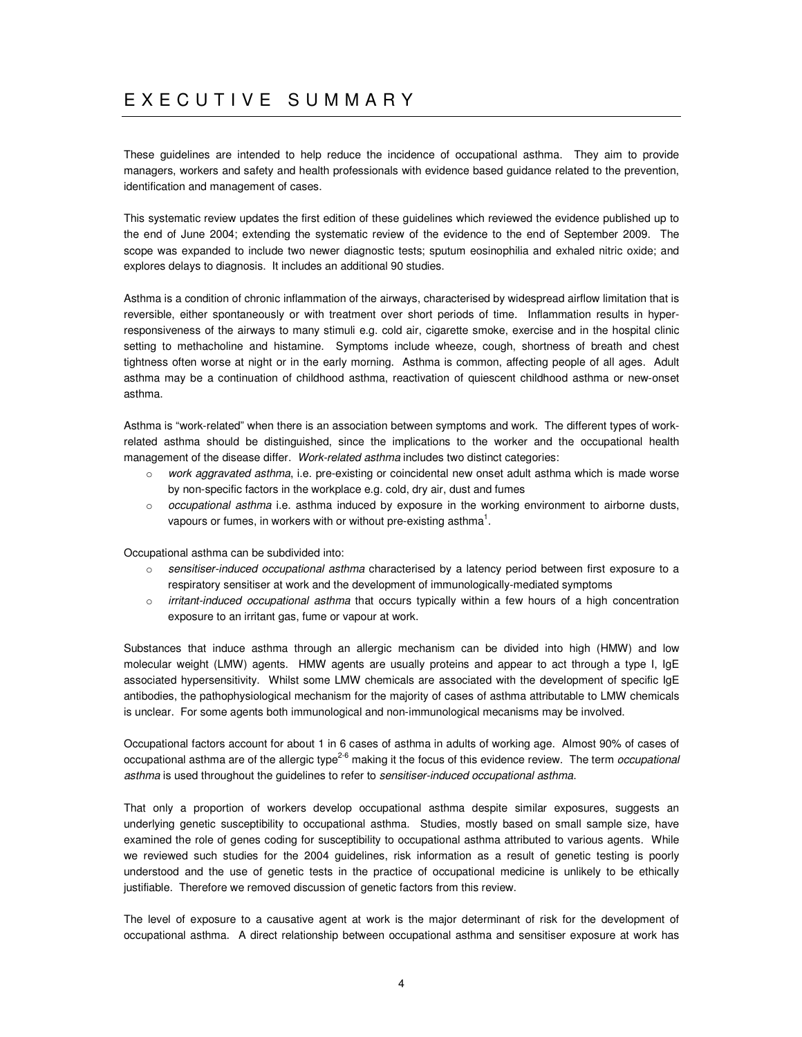# E X E C U T I V E S U M M A R Y

These guidelines are intended to help reduce the incidence of occupational asthma. They aim to provide managers, workers and safety and health professionals with evidence based guidance related to the prevention, identification and management of cases.

This systematic review updates the first edition of these guidelines which reviewed the evidence published up to the end of June 2004; extending the systematic review of the evidence to the end of September 2009. The scope was expanded to include two newer diagnostic tests; sputum eosinophilia and exhaled nitric oxide; and explores delays to diagnosis. It includes an additional 90 studies.

Asthma is a condition of chronic inflammation of the airways, characterised by widespread airflow limitation that is reversible, either spontaneously or with treatment over short periods of time. Inflammation results in hyperresponsiveness of the airways to many stimuli e.g. cold air, cigarette smoke, exercise and in the hospital clinic setting to methacholine and histamine. Symptoms include wheeze, cough, shortness of breath and chest tightness often worse at night or in the early morning. Asthma is common, affecting people of all ages. Adult asthma may be a continuation of childhood asthma, reactivation of quiescent childhood asthma or new-onset asthma.

Asthma is "work-related" when there is an association between symptoms and work. The different types of workrelated asthma should be distinguished, since the implications to the worker and the occupational health management of the disease differ. *Work-related asthma* includes two distinct categories:

- o *work aggravated asthma*, i.e. pre-existing or coincidental new onset adult asthma which is made worse by non-specific factors in the workplace e.g. cold, dry air, dust and fumes
- o *occupational asthma* i.e. asthma induced by exposure in the working environment to airborne dusts, vapours or fumes, in workers with or without pre-existing asthma $^1$ .

Occupational asthma can be subdivided into:

- o *sensitiser-induced occupational asthma* characterised by a latency period between first exposure to a respiratory sensitiser at work and the development of immunologically-mediated symptoms
- o *irritant-induced occupational asthma* that occurs typically within a few hours of a high concentration exposure to an irritant gas, fume or vapour at work.

Substances that induce asthma through an allergic mechanism can be divided into high (HMW) and low molecular weight (LMW) agents. HMW agents are usually proteins and appear to act through a type I, IgE associated hypersensitivity. Whilst some LMW chemicals are associated with the development of specific IgE antibodies, the pathophysiological mechanism for the majority of cases of asthma attributable to LMW chemicals is unclear. For some agents both immunological and non-immunological mecanisms may be involved.

Occupational factors account for about 1 in 6 cases of asthma in adults of working age. Almost 90% of cases of occupational asthma are of the allergic type 2-6 making it the focus of this evidence review. The term *occupational asthma* is used throughout the guidelines to refer to *sensitiser-induced occupational asthma*.

That only a proportion of workers develop occupational asthma despite similar exposures, suggests an underlying genetic susceptibility to occupational asthma. Studies, mostly based on small sample size, have examined the role of genes coding for susceptibility to occupational asthma attributed to various agents. While we reviewed such studies for the 2004 guidelines, risk information as a result of genetic testing is poorly understood and the use of genetic tests in the practice of occupational medicine is unlikely to be ethically justifiable. Therefore we removed discussion of genetic factors from this review.

The level of exposure to a causative agent at work is the major determinant of risk for the development of occupational asthma. A direct relationship between occupational asthma and sensitiser exposure at work has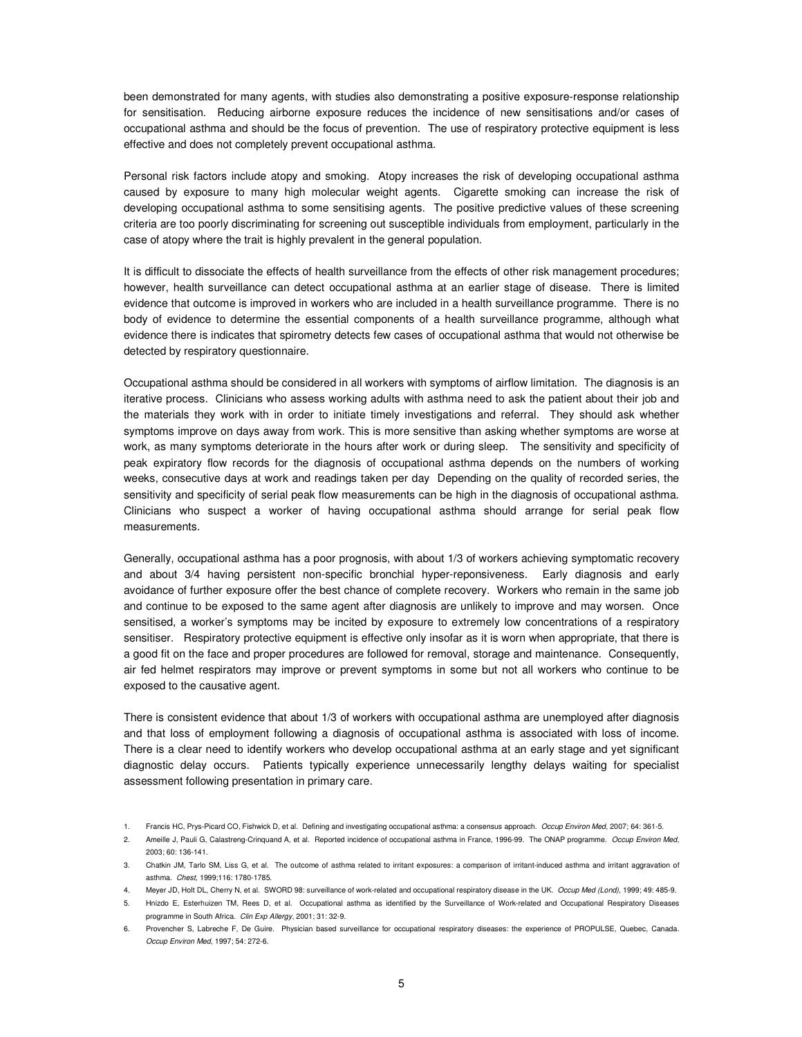been demonstrated for many agents, with studies also demonstrating a positive exposure-response relationship for sensitisation. Reducing airborne exposure reduces the incidence of new sensitisations and/or cases of occupational asthma and should be the focus of prevention. The use of respiratory protective equipment is less effective and does not completely prevent occupational asthma.

Personal risk factors include atopy and smoking. Atopy increases the risk of developing occupational asthma caused by exposure to many high molecular weight agents. Cigarette smoking can increase the risk of developing occupational asthma to some sensitising agents. The positive predictive values of these screening criteria are too poorly discriminating for screening out susceptible individuals from employment, particularly in the case of atopy where the trait is highly prevalent in the general population.

It is difficult to dissociate the effects of health surveillance from the effects of other risk management procedures; however, health surveillance can detect occupational asthma at an earlier stage of disease. There is limited evidence that outcome is improved in workers who are included in a health surveillance programme. There is no body of evidence to determine the essential components of a health surveillance programme, although what evidence there is indicates that spirometry detects few cases of occupational asthma that would not otherwise be detected by respiratory questionnaire.

Occupational asthma should be considered in all workers with symptoms of airflow limitation. The diagnosis is an iterative process. Clinicians who assess working adults with asthma need to ask the patient about their job and the materials they work with in order to initiate timely investigations and referral. They should ask whether symptoms improve on days away from work. This is more sensitive than asking whether symptoms are worse at work, as many symptoms deteriorate in the hours after work or during sleep. The sensitivity and specificity of peak expiratory flow records for the diagnosis of occupational asthma depends on the numbers of working weeks, consecutive days at work and readings taken per day Depending on the quality of recorded series, the sensitivity and specificity of serial peak flow measurements can be high in the diagnosis of occupational asthma. Clinicians who suspect a worker of having occupational asthma should arrange for serial peak flow measurements.

Generally, occupational asthma has a poor prognosis, with about 1/3 of workers achieving symptomatic recovery and about 3/4 having persistent non-specific bronchial hyper-reponsiveness. Early diagnosis and early avoidance of further exposure offer the best chance of complete recovery. Workers who remain in the same job and continue to be exposed to the same agent after diagnosis are unlikely to improve and may worsen. Once sensitised, a worker's symptoms may be incited by exposure to extremely low concentrations of a respiratory sensitiser. Respiratory protective equipment is effective only insofar as it is worn when appropriate, that there is a good fit on the face and proper procedures are followed for removal, storage and maintenance. Consequently, air fed helmet respirators may improve or prevent symptoms in some but not all workers who continue to be exposed to the causative agent.

There is consistent evidence that about 1/3 of workers with occupational asthma are unemployed after diagnosis and that loss of employment following a diagnosis of occupational asthma is associated with loss of income. There is a clear need to identify workers who develop occupational asthma at an early stage and yet significant diagnostic delay occurs. Patients typically experience unnecessarily lengthy delays waiting for specialist assessment following presentation in primary care.

<sup>1.</sup> Francis HC, Prys-Picard CO, Fishwick D, et al. Defining and investigating occupational asthma: a consensus approach. *Occup Environ Med*, 2007; 64: 361-5.

<sup>2.</sup> Ameille J, Pauli G, Calastreng-Crinquand A, et al. Reported incidence of occupational asthma in France, 1996-99. The ONAP programme. *Occup Environ Med*, 2003; 60: 136-141.

<sup>3.</sup> Chatkin JM, Tarlo SM, Liss G, et al. The outcome of asthma related to irritant exposures: a comparison of irritant-induced asthma and irritant aggravation of asthma. *Chest,* 1999;116: 1780-1785.

<sup>4.</sup> Meyer JD, Holt DL, Cherry N, et al. SWORD 98: surveillance of work-related and occupational respiratory disease in the UK. *Occup Med (Lond),* 1999; 49: 485-9.

<sup>5.</sup> Hnizdo E, Esterhuizen TM, Rees D, et al. Occupational asthma as identified by the Surveillance of Work-related and Occupational Respiratory Diseases programme in South Africa. *Clin Exp Allergy*, 2001; 31: 32-9.

<sup>6.</sup> Provencher S, Labreche F, De Guire. Physician based surveillance for occupational respiratory diseases: the experience of PROPULSE, Quebec, Canada. *Occup Environ Med*, 1997; 54: 272-6.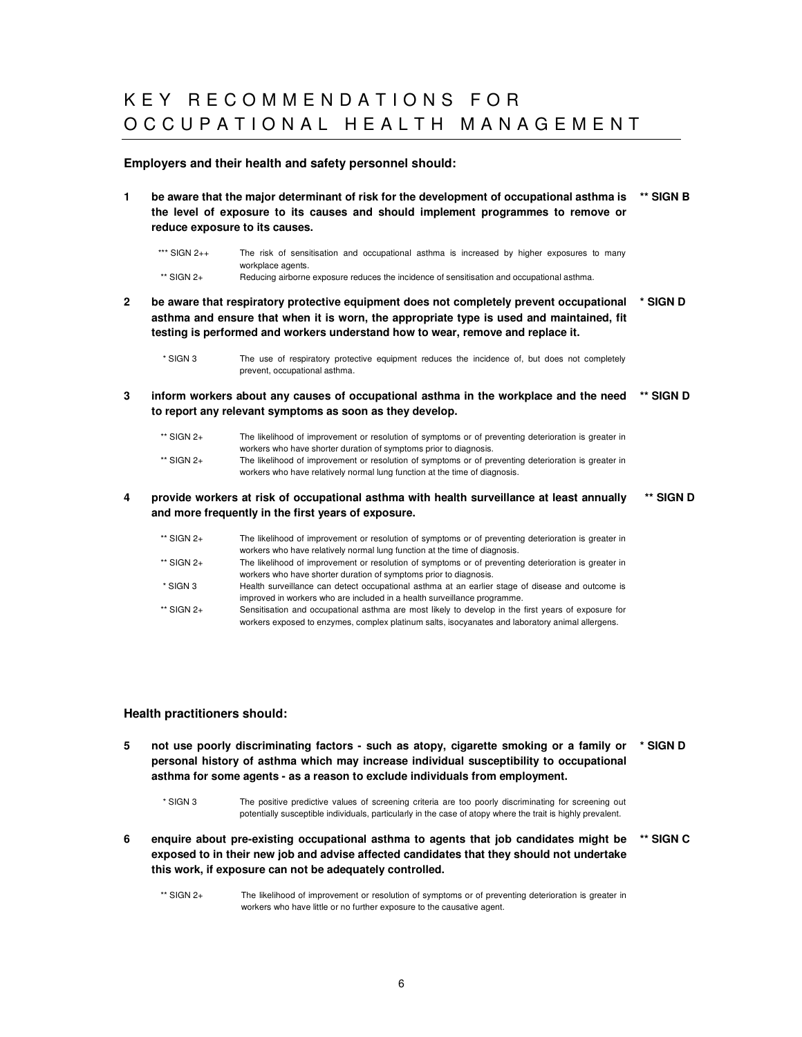# K E Y R E C O M M E N D A T I O N S F O R O C C U P A T I O N A L H E A L T H M A N A G E M E N T

#### **Employers and their health and safety personnel should:**

- **1 be aware that the major determinant of risk for the development of occupational asthma is the level of exposure to its causes and should implement programmes to remove or reduce exposure to its causes. \*\* SIGN B**
	- \*\*\* SIGN 2++ The risk of sensitisation and occupational asthma is increased by higher exposures to many workplace agents. \*\* SIGN 2+<br>
	Reducing airborne exposure reduces the incidence of sensitisation and occupational asthma.
- **2 be aware that respiratory protective equipment does not completely prevent occupational asthma and ensure that when it is worn, the appropriate type is used and maintained, fit testing is performed and workers understand how to wear, remove and replace it. \* SIGN D**

\* SIGN 3 The use of respiratory protective equipment reduces the incidence of, but does not completely prevent, occupational asthma.

**3 inform workers about any causes of occupational asthma in the workplace and the need \*\* SIGN D to report any relevant symptoms as soon as they develop.**

| $**$ SIGN 2+ | The likelihood of improvement or resolution of symptoms or of preventing deterioration is greater in |
|--------------|------------------------------------------------------------------------------------------------------|
|              | workers who have shorter duration of symptoms prior to diagnosis.                                    |
| $**$ SIGN 2+ | The likelihood of improvement or resolution of symptoms or of preventing deterioration is greater in |
|              | workers who have relatively normal lung function at the time of diagnosis.                           |

**4 provide workers at risk of occupational asthma with health surveillance at least annually and more frequently in the first years of exposure. \*\* SIGN D**

| ** SIGN 2+ | The likelihood of improvement or resolution of symptoms or of preventing deterioration is greater in |
|------------|------------------------------------------------------------------------------------------------------|
|            | workers who have relatively normal lung function at the time of diagnosis.                           |
| ** SIGN 2+ | The likelihood of improvement or resolution of symptoms or of preventing deterioration is greater in |
|            | workers who have shorter duration of symptoms prior to diagnosis.                                    |
| * SIGN 3   | Health surveillance can detect occupational asthma at an earlier stage of disease and outcome is     |
|            | improved in workers who are included in a health surveillance programme.                             |
| ** SIGN 2+ | Sensitisation and occupational asthma are most likely to develop in the first years of exposure for  |
|            | workers exposed to enzymes, complex platinum salts, isocyanates and laboratory animal allergens.     |

### **Health practitioners should:**

**5 not use poorly discriminating factors - such as atopy, cigarette smoking or a family or personal history of asthma which may increase individual susceptibility to occupational asthma for some agents - as a reason to exclude individuals from employment. \* SIGN D**

\* SIGN 3 The positive predictive values of screening criteria are too poorly discriminating for screening out potentially susceptible individuals, particularly in the case of atopy where the trait is highly prevalent.

- **6 enquire about pre-existing occupational asthma to agents that job candidates might be exposed to in their new job and advise affected candidates that they should not undertake this work, if exposure can not be adequately controlled. \*\* SIGN C**
	- \*\* SIGN 2+ The likelihood of improvement or resolution of symptoms or of preventing deterioration is greater in workers who have little or no further exposure to the causative agent.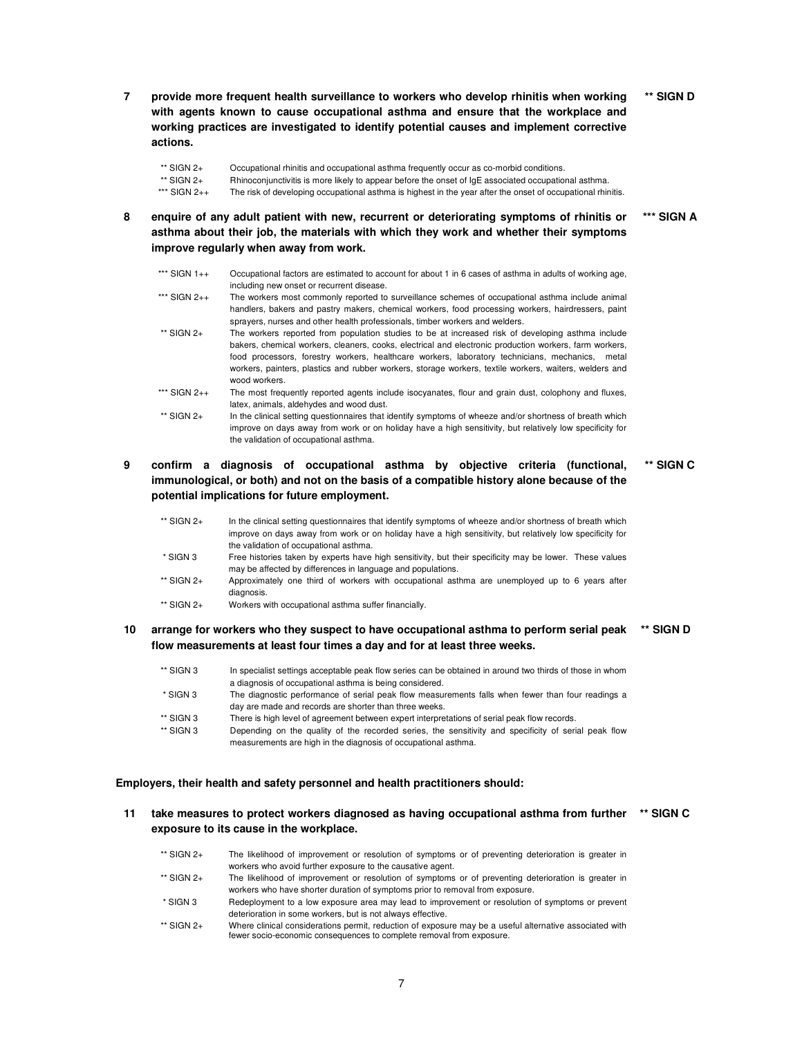**7 provide more frequent health surveillance to workers who develop rhinitis when working with agents known to cause occupational asthma and ensure that the workplace and working practices are investigated to identify potential causes and implement corrective actions. \*\* SIGN D**

| ** SIGN 2+        | Occupational rhinitis and occupational asthma frequently occur as co-morbid conditions.                     |
|-------------------|-------------------------------------------------------------------------------------------------------------|
| ** SIGN 2+        | Rhinoconjunctivitis is more likely to appear before the onset of $IqE$ associated occupational asthma.      |
| *** SIGN $2_{++}$ | The risk of developing occupational asthma is highest in the year after the onset of occupational rhinitis. |

**8 enquire of any adult patient with new, recurrent or deteriorating symptoms of rhinitis or asthma about their job, the materials with which they work and whether their symptoms improve regularly when away from work. \*\*\* SIGN A**

| *** SIGN 1++ | Occupational factors are estimated to account for about 1 in 6 cases of asthma in adults of working age,<br>including new onset or recurrent disease.                                                                                                                                                                                                                                                                                     |
|--------------|-------------------------------------------------------------------------------------------------------------------------------------------------------------------------------------------------------------------------------------------------------------------------------------------------------------------------------------------------------------------------------------------------------------------------------------------|
| *** SIGN 2++ | The workers most commonly reported to surveillance schemes of occupational asthma include animal<br>handlers, bakers and pastry makers, chemical workers, food processing workers, hairdressers, paint<br>sprayers, nurses and other health professionals, timber workers and welders.                                                                                                                                                    |
| $**$ SIGN 2+ | The workers reported from population studies to be at increased risk of developing asthma include<br>bakers, chemical workers, cleaners, cooks, electrical and electronic production workers, farm workers,<br>food processors, forestry workers, healthcare workers, laboratory technicians, mechanics, metal<br>workers, painters, plastics and rubber workers, storage workers, textile workers, waiters, welders and<br>wood workers. |
| *** SIGN 2++ | The most frequently reported agents include isocyanates, flour and grain dust, colophony and fluxes,<br>latex, animals, aldehydes and wood dust.                                                                                                                                                                                                                                                                                          |
| $**$ SIGN 2+ | In the clinical setting questionnaires that identify symptoms of wheeze and/or shortness of breath which<br>improve on days away from work or on holiday have a high sensitivity, but relatively low specificity for<br>the validation of occupational asthma.                                                                                                                                                                            |

#### **9 confirm a diagnosis of occupational asthma by objective criteria (functional, immunological, or both) and not on the basis of a compatible history alone because of the potential implications for future employment. \*\* SIGN C**

| ** SIGN 2+ | In the clinical setting questionnaires that identify symptoms of wheeze and/or shortness of breath which                                                               |
|------------|------------------------------------------------------------------------------------------------------------------------------------------------------------------------|
|            | improve on days away from work or on holiday have a high sensitivity, but relatively low specificity for                                                               |
|            | the validation of occupational asthma.                                                                                                                                 |
| * SIGN 3   | Free histories taken by experts have high sensitivity, but their specificity may be lower. These values<br>may be affected by differences in language and populations. |
| ** SIGN 2+ | Approximately one third of workers with occupational asthma are unemployed up to 6 years after<br>diagnosis.                                                           |
| ** SIGN 2+ | Workers with occupational asthma suffer financially.                                                                                                                   |

#### 10 arrange for workers who they suspect to have occupational asthma to perform serial peak \*\* SIGN D **flow measurements at least four times a day and for at least three weeks.**

| ** SIGN 3   | In specialist settings acceptable peak flow series can be obtained in around two thirds of those in whom<br>a diagnosis of occupational asthma is being considered. |
|-------------|---------------------------------------------------------------------------------------------------------------------------------------------------------------------|
| * SIGN 3    | The diagnostic performance of serial peak flow measurements falls when fewer than four readings a                                                                   |
|             | day are made and records are shorter than three weeks.                                                                                                              |
| ** SIGN 3   | There is high level of agreement between expert interpretations of serial peak flow records.                                                                        |
| $**$ SIGN 3 | Depending on the quality of the recorded series, the sensitivity and specificity of serial peak flow                                                                |
|             | measurements are high in the diagnosis of occupational asthma.                                                                                                      |

#### **Employers, their health and safety personnel and health practitioners should:**

**11 take measures to protect workers diagnosed as having occupational asthma from further \*\* SIGN Cexposure to its cause in the workplace.**

| $**$ SIGN 2+ | The likelihood of improvement or resolution of symptoms or of preventing deterioration is greater in                                                                            |
|--------------|---------------------------------------------------------------------------------------------------------------------------------------------------------------------------------|
|              | workers who avoid further exposure to the causative agent.                                                                                                                      |
| $**$ SIGN 2+ | The likelihood of improvement or resolution of symptoms or of preventing deterioration is greater in                                                                            |
|              | workers who have shorter duration of symptoms prior to removal from exposure.                                                                                                   |
| $*$ SIGN 3   | Redeployment to a low exposure area may lead to improvement or resolution of symptoms or prevent                                                                                |
|              | deterioration in some workers, but is not always effective.                                                                                                                     |
| $**$ SIGN 2+ | Where clinical considerations permit, reduction of exposure may be a useful alternative associated with<br>fewer socio-economic consequences to complete removal from exposure. |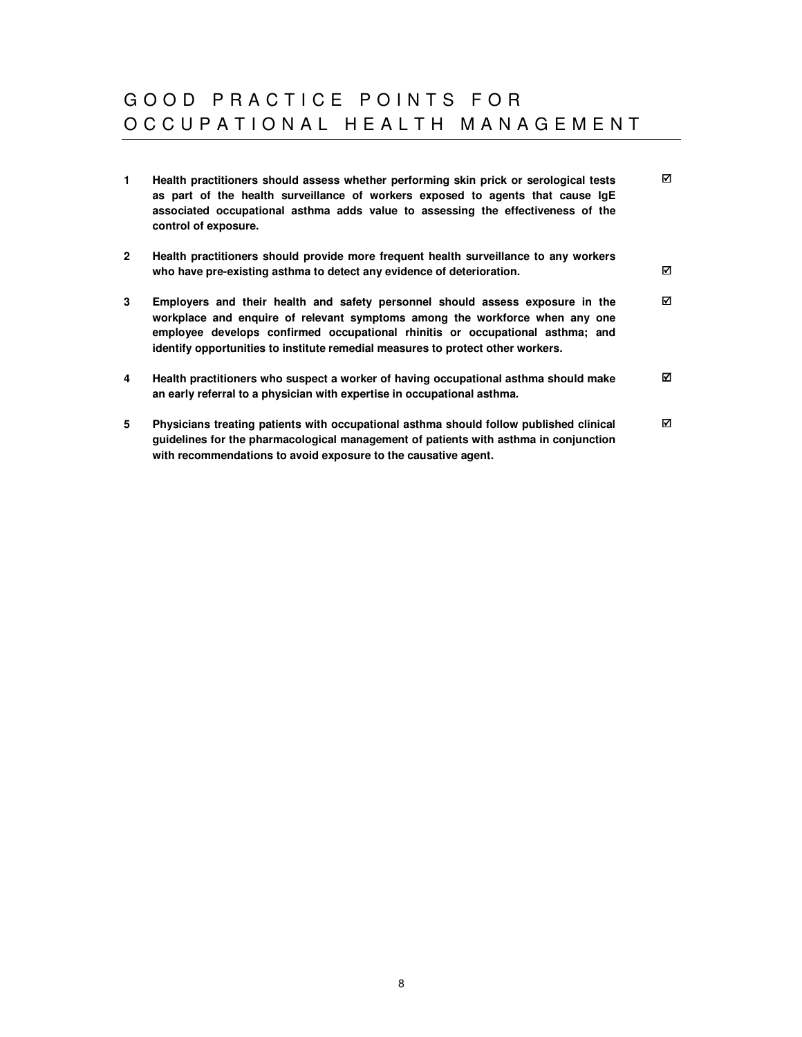# GOOD PRACTICE POINTS FOR O C C U P A T I O N A L H E A L T H M A N A G E M E N T

| 1.             | Health practitioners should assess whether performing skin prick or serological tests<br>as part of the health surveillance of workers exposed to agents that cause IgE<br>associated occupational asthma adds value to assessing the effectiveness of the<br>control of exposure.                                               | ☑ |
|----------------|----------------------------------------------------------------------------------------------------------------------------------------------------------------------------------------------------------------------------------------------------------------------------------------------------------------------------------|---|
| $\overline{2}$ | Health practitioners should provide more frequent health surveillance to any workers<br>who have pre-existing asthma to detect any evidence of deterioration.                                                                                                                                                                    | ☑ |
| 3              | Employers and their health and safety personnel should assess exposure in the<br>workplace and enquire of relevant symptoms among the workforce when any one<br>employee develops confirmed occupational rhinitis or occupational asthma; and<br>identify opportunities to institute remedial measures to protect other workers. | ☑ |
| 4              | Health practitioners who suspect a worker of having occupational asthma should make<br>an early referral to a physician with expertise in occupational asthma.                                                                                                                                                                   | ☑ |
| 5              | Physicians treating patients with occupational asthma should follow published clinical<br>guidelines for the pharmacological management of patients with asthma in conjunction<br>with recommendations to avoid exposure to the causative agent.                                                                                 | ☑ |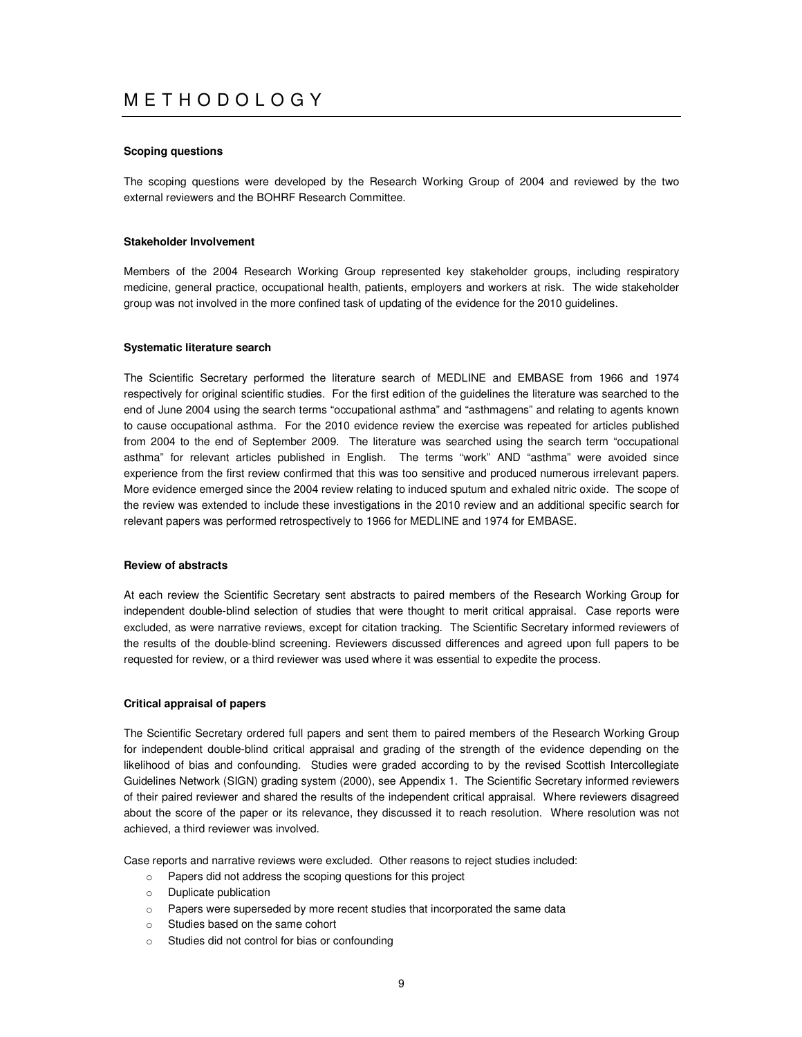# M E T H O D O L O G Y

#### **Scoping questions**

The scoping questions were developed by the Research Working Group of 2004 and reviewed by the two external reviewers and the BOHRF Research Committee.

#### **Stakeholder Involvement**

Members of the 2004 Research Working Group represented key stakeholder groups, including respiratory medicine, general practice, occupational health, patients, employers and workers at risk. The wide stakeholder group was not involved in the more confined task of updating of the evidence for the 2010 guidelines.

#### **Systematic literature search**

The Scientific Secretary performed the literature search of MEDLINE and EMBASE from 1966 and 1974 respectively for original scientific studies. For the first edition of the guidelines the literature was searched to the end of June 2004 using the search terms "occupational asthma" and "asthmagens" and relating to agents known to cause occupational asthma. For the 2010 evidence review the exercise was repeated for articles published from 2004 to the end of September 2009. The literature was searched using the search term "occupational asthma" for relevant articles published in English. The terms "work" AND "asthma" were avoided since experience from the first review confirmed that this was too sensitive and produced numerous irrelevant papers. More evidence emerged since the 2004 review relating to induced sputum and exhaled nitric oxide. The scope of the review was extended to include these investigations in the 2010 review and an additional specific search for relevant papers was performed retrospectively to 1966 for MEDLINE and 1974 for EMBASE.

#### **Review of abstracts**

At each review the Scientific Secretary sent abstracts to paired members of the Research Working Group for independent double-blind selection of studies that were thought to merit critical appraisal. Case reports were excluded, as were narrative reviews, except for citation tracking. The Scientific Secretary informed reviewers of the results of the double-blind screening. Reviewers discussed differences and agreed upon full papers to be requested for review, or a third reviewer was used where it was essential to expedite the process.

#### **Critical appraisal of papers**

The Scientific Secretary ordered full papers and sent them to paired members of the Research Working Group for independent double-blind critical appraisal and grading of the strength of the evidence depending on the likelihood of bias and confounding. Studies were graded according to by the revised Scottish Intercollegiate Guidelines Network (SIGN) grading system (2000), see Appendix 1. The Scientific Secretary informed reviewers of their paired reviewer and shared the results of the independent critical appraisal. Where reviewers disagreed about the score of the paper or its relevance, they discussed it to reach resolution. Where resolution was not achieved, a third reviewer was involved.

Case reports and narrative reviews were excluded. Other reasons to reject studies included:

- o Papers did not address the scoping questions for this project
- o Duplicate publication
- o Papers were superseded by more recent studies that incorporated the same data
- o Studies based on the same cohort
- o Studies did not control for bias or confounding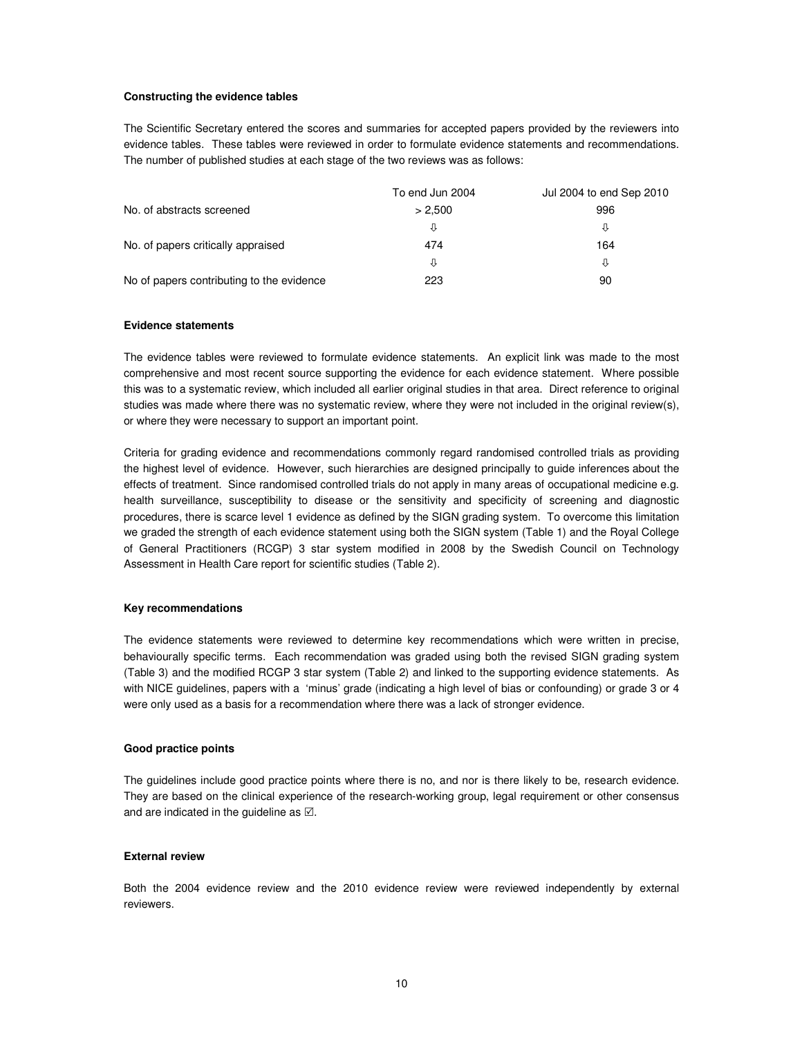#### **Constructing the evidence tables**

The Scientific Secretary entered the scores and summaries for accepted papers provided by the reviewers into evidence tables. These tables were reviewed in order to formulate evidence statements and recommendations. The number of published studies at each stage of the two reviews was as follows:

|                                           | To end Jun 2004 | Jul 2004 to end Sep 2010 |
|-------------------------------------------|-----------------|--------------------------|
| No. of abstracts screened                 | > 2.500         | 996                      |
|                                           | IJ              | ⇩                        |
| No. of papers critically appraised        | 474             | 164                      |
|                                           | ⇩               | ⇩                        |
| No of papers contributing to the evidence | 223             | 90                       |

#### **Evidence statements**

The evidence tables were reviewed to formulate evidence statements. An explicit link was made to the most comprehensive and most recent source supporting the evidence for each evidence statement. Where possible this was to a systematic review, which included all earlier original studies in that area. Direct reference to original studies was made where there was no systematic review, where they were not included in the original review(s), or where they were necessary to support an important point.

Criteria for grading evidence and recommendations commonly regard randomised controlled trials as providing the highest level of evidence. However, such hierarchies are designed principally to guide inferences about the effects of treatment. Since randomised controlled trials do not apply in many areas of occupational medicine e.g. health surveillance, susceptibility to disease or the sensitivity and specificity of screening and diagnostic procedures, there is scarce level 1 evidence as defined by the SIGN grading system. To overcome this limitation we graded the strength of each evidence statement using both the SIGN system (Table 1) and the Royal College of General Practitioners (RCGP) 3 star system modified in 2008 by the Swedish Council on Technology Assessment in Health Care report for scientific studies (Table 2).

#### **Key recommendations**

The evidence statements were reviewed to determine key recommendations which were written in precise, behaviourally specific terms. Each recommendation was graded using both the revised SIGN grading system (Table 3) and the modified RCGP 3 star system (Table 2) and linked to the supporting evidence statements. As with NICE guidelines, papers with a 'minus' grade (indicating a high level of bias or confounding) or grade 3 or 4 were only used as a basis for a recommendation where there was a lack of stronger evidence.

#### **Good practice points**

The guidelines include good practice points where there is no, and nor is there likely to be, research evidence. They are based on the clinical experience of the research-working group, legal requirement or other consensus and are indicated in the guideline as  $\boxtimes$ .

#### **External review**

Both the 2004 evidence review and the 2010 evidence review were reviewed independently by external reviewers.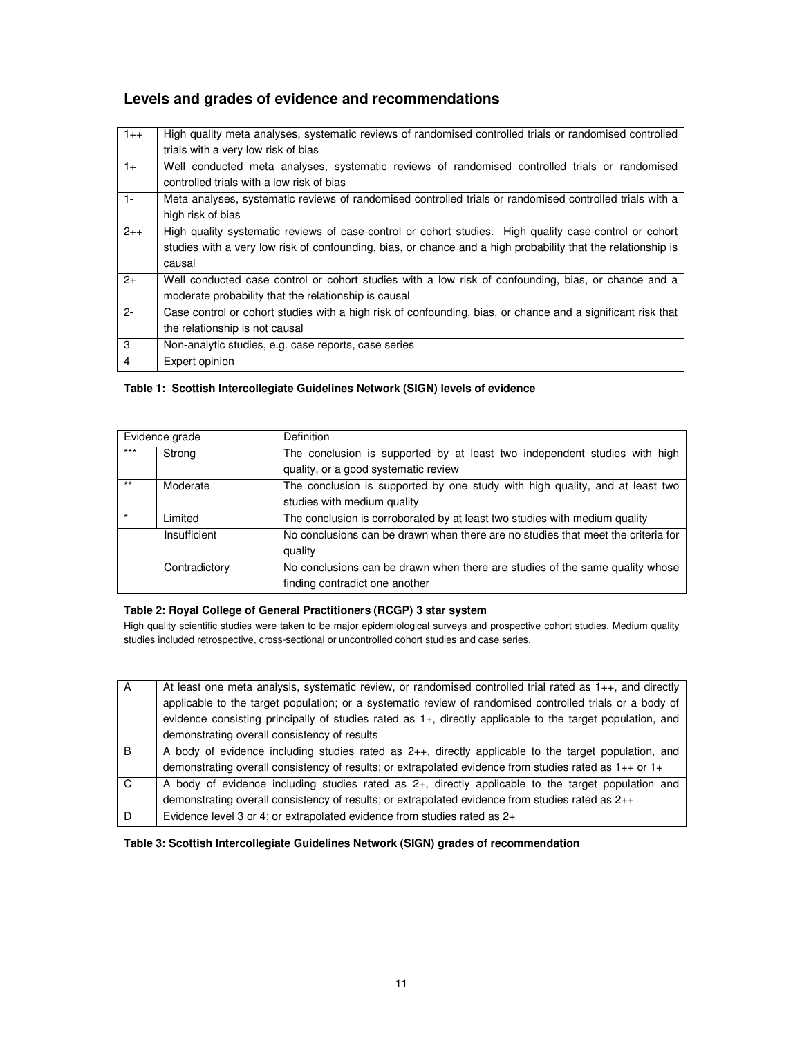## **Levels and grades of evidence and recommendations**

| $1++$          | High quality meta analyses, systematic reviews of randomised controlled trials or randomised controlled      |
|----------------|--------------------------------------------------------------------------------------------------------------|
|                | trials with a very low risk of bias                                                                          |
| $1+$           | Well conducted meta analyses, systematic reviews of randomised controlled trials or randomised               |
|                | controlled trials with a low risk of bias                                                                    |
| $1 -$          | Meta analyses, systematic reviews of randomised controlled trials or randomised controlled trials with a     |
|                | high risk of bias                                                                                            |
| $2 + +$        | High quality systematic reviews of case-control or cohort studies. High quality case-control or cohort       |
|                | studies with a very low risk of confounding, bias, or chance and a high probability that the relationship is |
|                | causal                                                                                                       |
| $2+$           | Well conducted case control or cohort studies with a low risk of confounding, bias, or chance and a          |
|                | moderate probability that the relationship is causal                                                         |
| $2 -$          | Case control or cohort studies with a high risk of confounding, bias, or chance and a significant risk that  |
|                | the relationship is not causal                                                                               |
| 3              | Non-analytic studies, e.g. case reports, case series                                                         |
| $\overline{4}$ | Expert opinion                                                                                               |

## **Table 1: Scottish Intercollegiate Guidelines Network (SIGN) levels of evidence**

|       | Evidence grade | <b>Definition</b>                                                                |  |  |  |  |  |
|-------|----------------|----------------------------------------------------------------------------------|--|--|--|--|--|
| $***$ | Strong         | The conclusion is supported by at least two independent studies with high        |  |  |  |  |  |
|       |                | quality, or a good systematic review                                             |  |  |  |  |  |
| $***$ | Moderate       | The conclusion is supported by one study with high quality, and at least two     |  |  |  |  |  |
|       |                | studies with medium quality                                                      |  |  |  |  |  |
|       | Limited        | The conclusion is corroborated by at least two studies with medium quality       |  |  |  |  |  |
|       | Insufficient   | No conclusions can be drawn when there are no studies that meet the criteria for |  |  |  |  |  |
|       |                | quality                                                                          |  |  |  |  |  |
|       | Contradictory  | No conclusions can be drawn when there are studies of the same quality whose     |  |  |  |  |  |
|       |                | finding contradict one another                                                   |  |  |  |  |  |

## **Table 2: Royal College of General Practitioners (RCGP) 3 star system**

High quality scientific studies were taken to be major epidemiological surveys and prospective cohort studies. Medium quality studies included retrospective, cross-sectional or uncontrolled cohort studies and case series.

| A              | At least one meta analysis, systematic review, or randomised controlled trial rated as $1_{++}$ , and directly |
|----------------|----------------------------------------------------------------------------------------------------------------|
|                | applicable to the target population; or a systematic review of randomised controlled trials or a body of       |
|                | evidence consisting principally of studies rated as 1+, directly applicable to the target population, and      |
|                | demonstrating overall consistency of results                                                                   |
| $\overline{B}$ | A body of evidence including studies rated as $2_{++}$ , directly applicable to the target population, and     |
|                | demonstrating overall consistency of results; or extrapolated evidence from studies rated as $1++$ or $1+$     |
| C.             | A body of evidence including studies rated as $2+$ , directly applicable to the target population and          |
|                | demonstrating overall consistency of results; or extrapolated evidence from studies rated as $2++$             |
| - D            | Evidence level 3 or 4; or extrapolated evidence from studies rated as 2+                                       |

**Table 3: Scottish Intercollegiate Guidelines Network (SIGN) grades of recommendation**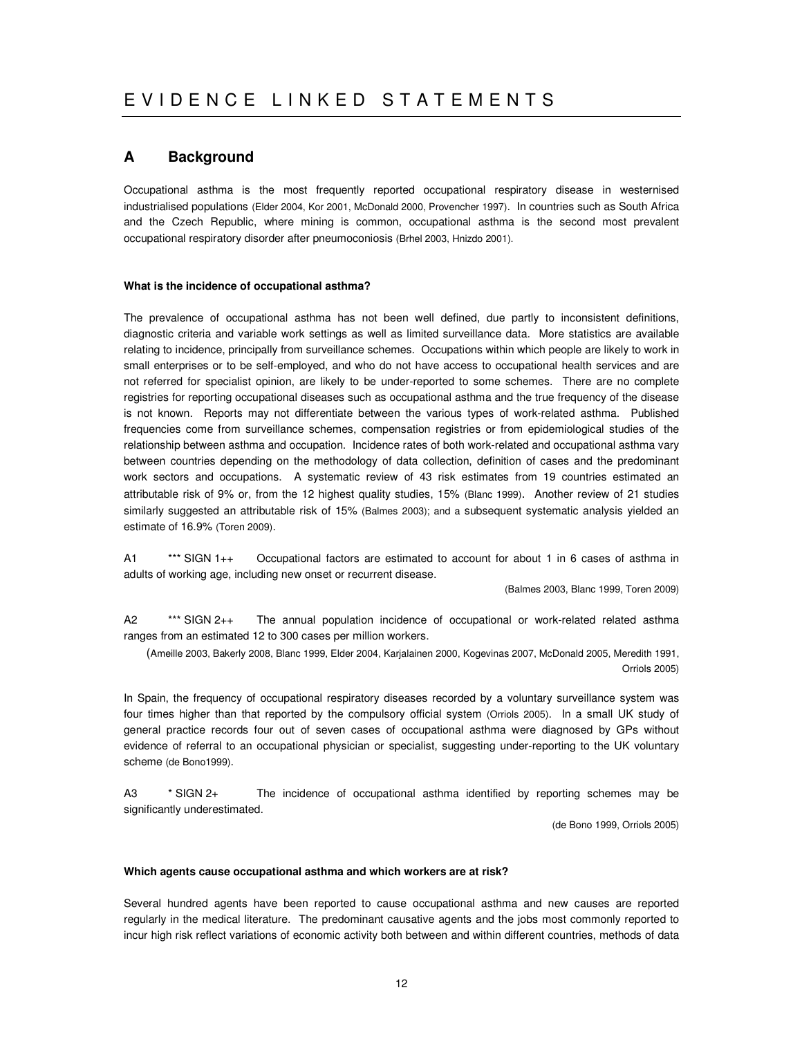## **A Background**

Occupational asthma is the most frequently reported occupational respiratory disease in westernised industrialised populations (Elder 2004, Kor 2001, McDonald 2000, Provencher 1997). In countries such as South Africa and the Czech Republic, where mining is common, occupational asthma is the second most prevalent occupational respiratory disorder after pneumoconiosis (Brhel 2003, Hnizdo 2001).

### **What is the incidence of occupational asthma?**

The prevalence of occupational asthma has not been well defined, due partly to inconsistent definitions, diagnostic criteria and variable work settings as well as limited surveillance data. More statistics are available relating to incidence, principally from surveillance schemes. Occupations within which people are likely to work in small enterprises or to be self-employed, and who do not have access to occupational health services and are not referred for specialist opinion, are likely to be under-reported to some schemes. There are no complete registries for reporting occupational diseases such as occupational asthma and the true frequency of the disease is not known. Reports may not differentiate between the various types of work-related asthma. Published frequencies come from surveillance schemes, compensation registries or from epidemiological studies of the relationship between asthma and occupation. Incidence rates of both work-related and occupational asthma vary between countries depending on the methodology of data collection, definition of cases and the predominant work sectors and occupations. A systematic review of 43 risk estimates from 19 countries estimated an attributable risk of 9% or, from the 12 highest quality studies, 15% (Blanc 1999). Another review of 21 studies similarly suggested an attributable risk of 15% (Balmes 2003); and a subsequent systematic analysis yielded an estimate of 16.9% (Toren 2009).

A1 \*\*\* SIGN 1++ Occupational factors are estimated to account for about 1 in 6 cases of asthma in adults of working age, including new onset or recurrent disease.

(Balmes 2003, Blanc 1999, Toren 2009)

A2 \*\*\* SIGN 2++ The annual population incidence of occupational or work-related related asthma ranges from an estimated 12 to 300 cases per million workers.

(Ameille 2003, Bakerly 2008, Blanc 1999, Elder 2004, Karjalainen 2000, Kogevinas 2007, McDonald 2005, Meredith 1991, Orriols 2005)

In Spain, the frequency of occupational respiratory diseases recorded by a voluntary surveillance system was four times higher than that reported by the compulsory official system (Orriols 2005). In a small UK study of general practice records four out of seven cases of occupational asthma were diagnosed by GPs without evidence of referral to an occupational physician or specialist, suggesting under-reporting to the UK voluntary scheme (de Bono1999).

A3 \* SIGN 2+ The incidence of occupational asthma identified by reporting schemes may be significantly underestimated.

(de Bono 1999, Orriols 2005)

#### **Which agents cause occupational asthma and which workers are at risk?**

Several hundred agents have been reported to cause occupational asthma and new causes are reported regularly in the medical literature. The predominant causative agents and the jobs most commonly reported to incur high risk reflect variations of economic activity both between and within different countries, methods of data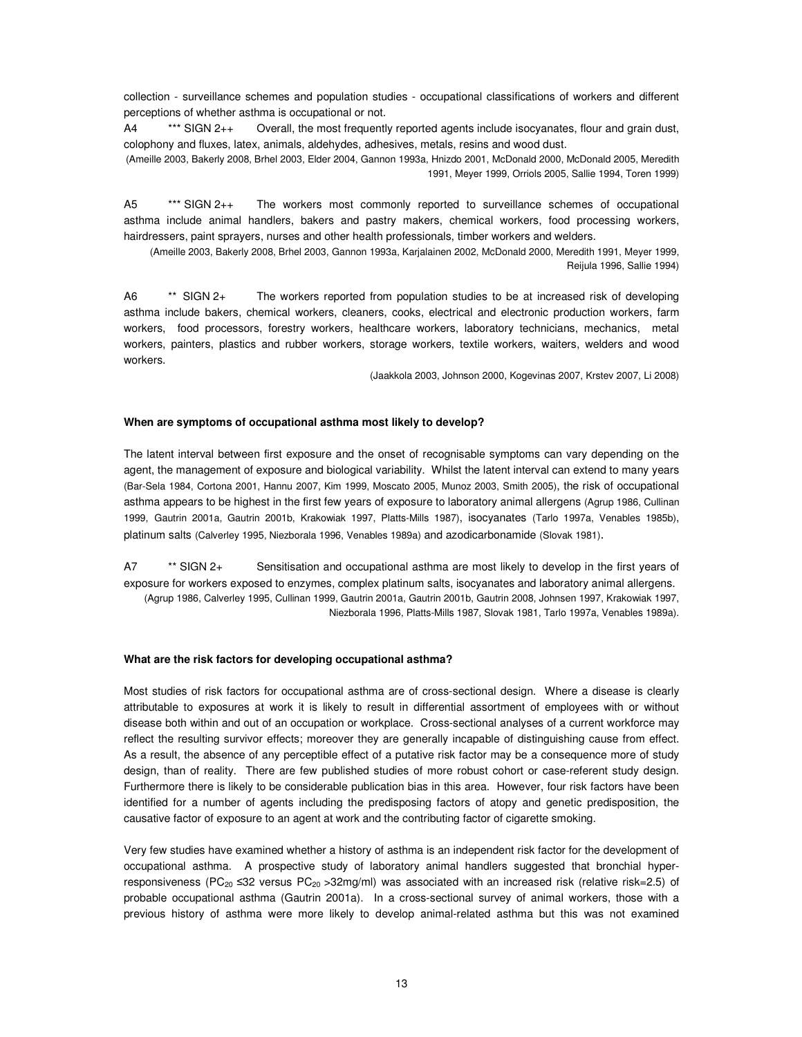collection - surveillance schemes and population studies - occupational classifications of workers and different perceptions of whether asthma is occupational or not.

A4 \*\*\* SIGN 2++ Overall, the most frequently reported agents include isocyanates, flour and grain dust, colophony and fluxes, latex, animals, aldehydes, adhesives, metals, resins and wood dust.

(Ameille 2003, Bakerly 2008, Brhel 2003, Elder 2004, Gannon 1993a, Hnizdo 2001, McDonald 2000, McDonald 2005, Meredith 1991, Meyer 1999, Orriols 2005, Sallie 1994, Toren 1999)

A5 \*\*\* SIGN 2++ The workers most commonly reported to surveillance schemes of occupational asthma include animal handlers, bakers and pastry makers, chemical workers, food processing workers, hairdressers, paint sprayers, nurses and other health professionals, timber workers and welders.

(Ameille 2003, Bakerly 2008, Brhel 2003, Gannon 1993a, Karjalainen 2002, McDonald 2000, Meredith 1991, Meyer 1999, Reijula 1996, Sallie 1994)

A6 \*\* SIGN 2+ The workers reported from population studies to be at increased risk of developing asthma include bakers, chemical workers, cleaners, cooks, electrical and electronic production workers, farm workers, food processors, forestry workers, healthcare workers, laboratory technicians, mechanics, metal workers, painters, plastics and rubber workers, storage workers, textile workers, waiters, welders and wood workers.

(Jaakkola 2003, Johnson 2000, Kogevinas 2007, Krstev 2007, Li 2008)

#### **When are symptoms of occupational asthma most likely to develop?**

The latent interval between first exposure and the onset of recognisable symptoms can vary depending on the agent, the management of exposure and biological variability. Whilst the latent interval can extend to many years (Bar-Sela 1984, Cortona 2001, Hannu 2007, Kim 1999, Moscato 2005, Munoz 2003, Smith 2005), the risk of occupational asthma appears to be highest in the first few years of exposure to laboratory animal allergens (Agrup 1986, Cullinan 1999, Gautrin 2001a, Gautrin 2001b, Krakowiak 1997, Platts-Mills 1987), isocyanates (Tarlo 1997a, Venables 1985b), platinum salts (Calverley 1995, Niezborala 1996, Venables 1989a) and azodicarbonamide (Slovak 1981).

A7 \*\* SIGN 2+ Sensitisation and occupational asthma are most likely to develop in the first years of exposure for workers exposed to enzymes, complex platinum salts, isocyanates and laboratory animal allergens. (Agrup 1986, Calverley 1995, Cullinan 1999, Gautrin 2001a, Gautrin 2001b, Gautrin 2008, Johnsen 1997, Krakowiak 1997, Niezborala 1996, Platts-Mills 1987, Slovak 1981, Tarlo 1997a, Venables 1989a).

#### **What are the risk factors for developing occupational asthma?**

Most studies of risk factors for occupational asthma are of cross-sectional design. Where a disease is clearly attributable to exposures at work it is likely to result in differential assortment of employees with or without disease both within and out of an occupation or workplace. Cross-sectional analyses of a current workforce may reflect the resulting survivor effects; moreover they are generally incapable of distinguishing cause from effect. As a result, the absence of any perceptible effect of a putative risk factor may be a consequence more of study design, than of reality. There are few published studies of more robust cohort or case-referent study design. Furthermore there is likely to be considerable publication bias in this area. However, four risk factors have been identified for a number of agents including the predisposing factors of atopy and genetic predisposition, the causative factor of exposure to an agent at work and the contributing factor of cigarette smoking.

Very few studies have examined whether a history of asthma is an independent risk factor for the development of occupational asthma. A prospective study of laboratory animal handlers suggested that bronchial hyperresponsiveness (PC<sub>20</sub>  $\leq$ 32 versus PC<sub>20</sub> > 32mg/ml) was associated with an increased risk (relative risk=2.5) of probable occupational asthma (Gautrin 2001a). In a cross-sectional survey of animal workers, those with a previous history of asthma were more likely to develop animal-related asthma but this was not examined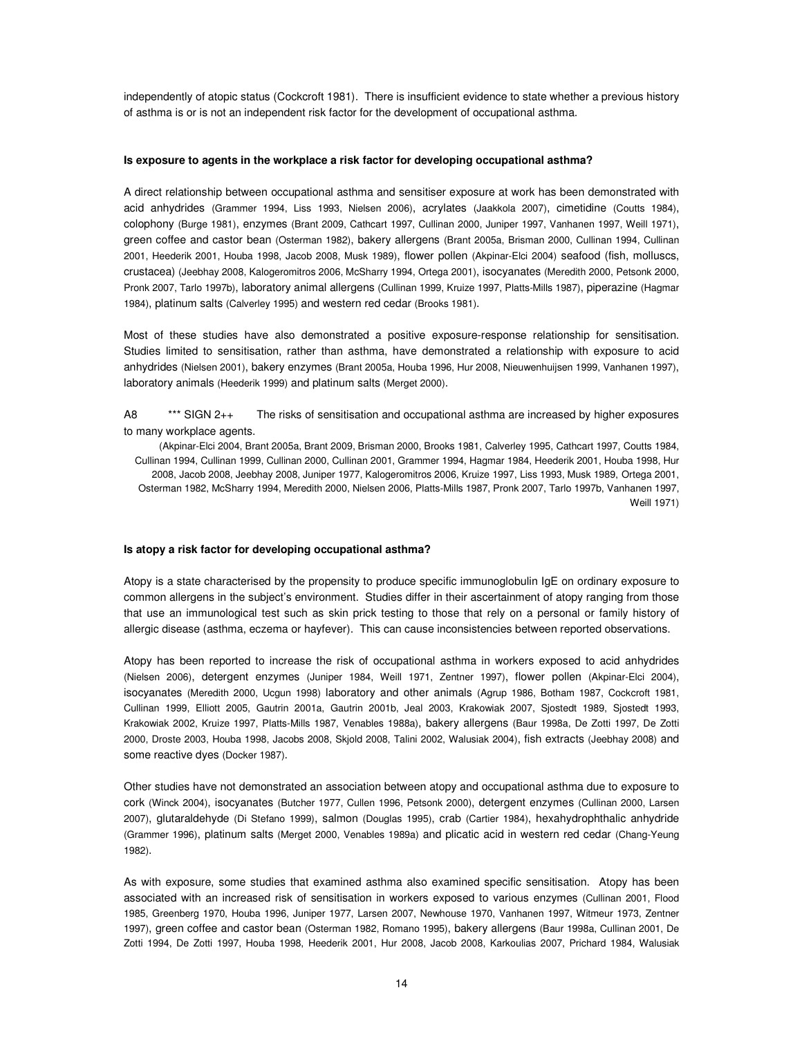independently of atopic status (Cockcroft 1981). There is insufficient evidence to state whether a previous history of asthma is or is not an independent risk factor for the development of occupational asthma.

#### **Is exposure to agents in the workplace a risk factor for developing occupational asthma?**

A direct relationship between occupational asthma and sensitiser exposure at work has been demonstrated with acid anhydrides (Grammer 1994, Liss 1993, Nielsen 2006), acrylates (Jaakkola 2007), cimetidine (Coutts 1984), colophony (Burge 1981), enzymes (Brant 2009, Cathcart 1997, Cullinan 2000, Juniper 1997, Vanhanen 1997, Weill 1971), green coffee and castor bean (Osterman 1982), bakery allergens (Brant 2005a, Brisman 2000, Cullinan 1994, Cullinan 2001, Heederik 2001, Houba 1998, Jacob 2008, Musk 1989), flower pollen (Akpinar-Elci 2004) seafood (fish, molluscs, crustacea) (Jeebhay 2008, Kalogeromitros 2006, McSharry 1994, Ortega 2001), isocyanates (Meredith 2000, Petsonk 2000, Pronk 2007, Tarlo 1997b), laboratory animal allergens (Cullinan 1999, Kruize 1997, Platts-Mills 1987), piperazine (Hagmar 1984), platinum salts (Calverley 1995) and western red cedar (Brooks 1981).

Most of these studies have also demonstrated a positive exposure-response relationship for sensitisation. Studies limited to sensitisation, rather than asthma, have demonstrated a relationship with exposure to acid anhydrides (Nielsen 2001), bakery enzymes (Brant 2005a, Houba 1996, Hur 2008, Nieuwenhuijsen 1999, Vanhanen 1997), laboratory animals (Heederik 1999) and platinum salts (Merget 2000).

A8 \*\*\* SIGN 2++ The risks of sensitisation and occupational asthma are increased by higher exposures to many workplace agents.

(Akpinar-Elci 2004, Brant 2005a, Brant 2009, Brisman 2000, Brooks 1981, Calverley 1995, Cathcart 1997, Coutts 1984, Cullinan 1994, Cullinan 1999, Cullinan 2000, Cullinan 2001, Grammer 1994, Hagmar 1984, Heederik 2001, Houba 1998, Hur 2008, Jacob 2008, Jeebhay 2008, Juniper 1977, Kalogeromitros 2006, Kruize 1997, Liss 1993, Musk 1989, Ortega 2001, Osterman 1982, McSharry 1994, Meredith 2000, Nielsen 2006, Platts-Mills 1987, Pronk 2007, Tarlo 1997b, Vanhanen 1997, Weill 1971)

#### **Is atopy a risk factor for developing occupational asthma?**

Atopy is a state characterised by the propensity to produce specific immunoglobulin IgE on ordinary exposure to common allergens in the subject's environment. Studies differ in their ascertainment of atopy ranging from those that use an immunological test such as skin prick testing to those that rely on a personal or family history of allergic disease (asthma, eczema or hayfever). This can cause inconsistencies between reported observations.

Atopy has been reported to increase the risk of occupational asthma in workers exposed to acid anhydrides (Nielsen 2006), detergent enzymes (Juniper 1984, Weill 1971, Zentner 1997), flower pollen (Akpinar-Elci 2004), isocyanates (Meredith 2000, Ucgun 1998) laboratory and other animals (Agrup 1986, Botham 1987, Cockcroft 1981, Cullinan 1999, Elliott 2005, Gautrin 2001a, Gautrin 2001b, Jeal 2003, Krakowiak 2007, Sjostedt 1989, Sjostedt 1993, Krakowiak 2002, Kruize 1997, Platts-Mills 1987, Venables 1988a), bakery allergens (Baur 1998a, De Zotti 1997, De Zotti 2000, Droste 2003, Houba 1998, Jacobs 2008, Skjold 2008, Talini 2002, Walusiak 2004), fish extracts (Jeebhay 2008) and some reactive dyes (Docker 1987).

Other studies have not demonstrated an association between atopy and occupational asthma due to exposure to cork (Winck 2004), isocyanates (Butcher 1977, Cullen 1996, Petsonk 2000), detergent enzymes (Cullinan 2000, Larsen 2007), glutaraldehyde (Di Stefano 1999), salmon (Douglas 1995), crab (Cartier 1984), hexahydrophthalic anhydride (Grammer 1996), platinum salts (Merget 2000, Venables 1989a) and plicatic acid in western red cedar (Chang-Yeung 1982).

As with exposure, some studies that examined asthma also examined specific sensitisation. Atopy has been associated with an increased risk of sensitisation in workers exposed to various enzymes (Cullinan 2001, Flood 1985, Greenberg 1970, Houba 1996, Juniper 1977, Larsen 2007, Newhouse 1970, Vanhanen 1997, Witmeur 1973, Zentner 1997), green coffee and castor bean (Osterman 1982, Romano 1995), bakery allergens (Baur 1998a, Cullinan 2001, De Zotti 1994, De Zotti 1997, Houba 1998, Heederik 2001, Hur 2008, Jacob 2008, Karkoulias 2007, Prichard 1984, Walusiak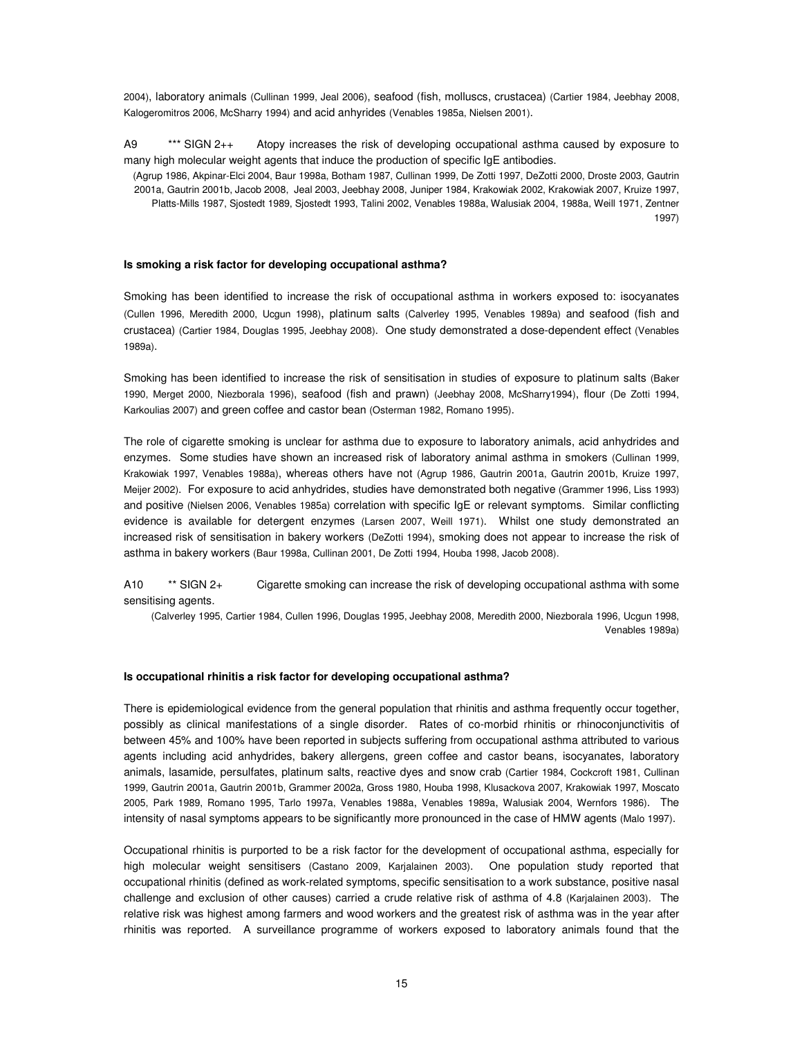2004), laboratory animals (Cullinan 1999, Jeal 2006), seafood (fish, molluscs, crustacea) (Cartier 1984, Jeebhay 2008, Kalogeromitros 2006, McSharry 1994) and acid anhyrides (Venables 1985a, Nielsen 2001).

A9 \*\*\* SIGN 2++ Atopy increases the risk of developing occupational asthma caused by exposure to many high molecular weight agents that induce the production of specific IgE antibodies.

(Agrup 1986, Akpinar-Elci 2004, Baur 1998a, Botham 1987, Cullinan 1999, De Zotti 1997, DeZotti 2000, Droste 2003, Gautrin 2001a, Gautrin 2001b, Jacob 2008, Jeal 2003, Jeebhay 2008, Juniper 1984, Krakowiak 2002, Krakowiak 2007, Kruize 1997, Platts-Mills 1987, Sjostedt 1989, Sjostedt 1993, Talini 2002, Venables 1988a, Walusiak 2004, 1988a, Weill 1971, Zentner 1997)

#### **Is smoking a risk factor for developing occupational asthma?**

Smoking has been identified to increase the risk of occupational asthma in workers exposed to: isocyanates (Cullen 1996, Meredith 2000, Ucgun 1998), platinum salts (Calverley 1995, Venables 1989a) and seafood (fish and crustacea) (Cartier 1984, Douglas 1995, Jeebhay 2008). One study demonstrated a dose-dependent effect (Venables 1989a).

Smoking has been identified to increase the risk of sensitisation in studies of exposure to platinum salts (Baker 1990, Merget 2000, Niezborala 1996), seafood (fish and prawn) (Jeebhay 2008, McSharry1994), flour (De Zotti 1994, Karkoulias 2007) and green coffee and castor bean (Osterman 1982, Romano 1995).

The role of cigarette smoking is unclear for asthma due to exposure to laboratory animals, acid anhydrides and enzymes. Some studies have shown an increased risk of laboratory animal asthma in smokers (Cullinan 1999, Krakowiak 1997, Venables 1988a), whereas others have not (Agrup 1986, Gautrin 2001a, Gautrin 2001b, Kruize 1997, Meijer 2002). For exposure to acid anhydrides, studies have demonstrated both negative (Grammer 1996, Liss 1993) and positive (Nielsen 2006, Venables 1985a) correlation with specific IgE or relevant symptoms. Similar conflicting evidence is available for detergent enzymes (Larsen 2007, Weill 1971). Whilst one study demonstrated an increased risk of sensitisation in bakery workers (DeZotti 1994), smoking does not appear to increase the risk of asthma in bakery workers (Baur 1998a, Cullinan 2001, De Zotti 1994, Houba 1998, Jacob 2008).

A10 \*\* SIGN 2+ Cigarette smoking can increase the risk of developing occupational asthma with some sensitising agents.

(Calverley 1995, Cartier 1984, Cullen 1996, Douglas 1995, Jeebhay 2008, Meredith 2000, Niezborala 1996, Ucgun 1998, Venables 1989a)

#### **Is occupational rhinitis a risk factor for developing occupational asthma?**

There is epidemiological evidence from the general population that rhinitis and asthma frequently occur together, possibly as clinical manifestations of a single disorder. Rates of co-morbid rhinitis or rhinoconjunctivitis of between 45% and 100% have been reported in subjects suffering from occupational asthma attributed to various agents including acid anhydrides, bakery allergens, green coffee and castor beans, isocyanates, laboratory animals, lasamide, persulfates, platinum salts, reactive dyes and snow crab (Cartier 1984, Cockcroft 1981, Cullinan 1999, Gautrin 2001a, Gautrin 2001b, Grammer 2002a, Gross 1980, Houba 1998, Klusackova 2007, Krakowiak 1997, Moscato 2005, Park 1989, Romano 1995, Tarlo 1997a, Venables 1988a, Venables 1989a, Walusiak 2004, Wernfors 1986). The intensity of nasal symptoms appears to be significantly more pronounced in the case of HMW agents (Malo 1997).

Occupational rhinitis is purported to be a risk factor for the development of occupational asthma, especially for high molecular weight sensitisers (Castano 2009, Karjalainen 2003). One population study reported that occupational rhinitis (defined as work-related symptoms, specific sensitisation to a work substance, positive nasal challenge and exclusion of other causes) carried a crude relative risk of asthma of 4.8 (Karjalainen 2003). The relative risk was highest among farmers and wood workers and the greatest risk of asthma was in the year after rhinitis was reported. A surveillance programme of workers exposed to laboratory animals found that the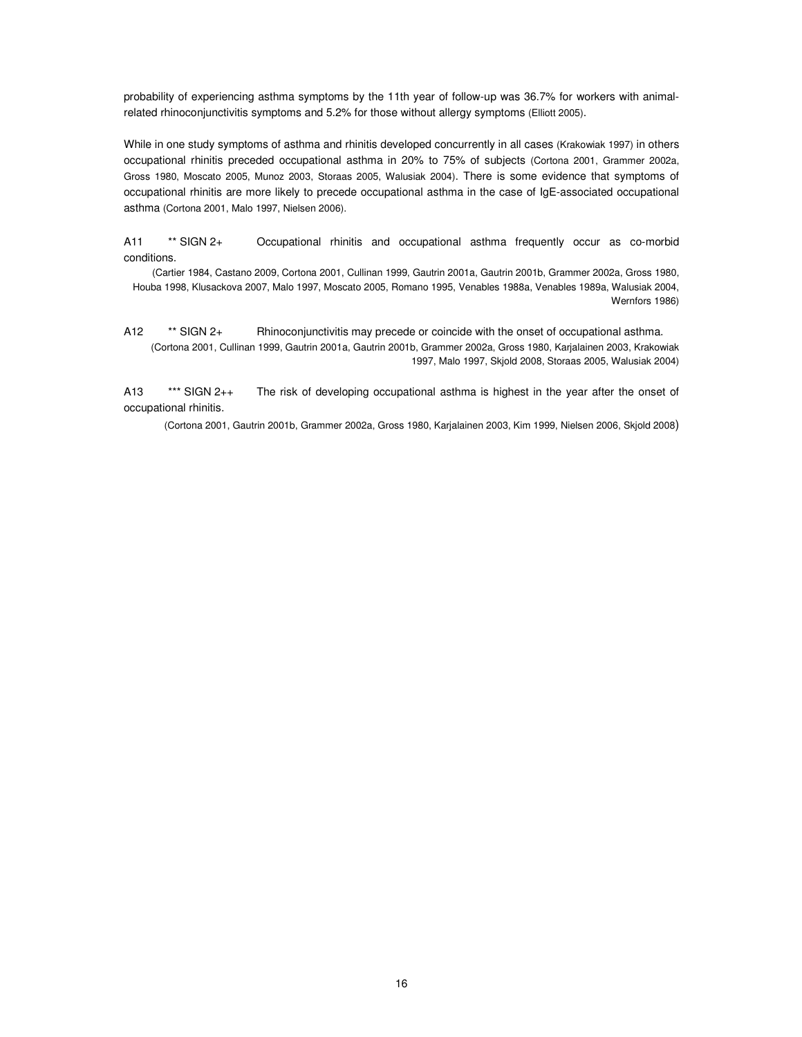probability of experiencing asthma symptoms by the 11th year of follow-up was 36.7% for workers with animalrelated rhinoconjunctivitis symptoms and 5.2% for those without allergy symptoms (Elliott 2005).

While in one study symptoms of asthma and rhinitis developed concurrently in all cases (Krakowiak 1997) in others occupational rhinitis preceded occupational asthma in 20% to 75% of subjects (Cortona 2001, Grammer 2002a, Gross 1980, Moscato 2005, Munoz 2003, Storaas 2005, Walusiak 2004). There is some evidence that symptoms of occupational rhinitis are more likely to precede occupational asthma in the case of IgE-associated occupational asthma (Cortona 2001, Malo 1997, Nielsen 2006).

A11 \*\* SIGN 2+ Occupational rhinitis and occupational asthma frequently occur as co-morbid conditions.

(Cartier 1984, Castano 2009, Cortona 2001, Cullinan 1999, Gautrin 2001a, Gautrin 2001b, Grammer 2002a, Gross 1980, Houba 1998, Klusackova 2007, Malo 1997, Moscato 2005, Romano 1995, Venables 1988a, Venables 1989a, Walusiak 2004, Wernfors 1986)

A12 \*\* SIGN 2+ Rhinoconjunctivitis may precede or coincide with the onset of occupational asthma. (Cortona 2001, Cullinan 1999, Gautrin 2001a, Gautrin 2001b, Grammer 2002a, Gross 1980, Karjalainen 2003, Krakowiak 1997, Malo 1997, Skjold 2008, Storaas 2005, Walusiak 2004)

A13 \*\*\* SIGN 2++ The risk of developing occupational asthma is highest in the year after the onset of occupational rhinitis.

(Cortona 2001, Gautrin 2001b, Grammer 2002a, Gross 1980, Karjalainen 2003, Kim 1999, Nielsen 2006, Skjold 2008)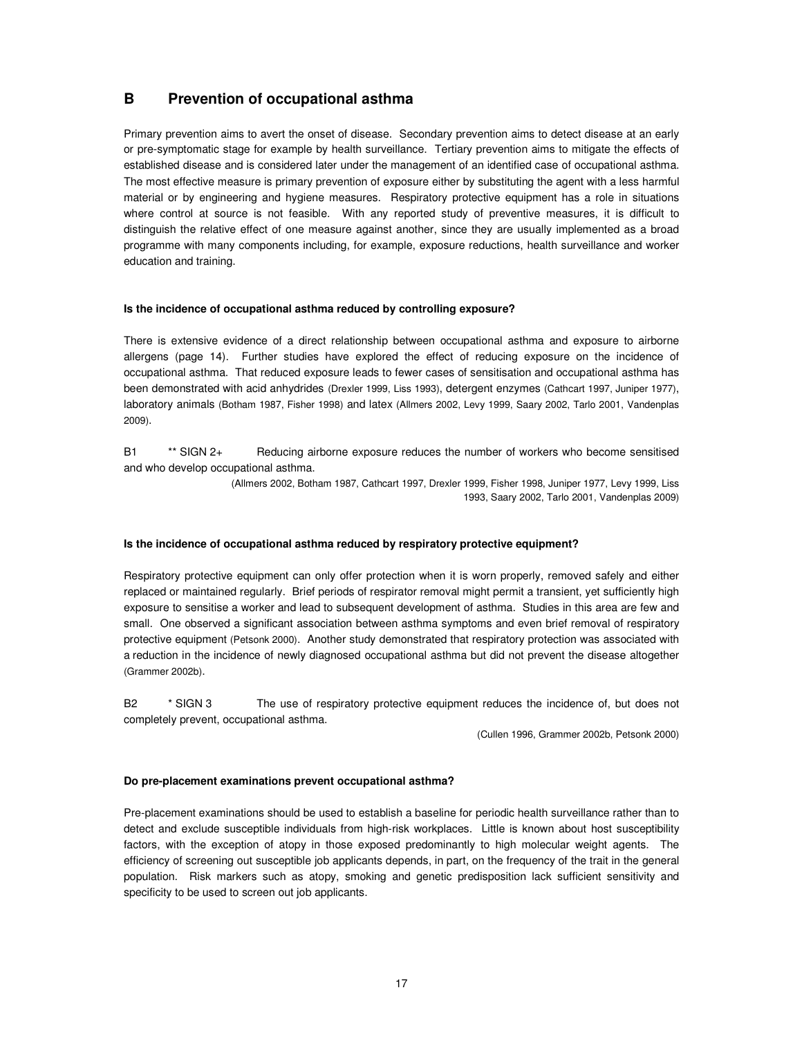## **B Prevention of occupational asthma**

Primary prevention aims to avert the onset of disease. Secondary prevention aims to detect disease at an early or pre-symptomatic stage for example by health surveillance. Tertiary prevention aims to mitigate the effects of established disease and is considered later under the management of an identified case of occupational asthma. The most effective measure is primary prevention of exposure either by substituting the agent with a less harmful material or by engineering and hygiene measures. Respiratory protective equipment has a role in situations where control at source is not feasible. With any reported study of preventive measures, it is difficult to distinguish the relative effect of one measure against another, since they are usually implemented as a broad programme with many components including, for example, exposure reductions, health surveillance and worker education and training.

### **Is the incidence of occupational asthma reduced by controlling exposure?**

There is extensive evidence of a direct relationship between occupational asthma and exposure to airborne allergens (page 14). Further studies have explored the effect of reducing exposure on the incidence of occupational asthma. That reduced exposure leads to fewer cases of sensitisation and occupational asthma has been demonstrated with acid anhydrides (Drexler 1999, Liss 1993), detergent enzymes (Cathcart 1997, Juniper 1977), laboratory animals (Botham 1987, Fisher 1998) and latex (Allmers 2002, Levy 1999, Saary 2002, Tarlo 2001, Vandenplas 2009).

B1 \*\* SIGN 2+ Reducing airborne exposure reduces the number of workers who become sensitised and who develop occupational asthma.

> (Allmers 2002, Botham 1987, Cathcart 1997, Drexler 1999, Fisher 1998, Juniper 1977, Levy 1999, Liss 1993, Saary 2002, Tarlo 2001, Vandenplas 2009)

#### **Is the incidence of occupational asthma reduced by respiratory protective equipment?**

Respiratory protective equipment can only offer protection when it is worn properly, removed safely and either replaced or maintained regularly. Brief periods of respirator removal might permit a transient, yet sufficiently high exposure to sensitise a worker and lead to subsequent development of asthma. Studies in this area are few and small. One observed a significant association between asthma symptoms and even brief removal of respiratory protective equipment (Petsonk 2000). Another study demonstrated that respiratory protection was associated with a reduction in the incidence of newly diagnosed occupational asthma but did not prevent the disease altogether (Grammer 2002b).

B2 \* SIGN 3 The use of respiratory protective equipment reduces the incidence of, but does not completely prevent, occupational asthma.

(Cullen 1996, Grammer 2002b, Petsonk 2000)

#### **Do pre-placement examinations prevent occupational asthma?**

Pre-placement examinations should be used to establish a baseline for periodic health surveillance rather than to detect and exclude susceptible individuals from high-risk workplaces. Little is known about host susceptibility factors, with the exception of atopy in those exposed predominantly to high molecular weight agents. The efficiency of screening out susceptible job applicants depends, in part, on the frequency of the trait in the general population. Risk markers such as atopy, smoking and genetic predisposition lack sufficient sensitivity and specificity to be used to screen out job applicants.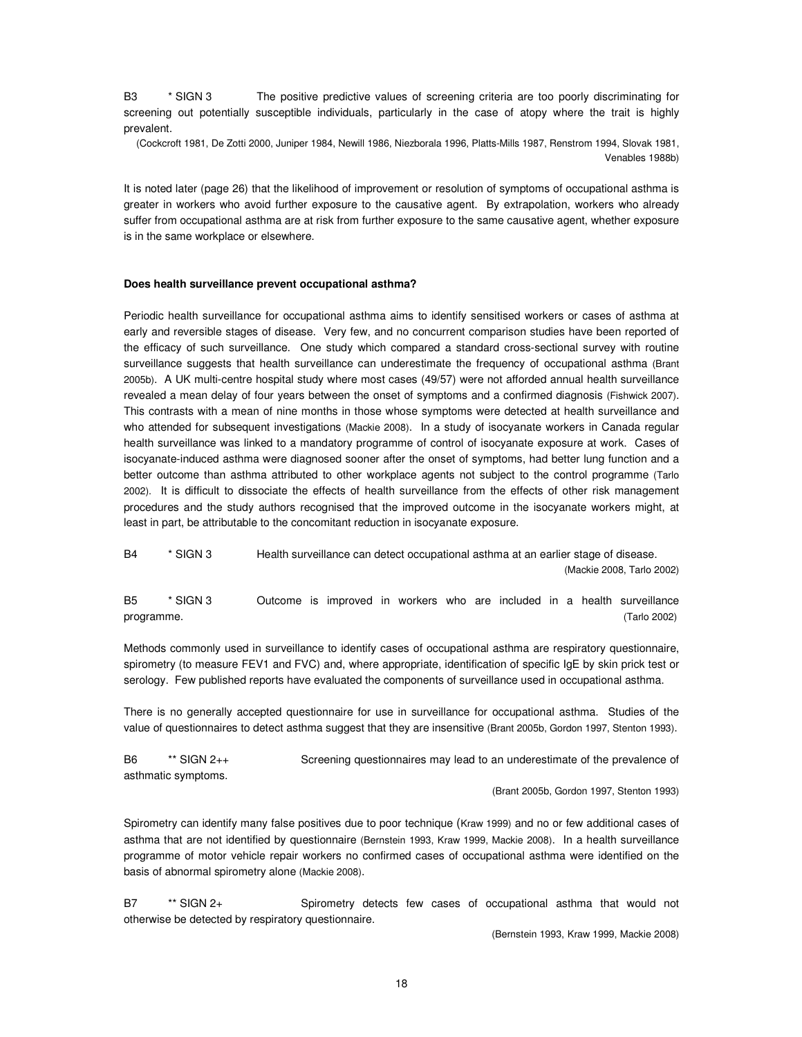B3 \* SIGN 3 The positive predictive values of screening criteria are too poorly discriminating for screening out potentially susceptible individuals, particularly in the case of atopy where the trait is highly prevalent.

(Cockcroft 1981, De Zotti 2000, Juniper 1984, Newill 1986, Niezborala 1996, Platts-Mills 1987, Renstrom 1994, Slovak 1981, Venables 1988b)

It is noted later (page 26) that the likelihood of improvement or resolution of symptoms of occupational asthma is greater in workers who avoid further exposure to the causative agent. By extrapolation, workers who already suffer from occupational asthma are at risk from further exposure to the same causative agent, whether exposure is in the same workplace or elsewhere.

#### **Does health surveillance prevent occupational asthma?**

Periodic health surveillance for occupational asthma aims to identify sensitised workers or cases of asthma at early and reversible stages of disease. Very few, and no concurrent comparison studies have been reported of the efficacy of such surveillance. One study which compared a standard cross-sectional survey with routine surveillance suggests that health surveillance can underestimate the frequency of occupational asthma (Brant 2005b). A UK multi-centre hospital study where most cases (49/57) were not afforded annual health surveillance revealed a mean delay of four years between the onset of symptoms and a confirmed diagnosis (Fishwick 2007). This contrasts with a mean of nine months in those whose symptoms were detected at health surveillance and who attended for subsequent investigations (Mackie 2008). In a study of isocyanate workers in Canada regular health surveillance was linked to a mandatory programme of control of isocyanate exposure at work. Cases of isocyanate-induced asthma were diagnosed sooner after the onset of symptoms, had better lung function and a better outcome than asthma attributed to other workplace agents not subject to the control programme (Tarlo 2002). It is difficult to dissociate the effects of health surveillance from the effects of other risk management procedures and the study authors recognised that the improved outcome in the isocyanate workers might, at least in part, be attributable to the concomitant reduction in isocyanate exposure.

B4 \* SIGN 3 Health surveillance can detect occupational asthma at an earlier stage of disease. (Mackie 2008, Tarlo 2002)

B5 \* SIGN 3 Outcome is improved in workers who are included in a health surveillance programme. (Tarlo 2002)

Methods commonly used in surveillance to identify cases of occupational asthma are respiratory questionnaire, spirometry (to measure FEV1 and FVC) and, where appropriate, identification of specific IgE by skin prick test or serology. Few published reports have evaluated the components of surveillance used in occupational asthma.

There is no generally accepted questionnaire for use in surveillance for occupational asthma. Studies of the value of questionnaires to detect asthma suggest that they are insensitive (Brant 2005b, Gordon 1997, Stenton 1993).

B6 \*\* SIGN 2++ Screening questionnaires may lead to an underestimate of the prevalence of asthmatic symptoms.

(Brant 2005b, Gordon 1997, Stenton 1993)

Spirometry can identify many false positives due to poor technique (Kraw 1999) and no or few additional cases of asthma that are not identified by questionnaire (Bernstein 1993, Kraw 1999, Mackie 2008). In a health surveillance programme of motor vehicle repair workers no confirmed cases of occupational asthma were identified on the basis of abnormal spirometry alone (Mackie 2008).

B7 \*\* SIGN 2+ Spirometry detects few cases of occupational asthma that would not otherwise be detected by respiratory questionnaire.

(Bernstein 1993, Kraw 1999, Mackie 2008)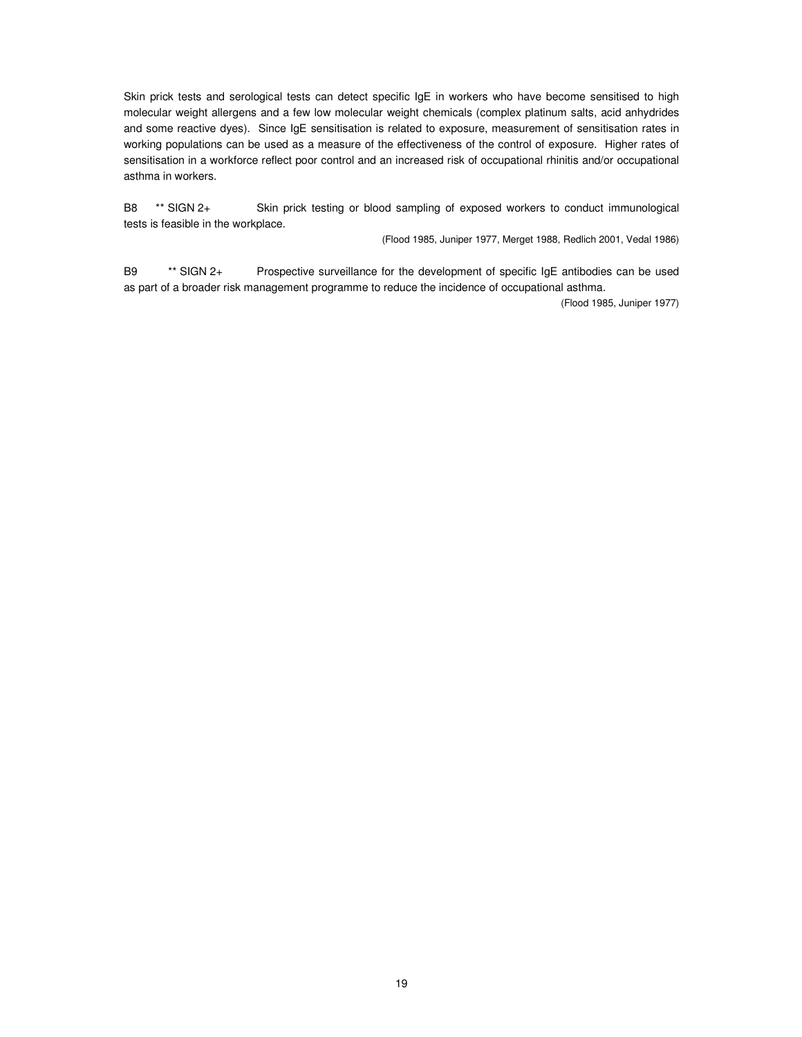Skin prick tests and serological tests can detect specific IgE in workers who have become sensitised to high molecular weight allergens and a few low molecular weight chemicals (complex platinum salts, acid anhydrides and some reactive dyes). Since IgE sensitisation is related to exposure, measurement of sensitisation rates in working populations can be used as a measure of the effectiveness of the control of exposure. Higher rates of sensitisation in a workforce reflect poor control and an increased risk of occupational rhinitis and/or occupational asthma in workers.

B8 \*\* SIGN 2+ Skin prick testing or blood sampling of exposed workers to conduct immunological tests is feasible in the workplace.

(Flood 1985, Juniper 1977, Merget 1988, Redlich 2001, Vedal 1986)

B9 \*\* SIGN 2+ Prospective surveillance for the development of specific IgE antibodies can be used as part of a broader risk management programme to reduce the incidence of occupational asthma.

(Flood 1985, Juniper 1977)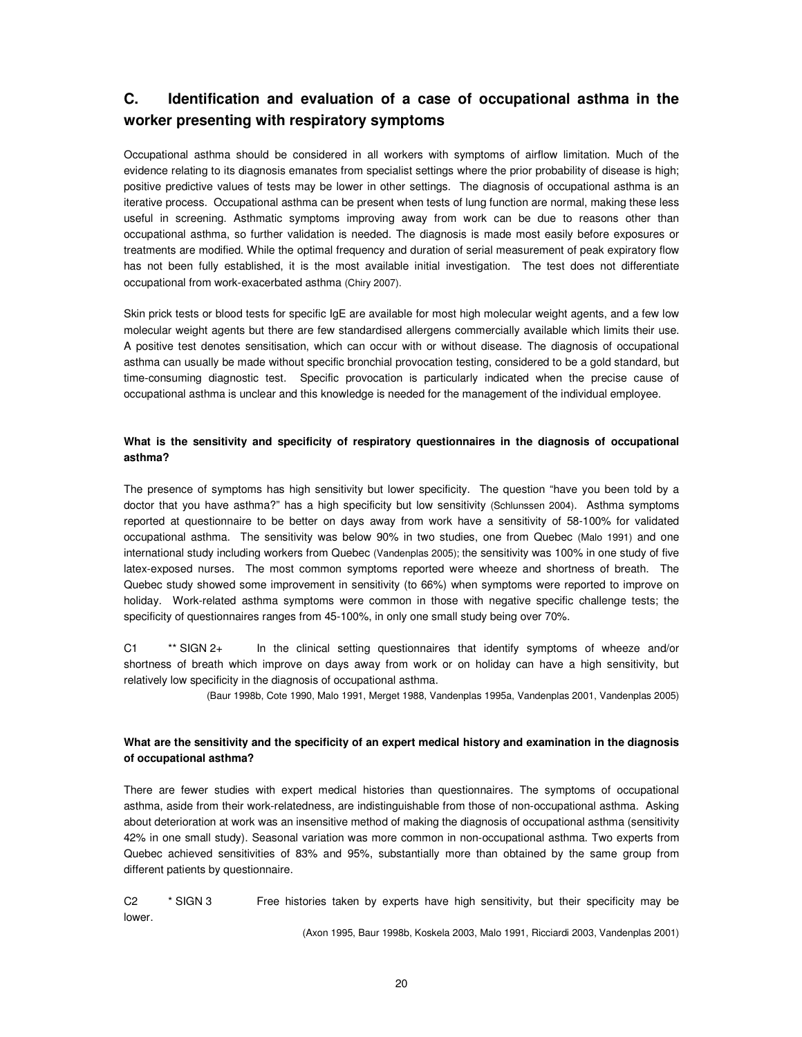## **C. Identification and evaluation of a case of occupational asthma in the worker presenting with respiratory symptoms**

Occupational asthma should be considered in all workers with symptoms of airflow limitation. Much of the evidence relating to its diagnosis emanates from specialist settings where the prior probability of disease is high; positive predictive values of tests may be lower in other settings. The diagnosis of occupational asthma is an iterative process. Occupational asthma can be present when tests of lung function are normal, making these less useful in screening. Asthmatic symptoms improving away from work can be due to reasons other than occupational asthma, so further validation is needed. The diagnosis is made most easily before exposures or treatments are modified. While the optimal frequency and duration of serial measurement of peak expiratory flow has not been fully established, it is the most available initial investigation. The test does not differentiate occupational from work-exacerbated asthma (Chiry 2007).

Skin prick tests or blood tests for specific IgE are available for most high molecular weight agents, and a few low molecular weight agents but there are few standardised allergens commercially available which limits their use. A positive test denotes sensitisation, which can occur with or without disease. The diagnosis of occupational asthma can usually be made without specific bronchial provocation testing, considered to be a gold standard, but time-consuming diagnostic test. Specific provocation is particularly indicated when the precise cause of occupational asthma is unclear and this knowledge is needed for the management of the individual employee.

## **What is the sensitivity and specificity of respiratory questionnaires in the diagnosis of occupational asthma?**

The presence of symptoms has high sensitivity but lower specificity. The question "have you been told by a doctor that you have asthma?" has a high specificity but low sensitivity (Schlunssen 2004). Asthma symptoms reported at questionnaire to be better on days away from work have a sensitivity of 58-100% for validated occupational asthma. The sensitivity was below 90% in two studies, one from Quebec (Malo 1991) and one international study including workers from Quebec (Vandenplas 2005); the sensitivity was 100% in one study of five latex-exposed nurses. The most common symptoms reported were wheeze and shortness of breath. The Quebec study showed some improvement in sensitivity (to 66%) when symptoms were reported to improve on holiday. Work-related asthma symptoms were common in those with negative specific challenge tests; the specificity of questionnaires ranges from 45-100%, in only one small study being over 70%.

C1 \*\* SIGN 2+ In the clinical setting questionnaires that identify symptoms of wheeze and/or shortness of breath which improve on days away from work or on holiday can have a high sensitivity, but relatively low specificity in the diagnosis of occupational asthma.

(Baur 1998b, Cote 1990, Malo 1991, Merget 1988, Vandenplas 1995a, Vandenplas 2001, Vandenplas 2005)

## What are the sensitivity and the specificity of an expert medical history and examination in the diagnosis **of occupational asthma?**

There are fewer studies with expert medical histories than questionnaires. The symptoms of occupational asthma, aside from their work-relatedness, are indistinguishable from those of non-occupational asthma. Asking about deterioration at work was an insensitive method of making the diagnosis of occupational asthma (sensitivity 42% in one small study). Seasonal variation was more common in non-occupational asthma. Two experts from Quebec achieved sensitivities of 83% and 95%, substantially more than obtained by the same group from different patients by questionnaire.

C2 \* SIGN 3 Free histories taken by experts have high sensitivity, but their specificity may be lower.

(Axon 1995, Baur 1998b, Koskela 2003, Malo 1991, Ricciardi 2003, Vandenplas 2001)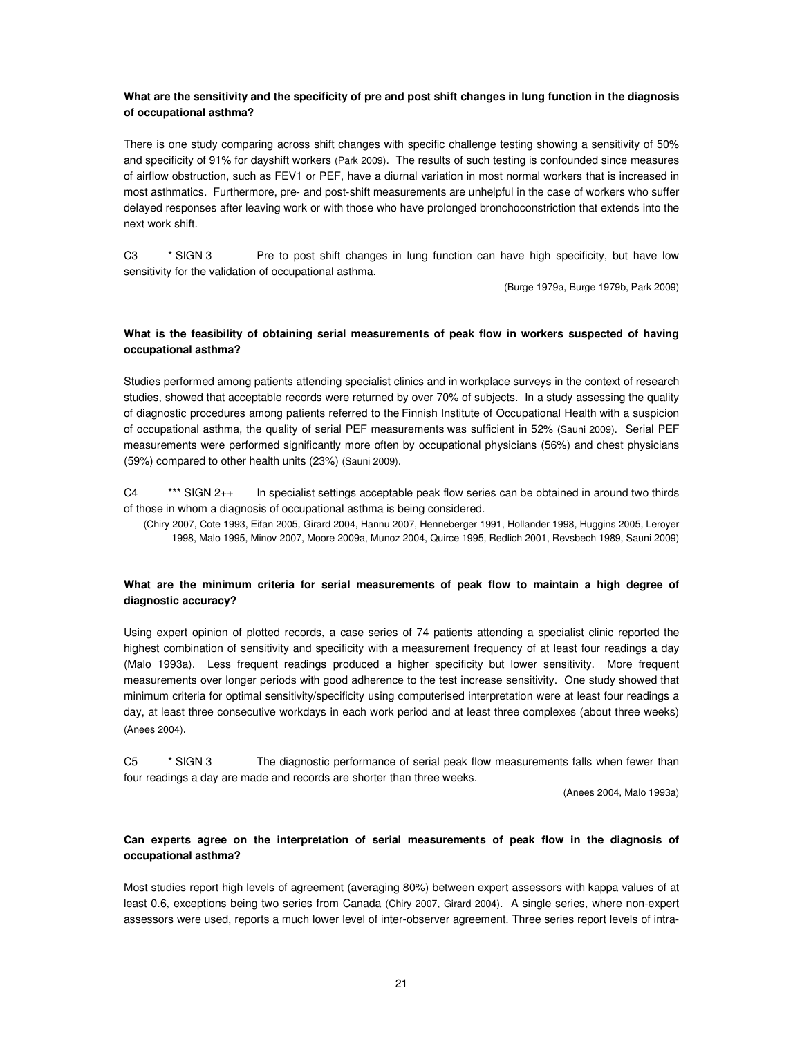## What are the sensitivity and the specificity of pre and post shift changes in lung function in the diagnosis **of occupational asthma?**

There is one study comparing across shift changes with specific challenge testing showing a sensitivity of 50% and specificity of 91% for dayshift workers (Park 2009). The results of such testing is confounded since measures of airflow obstruction, such as FEV1 or PEF, have a diurnal variation in most normal workers that is increased in most asthmatics. Furthermore, pre- and post-shift measurements are unhelpful in the case of workers who suffer delayed responses after leaving work or with those who have prolonged bronchoconstriction that extends into the next work shift.

C3 \* SIGN 3 Pre to post shift changes in lung function can have high specificity, but have low sensitivity for the validation of occupational asthma.

(Burge 1979a, Burge 1979b, Park 2009)

## **What is the feasibility of obtaining serial measurements of peak flow in workers suspected of having occupational asthma?**

Studies performed among patients attending specialist clinics and in workplace surveys in the context of research studies, showed that acceptable records were returned by over 70% of subjects. In a study assessing the quality of diagnostic procedures among patients referred to the Finnish Institute of Occupational Health with a suspicion of occupational asthma, the quality of serial PEF measurements was sufficient in 52% (Sauni 2009). Serial PEF measurements were performed significantly more often by occupational physicians (56%) and chest physicians (59%) compared to other health units (23%) (Sauni 2009).

C4 \*\*\* SIGN 2++ In specialist settings acceptable peak flow series can be obtained in around two thirds of those in whom a diagnosis of occupational asthma is being considered.

(Chiry 2007, Cote 1993, Eifan 2005, Girard 2004, Hannu 2007, Henneberger 1991, Hollander 1998, Huggins 2005, Leroyer 1998, Malo 1995, Minov 2007, Moore 2009a, Munoz 2004, Quirce 1995, Redlich 2001, Revsbech 1989, Sauni 2009)

## **What are the minimum criteria for serial measurements of peak flow to maintain a high degree of diagnostic accuracy?**

Using expert opinion of plotted records, a case series of 74 patients attending a specialist clinic reported the highest combination of sensitivity and specificity with a measurement frequency of at least four readings a day (Malo 1993a). Less frequent readings produced a higher specificity but lower sensitivity. More frequent measurements over longer periods with good adherence to the test increase sensitivity. One study showed that minimum criteria for optimal sensitivity/specificity using computerised interpretation were at least four readings a day, at least three consecutive workdays in each work period and at least three complexes (about three weeks) (Anees 2004).

C5 \* SIGN 3 The diagnostic performance of serial peak flow measurements falls when fewer than four readings a day are made and records are shorter than three weeks.

(Anees 2004, Malo 1993a)

## **Can experts agree on the interpretation of serial measurements of peak flow in the diagnosis of occupational asthma?**

Most studies report high levels of agreement (averaging 80%) between expert assessors with kappa values of at least 0.6, exceptions being two series from Canada (Chiry 2007, Girard 2004). A single series, where non-expert assessors were used, reports a much lower level of inter-observer agreement. Three series report levels of intra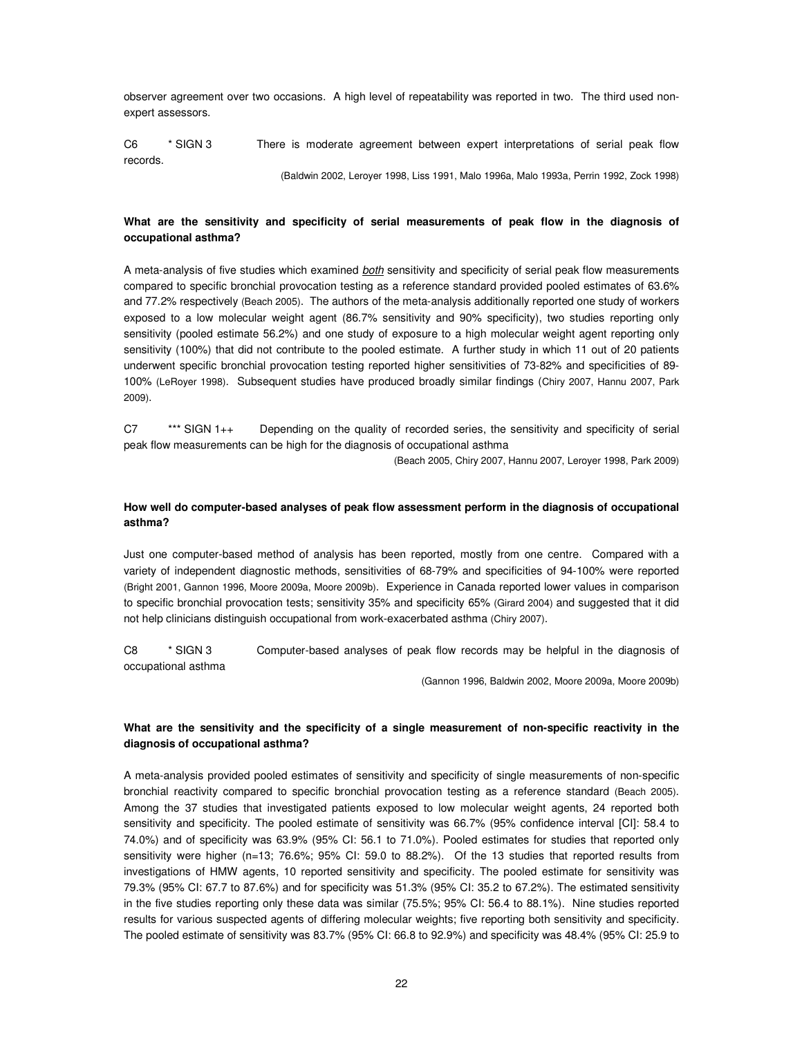observer agreement over two occasions. A high level of repeatability was reported in two. The third used nonexpert assessors.

C6 \* SIGN 3 There is moderate agreement between expert interpretations of serial peak flow records.

(Baldwin 2002, Leroyer 1998, Liss 1991, Malo 1996a, Malo 1993a, Perrin 1992, Zock 1998)

## **What are the sensitivity and specificity of serial measurements of peak flow in the diagnosis of occupational asthma?**

A meta-analysis of five studies which examined *both* sensitivity and specificity of serial peak flow measurements compared to specific bronchial provocation testing as a reference standard provided pooled estimates of 63.6% and 77.2% respectively (Beach 2005). The authors of the meta-analysis additionally reported one study of workers exposed to a low molecular weight agent (86.7% sensitivity and 90% specificity), two studies reporting only sensitivity (pooled estimate 56.2%) and one study of exposure to a high molecular weight agent reporting only sensitivity (100%) that did not contribute to the pooled estimate. A further study in which 11 out of 20 patients underwent specific bronchial provocation testing reported higher sensitivities of 73-82% and specificities of 89- 100% (LeRoyer 1998). Subsequent studies have produced broadly similar findings (Chiry 2007, Hannu 2007, Park 2009).

C7 \*\*\* SIGN 1++ Depending on the quality of recorded series, the sensitivity and specificity of serial peak flow measurements can be high for the diagnosis of occupational asthma

(Beach 2005, Chiry 2007, Hannu 2007, Leroyer 1998, Park 2009)

### **How well do computer-based analyses of peak flow assessment perform in the diagnosis of occupational asthma?**

Just one computer-based method of analysis has been reported, mostly from one centre. Compared with a variety of independent diagnostic methods, sensitivities of 68-79% and specificities of 94-100% were reported (Bright 2001, Gannon 1996, Moore 2009a, Moore 2009b). Experience in Canada reported lower values in comparison to specific bronchial provocation tests; sensitivity 35% and specificity 65% (Girard 2004) and suggested that it did not help clinicians distinguish occupational from work-exacerbated asthma (Chiry 2007).

C8 \* SIGN 3 Computer-based analyses of peak flow records may be helpful in the diagnosis of occupational asthma

(Gannon 1996, Baldwin 2002, Moore 2009a, Moore 2009b)

## **What are the sensitivity and the specificity of a single measurement of non-specific reactivity in the diagnosis of occupational asthma?**

A meta-analysis provided pooled estimates of sensitivity and specificity of single measurements of non-specific bronchial reactivity compared to specific bronchial provocation testing as a reference standard (Beach 2005). Among the 37 studies that investigated patients exposed to low molecular weight agents, 24 reported both sensitivity and specificity. The pooled estimate of sensitivity was 66.7% (95% confidence interval [CI]: 58.4 to 74.0%) and of specificity was 63.9% (95% CI: 56.1 to 71.0%). Pooled estimates for studies that reported only sensitivity were higher (n=13; 76.6%; 95% CI: 59.0 to 88.2%). Of the 13 studies that reported results from investigations of HMW agents, 10 reported sensitivity and specificity. The pooled estimate for sensitivity was 79.3% (95% CI: 67.7 to 87.6%) and for specificity was 51.3% (95% CI: 35.2 to 67.2%). The estimated sensitivity in the five studies reporting only these data was similar (75.5%; 95% CI: 56.4 to 88.1%). Nine studies reported results for various suspected agents of differing molecular weights; five reporting both sensitivity and specificity. The pooled estimate of sensitivity was 83.7% (95% CI: 66.8 to 92.9%) and specificity was 48.4% (95% CI: 25.9 to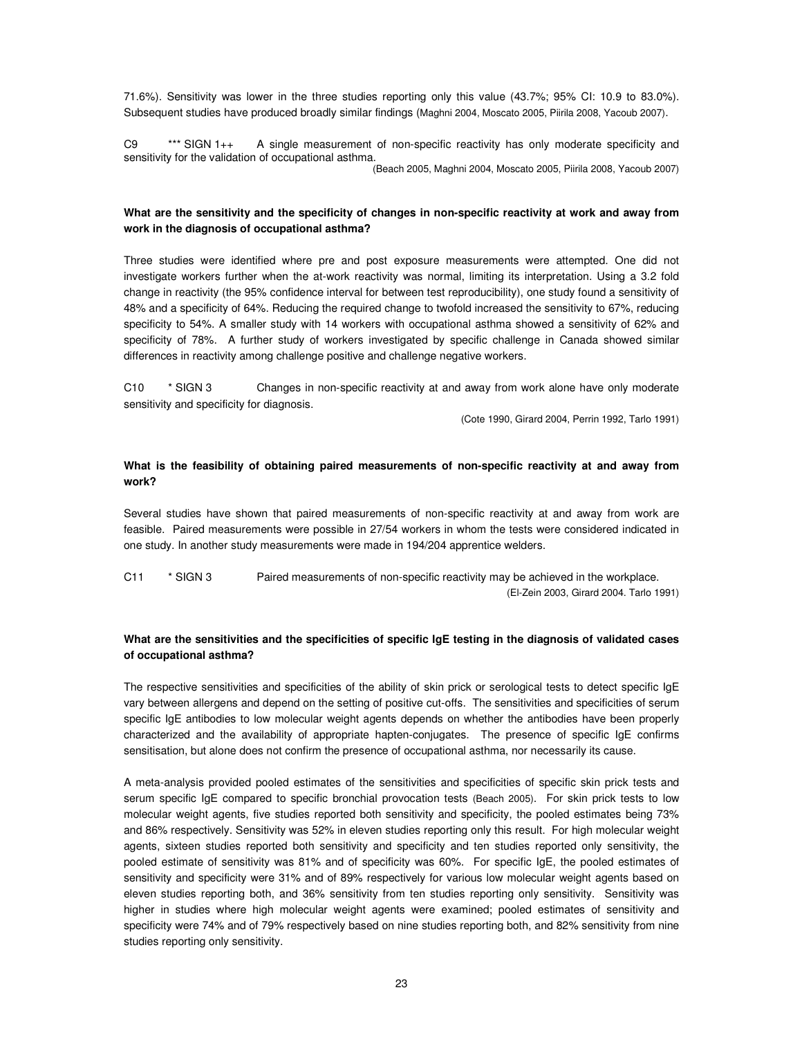71.6%). Sensitivity was lower in the three studies reporting only this value (43.7%; 95% CI: 10.9 to 83.0%). Subsequent studies have produced broadly similar findings (Maghni 2004, Moscato 2005, Piirila 2008, Yacoub 2007).

C9 \*\*\* SIGN 1++ A single measurement of non-specific reactivity has only moderate specificity and sensitivity for the validation of occupational asthma. (Beach 2005, Maghni 2004, Moscato 2005, Piirila 2008, Yacoub 2007)

### **What are the sensitivity and the specificity of changes in non-specific reactivity at work and away from work in the diagnosis of occupational asthma?**

Three studies were identified where pre and post exposure measurements were attempted. One did not investigate workers further when the at-work reactivity was normal, limiting its interpretation. Using a 3.2 fold change in reactivity (the 95% confidence interval for between test reproducibility), one study found a sensitivity of 48% and a specificity of 64%. Reducing the required change to twofold increased the sensitivity to 67%, reducing specificity to 54%. A smaller study with 14 workers with occupational asthma showed a sensitivity of 62% and specificity of 78%. A further study of workers investigated by specific challenge in Canada showed similar differences in reactivity among challenge positive and challenge negative workers.

C10 \* SIGN 3 Changes in non-specific reactivity at and away from work alone have only moderate sensitivity and specificity for diagnosis.

(Cote 1990, Girard 2004, Perrin 1992, Tarlo 1991)

## **What is the feasibility of obtaining paired measurements of non-specific reactivity at and away from work?**

Several studies have shown that paired measurements of non-specific reactivity at and away from work are feasible. Paired measurements were possible in 27/54 workers in whom the tests were considered indicated in one study. In another study measurements were made in 194/204 apprentice welders.

C11 \* SIGN 3 Paired measurements of non-specific reactivity may be achieved in the workplace. (El-Zein 2003, Girard 2004. Tarlo 1991)

## What are the sensitivities and the specificities of specific IgE testing in the diagnosis of validated cases **of occupational asthma?**

The respective sensitivities and specificities of the ability of skin prick or serological tests to detect specific IgE vary between allergens and depend on the setting of positive cut-offs. The sensitivities and specificities of serum specific IgE antibodies to low molecular weight agents depends on whether the antibodies have been properly characterized and the availability of appropriate hapten-conjugates. The presence of specific IgE confirms sensitisation, but alone does not confirm the presence of occupational asthma, nor necessarily its cause.

A meta-analysis provided pooled estimates of the sensitivities and specificities of specific skin prick tests and serum specific IgE compared to specific bronchial provocation tests (Beach 2005). For skin prick tests to low molecular weight agents, five studies reported both sensitivity and specificity, the pooled estimates being 73% and 86% respectively. Sensitivity was 52% in eleven studies reporting only this result. For high molecular weight agents, sixteen studies reported both sensitivity and specificity and ten studies reported only sensitivity, the pooled estimate of sensitivity was 81% and of specificity was 60%. For specific IgE, the pooled estimates of sensitivity and specificity were 31% and of 89% respectively for various low molecular weight agents based on eleven studies reporting both, and 36% sensitivity from ten studies reporting only sensitivity. Sensitivity was higher in studies where high molecular weight agents were examined; pooled estimates of sensitivity and specificity were 74% and of 79% respectively based on nine studies reporting both, and 82% sensitivity from nine studies reporting only sensitivity.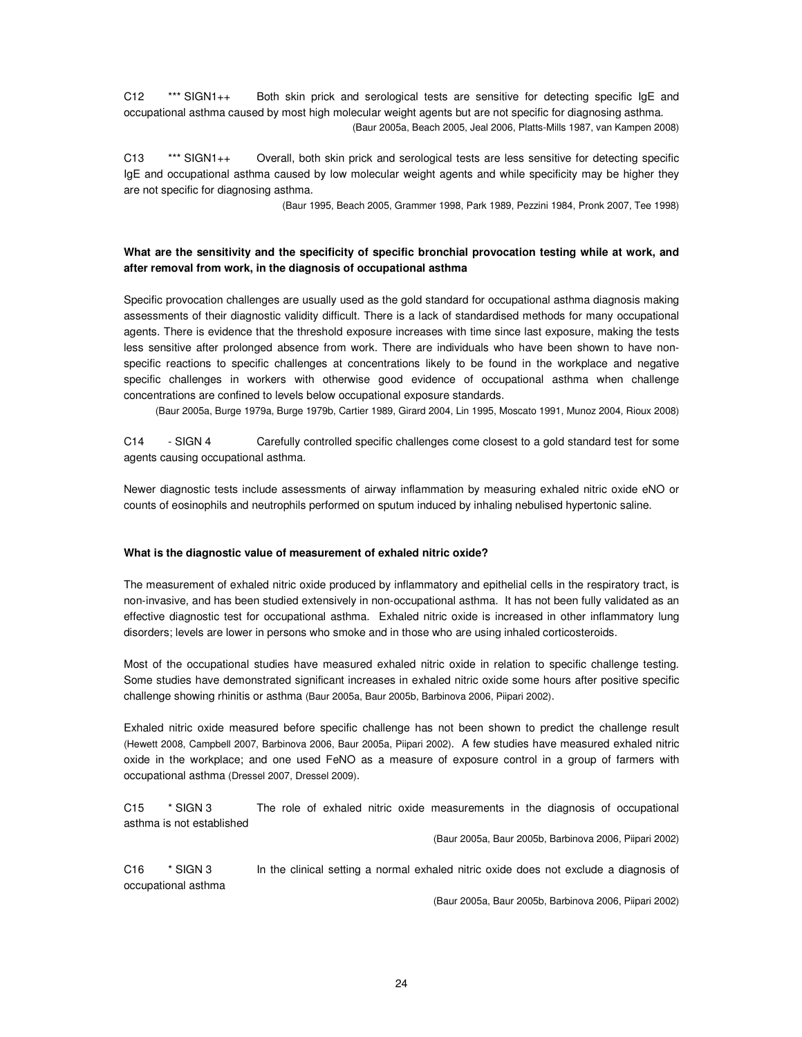C12 \*\*\* SIGN1++ Both skin prick and serological tests are sensitive for detecting specific IgE and occupational asthma caused by most high molecular weight agents but are not specific for diagnosing asthma. (Baur 2005a, Beach 2005, Jeal 2006, Platts-Mills 1987, van Kampen 2008)

C13 \*\*\* SIGN1++ Overall, both skin prick and serological tests are less sensitive for detecting specific IgE and occupational asthma caused by low molecular weight agents and while specificity may be higher they are not specific for diagnosing asthma.

(Baur 1995, Beach 2005, Grammer 1998, Park 1989, Pezzini 1984, Pronk 2007, Tee 1998)

## **What are the sensitivity and the specificity of specific bronchial provocation testing while at work, and after removal from work, in the diagnosis of occupational asthma**

Specific provocation challenges are usually used as the gold standard for occupational asthma diagnosis making assessments of their diagnostic validity difficult. There is a lack of standardised methods for many occupational agents. There is evidence that the threshold exposure increases with time since last exposure, making the tests less sensitive after prolonged absence from work. There are individuals who have been shown to have nonspecific reactions to specific challenges at concentrations likely to be found in the workplace and negative specific challenges in workers with otherwise good evidence of occupational asthma when challenge concentrations are confined to levels below occupational exposure standards.

(Baur 2005a, Burge 1979a, Burge 1979b, Cartier 1989, Girard 2004, Lin 1995, Moscato 1991, Munoz 2004, Rioux 2008)

C14 - SIGN 4 Carefully controlled specific challenges come closest to a gold standard test for some agents causing occupational asthma.

Newer diagnostic tests include assessments of airway inflammation by measuring exhaled nitric oxide eNO or counts of eosinophils and neutrophils performed on sputum induced by inhaling nebulised hypertonic saline.

#### **What is the diagnostic value of measurement of exhaled nitric oxide?**

The measurement of exhaled nitric oxide produced by inflammatory and epithelial cells in the respiratory tract, is non-invasive, and has been studied extensively in non-occupational asthma. It has not been fully validated as an effective diagnostic test for occupational asthma. Exhaled nitric oxide is increased in other inflammatory lung disorders; levels are lower in persons who smoke and in those who are using inhaled corticosteroids.

Most of the occupational studies have measured exhaled nitric oxide in relation to specific challenge testing. Some studies have demonstrated significant increases in exhaled nitric oxide some hours after positive specific challenge showing rhinitis or asthma (Baur 2005a, Baur 2005b, Barbinova 2006, Piipari 2002).

Exhaled nitric oxide measured before specific challenge has not been shown to predict the challenge result (Hewett 2008, Campbell 2007, Barbinova 2006, Baur 2005a, Piipari 2002). A few studies have measured exhaled nitric oxide in the workplace; and one used FeNO as a measure of exposure control in a group of farmers with occupational asthma (Dressel 2007, Dressel 2009).

C15 \* SIGN 3 The role of exhaled nitric oxide measurements in the diagnosis of occupational asthma is not established

(Baur 2005a, Baur 2005b, Barbinova 2006, Piipari 2002)

C16 \* SIGN 3 In the clinical setting a normal exhaled nitric oxide does not exclude a diagnosis of occupational asthma

(Baur 2005a, Baur 2005b, Barbinova 2006, Piipari 2002)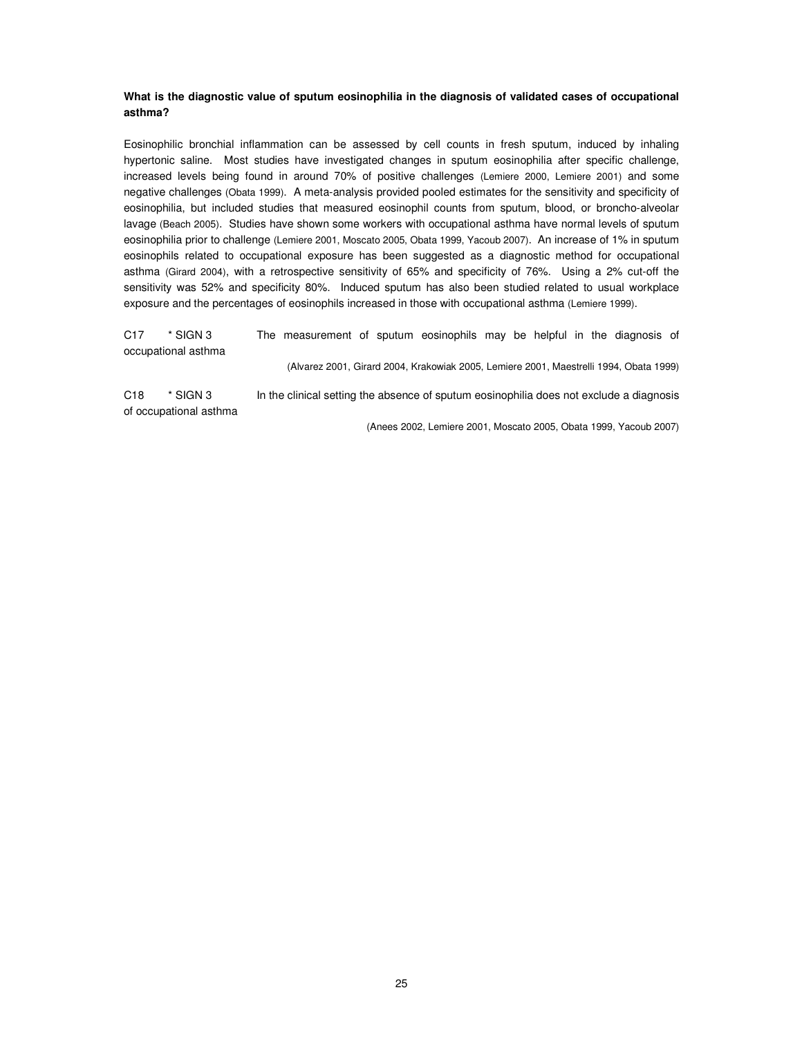## **What is the diagnostic value of sputum eosinophilia in the diagnosis of validated cases of occupational asthma?**

Eosinophilic bronchial inflammation can be assessed by cell counts in fresh sputum, induced by inhaling hypertonic saline. Most studies have investigated changes in sputum eosinophilia after specific challenge, increased levels being found in around 70% of positive challenges (Lemiere 2000, Lemiere 2001) and some negative challenges (Obata 1999). A meta-analysis provided pooled estimates for the sensitivity and specificity of eosinophilia, but included studies that measured eosinophil counts from sputum, blood, or broncho-alveolar lavage (Beach 2005). Studies have shown some workers with occupational asthma have normal levels of sputum eosinophilia prior to challenge (Lemiere 2001, Moscato 2005, Obata 1999, Yacoub 2007). An increase of 1% in sputum eosinophils related to occupational exposure has been suggested as a diagnostic method for occupational asthma (Girard 2004), with a retrospective sensitivity of 65% and specificity of 76%. Using a 2% cut-off the sensitivity was 52% and specificity 80%. Induced sputum has also been studied related to usual workplace exposure and the percentages of eosinophils increased in those with occupational asthma (Lemiere 1999).

C17 \* SIGN 3 The measurement of sputum eosinophils may be helpful in the diagnosis of occupational asthma (Alvarez 2001, Girard 2004, Krakowiak 2005, Lemiere 2001, Maestrelli 1994, Obata 1999) C18 \* SIGN 3 In the clinical setting the absence of sputum eosinophilia does not exclude a diagnosis

of occupational asthma

(Anees 2002, Lemiere 2001, Moscato 2005, Obata 1999, Yacoub 2007)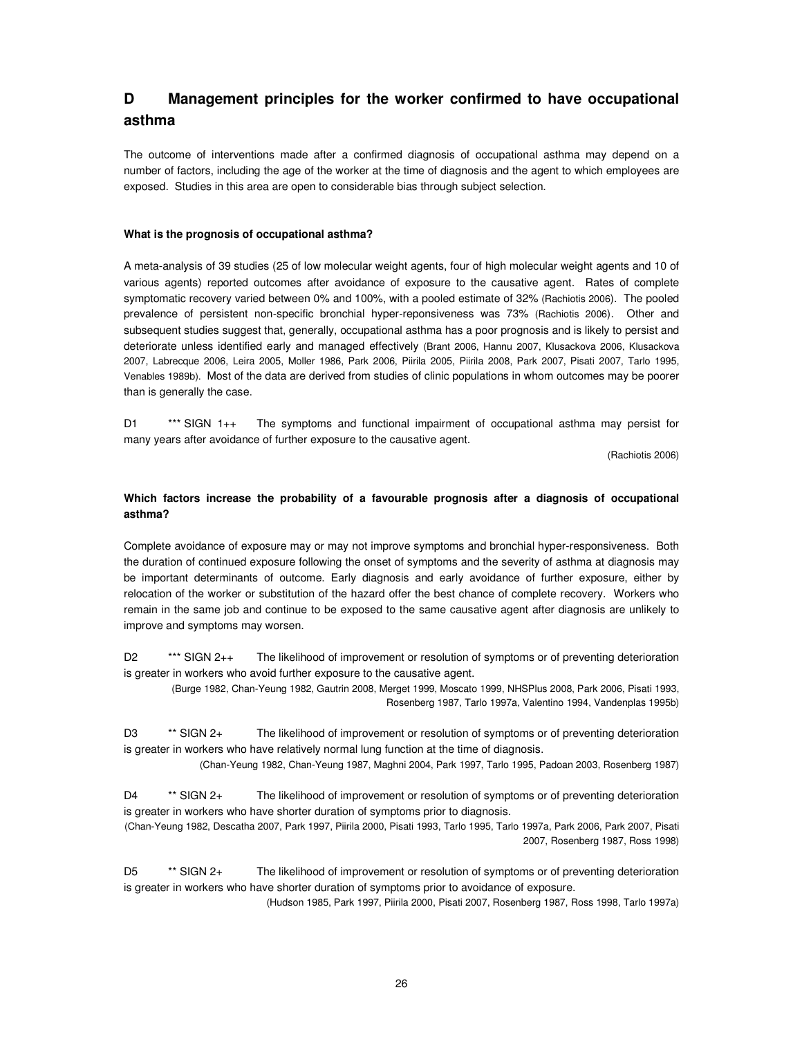## **D Management principles for the worker confirmed to have occupational asthma**

The outcome of interventions made after a confirmed diagnosis of occupational asthma may depend on a number of factors, including the age of the worker at the time of diagnosis and the agent to which employees are exposed. Studies in this area are open to considerable bias through subject selection.

### **What is the prognosis of occupational asthma?**

A meta-analysis of 39 studies (25 of low molecular weight agents, four of high molecular weight agents and 10 of various agents) reported outcomes after avoidance of exposure to the causative agent. Rates of complete symptomatic recovery varied between 0% and 100%, with a pooled estimate of 32% (Rachiotis 2006). The pooled prevalence of persistent non-specific bronchial hyper-reponsiveness was 73% (Rachiotis 2006). Other and subsequent studies suggest that, generally, occupational asthma has a poor prognosis and is likely to persist and deteriorate unless identified early and managed effectively (Brant 2006, Hannu 2007, Klusackova 2006, Klusackova 2007, Labrecque 2006, Leira 2005, Moller 1986, Park 2006, Piirila 2005, Piirila 2008, Park 2007, Pisati 2007, Tarlo 1995, Venables 1989b). Most of the data are derived from studies of clinic populations in whom outcomes may be poorer than is generally the case.

D1 \*\*\* SIGN 1++ The symptoms and functional impairment of occupational asthma may persist for many years after avoidance of further exposure to the causative agent.

(Rachiotis 2006)

## **Which factors increase the probability of a favourable prognosis after a diagnosis of occupational asthma?**

Complete avoidance of exposure may or may not improve symptoms and bronchial hyper-responsiveness. Both the duration of continued exposure following the onset of symptoms and the severity of asthma at diagnosis may be important determinants of outcome. Early diagnosis and early avoidance of further exposure, either by relocation of the worker or substitution of the hazard offer the best chance of complete recovery. Workers who remain in the same job and continue to be exposed to the same causative agent after diagnosis are unlikely to improve and symptoms may worsen.

D2 \*\*\* SIGN 2++ The likelihood of improvement or resolution of symptoms or of preventing deterioration is greater in workers who avoid further exposure to the causative agent.

(Burge 1982, Chan-Yeung 1982, Gautrin 2008, Merget 1999, Moscato 1999, NHSPlus 2008, Park 2006, Pisati 1993, Rosenberg 1987, Tarlo 1997a, Valentino 1994, Vandenplas 1995b)

D3 \*\* SIGN 2+ The likelihood of improvement or resolution of symptoms or of preventing deterioration is greater in workers who have relatively normal lung function at the time of diagnosis.

(Chan-Yeung 1982, Chan-Yeung 1987, Maghni 2004, Park 1997, Tarlo 1995, Padoan 2003, Rosenberg 1987)

D4 \*\* SIGN 2+ The likelihood of improvement or resolution of symptoms or of preventing deterioration is greater in workers who have shorter duration of symptoms prior to diagnosis. (Chan-Yeung 1982, Descatha 2007, Park 1997, Piirila 2000, Pisati 1993, Tarlo 1995, Tarlo 1997a, Park 2006, Park 2007, Pisati

2007, Rosenberg 1987, Ross 1998)

D5 \*\* SIGN 2+ The likelihood of improvement or resolution of symptoms or of preventing deterioration is greater in workers who have shorter duration of symptoms prior to avoidance of exposure.

(Hudson 1985, Park 1997, Piirila 2000, Pisati 2007, Rosenberg 1987, Ross 1998, Tarlo 1997a)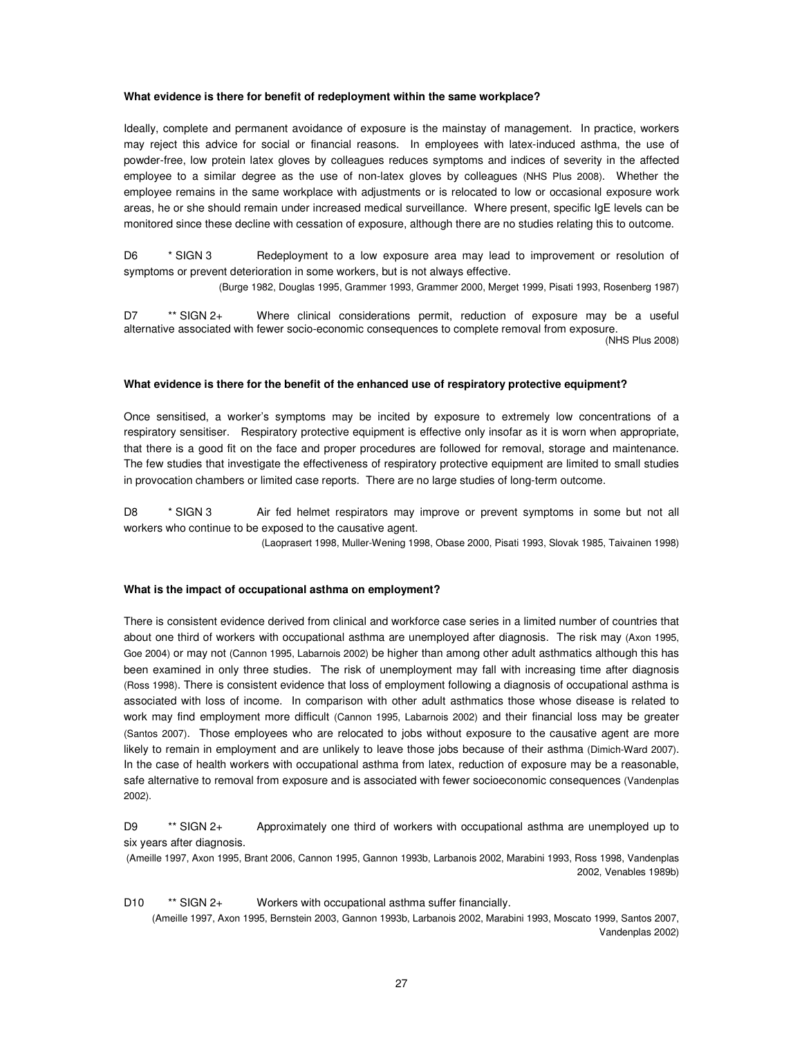#### **What evidence is there for benefit of redeployment within the same workplace?**

Ideally, complete and permanent avoidance of exposure is the mainstay of management. In practice, workers may reject this advice for social or financial reasons. In employees with latex-induced asthma, the use of powder-free, low protein latex gloves by colleagues reduces symptoms and indices of severity in the affected employee to a similar degree as the use of non-latex gloves by colleagues (NHS Plus 2008). Whether the employee remains in the same workplace with adjustments or is relocated to low or occasional exposure work areas, he or she should remain under increased medical surveillance. Where present, specific IgE levels can be monitored since these decline with cessation of exposure, although there are no studies relating this to outcome.

D6 \* SIGN 3 Bedeployment to a low exposure area may lead to improvement or resolution of symptoms or prevent deterioration in some workers, but is not always effective.

(Burge 1982, Douglas 1995, Grammer 1993, Grammer 2000, Merget 1999, Pisati 1993, Rosenberg 1987)

D7 \*\* SIGN 2+ Where clinical considerations permit, reduction of exposure may be a useful alternative associated with fewer socio-economic consequences to complete removal from exposure. (NHS Plus 2008)

#### **What evidence is there for the benefit of the enhanced use of respiratory protective equipment?**

Once sensitised, a worker's symptoms may be incited by exposure to extremely low concentrations of a respiratory sensitiser. Respiratory protective equipment is effective only insofar as it is worn when appropriate, that there is a good fit on the face and proper procedures are followed for removal, storage and maintenance. The few studies that investigate the effectiveness of respiratory protective equipment are limited to small studies in provocation chambers or limited case reports. There are no large studies of long-term outcome.

D8 \* SIGN 3 Air fed helmet respirators may improve or prevent symptoms in some but not all workers who continue to be exposed to the causative agent.

(Laoprasert 1998, Muller-Wening 1998, Obase 2000, Pisati 1993, Slovak 1985, Taivainen 1998)

#### **What is the impact of occupational asthma on employment?**

There is consistent evidence derived from clinical and workforce case series in a limited number of countries that about one third of workers with occupational asthma are unemployed after diagnosis. The risk may (Axon 1995, Goe 2004) or may not (Cannon 1995, Labarnois 2002) be higher than among other adult asthmatics although this has been examined in only three studies. The risk of unemployment may fall with increasing time after diagnosis (Ross 1998). There is consistent evidence that loss of employment following a diagnosis of occupational asthma is associated with loss of income. In comparison with other adult asthmatics those whose disease is related to work may find employment more difficult (Cannon 1995, Labarnois 2002) and their financial loss may be greater (Santos 2007). Those employees who are relocated to jobs without exposure to the causative agent are more likely to remain in employment and are unlikely to leave those jobs because of their asthma (Dimich-Ward 2007). In the case of health workers with occupational asthma from latex, reduction of exposure may be a reasonable, safe alternative to removal from exposure and is associated with fewer socioeconomic consequences (Vandenplas 2002).

D9 \*\* SIGN 2+ Approximately one third of workers with occupational asthma are unemployed up to six years after diagnosis.

(Ameille 1997, Axon 1995, Brant 2006, Cannon 1995, Gannon 1993b, Larbanois 2002, Marabini 1993, Ross 1998, Vandenplas 2002, Venables 1989b)

D10 \*\* SIGN 2+ Workers with occupational asthma suffer financially.

(Ameille 1997, Axon 1995, Bernstein 2003, Gannon 1993b, Larbanois 2002, Marabini 1993, Moscato 1999, Santos 2007, Vandenplas 2002)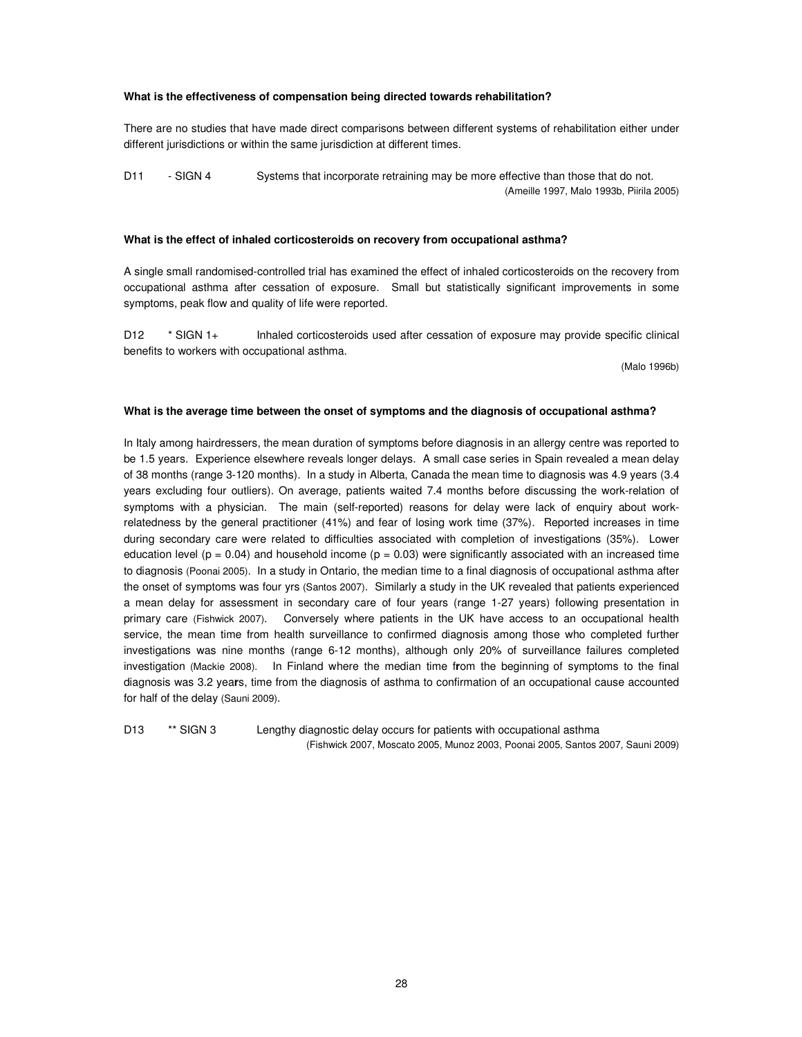#### **What is the effectiveness of compensation being directed towards rehabilitation?**

There are no studies that have made direct comparisons between different systems of rehabilitation either under different jurisdictions or within the same jurisdiction at different times.

D11 - SIGN 4 Systems that incorporate retraining may be more effective than those that do not. (Ameille 1997, Malo 1993b, Piirila 2005)

#### **What is the effect of inhaled corticosteroids on recovery from occupational asthma?**

A single small randomised-controlled trial has examined the effect of inhaled corticosteroids on the recovery from occupational asthma after cessation of exposure. Small but statistically significant improvements in some symptoms, peak flow and quality of life were reported.

D12 \* SIGN 1+ Inhaled corticosteroids used after cessation of exposure may provide specific clinical benefits to workers with occupational asthma.

(Malo 1996b)

#### **What is the average time between the onset of symptoms and the diagnosis of occupational asthma?**

In Italy among hairdressers, the mean duration of symptoms before diagnosis in an allergy centre was reported to be 1.5 years. Experience elsewhere reveals longer delays. A small case series in Spain revealed a mean delay of 38 months (range 3-120 months). In a study in Alberta, Canada the mean time to diagnosis was 4.9 years (3.4 years excluding four outliers). On average, patients waited 7.4 months before discussing the work-relation of symptoms with a physician. The main (self-reported) reasons for delay were lack of enquiry about workrelatedness by the general practitioner (41%) and fear of losing work time (37%). Reported increases in time during secondary care were related to difficulties associated with completion of investigations (35%). Lower education level ( $p = 0.04$ ) and household income ( $p = 0.03$ ) were significantly associated with an increased time to diagnosis (Poonai 2005). In a study in Ontario, the median time to a final diagnosis of occupational asthma after the onset of symptoms was four yrs (Santos 2007). Similarly a study in the UK revealed that patients experienced a mean delay for assessment in secondary care of four years (range 1-27 years) following presentation in primary care (Fishwick 2007). Conversely where patients in the UK have access to an occupational health service, the mean time from health surveillance to confirmed diagnosis among those who completed further investigations was nine months (range 6-12 months), although only 20% of surveillance failures completed investigation (Mackie 2008). In Finland where the median time f**r**om the beginning of symptoms to the final diagnosis was 3.2 yea**r**s, time from the diagnosis of asthma to confirmation of an occupational cause accounted for half of the delay (Sauni 2009).

D13 \*\* SIGN 3 Lengthy diagnostic delay occurs for patients with occupational asthma (Fishwick 2007, Moscato 2005, Munoz 2003, Poonai 2005, Santos 2007, Sauni 2009)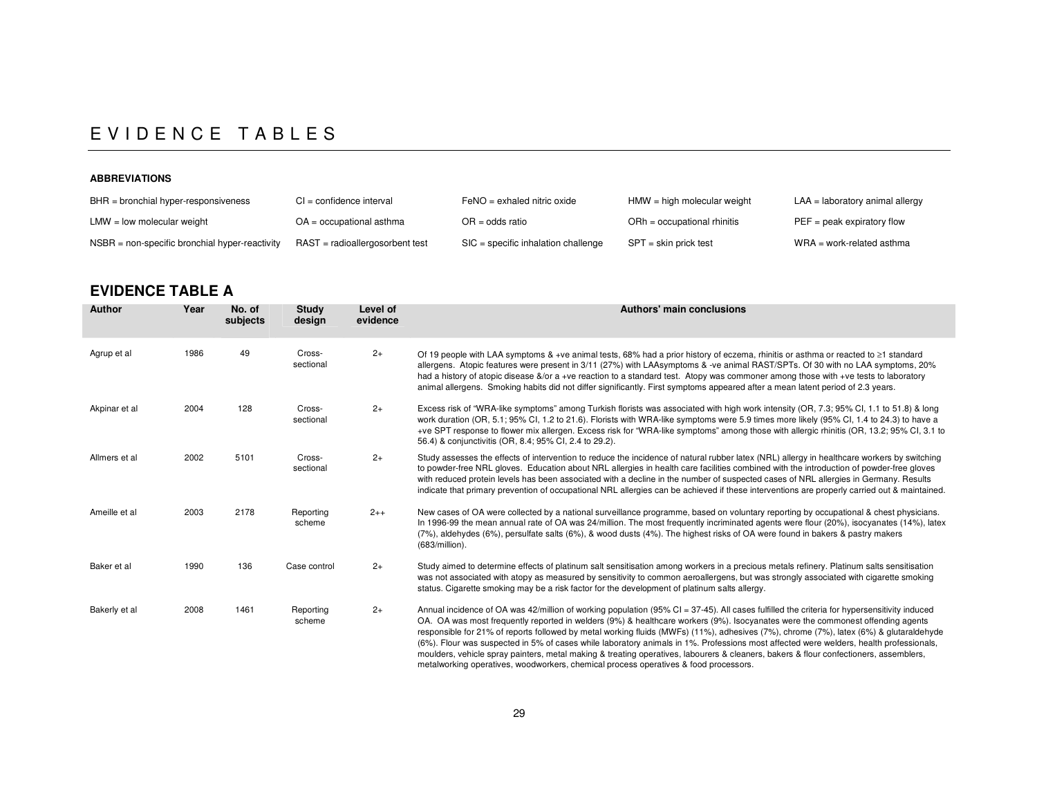## E V I D E N C E T A B L E S

### **ABBREVIATIONS**

| $BHR =$ bronchial hyper-responsiveness           | $CI = confidence$ interval         | $FeNO = e x h = d$ nitric oxide       | HMW = high molecular weight   | $LAA =$ laboratory animal allergy |
|--------------------------------------------------|------------------------------------|---------------------------------------|-------------------------------|-----------------------------------|
| $LMW = low$ molecular weight                     | $OA = occu$ pational asthma        | $OR = odds ratio$                     | $ORh = occupational rhinitis$ | $PEF = peak$ expiratory flow      |
| $NSBR = non-specific bronchial hyper-reactivity$ | $RAST = radioallergosor bent test$ | $SIC = specific Inhalation challenge$ | SPT = skin prick test         | $WRA = work-related$ asthma       |

## **EVIDENCE TABLE A**

| <b>Author</b> | Year | No. of<br>subjects | <b>Study</b><br>design | Level of<br>evidence | Authors' main conclusions                                                                                                                                                                                                                                                                                                                                                                                                                                                                                                                                                                                                                                                                                                                                                                                      |
|---------------|------|--------------------|------------------------|----------------------|----------------------------------------------------------------------------------------------------------------------------------------------------------------------------------------------------------------------------------------------------------------------------------------------------------------------------------------------------------------------------------------------------------------------------------------------------------------------------------------------------------------------------------------------------------------------------------------------------------------------------------------------------------------------------------------------------------------------------------------------------------------------------------------------------------------|
| Agrup et al   | 1986 | 49                 | Cross-<br>sectional    | $2+$                 | Of 19 people with LAA symptoms $\⊂>4$ +ve animal tests, 68% had a prior history of eczema, rhinitis or asthma or reacted to $\geq$ 1 standard<br>allergens. Atopic features were present in 3/11 (27%) with LAAsymptoms & -ve animal RAST/SPTs. Of 30 with no LAA symptoms, 20%<br>had a history of atopic disease &/or a +ve reaction to a standard test. Atopy was commoner among those with +ve tests to laboratory<br>animal allergens. Smoking habits did not differ significantly. First symptoms appeared after a mean latent period of 2.3 years.                                                                                                                                                                                                                                                      |
| Akpinar et al | 2004 | 128                | Cross-<br>sectional    | $2+$                 | Excess risk of "WRA-like symptoms" among Turkish florists was associated with high work intensity (OR, 7.3; 95% CI, 1.1 to 51.8) & long<br>work duration (OR, 5.1; 95% CI, 1.2 to 21.6). Florists with WRA-like symptoms were 5.9 times more likely (95% CI, 1.4 to 24.3) to have a<br>+ve SPT response to flower mix allergen. Excess risk for "WRA-like symptoms" among those with allergic rhinitis (OR, 13.2; 95% CI, 3.1 to<br>56.4) & conjunctivitis (OR, 8.4; 95% CI, 2.4 to 29.2).                                                                                                                                                                                                                                                                                                                     |
| Allmers et al | 2002 | 5101               | Cross-<br>sectional    | $2+$                 | Study assesses the effects of intervention to reduce the incidence of natural rubber latex (NRL) allergy in healthcare workers by switching<br>to powder-free NRL gloves. Education about NRL allergies in health care facilities combined with the introduction of powder-free gloves<br>with reduced protein levels has been associated with a decline in the number of suspected cases of NRL allergies in Germany. Results<br>indicate that primary prevention of occupational NRL allergies can be achieved if these interventions are properly carried out & maintained.                                                                                                                                                                                                                                 |
| Ameille et al | 2003 | 2178               | Reporting<br>scheme    | $2++$                | New cases of OA were collected by a national surveillance programme, based on voluntary reporting by occupational & chest physicians.<br>In 1996-99 the mean annual rate of OA was 24/million. The most frequently incriminated agents were flour (20%), isocyanates (14%), latex<br>(7%), aldehydes (6%), persulfate salts (6%), & wood dusts (4%). The highest risks of OA were found in bakers & pastry makers<br>(683/million).                                                                                                                                                                                                                                                                                                                                                                            |
| Baker et al   | 1990 | 136                | Case control           | $2+$                 | Study aimed to determine effects of platinum salt sensitisation among workers in a precious metals refinery. Platinum salts sensitisation<br>was not associated with atopy as measured by sensitivity to common aeroallergens, but was strongly associated with cigarette smoking<br>status. Cigarette smoking may be a risk factor for the development of platinum salts allergy.                                                                                                                                                                                                                                                                                                                                                                                                                             |
| Bakerly et al | 2008 | 1461               | Reporting<br>scheme    | $2+$                 | Annual incidence of OA was 42/million of working population $(95\% \text{ Cl} = 37-45)$ . All cases fulfilled the criteria for hypersensitivity induced<br>OA. OA was most frequently reported in welders (9%) & healthcare workers (9%). Isocyanates were the commonest offending agents<br>responsible for 21% of reports followed by metal working fluids (MWFs) (11%), adhesives (7%), chrome (7%), latex (6%) & glutaraldehyde<br>(6%). Flour was suspected in 5% of cases while laboratory animals in 1%. Professions most affected were welders, health professionals,<br>moulders, vehicle spray painters, metal making & treating operatives, labourers & cleaners, bakers & flour confectioners, assemblers,<br>metalworking operatives, woodworkers, chemical process operatives & food processors. |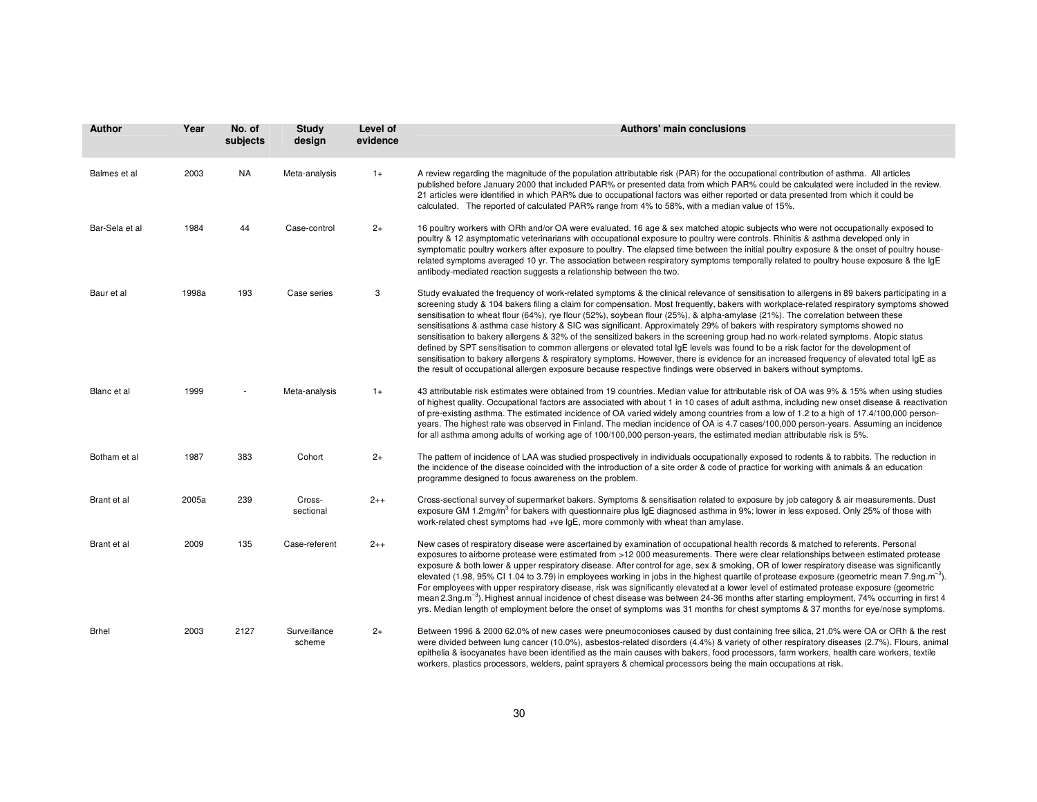| <b>Author</b>  | Year  | No. of<br>subjects | <b>Study</b><br>design | Level of<br>evidence | <b>Authors' main conclusions</b>                                                                                                                                                                                                                                                                                                                                                                                                                                                                                                                                                                                                                                                                                                                                                                                                                                                                                                                                                                                                                                                                          |
|----------------|-------|--------------------|------------------------|----------------------|-----------------------------------------------------------------------------------------------------------------------------------------------------------------------------------------------------------------------------------------------------------------------------------------------------------------------------------------------------------------------------------------------------------------------------------------------------------------------------------------------------------------------------------------------------------------------------------------------------------------------------------------------------------------------------------------------------------------------------------------------------------------------------------------------------------------------------------------------------------------------------------------------------------------------------------------------------------------------------------------------------------------------------------------------------------------------------------------------------------|
| Balmes et al   | 2003  | <b>NA</b>          | Meta-analysis          | $1+$                 | A review regarding the magnitude of the population attributable risk (PAR) for the occupational contribution of asthma. All articles<br>published before January 2000 that included PAR% or presented data from which PAR% could be calculated were included in the review.<br>21 articles were identified in which PAR% due to occupational factors was either reported or data presented from which it could be<br>calculated. The reported of calculated PAR% range from 4% to 58%, with a median value of 15%.                                                                                                                                                                                                                                                                                                                                                                                                                                                                                                                                                                                        |
| Bar-Sela et al | 1984  | 44                 | Case-control           | $2+$                 | 16 poultry workers with ORh and/or OA were evaluated. 16 age & sex matched atopic subjects who were not occupationally exposed to<br>poultry & 12 asymptomatic veterinarians with occupational exposure to poultry were controls. Rhinitis & asthma developed only in<br>symptomatic poultry workers after exposure to poultry. The elapsed time between the initial poultry exposure & the onset of poultry house-<br>related symptoms averaged 10 yr. The association between respiratory symptoms temporally related to poultry house exposure & the IgE<br>antibody-mediated reaction suggests a relationship between the two.                                                                                                                                                                                                                                                                                                                                                                                                                                                                        |
| Baur et al     | 1998a | 193                | Case series            | 3                    | Study evaluated the frequency of work-related symptoms & the clinical relevance of sensitisation to allergens in 89 bakers participating in a<br>screening study & 104 bakers filing a claim for compensation. Most frequently, bakers with workplace-related respiratory symptoms showed<br>sensitisation to wheat flour (64%), rye flour (52%), soybean flour (25%), & alpha-amylase (21%). The correlation between these<br>sensitisations & asthma case history & SIC was significant. Approximately 29% of bakers with respiratory symptoms showed no<br>sensitisation to bakery allergens & 32% of the sensitized bakers in the screening group had no work-related symptoms. Atopic status<br>defined by SPT sensitisation to common allergens or elevated total IgE levels was found to be a risk factor for the development of<br>sensitisation to bakery allergens & respiratory symptoms. However, there is evidence for an increased frequency of elevated total IgE as<br>the result of occupational allergen exposure because respective findings were observed in bakers without symptoms. |
| Blanc et al    | 1999  |                    | Meta-analysis          | $1+$                 | 43 attributable risk estimates were obtained from 19 countries. Median value for attributable risk of OA was 9% & 15% when using studies<br>of highest quality. Occupational factors are associated with about 1 in 10 cases of adult asthma, including new onset disease & reactivation<br>of pre-existing asthma. The estimated incidence of OA varied widely among countries from a low of 1.2 to a high of 17.4/100,000 person-<br>years. The highest rate was observed in Finland. The median incidence of OA is 4.7 cases/100,000 person-years. Assuming an incidence<br>for all asthma among adults of working age of 100/100,000 person-years, the estimated median attributable risk is 5%.                                                                                                                                                                                                                                                                                                                                                                                                      |
| Botham et al   | 1987  | 383                | Cohort                 | $2+$                 | The pattern of incidence of LAA was studied prospectively in individuals occupationally exposed to rodents & to rabbits. The reduction in<br>the incidence of the disease coincided with the introduction of a site order & code of practice for working with animals & an education<br>programme designed to focus awareness on the problem.                                                                                                                                                                                                                                                                                                                                                                                                                                                                                                                                                                                                                                                                                                                                                             |
| Brant et al    | 2005a | 239                | Cross-<br>sectional    | $2 + +$              | Cross-sectional survey of supermarket bakers. Symptoms & sensitisation related to exposure by job category & air measurements. Dust<br>exposure GM 1.2mg/m <sup>3</sup> for bakers with questionnaire plus IgE diagnosed asthma in 9%; lower in less exposed. Only 25% of those with<br>work-related chest symptoms had +ve IgE, more commonly with wheat than amylase.                                                                                                                                                                                                                                                                                                                                                                                                                                                                                                                                                                                                                                                                                                                                   |
| Brant et al    | 2009  | 135                | Case-referent          | $2++$                | New cases of respiratory disease were ascertained by examination of occupational health records & matched to referents. Personal<br>exposures to airborne protease were estimated from >12 000 measurements. There were clear relationships between estimated protease<br>exposure & both lower & upper respiratory disease. After control for age, sex & smoking, OR of lower respiratory disease was significantly<br>elevated (1.98, 95% CI 1.04 to 3.79) in employees working in jobs in the highest quartile of protease exposure (geometric mean 7.9ng.m <sup>-3</sup> ).<br>For employees with upper respiratory disease, risk was significantly elevated at a lower level of estimated protease exposure (geometric<br>mean 2.3ng.m <sup>-3</sup> ). Highest annual incidence of chest disease was between 24-36 months after starting employment, 74% occurring in first 4<br>yrs. Median length of employment before the onset of symptoms was 31 months for chest symptoms & 37 months for eye/nose symptoms.                                                                                  |
| Brhel          | 2003  | 2127               | Surveillance<br>scheme | $2+$                 | Between 1996 & 2000 62.0% of new cases were pneumoconioses caused by dust containing free silica, 21.0% were OA or ORh & the rest<br>were divided between lung cancer (10.0%), asbestos-related disorders (4.4%) & variety of other respiratory diseases (2.7%). Flours, animal<br>epithelia & isocyanates have been identified as the main causes with bakers, food processors, farm workers, health care workers, textile<br>workers, plastics processors, welders, paint sprayers & chemical processors being the main occupations at risk.                                                                                                                                                                                                                                                                                                                                                                                                                                                                                                                                                            |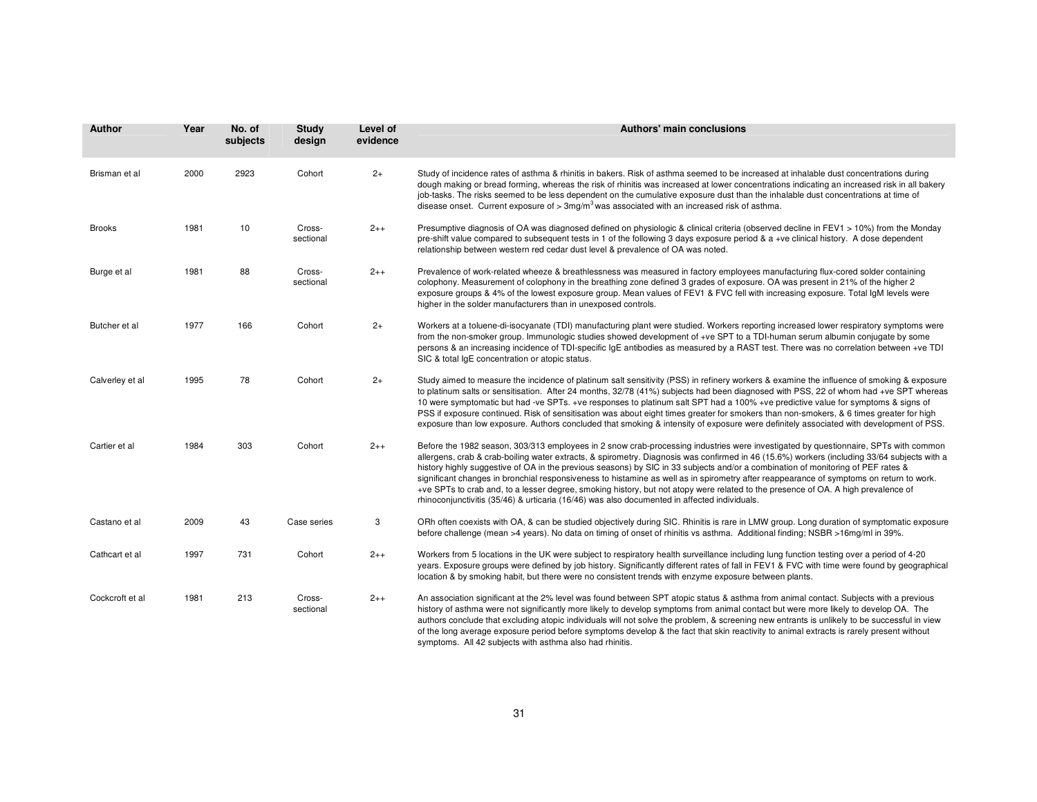| Author          | Year | No. of<br>subjects | <b>Study</b><br>design | Level of<br>evidence | <b>Authors' main conclusions</b>                                                                                                                                                                                                                                                                                                                                                                                                                                                                                                                                                                                                                                                                                                                                                                       |
|-----------------|------|--------------------|------------------------|----------------------|--------------------------------------------------------------------------------------------------------------------------------------------------------------------------------------------------------------------------------------------------------------------------------------------------------------------------------------------------------------------------------------------------------------------------------------------------------------------------------------------------------------------------------------------------------------------------------------------------------------------------------------------------------------------------------------------------------------------------------------------------------------------------------------------------------|
| Brisman et al   | 2000 | 2923               | Cohort                 | $2+$                 | Study of incidence rates of asthma & rhinitis in bakers. Risk of asthma seemed to be increased at inhalable dust concentrations during<br>dough making or bread forming, whereas the risk of rhinitis was increased at lower concentrations indicating an increased risk in all bakery<br>job-tasks. The risks seemed to be less dependent on the cumulative exposure dust than the inhalable dust concentrations at time of<br>disease onset. Current exposure of $> 3$ mg/m <sup>3</sup> was associated with an increased risk of asthma.                                                                                                                                                                                                                                                            |
| <b>Brooks</b>   | 1981 | 10                 | Cross-<br>sectional    | $2++$                | Presumptive diagnosis of OA was diagnosed defined on physiologic & clinical criteria (observed decline in FEV1 > 10%) from the Monday<br>pre-shift value compared to subsequent tests in 1 of the following 3 days exposure period & a +ve clinical history. A dose dependent<br>relationship between western red cedar dust level & prevalence of OA was noted.                                                                                                                                                                                                                                                                                                                                                                                                                                       |
| Burge et al     | 1981 | 88                 | Cross-<br>sectional    | $2++$                | Prevalence of work-related wheeze & breathlessness was measured in factory employees manufacturing flux-cored solder containing<br>colophony. Measurement of colophony in the breathing zone defined 3 grades of exposure. OA was present in 21% of the higher 2<br>exposure groups & 4% of the lowest exposure group. Mean values of FEV1 & FVC fell with increasing exposure. Total IgM levels were<br>higher in the solder manufacturers than in unexposed controls.                                                                                                                                                                                                                                                                                                                                |
| Butcher et al   | 1977 | 166                | Cohort                 | $2+$                 | Workers at a toluene-di-isocyanate (TDI) manufacturing plant were studied. Workers reporting increased lower respiratory symptoms were<br>from the non-smoker group. Immunologic studies showed development of +ve SPT to a TDI-human serum albumin conjugate by some<br>persons & an increasing incidence of TDI-specific IgE antibodies as measured by a RAST test. There was no correlation between +ve TDI<br>SIC & total IqE concentration or atopic status.                                                                                                                                                                                                                                                                                                                                      |
| Calverley et al | 1995 | 78                 | Cohort                 | $2+$                 | Study aimed to measure the incidence of platinum salt sensitivity (PSS) in refinery workers & examine the influence of smoking & exposure<br>to platinum salts or sensitisation. After 24 months, 32/78 (41%) subjects had been diagnosed with PSS, 22 of whom had +ve SPT whereas<br>10 were symptomatic but had -ve SPTs. +ve responses to platinum salt SPT had a 100% +ve predictive value for symptoms & signs of<br>PSS if exposure continued. Risk of sensitisation was about eight times greater for smokers than non-smokers, & 6 times greater for high<br>exposure than low exposure. Authors concluded that smoking & intensity of exposure were definitely associated with development of PSS.                                                                                            |
| Cartier et al   | 1984 | 303                | Cohort                 | $2++$                | Before the 1982 season, 303/313 employees in 2 snow crab-processing industries were investigated by questionnaire, SPTs with common<br>allergens, crab & crab-boiling water extracts, & spirometry. Diagnosis was confirmed in 46 (15.6%) workers (including 33/64 subjects with a<br>history highly suggestive of OA in the previous seasons) by SIC in 33 subjects and/or a combination of monitoring of PEF rates &<br>significant changes in bronchial responsiveness to histamine as well as in spirometry after reappearance of symptoms on return to work.<br>+ve SPTs to crab and, to a lesser degree, smoking history, but not atopy were related to the presence of OA. A high prevalence of<br>rhinoconjunctivitis (35/46) & urticaria (16/46) was also documented in affected individuals. |
| Castano et al   | 2009 | 43                 | Case series            | 3                    | ORh often coexists with OA, & can be studied objectively during SIC. Rhinitis is rare in LMW group. Long duration of symptomatic exposure<br>before challenge (mean >4 years). No data on timing of onset of rhinitis vs asthma. Additional finding; NSBR >16mg/ml in 39%.                                                                                                                                                                                                                                                                                                                                                                                                                                                                                                                             |
| Cathcart et al  | 1997 | 731                | Cohort                 | $2++$                | Workers from 5 locations in the UK were subject to respiratory health surveillance including lung function testing over a period of 4-20<br>years. Exposure groups were defined by job history. Significantly different rates of fall in FEV1 & FVC with time were found by geographical<br>location & by smoking habit, but there were no consistent trends with enzyme exposure between plants.                                                                                                                                                                                                                                                                                                                                                                                                      |
| Cockcroft et al | 1981 | 213                | Cross-<br>sectional    | $2++$                | An association significant at the 2% level was found between SPT atopic status & asthma from animal contact. Subjects with a previous<br>history of asthma were not significantly more likely to develop symptoms from animal contact but were more likely to develop OA. The<br>authors conclude that excluding atopic individuals will not solve the problem, & screening new entrants is unlikely to be successful in view<br>of the long average exposure period before symptoms develop & the fact that skin reactivity to animal extracts is rarely present without<br>symptoms. All 42 subjects with asthma also had rhinitis.                                                                                                                                                                  |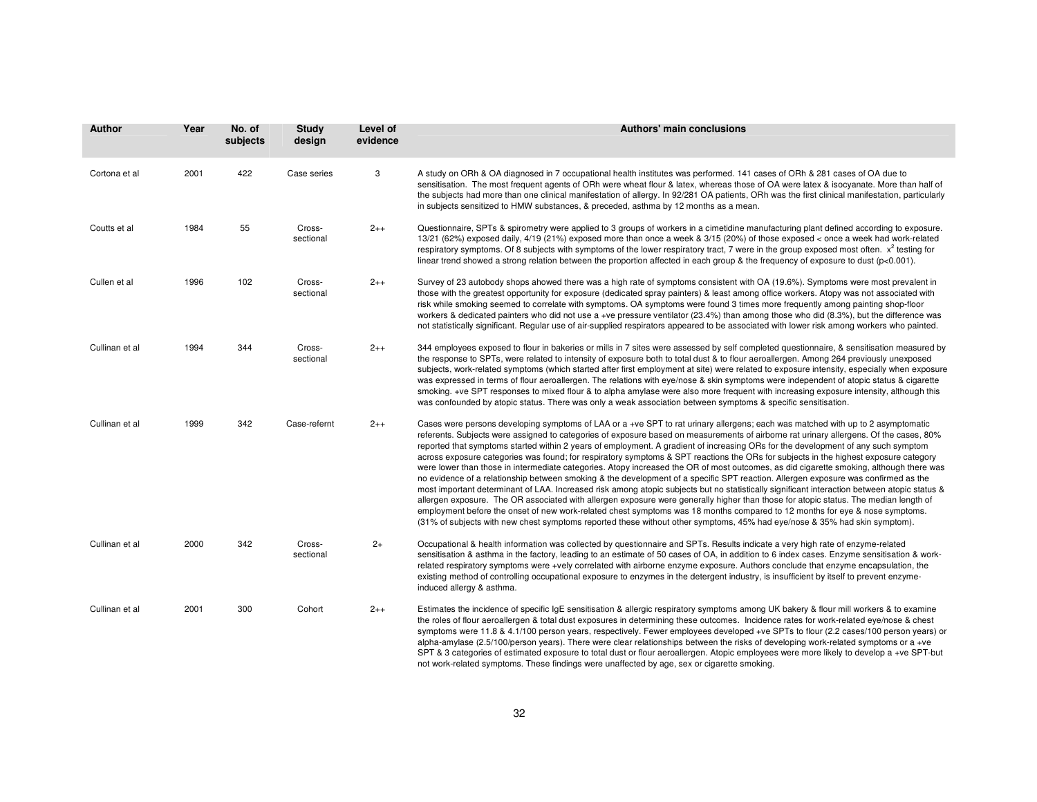| Author         | Year | No. of<br>subjects | Study<br>design     | Level of<br>evidence | <b>Authors' main conclusions</b>                                                                                                                                                                                                                                                                                                                                                                                                                                                                                                                                                                                                                                                                                                                                                                                                                                                                                                                                                                                                                                                                                                                                                                                                                                                                                                                                                            |
|----------------|------|--------------------|---------------------|----------------------|---------------------------------------------------------------------------------------------------------------------------------------------------------------------------------------------------------------------------------------------------------------------------------------------------------------------------------------------------------------------------------------------------------------------------------------------------------------------------------------------------------------------------------------------------------------------------------------------------------------------------------------------------------------------------------------------------------------------------------------------------------------------------------------------------------------------------------------------------------------------------------------------------------------------------------------------------------------------------------------------------------------------------------------------------------------------------------------------------------------------------------------------------------------------------------------------------------------------------------------------------------------------------------------------------------------------------------------------------------------------------------------------|
| Cortona et al  | 2001 | 422                | Case series         | 3                    | A study on ORh & OA diagnosed in 7 occupational health institutes was performed. 141 cases of ORh & 281 cases of OA due to<br>sensitisation. The most frequent agents of ORh were wheat flour & latex, whereas those of OA were latex & isocyanate. More than half of<br>the subjects had more than one clinical manifestation of allergy. In 92/281 OA patients, ORh was the first clinical manifestation, particularly<br>in subjects sensitized to HMW substances, & preceded, asthma by 12 months as a mean.                                                                                                                                                                                                                                                                                                                                                                                                                                                                                                                                                                                                                                                                                                                                                                                                                                                                            |
| Coutts et al   | 1984 | 55                 | Cross-<br>sectional | $2++$                | Questionnaire, SPTs & spirometry were applied to 3 groups of workers in a cimetidine manufacturing plant defined according to exposure.<br>13/21 (62%) exposed daily, 4/19 (21%) exposed more than once a week & 3/15 (20%) of those exposed < once a week had work-related<br>respiratory symptoms. Of 8 subjects with symptoms of the lower respiratory tract, 7 were in the group exposed most often. $x^2$ testing for<br>linear trend showed a strong relation between the proportion affected in each group & the frequency of exposure to dust ( $p<0.001$ ).                                                                                                                                                                                                                                                                                                                                                                                                                                                                                                                                                                                                                                                                                                                                                                                                                        |
| Cullen et al   | 1996 | 102                | Cross-<br>sectional | $2++$                | Survey of 23 autobody shops ahowed there was a high rate of symptoms consistent with OA (19.6%). Symptoms were most prevalent in<br>those with the greatest opportunity for exposure (dedicated spray painters) & least among office workers. Atopy was not associated with<br>risk while smoking seemed to correlate with symptoms. OA symptoms were found 3 times more frequently among painting shop-floor<br>workers & dedicated painters who did not use a +ve pressure ventilator (23.4%) than among those who did (8.3%), but the difference was<br>not statistically significant. Regular use of air-supplied respirators appeared to be associated with lower risk among workers who painted.                                                                                                                                                                                                                                                                                                                                                                                                                                                                                                                                                                                                                                                                                      |
| Cullinan et al | 1994 | 344                | Cross-<br>sectional | $2++$                | 344 employees exposed to flour in bakeries or mills in 7 sites were assessed by self completed questionnaire, & sensitisation measured by<br>the response to SPTs, were related to intensity of exposure both to total dust & to flour aeroallergen. Among 264 previously unexposed<br>subjects, work-related symptoms (which started after first employment at site) were related to exposure intensity, especially when exposure<br>was expressed in terms of flour aeroallergen. The relations with eye/nose & skin symptoms were independent of atopic status & cigarette<br>smoking. +ve SPT responses to mixed flour & to alpha amylase were also more frequent with increasing exposure intensity, although this<br>was confounded by atopic status. There was only a weak association between symptoms & specific sensitisation.                                                                                                                                                                                                                                                                                                                                                                                                                                                                                                                                                    |
| Cullinan et al | 1999 | 342                | Case-refernt        | $2++$                | Cases were persons developing symptoms of LAA or a +ve SPT to rat urinary allergens; each was matched with up to 2 asymptomatic<br>referents. Subjects were assigned to categories of exposure based on measurements of airborne rat urinary allergens. Of the cases, 80%<br>reported that symptoms started within 2 years of employment. A gradient of increasing ORs for the development of any such symptom<br>across exposure categories was found; for respiratory symptoms & SPT reactions the ORs for subjects in the highest exposure category<br>were lower than those in intermediate categories. Atopy increased the OR of most outcomes, as did cigarette smoking, although there was<br>no evidence of a relationship between smoking & the development of a specific SPT reaction. Allergen exposure was confirmed as the<br>most important determinant of LAA. Increased risk among atopic subjects but no statistically significant interaction between atopic status &<br>allergen exposure. The OR associated with allergen exposure were generally higher than those for atopic status. The median length of<br>employment before the onset of new work-related chest symptoms was 18 months compared to 12 months for eye & nose symptoms.<br>(31% of subjects with new chest symptoms reported these without other symptoms, 45% had eye/nose & 35% had skin symptom). |
| Cullinan et al | 2000 | 342                | Cross-<br>sectional | $2+$                 | Occupational & health information was collected by questionnaire and SPTs. Results indicate a very high rate of enzyme-related<br>sensitisation & asthma in the factory, leading to an estimate of 50 cases of OA, in addition to 6 index cases. Enzyme sensitisation & work-<br>related respiratory symptoms were +vely correlated with airborne enzyme exposure. Authors conclude that enzyme encapsulation, the<br>existing method of controlling occupational exposure to enzymes in the detergent industry, is insufficient by itself to prevent enzyme-<br>induced allergy & asthma.                                                                                                                                                                                                                                                                                                                                                                                                                                                                                                                                                                                                                                                                                                                                                                                                  |
| Cullinan et al | 2001 | 300                | Cohort              | $2 + +$              | Estimates the incidence of specific IgE sensitisation & allergic respiratory symptoms among UK bakery & flour mill workers & to examine<br>the roles of flour aeroallergen & total dust exposures in determining these outcomes. Incidence rates for work-related eye/nose & chest<br>symptoms were 11.8 & 4.1/100 person years, respectively. Fewer employees developed +ve SPTs to flour (2.2 cases/100 person years) or<br>alpha-amylase (2.5/100/person years). There were clear relationships between the risks of developing work-related symptoms or a +ve<br>SPT & 3 categories of estimated exposure to total dust or flour aeroallergen. Atopic employees were more likely to develop a +ve SPT-but                                                                                                                                                                                                                                                                                                                                                                                                                                                                                                                                                                                                                                                                               |

not work-related symptoms. These findings were unaffected by age, sex or cigarette smoking.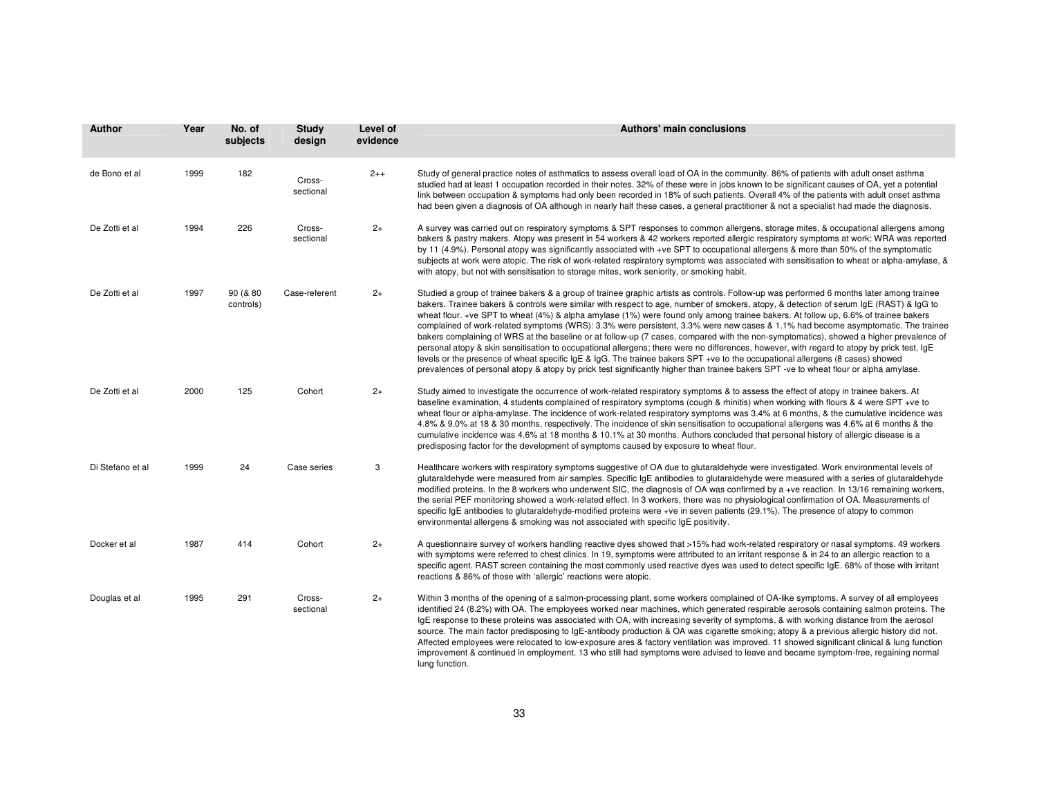| <b>Author</b>    | Year | No. of<br>subjects    | <b>Study</b><br>design | Level of<br>evidence | Authors' main conclusions                                                                                                                                                                                                                                                                                                                                                                                                                                                                                                                                                                                                                                                                                                                                                                                                                                                                                                                                                                                                                                                                                                      |
|------------------|------|-----------------------|------------------------|----------------------|--------------------------------------------------------------------------------------------------------------------------------------------------------------------------------------------------------------------------------------------------------------------------------------------------------------------------------------------------------------------------------------------------------------------------------------------------------------------------------------------------------------------------------------------------------------------------------------------------------------------------------------------------------------------------------------------------------------------------------------------------------------------------------------------------------------------------------------------------------------------------------------------------------------------------------------------------------------------------------------------------------------------------------------------------------------------------------------------------------------------------------|
| de Bono et al    | 1999 | 182                   | Cross-<br>sectional    | $2++$                | Study of general practice notes of asthmatics to assess overall load of OA in the community. 86% of patients with adult onset asthma<br>studied had at least 1 occupation recorded in their notes. 32% of these were in jobs known to be significant causes of OA, yet a potential<br>link between occupation & symptoms had only been recorded in 18% of such patients. Overall 4% of the patients with adult onset asthma<br>had been given a diagnosis of OA although in nearly half these cases, a general practitioner & not a specialist had made the diagnosis.                                                                                                                                                                                                                                                                                                                                                                                                                                                                                                                                                         |
| De Zotti et al   | 1994 | 226                   | Cross-<br>sectional    | $2+$                 | A survey was carried out on respiratory symptoms & SPT responses to common allergens, storage mites, & occupational allergens among<br>bakers & pastry makers. Atopy was present in 54 workers & 42 workers reported allergic respiratory symptoms at work; WRA was reported<br>by 11 (4.9%). Personal atopy was significantly associated with +ve SPT to occupational allergens & more than 50% of the symptomatic<br>subjects at work were atopic. The risk of work-related respiratory symptoms was associated with sensitisation to wheat or alpha-amylase, &<br>with atopy, but not with sensitisation to storage mites, work seniority, or smoking habit.                                                                                                                                                                                                                                                                                                                                                                                                                                                                |
| De Zotti et al   | 1997 | 90 (& 80<br>controls) | Case-referent          | $2+$                 | Studied a group of trainee bakers & a group of trainee graphic artists as controls. Follow-up was performed 6 months later among trainee<br>bakers. Trainee bakers & controls were similar with respect to age, number of smokers, atopy, & detection of serum IgE (RAST) & IgG to<br>wheat flour. +ve SPT to wheat (4%) & alpha amylase (1%) were found only among trainee bakers. At follow up, 6.6% of trainee bakers<br>complained of work-related symptoms (WRS): 3.3% were persistent, 3.3% were new cases & 1.1% had become asymptomatic. The trainee<br>bakers complaining of WRS at the baseline or at follow-up (7 cases, compared with the non-symptomatics), showed a higher prevalence of<br>personal atopy & skin sensitisation to occupational allergens; there were no differences, however, with regard to atopy by prick test, IgE<br>levels or the presence of wheat specific IgE & IgG. The trainee bakers SPT +ve to the occupational allergens (8 cases) showed<br>prevalences of personal atopy & atopy by prick test significantly higher than trainee bakers SPT -ve to wheat flour or alpha amylase. |
| De Zotti et al   | 2000 | 125                   | Cohort                 | $2+$                 | Study aimed to investigate the occurrence of work-related respiratory symptoms & to assess the effect of atopy in trainee bakers. At<br>baseline examination, 4 students complained of respiratory symptoms (cough & rhinitis) when working with flours & 4 were SPT +ve to<br>wheat flour or alpha-amylase. The incidence of work-related respiratory symptoms was 3.4% at 6 months, & the cumulative incidence was<br>4.8% & 9.0% at 18 & 30 months, respectively. The incidence of skin sensitisation to occupational allergens was 4.6% at 6 months & the<br>cumulative incidence was 4.6% at 18 months & 10.1% at 30 months. Authors concluded that personal history of allergic disease is a<br>predisposing factor for the development of symptoms caused by exposure to wheat flour.                                                                                                                                                                                                                                                                                                                                   |
| Di Stefano et al | 1999 | 24                    | Case series            | 3                    | Healthcare workers with respiratory symptoms suggestive of OA due to glutaraldehyde were investigated. Work environmental levels of<br>glutaraldehyde were measured from air samples. Specific IgE antibodies to glutaraldehyde were measured with a series of glutaraldehyde<br>modified proteins. In the 8 workers who underwent SIC, the diagnosis of OA was confirmed by a +ve reaction. In 13/16 remaining workers,<br>the serial PEF monitoring showed a work-related effect. In 3 workers, there was no physiological confirmation of OA. Measurements of<br>specific IgE antibodies to glutaraldehyde-modified proteins were +ve in seven patients (29.1%). The presence of atopy to common<br>environmental allergens & smoking was not associated with specific IgE positivity.                                                                                                                                                                                                                                                                                                                                      |
| Docker et al     | 1987 | 414                   | Cohort                 | $2+$                 | A questionnaire survey of workers handling reactive dyes showed that >15% had work-related respiratory or nasal symptoms. 49 workers<br>with symptoms were referred to chest clinics. In 19, symptoms were attributed to an irritant response & in 24 to an allergic reaction to a<br>specific agent. RAST screen containing the most commonly used reactive dyes was used to detect specific IgE. 68% of those with irritant<br>reactions & 86% of those with 'allergic' reactions were atopic.                                                                                                                                                                                                                                                                                                                                                                                                                                                                                                                                                                                                                               |
| Douglas et al    | 1995 | 291                   | Cross-<br>sectional    | $2+$                 | Within 3 months of the opening of a salmon-processing plant, some workers complained of OA-like symptoms. A survey of all employees<br>identified 24 (8.2%) with OA. The employees worked near machines, which generated respirable aerosols containing salmon proteins. The<br>IgE response to these proteins was associated with OA, with increasing severity of symptoms, & with working distance from the aerosol<br>source. The main factor predisposing to IgE-antibody production & OA was cigarette smoking; atopy & a previous allergic history did not.<br>Affected employees were relocated to low-exposure ares & factory ventilation was improved. 11 showed significant clinical & lung function<br>improvement & continued in employment. 13 who still had symptoms were advised to leave and became symptom-free, regaining normal<br>lung function.                                                                                                                                                                                                                                                           |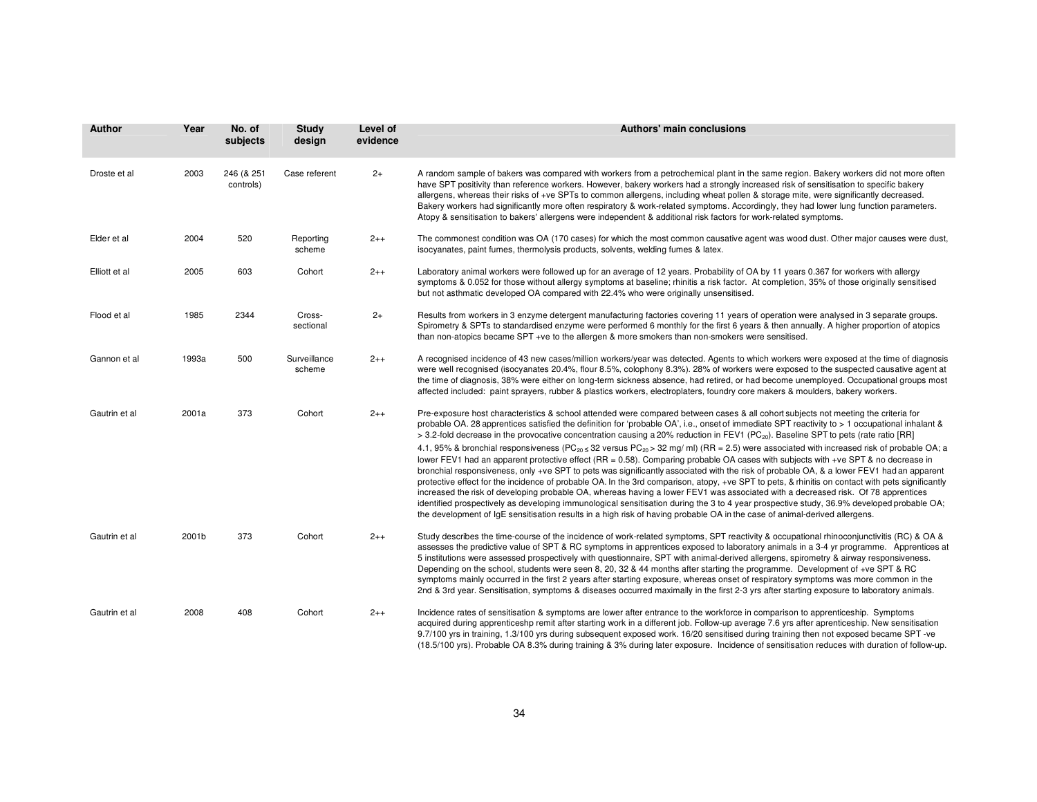| <b>Author</b> | Year  | No. of<br>subjects      | <b>Study</b><br>design | Level of<br>evidence | <b>Authors' main conclusions</b>                                                                                                                                                                                                                                                                                                                                                                                                                                                                                                                                                                                                                                                                                                                                                                                                                                                                                                                                                                                                                                                                                                                                                                                                                                                                                                                                                                                                                                 |
|---------------|-------|-------------------------|------------------------|----------------------|------------------------------------------------------------------------------------------------------------------------------------------------------------------------------------------------------------------------------------------------------------------------------------------------------------------------------------------------------------------------------------------------------------------------------------------------------------------------------------------------------------------------------------------------------------------------------------------------------------------------------------------------------------------------------------------------------------------------------------------------------------------------------------------------------------------------------------------------------------------------------------------------------------------------------------------------------------------------------------------------------------------------------------------------------------------------------------------------------------------------------------------------------------------------------------------------------------------------------------------------------------------------------------------------------------------------------------------------------------------------------------------------------------------------------------------------------------------|
| Droste et al  | 2003  | 246 (& 251<br>controls) | Case referent          | $2+$                 | A random sample of bakers was compared with workers from a petrochemical plant in the same region. Bakery workers did not more often<br>have SPT positivity than reference workers. However, bakery workers had a strongly increased risk of sensitisation to specific bakery<br>allergens, whereas their risks of +ve SPTs to common allergens, including wheat pollen & storage mite, were significantly decreased.<br>Bakery workers had significantly more often respiratory & work-related symptoms. Accordingly, they had lower lung function parameters.<br>Atopy & sensitisation to bakers' allergens were independent & additional risk factors for work-related symptoms.                                                                                                                                                                                                                                                                                                                                                                                                                                                                                                                                                                                                                                                                                                                                                                              |
| Elder et al   | 2004  | 520                     | Reporting<br>scheme    | $2++$                | The commonest condition was OA (170 cases) for which the most common causative agent was wood dust. Other major causes were dust,<br>isocyanates, paint fumes, thermolysis products, solvents, welding fumes & latex.                                                                                                                                                                                                                                                                                                                                                                                                                                                                                                                                                                                                                                                                                                                                                                                                                                                                                                                                                                                                                                                                                                                                                                                                                                            |
| Elliott et al | 2005  | 603                     | Cohort                 | $2++$                | Laboratory animal workers were followed up for an average of 12 years. Probability of OA by 11 years 0.367 for workers with allergy<br>symptoms & 0.052 for those without allergy symptoms at baseline; rhinitis a risk factor. At completion, 35% of those originally sensitised<br>but not asthmatic developed OA compared with 22.4% who were originally unsensitised.                                                                                                                                                                                                                                                                                                                                                                                                                                                                                                                                                                                                                                                                                                                                                                                                                                                                                                                                                                                                                                                                                        |
| Flood et al   | 1985  | 2344                    | Cross-<br>sectional    | $2+$                 | Results from workers in 3 enzyme detergent manufacturing factories covering 11 years of operation were analysed in 3 separate groups.<br>Spirometry & SPTs to standardised enzyme were performed 6 monthly for the first 6 years & then annually. A higher proportion of atopics<br>than non-atopics became SPT +ve to the allergen & more smokers than non-smokers were sensitised.                                                                                                                                                                                                                                                                                                                                                                                                                                                                                                                                                                                                                                                                                                                                                                                                                                                                                                                                                                                                                                                                             |
| Gannon et al  | 1993a | 500                     | Surveillance<br>scheme | $2++$                | A recognised incidence of 43 new cases/million workers/year was detected. Agents to which workers were exposed at the time of diagnosis<br>were well recognised (isocyanates 20.4%, flour 8.5%, colophony 8.3%). 28% of workers were exposed to the suspected causative agent at<br>the time of diagnosis, 38% were either on long-term sickness absence, had retired, or had become unemployed. Occupational groups most<br>affected included: paint sprayers, rubber & plastics workers, electroplaters, foundry core makers & moulders, bakery workers.                                                                                                                                                                                                                                                                                                                                                                                                                                                                                                                                                                                                                                                                                                                                                                                                                                                                                                       |
| Gautrin et al | 2001a | 373                     | Cohort                 | $2++$                | Pre-exposure host characteristics & school attended were compared between cases & all cohort subjects not meeting the criteria for<br>probable OA. 28 apprentices satisfied the definition for 'probable OA', i.e., onset of immediate SPT reactivity to > 1 occupational inhalant &<br>> 3.2-fold decrease in the provocative concentration causing a 20% reduction in FEV1 (PC <sub>20</sub> ). Baseline SPT to pets (rate ratio [RR]<br>4.1, 95% & bronchial responsiveness (PC <sub>20 ≤</sub> 32 versus PC <sub>20</sub> > 32 mg/ ml) (RR = 2.5) were associated with increased risk of probable OA; a<br>lower FEV1 had an apparent protective effect (RR = 0.58). Comparing probable OA cases with subjects with +ve SPT & no decrease in<br>bronchial responsiveness, only +ve SPT to pets was significantly associated with the risk of probable OA, & a lower FEV1 had an apparent<br>protective effect for the incidence of probable OA. In the 3rd comparison, atopy, +ve SPT to pets, & rhinitis on contact with pets significantly<br>increased the risk of developing probable OA, whereas having a lower FEV1 was associated with a decreased risk. Of 78 apprentices<br>identified prospectively as developing immunological sensitisation during the 3 to 4 year prospective study, 36.9% developed probable OA;<br>the development of IqE sensitisation results in a high risk of having probable OA in the case of animal-derived allergens. |
| Gautrin et al | 2001b | 373                     | Cohort                 | $2++$                | Study describes the time-course of the incidence of work-related symptoms, SPT reactivity & occupational rhinoconjunctivitis (RC) & OA &<br>assesses the predictive value of SPT & RC symptoms in apprentices exposed to laboratory animals in a 3-4 yr programme. Apprentices at<br>5 institutions were assessed prospectively with questionnaire, SPT with animal-derived allergens, spirometry & airway responsiveness.<br>Depending on the school, students were seen 8, 20, 32 & 44 months after starting the programme. Development of +ve SPT & RC<br>symptoms mainly occurred in the first 2 years after starting exposure, whereas onset of respiratory symptoms was more common in the<br>2nd & 3rd year. Sensitisation, symptoms & diseases occurred maximally in the first 2-3 yrs after starting exposure to laboratory animals.                                                                                                                                                                                                                                                                                                                                                                                                                                                                                                                                                                                                                    |
| Gautrin et al | 2008  | 408                     | Cohort                 | $2++$                | Incidence rates of sensitisation & symptoms are lower after entrance to the workforce in comparison to apprenticeship. Symptoms<br>acquired during apprenticeshp remit after starting work in a different job. Follow-up average 7.6 yrs after aprenticeship. New sensitisation<br>9.7/100 yrs in training, 1.3/100 yrs during subsequent exposed work. 16/20 sensitised during training then not exposed became SPT -ve<br>(18.5/100 yrs). Probable OA 8.3% during training & 3% during later exposure. Incidence of sensitisation reduces with duration of follow-up.                                                                                                                                                                                                                                                                                                                                                                                                                                                                                                                                                                                                                                                                                                                                                                                                                                                                                          |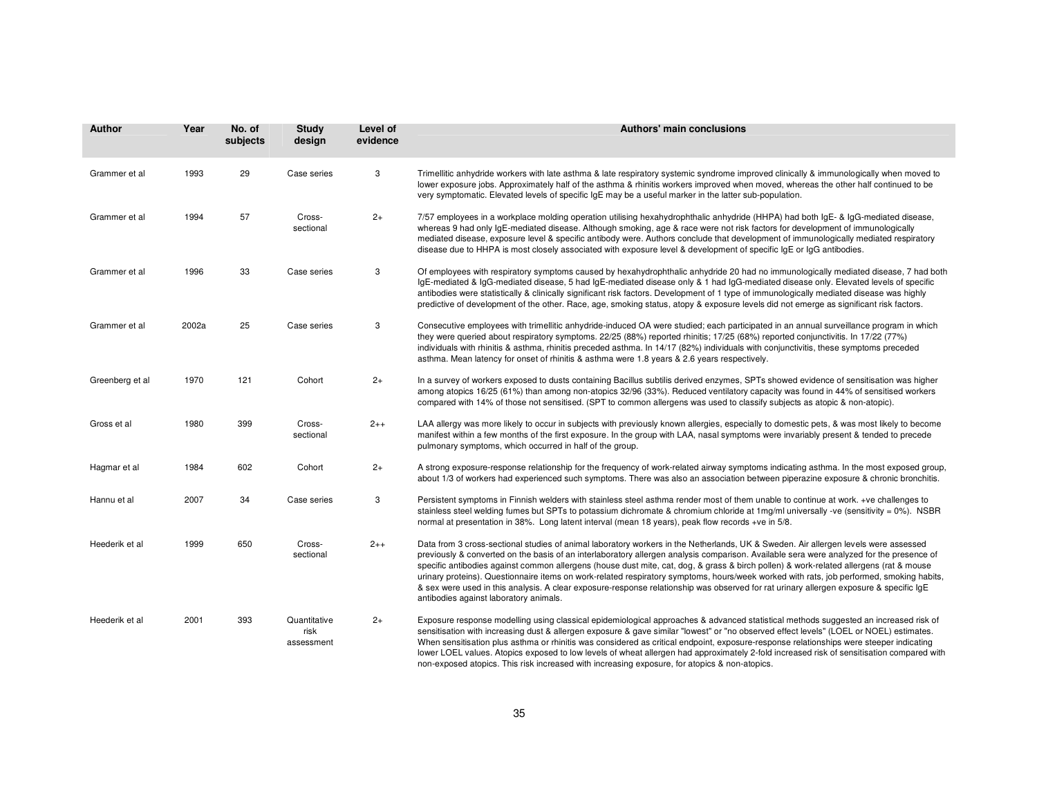| <b>Author</b>   | Year  | No. of<br>subjects | Study<br>design                    | Level of<br>evidence | Authors' main conclusions                                                                                                                                                                                                                                                                                                                                                                                                                                                                                                                                                                                                                                                                                                                                 |
|-----------------|-------|--------------------|------------------------------------|----------------------|-----------------------------------------------------------------------------------------------------------------------------------------------------------------------------------------------------------------------------------------------------------------------------------------------------------------------------------------------------------------------------------------------------------------------------------------------------------------------------------------------------------------------------------------------------------------------------------------------------------------------------------------------------------------------------------------------------------------------------------------------------------|
| Grammer et al   | 1993  | 29                 | Case series                        | 3                    | Trimellitic anhydride workers with late asthma & late respiratory systemic syndrome improved clinically & immunologically when moved to<br>lower exposure jobs. Approximately half of the asthma & rhinitis workers improved when moved, whereas the other half continued to be<br>very symptomatic. Elevated levels of specific IgE may be a useful marker in the latter sub-population.                                                                                                                                                                                                                                                                                                                                                                 |
| Grammer et al   | 1994  | 57                 | Cross-<br>sectional                | $2+$                 | 7/57 employees in a workplace molding operation utilising hexahydrophthalic anhydride (HHPA) had both IgE- & IgG-mediated disease,<br>whereas 9 had only IgE-mediated disease. Although smoking, age & race were not risk factors for development of immunologically<br>mediated disease, exposure level & specific antibody were. Authors conclude that development of immunologically mediated respiratory<br>disease due to HHPA is most closely associated with exposure level & development of specific IgE or IgG antibodies.                                                                                                                                                                                                                       |
| Grammer et al   | 1996  | 33                 | Case series                        | 3                    | Of employees with respiratory symptoms caused by hexahydrophthalic anhydride 20 had no immunologically mediated disease, 7 had both<br>IgE-mediated & IgG-mediated disease, 5 had IgE-mediated disease only & 1 had IgG-mediated disease only. Elevated levels of specific<br>antibodies were statistically & clinically significant risk factors. Development of 1 type of immunologically mediated disease was highly<br>predictive of development of the other. Race, age, smoking status, atopy & exposure levels did not emerge as significant risk factors.                                                                                                                                                                                         |
| Grammer et al   | 2002a | 25                 | Case series                        | 3                    | Consecutive employees with trimellitic anhydride-induced OA were studied; each participated in an annual surveillance program in which<br>they were queried about respiratory symptoms. 22/25 (88%) reported rhinitis; 17/25 (68%) reported conjunctivitis. In 17/22 (77%)<br>individuals with rhinitis & asthma, rhinitis preceded asthma. In 14/17 (82%) individuals with conjunctivitis, these symptoms preceded<br>asthma. Mean latency for onset of rhinitis & asthma were 1.8 years & 2.6 years respectively.                                                                                                                                                                                                                                       |
| Greenberg et al | 1970  | 121                | Cohort                             | $2+$                 | In a survey of workers exposed to dusts containing Bacillus subtilis derived enzymes, SPTs showed evidence of sensitisation was higher<br>among atopics 16/25 (61%) than among non-atopics 32/96 (33%). Reduced ventilatory capacity was found in 44% of sensitised workers<br>compared with 14% of those not sensitised. (SPT to common allergens was used to classify subjects as atopic & non-atopic).                                                                                                                                                                                                                                                                                                                                                 |
| Gross et al     | 1980  | 399                | Cross-<br>sectional                | $2++$                | LAA allergy was more likely to occur in subjects with previously known allergies, especially to domestic pets, & was most likely to become<br>manifest within a few months of the first exposure. In the group with LAA, nasal symptoms were invariably present & tended to precede<br>pulmonary symptoms, which occurred in half of the group.                                                                                                                                                                                                                                                                                                                                                                                                           |
| Hagmar et al    | 1984  | 602                | Cohort                             | $2+$                 | A strong exposure-response relationship for the frequency of work-related airway symptoms indicating asthma. In the most exposed group,<br>about 1/3 of workers had experienced such symptoms. There was also an association between piperazine exposure & chronic bronchitis.                                                                                                                                                                                                                                                                                                                                                                                                                                                                            |
| Hannu et al     | 2007  | 34                 | Case series                        | 3                    | Persistent symptoms in Finnish welders with stainless steel asthma render most of them unable to continue at work. +ve challenges to<br>stainless steel welding fumes but SPTs to potassium dichromate & chromium chloride at 1mg/ml universally -ve (sensitivity = 0%). NSBR<br>normal at presentation in 38%. Long latent interval (mean 18 years), peak flow records +ve in 5/8.                                                                                                                                                                                                                                                                                                                                                                       |
| Heederik et al  | 1999  | 650                | Cross-<br>sectional                | $2++$                | Data from 3 cross-sectional studies of animal laboratory workers in the Netherlands, UK & Sweden. Air allergen levels were assessed<br>previously & converted on the basis of an interlaboratory allergen analysis comparison. Available sera were analyzed for the presence of<br>specific antibodies against common allergens (house dust mite, cat, dog, & grass & birch pollen) & work-related allergens (rat & mouse<br>urinary proteins). Questionnaire items on work-related respiratory symptoms, hours/week worked with rats, job performed, smoking habits,<br>& sex were used in this analysis. A clear exposure-response relationship was observed for rat urinary allergen exposure & specific IgE<br>antibodies against laboratory animals. |
| Heederik et al  | 2001  | 393                | Quantitative<br>risk<br>assessment | $2+$                 | Exposure response modelling using classical epidemiological approaches & advanced statistical methods suggested an increased risk of<br>sensitisation with increasing dust & allergen exposure & gave similar "lowest" or "no observed effect levels" (LOEL or NOEL) estimates.<br>When sensitisation plus asthma or rhinitis was considered as critical endpoint, exposure-response relationships were steeper indicating<br>lower LOEL values. Atopics exposed to low levels of wheat allergen had approximately 2-fold increased risk of sensitisation compared with<br>non-exposed atopics. This risk increased with increasing exposure, for atopics & non-atopics.                                                                                  |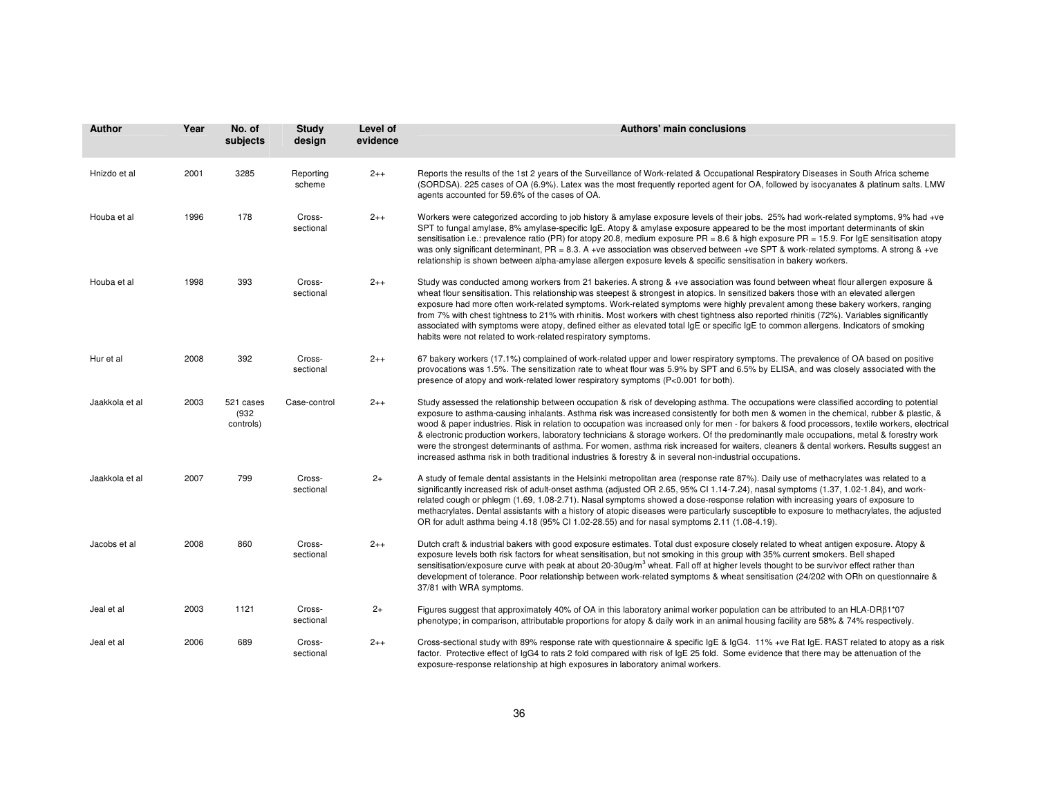| <b>Author</b>  | Year | No. of<br>subjects              | <b>Study</b><br>design | Level of<br>evidence | <b>Authors' main conclusions</b>                                                                                                                                                                                                                                                                                                                                                                                                                                                                                                                                                                                                                                                                                                                                                                                                    |
|----------------|------|---------------------------------|------------------------|----------------------|-------------------------------------------------------------------------------------------------------------------------------------------------------------------------------------------------------------------------------------------------------------------------------------------------------------------------------------------------------------------------------------------------------------------------------------------------------------------------------------------------------------------------------------------------------------------------------------------------------------------------------------------------------------------------------------------------------------------------------------------------------------------------------------------------------------------------------------|
| Hnizdo et al   | 2001 | 3285                            | Reporting<br>scheme    | $2++$                | Reports the results of the 1st 2 years of the Surveillance of Work-related & Occupational Respiratory Diseases in South Africa scheme<br>(SORDSA). 225 cases of OA (6.9%). Latex was the most frequently reported agent for OA, followed by isocyanates & platinum salts. LMW<br>agents accounted for 59.6% of the cases of OA.                                                                                                                                                                                                                                                                                                                                                                                                                                                                                                     |
| Houba et al    | 1996 | 178                             | Cross-<br>sectional    | $2++$                | Workers were categorized according to job history & amylase exposure levels of their jobs. 25% had work-related symptoms, 9% had +ve<br>SPT to fungal amylase, 8% amylase-specific IgE. Atopy & amylase exposure appeared to be the most important determinants of skin<br>sensitisation i.e.: prevalence ratio (PR) for atopy 20.8, medium exposure PR = 8.6 & high exposure PR = 15.9. For IgE sensitisation atopy<br>was only significant determinant, PR = 8.3. A +ve association was observed between +ve SPT & work-related symptoms. A strong & +ve<br>relationship is shown between alpha-amylase allergen exposure levels & specific sensitisation in bakery workers.                                                                                                                                                      |
| Houba et al    | 1998 | 393                             | Cross-<br>sectional    | $2 + +$              | Study was conducted among workers from 21 bakeries. A strong & +ve association was found between wheat flour allergen exposure &<br>wheat flour sensitisation. This relationship was steepest & strongest in atopics. In sensitized bakers those with an elevated allergen<br>exposure had more often work-related symptoms. Work-related symptoms were highly prevalent among these bakery workers, ranging<br>from 7% with chest tightness to 21% with rhinitis. Most workers with chest tightness also reported rhinitis (72%). Variables significantly<br>associated with symptoms were atopy, defined either as elevated total IgE or specific IgE to common allergens. Indicators of smoking<br>habits were not related to work-related respiratory symptoms.                                                                 |
| Hur et al      | 2008 | 392                             | Cross-<br>sectional    | $2++$                | 67 bakery workers (17.1%) complained of work-related upper and lower respiratory symptoms. The prevalence of OA based on positive<br>provocations was 1.5%. The sensitization rate to wheat flour was 5.9% by SPT and 6.5% by ELISA, and was closely associated with the<br>presence of atopy and work-related lower respiratory symptoms (P<0.001 for both).                                                                                                                                                                                                                                                                                                                                                                                                                                                                       |
| Jaakkola et al | 2003 | 521 cases<br>(932)<br>controls) | Case-control           | $2++$                | Study assessed the relationship between occupation & risk of developing asthma. The occupations were classified according to potential<br>exposure to asthma-causing inhalants. Asthma risk was increased consistently for both men & women in the chemical, rubber & plastic, &<br>wood & paper industries. Risk in relation to occupation was increased only for men - for bakers & food processors, textile workers, electrical<br>& electronic production workers, laboratory technicians & storage workers. Of the predominantly male occupations, metal & forestry work<br>were the strongest determinants of asthma. For women, asthma risk increased for waiters, cleaners & dental workers. Results suggest an<br>increased asthma risk in both traditional industries & forestry & in several non-industrial occupations. |
| Jaakkola et al | 2007 | 799                             | Cross-<br>sectional    | $2+$                 | A study of female dental assistants in the Helsinki metropolitan area (response rate 87%). Daily use of methacrylates was related to a<br>significantly increased risk of adult-onset asthma (adjusted OR 2.65, 95% CI 1.14-7.24), nasal symptoms (1.37, 1.02-1.84), and work-<br>related cough or phlegm (1.69, 1.08-2.71). Nasal symptoms showed a dose-response relation with increasing years of exposure to<br>methacrylates. Dental assistants with a history of atopic diseases were particularly susceptible to exposure to methacrylates, the adjusted<br>OR for adult asthma being 4.18 (95% CI 1.02-28.55) and for nasal symptoms 2.11 (1.08-4.19).                                                                                                                                                                      |
| Jacobs et al   | 2008 | 860                             | Cross-<br>sectional    | $2++$                | Dutch craft & industrial bakers with good exposure estimates. Total dust exposure closely related to wheat antigen exposure. Atopy &<br>exposure levels both risk factors for wheat sensitisation, but not smoking in this group with 35% current smokers. Bell shaped<br>sensitisation/exposure curve with peak at about 20-30ug/m <sup>3</sup> wheat. Fall off at higher levels thought to be survivor effect rather than<br>development of tolerance. Poor relationship between work-related symptoms & wheat sensitisation (24/202 with ORh on questionnaire &<br>37/81 with WRA symptoms.                                                                                                                                                                                                                                      |
| Jeal et al     | 2003 | 1121                            | Cross-<br>sectional    | $2+$                 | Figures suggest that approximately 40% of OA in this laboratory animal worker population can be attributed to an HLA-DR $\beta$ 1*07<br>phenotype; in comparison, attributable proportions for atopy & daily work in an animal housing facility are 58% & 74% respectively.                                                                                                                                                                                                                                                                                                                                                                                                                                                                                                                                                         |
| Jeal et al     | 2006 | 689                             | Cross-<br>sectional    | $2_{++}$             | Cross-sectional study with 89% response rate with questionnaire & specific IgE & IgG4. 11% +ve Rat IgE. RAST related to atopy as a risk<br>factor. Protective effect of IgG4 to rats 2 fold compared with risk of IgE 25 fold. Some evidence that there may be attenuation of the<br>exposure-response relationship at high exposures in laboratory animal workers.                                                                                                                                                                                                                                                                                                                                                                                                                                                                 |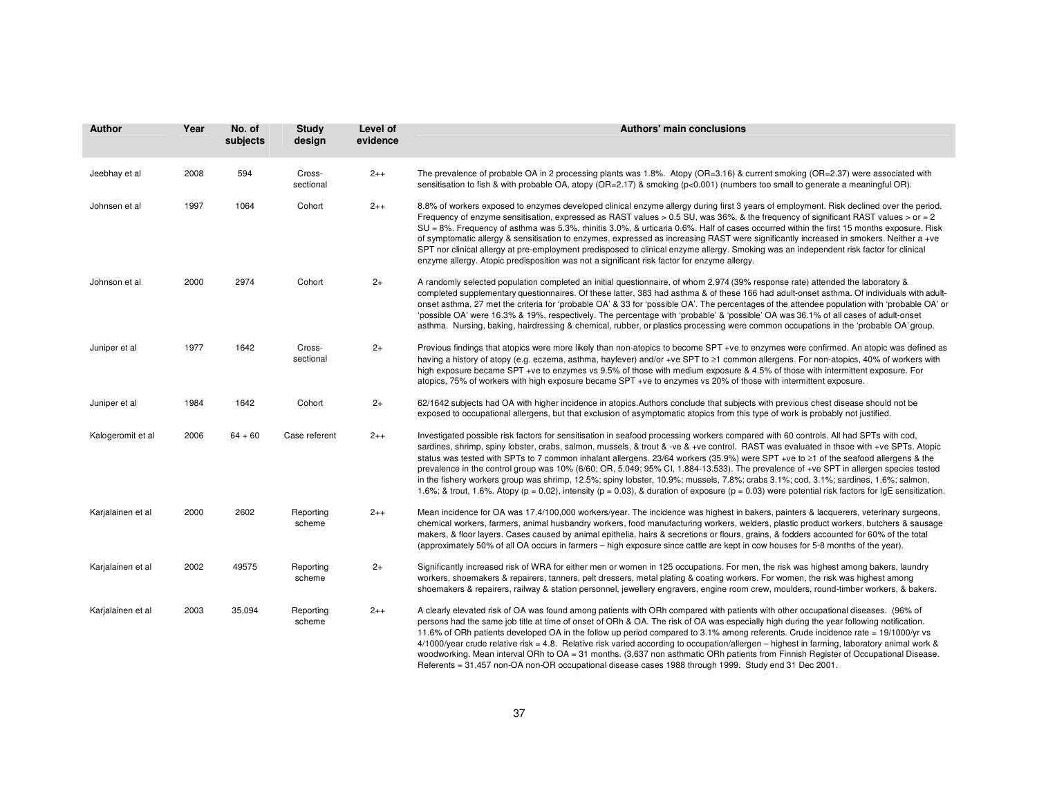| <b>Author</b>     | Year | No. of<br>subjects | <b>Study</b><br>design | Level of<br>evidence | <b>Authors' main conclusions</b>                                                                                                                                                                                                                                                                                                                                                                                                                                                                                                                                                                                                                                                                                                                                                                                                                                        |
|-------------------|------|--------------------|------------------------|----------------------|-------------------------------------------------------------------------------------------------------------------------------------------------------------------------------------------------------------------------------------------------------------------------------------------------------------------------------------------------------------------------------------------------------------------------------------------------------------------------------------------------------------------------------------------------------------------------------------------------------------------------------------------------------------------------------------------------------------------------------------------------------------------------------------------------------------------------------------------------------------------------|
| Jeebhay et al     | 2008 | 594                | Cross-<br>sectional    | $2++$                | The prevalence of probable OA in 2 processing plants was 1.8%. Atopy (OR=3.16) & current smoking (OR=2.37) were associated with<br>sensitisation to fish & with probable OA, atopy (OR=2.17) & smoking ( $p<0.001$ ) (numbers too small to generate a meaningful OR).                                                                                                                                                                                                                                                                                                                                                                                                                                                                                                                                                                                                   |
| Johnsen et al     | 1997 | 1064               | Cohort                 | $2++$                | 8.8% of workers exposed to enzymes developed clinical enzyme allergy during first 3 years of employment. Risk declined over the period.<br>Frequency of enzyme sensitisation, expressed as RAST values > 0.5 SU, was 36%, & the frequency of significant RAST values > or = 2<br>SU = 8%. Frequency of asthma was 5.3%, rhinitis 3.0%, & urticaria 0.6%. Half of cases occurred within the first 15 months exposure. Risk<br>of symptomatic allergy & sensitisation to enzymes, expressed as increasing RAST were significantly increased in smokers. Neither a +ve<br>SPT nor clinical allergy at pre-employment predisposed to clinical enzyme allergy. Smoking was an independent risk factor for clinical<br>enzyme allergy. Atopic predisposition was not a significant risk factor for enzyme allergy.                                                            |
| Johnson et al     | 2000 | 2974               | Cohort                 | $2+$                 | A randomly selected population completed an initial questionnaire, of whom 2,974 (39% response rate) attended the laboratory &<br>completed supplementary questionnaires. Of these latter, 383 had asthma & of these 166 had adult-onset asthma. Of individuals with adult-<br>onset asthma, 27 met the criteria for 'probable OA' & 33 for 'possible OA'. The percentages of the attendee population with 'probable OA' or<br>'possible OA' were 16.3% & 19%, respectively. The percentage with 'probable' & 'possible' OA was 36.1% of all cases of adult-onset<br>asthma. Nursing, baking, hairdressing & chemical, rubber, or plastics processing were common occupations in the 'probable OA' group.                                                                                                                                                               |
| Juniper et al     | 1977 | 1642               | Cross-<br>sectional    | $2+$                 | Previous findings that atopics were more likely than non-atopics to become SPT +ve to enzymes were confirmed. An atopic was defined as<br>having a history of atopy (e.g. eczema, asthma, hayfever) and/or +ve SPT to ≥1 common allergens. For non-atopics, 40% of workers with<br>high exposure became SPT +ve to enzymes vs 9.5% of those with medium exposure & 4.5% of those with intermittent exposure. For<br>atopics, 75% of workers with high exposure became SPT +ve to enzymes vs 20% of those with intermittent exposure.                                                                                                                                                                                                                                                                                                                                    |
| Juniper et al     | 1984 | 1642               | Cohort                 | $2+$                 | 62/1642 subjects had OA with higher incidence in atopics. Authors conclude that subjects with previous chest disease should not be<br>exposed to occupational allergens, but that exclusion of asymptomatic atopics from this type of work is probably not justified.                                                                                                                                                                                                                                                                                                                                                                                                                                                                                                                                                                                                   |
| Kalogeromit et al | 2006 | $64 + 60$          | Case referent          | $2 + +$              | Investigated possible risk factors for sensitisation in seafood processing workers compared with 60 controls. All had SPTs with cod,<br>sardines, shrimp, spiny lobster, crabs, salmon, mussels, & trout & -ve & +ve control. RAST was evaluated in thsoe with +ve SPTs. Atopic<br>status was tested with SPTs to 7 common inhalant allergens. 23/64 workers (35.9%) were SPT +ve to ≥1 of the seafood allergens & the<br>prevalence in the control group was 10% (6/60; OR, 5.049; 95% CI, 1.884-13.533). The prevalence of +ve SPT in allergen species tested<br>in the fishery workers group was shrimp, 12.5%; spiny lobster, 10.9%; mussels, 7.8%; crabs 3.1%; cod, 3.1%; sardines, 1.6%; salmon,<br>1.6%; & trout, 1.6%. Atopy ( $p = 0.02$ ), intensity ( $p = 0.03$ ), & duration of exposure ( $p = 0.03$ ) were potential risk factors for IgE sensitization. |
| Karjalainen et al | 2000 | 2602               | Reporting<br>scheme    | $2_{++}$             | Mean incidence for OA was 17.4/100,000 workers/year. The incidence was highest in bakers, painters & lacquerers, veterinary surgeons,<br>chemical workers, farmers, animal husbandry workers, food manufacturing workers, welders, plastic product workers, butchers & sausage<br>makers, & floor layers. Cases caused by animal epithelia, hairs & secretions or flours, grains, & fodders accounted for 60% of the total<br>(approximately 50% of all OA occurs in farmers – high exposure since cattle are kept in cow houses for 5-8 months of the year).                                                                                                                                                                                                                                                                                                           |
| Karjalainen et al | 2002 | 49575              | Reporting<br>scheme    | $2+$                 | Significantly increased risk of WRA for either men or women in 125 occupations. For men, the risk was highest among bakers, laundry<br>workers, shoemakers & repairers, tanners, pelt dressers, metal plating & coating workers. For women, the risk was highest among<br>shoemakers & repairers, railway & station personnel, jewellery engravers, engine room crew, moulders, round-timber workers, & bakers.                                                                                                                                                                                                                                                                                                                                                                                                                                                         |
| Karjalainen et al | 2003 | 35,094             | Reporting<br>scheme    | $2++$                | A clearly elevated risk of OA was found among patients with ORh compared with patients with other occupational diseases. (96% of<br>persons had the same job title at time of onset of ORh & OA. The risk of OA was especially high during the year following notification.<br>11.6% of ORh patients developed OA in the follow up period compared to 3.1% among referents. Crude incidence rate = 19/1000/yr vs<br>4/1000/year crude relative risk = 4.8. Relative risk varied according to occupation/allergen – highest in farming, laboratory animal work &<br>woodworking. Mean interval ORh to OA = 31 months. (3,637 non asthmatic ORh patients from Finnish Register of Occupational Disease.<br>Referents = 31,457 non-OA non-OR occupational disease cases 1988 through 1999. Study end 31 Dec 2001.                                                          |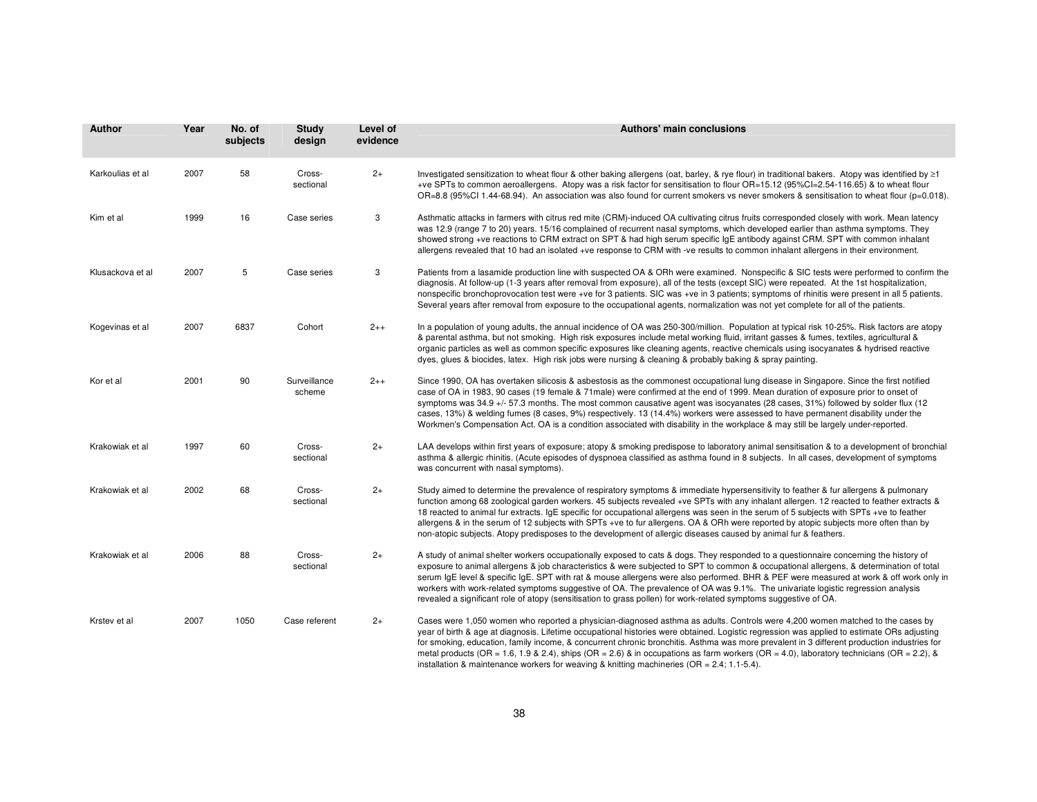| Author           | Year | No. of<br>subjects | <b>Study</b><br>design | Level of<br>evidence | <b>Authors' main conclusions</b>                                                                                                                                                                                                                                                                                                                                                                                                                                                                                                                                                                                                                                                     |
|------------------|------|--------------------|------------------------|----------------------|--------------------------------------------------------------------------------------------------------------------------------------------------------------------------------------------------------------------------------------------------------------------------------------------------------------------------------------------------------------------------------------------------------------------------------------------------------------------------------------------------------------------------------------------------------------------------------------------------------------------------------------------------------------------------------------|
| Karkoulias et al | 2007 | 58                 | Cross-<br>sectional    | $2+$                 | Investigated sensitization to wheat flour & other baking allergens (oat, barley, & rye flour) in traditional bakers. Atopy was identified by ≥1<br>+ve SPTs to common aeroallergens. Atopy was a risk factor for sensitisation to flour OR=15.12 (95%Cl=2.54-116.65) & to wheat flour<br>OR=8.8 (95%CI 1.44-68.94). An association was also found for current smokers vs never smokers & sensitisation to wheat flour (p=0.018).                                                                                                                                                                                                                                                     |
| Kim et al        | 1999 | 16                 | Case series            | 3                    | Asthmatic attacks in farmers with citrus red mite (CRM)-induced OA cultivating citrus fruits corresponded closely with work. Mean latency<br>was 12.9 (range 7 to 20) years. 15/16 complained of recurrent nasal symptoms, which developed earlier than asthma symptoms. They<br>showed strong +ve reactions to CRM extract on SPT & had high serum specific IgE antibody against CRM. SPT with common inhalant<br>allergens revealed that 10 had an isolated +ve response to CRM with -ve results to common inhalant allergens in their environment.                                                                                                                                |
| Klusackova et al | 2007 | 5                  | Case series            | 3                    | Patients from a lasamide production line with suspected OA & ORh were examined. Nonspecific & SIC tests were performed to confirm the<br>diagnosis. At follow-up (1-3 years after removal from exposure), all of the tests (except SIC) were repeated. At the 1st hospitalization,<br>nonspecific bronchoprovocation test were +ve for 3 patients. SIC was +ve in 3 patients; symptoms of rhinitis were present in all 5 patients.<br>Several years after removal from exposure to the occupational agents, normalization was not yet complete for all of the patients.                                                                                                              |
| Kogevinas et al  | 2007 | 6837               | Cohort                 | $2++$                | In a population of young adults, the annual incidence of OA was 250-300/million. Population at typical risk 10-25%. Risk factors are atopy<br>& parental asthma, but not smoking. High risk exposures include metal working fluid, irritant gasses & fumes, textiles, agricultural &<br>organic particles as well as common specific exposures like cleaning agents, reactive chemicals using isocyanates & hydrised reactive<br>dyes, glues & biocides, latex. High risk jobs were nursing & cleaning & probably baking & spray painting.                                                                                                                                           |
| Kor et al        | 2001 | 90                 | Surveillance<br>scheme | $2++$                | Since 1990, OA has overtaken silicosis & asbestosis as the commonest occupational lung disease in Singapore. Since the first notified<br>case of OA in 1983, 90 cases (19 female & 71male) were confirmed at the end of 1999. Mean duration of exposure prior to onset of<br>symptoms was 34.9 +/- 57.3 months. The most common causative agent was isocyanates (28 cases, 31%) followed by solder flux (12<br>cases, 13%) & welding fumes (8 cases, 9%) respectively. 13 (14.4%) workers were assessed to have permanent disability under the<br>Workmen's Compensation Act. OA is a condition associated with disability in the workplace & may still be largely under-reported.   |
| Krakowiak et al  | 1997 | 60                 | Cross-<br>sectional    | $2+$                 | LAA develops within first years of exposure; atopy & smoking predispose to laboratory animal sensitisation & to a development of bronchial<br>asthma & allergic rhinitis. (Acute episodes of dyspnoea classified as asthma found in 8 subjects. In all cases, development of symptoms<br>was concurrent with nasal symptoms).                                                                                                                                                                                                                                                                                                                                                        |
| Krakowiak et al  | 2002 | 68                 | Cross-<br>sectional    | $2+$                 | Study aimed to determine the prevalence of respiratory symptoms & immediate hypersensitivity to feather & fur allergens & pulmonary<br>function among 68 zoological garden workers. 45 subjects revealed +ve SPTs with any inhalant allergen. 12 reacted to feather extracts &<br>18 reacted to animal fur extracts. IgE specific for occupational allergens was seen in the serum of 5 subjects with SPTs +ve to feather<br>allergens & in the serum of 12 subjects with SPTs +ve to fur allergens. OA & ORh were reported by atopic subjects more often than by<br>non-atopic subjects. Atopy predisposes to the development of allergic diseases caused by animal fur & feathers. |
| Krakowiak et al  | 2006 | 88                 | Cross-<br>sectional    | $2+$                 | A study of animal shelter workers occupationally exposed to cats & dogs. They responded to a questionnaire concerning the history of<br>exposure to animal allergens & job characteristics & were subjected to SPT to common & occupational allergens, & determination of total<br>serum IgE level & specific IgE. SPT with rat & mouse allergens were also performed. BHR & PEF were measured at work & off work only in<br>workers with work-related symptoms suggestive of OA. The prevalence of OA was 9.1%. The univariate logistic regression analysis<br>revealed a significant role of atopy (sensitisation to grass pollen) for work-related symptoms suggestive of OA.     |
| Krstev et al     | 2007 | 1050               | Case referent          | $2+$                 | Cases were 1,050 women who reported a physician-diagnosed asthma as adults. Controls were 4,200 women matched to the cases by<br>year of birth & age at diagnosis. Lifetime occupational histories were obtained. Logistic regression was applied to estimate ORs adjusting<br>for smoking, education, family income, & concurrent chronic bronchitis. Asthma was more prevalent in 3 different production industries for<br>metal products (OR = 1.6, 1.9 & 2.4), ships (OR = 2.6) & in occupations as farm workers (OR = 4.0), laboratory technicians (OR = 2.2), &                                                                                                                |

installation & maintenance workers for weaving & knitting machineries (OR <sup>=</sup> 2.4; 1.1-5.4).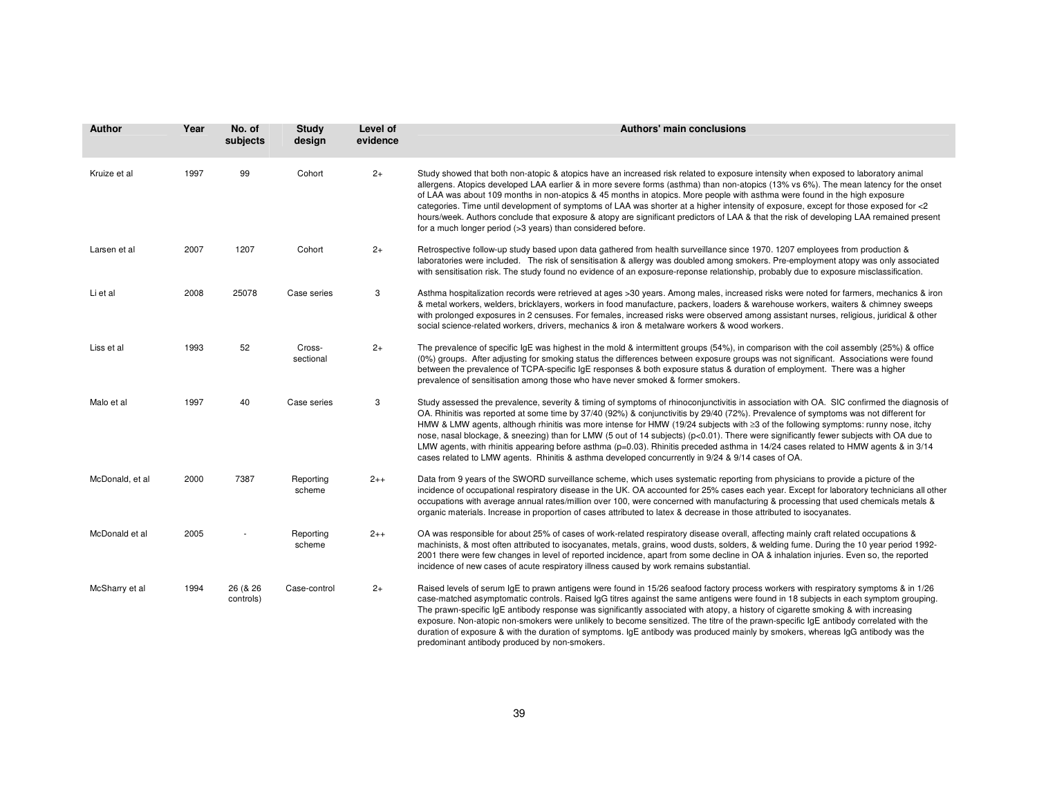| Author          | Year | No. of<br>subjects    | Study<br>design     | Level of<br>evidence | Authors' main conclusions                                                                                                                                                                                                                                                                                                                                                                                                                                                                                                                                                                                                                                                                                                                                                                                    |
|-----------------|------|-----------------------|---------------------|----------------------|--------------------------------------------------------------------------------------------------------------------------------------------------------------------------------------------------------------------------------------------------------------------------------------------------------------------------------------------------------------------------------------------------------------------------------------------------------------------------------------------------------------------------------------------------------------------------------------------------------------------------------------------------------------------------------------------------------------------------------------------------------------------------------------------------------------|
| Kruize et al    | 1997 | 99                    | Cohort              | $2+$                 | Study showed that both non-atopic & atopics have an increased risk related to exposure intensity when exposed to laboratory animal<br>allergens. Atopics developed LAA earlier & in more severe forms (asthma) than non-atopics (13% vs 6%). The mean latency for the onset<br>of LAA was about 109 months in non-atopics & 45 months in atopics. More people with asthma were found in the high exposure<br>categories. Time until development of symptoms of LAA was shorter at a higher intensity of exposure, except for those exposed for <2<br>hours/week. Authors conclude that exposure & atopy are significant predictors of LAA & that the risk of developing LAA remained present<br>for a much longer period (>3 years) than considered before.                                                  |
| Larsen et al    | 2007 | 1207                  | Cohort              | $2+$                 | Retrospective follow-up study based upon data gathered from health surveillance since 1970. 1207 employees from production &<br>laboratories were included. The risk of sensitisation & allergy was doubled among smokers. Pre-employment atopy was only associated<br>with sensitisation risk. The study found no evidence of an exposure-reponse relationship, probably due to exposure misclassification.                                                                                                                                                                                                                                                                                                                                                                                                 |
| Li et al        | 2008 | 25078                 | Case series         | 3                    | Asthma hospitalization records were retrieved at ages >30 years. Among males, increased risks were noted for farmers, mechanics & iron<br>& metal workers, welders, bricklayers, workers in food manufacture, packers, loaders & warehouse workers, waiters & chimney sweeps<br>with prolonged exposures in 2 censuses. For females, increased risks were observed among assistant nurses, religious, juridical & other<br>social science-related workers, drivers, mechanics & iron & metalware workers & wood workers.                                                                                                                                                                                                                                                                                     |
| Liss et al      | 1993 | 52                    | Cross-<br>sectional | $2+$                 | The prevalence of specific IgE was highest in the mold & intermittent groups (54%), in comparison with the coil assembly (25%) & office<br>(0%) groups. After adjusting for smoking status the differences between exposure groups was not significant. Associations were found<br>between the prevalence of TCPA-specific IgE responses & both exposure status & duration of employment. There was a higher<br>prevalence of sensitisation among those who have never smoked & former smokers.                                                                                                                                                                                                                                                                                                              |
| Malo et al      | 1997 | 40                    | Case series         | 3                    | Study assessed the prevalence, severity & timing of symptoms of rhinoconjunctivitis in association with OA. SIC confirmed the diagnosis of<br>OA. Rhinitis was reported at some time by 37/40 (92%) & conjunctivitis by 29/40 (72%). Prevalence of symptoms was not different for<br>HMW & LMW agents, although rhinitis was more intense for HMW (19/24 subjects with ≥3 of the following symptoms: runny nose, itchy<br>nose, nasal blockage, & sneezing) than for LMW (5 out of 14 subjects) (p<0.01). There were significantly fewer subjects with OA due to<br>LMW agents, with rhinitis appearing before asthma (p=0.03). Rhinitis preceded asthma in 14/24 cases related to HMW agents & in 3/14<br>cases related to LMW agents. Rhinitis & asthma developed concurrently in 9/24 & 9/14 cases of OA. |
| McDonald, et al | 2000 | 7387                  | Reporting<br>scheme | $2++$                | Data from 9 years of the SWORD surveillance scheme, which uses systematic reporting from physicians to provide a picture of the<br>incidence of occupational respiratory disease in the UK. OA accounted for 25% cases each year. Except for laboratory technicians all other<br>occupations with average annual rates/million over 100, were concerned with manufacturing & processing that used chemicals metals &<br>organic materials. Increase in proportion of cases attributed to latex & decrease in those attributed to isocyanates.                                                                                                                                                                                                                                                                |
| McDonald et al  | 2005 |                       | Reporting<br>scheme | $2++$                | OA was responsible for about 25% of cases of work-related respiratory disease overall, affecting mainly craft related occupations &<br>machinists, & most often attributed to isocyanates, metals, grains, wood dusts, solders, & welding fume. During the 10 year period 1992-<br>2001 there were few changes in level of reported incidence, apart from some decline in OA & inhalation injuries. Even so, the reported<br>incidence of new cases of acute respiratory illness caused by work remains substantial.                                                                                                                                                                                                                                                                                         |
| McSharry et al  | 1994 | 26 (& 26<br>controls) | Case-control        | $2+$                 | Raised levels of serum IgE to prawn antigens were found in 15/26 seafood factory process workers with respiratory symptoms & in 1/26<br>case-matched asymptomatic controls. Raised IgG titres against the same antigens were found in 18 subjects in each symptom grouping.<br>The prawn-specific IqE antibody response was significantly associated with atopy, a history of cigarette smoking & with increasing<br>exposure. Non-atopic non-smokers were unlikely to become sensitized. The titre of the prawn-specific IgE antibody correlated with the<br>duration of exposure & with the duration of symptoms. IgE antibody was produced mainly by smokers, whereas IgG antibody was the<br>predominant antibody produced by non-smokers.                                                               |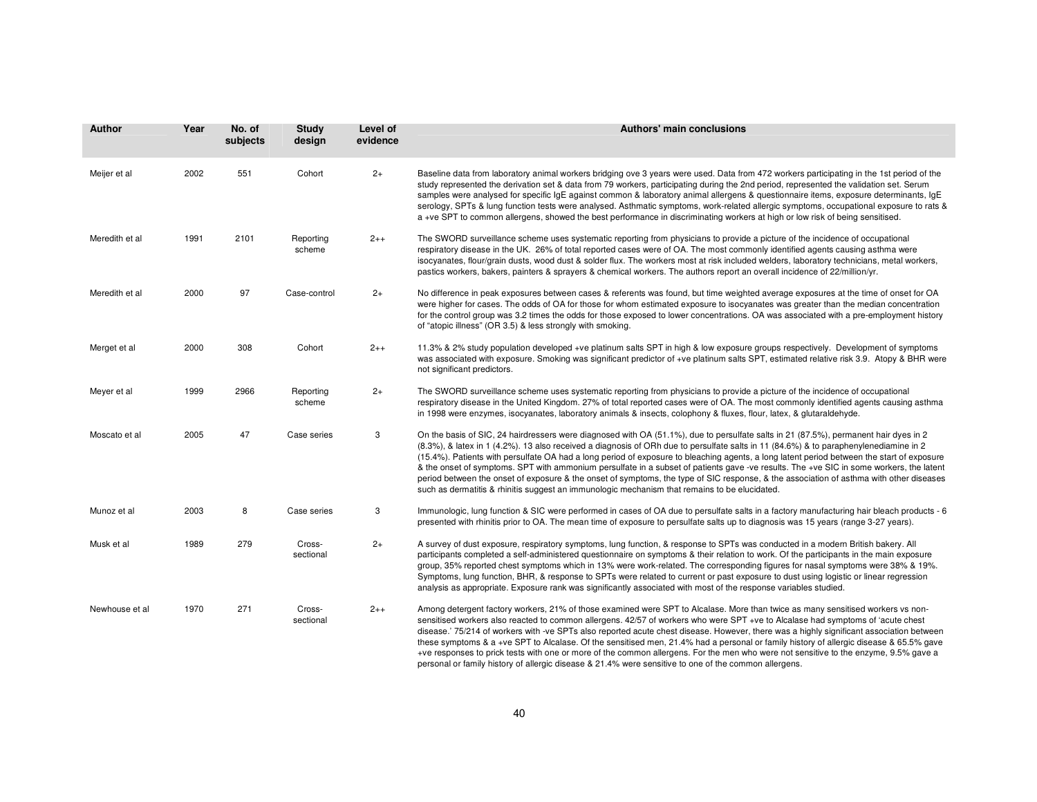| Author         | Year | No. of<br>subjects | Study<br>design     | Level of<br>evidence | Authors' main conclusions                                                                                                                                                                                                                                                                                                                                                                                                                                                                                                                                                                                                                                                                                                                                                                                          |
|----------------|------|--------------------|---------------------|----------------------|--------------------------------------------------------------------------------------------------------------------------------------------------------------------------------------------------------------------------------------------------------------------------------------------------------------------------------------------------------------------------------------------------------------------------------------------------------------------------------------------------------------------------------------------------------------------------------------------------------------------------------------------------------------------------------------------------------------------------------------------------------------------------------------------------------------------|
| Meijer et al   | 2002 | 551                | Cohort              | $2+$                 | Baseline data from laboratory animal workers bridging ove 3 years were used. Data from 472 workers participating in the 1st period of the<br>study represented the derivation set & data from 79 workers, participating during the 2nd period, represented the validation set. Serum<br>samples were analysed for specific IqE against common & laboratory animal allergens & questionnaire items, exposure determinants, IqE<br>serology, SPTs & lung function tests were analysed. Asthmatic symptoms, work-related allergic symptoms, occupational exposure to rats &<br>a +ve SPT to common allergens, showed the best performance in discriminating workers at high or low risk of being sensitised.                                                                                                          |
| Meredith et al | 1991 | 2101               | Reporting<br>scheme | $2++$                | The SWORD surveillance scheme uses systematic reporting from physicians to provide a picture of the incidence of occupational<br>respiratory disease in the UK. 26% of total reported cases were of OA. The most commonly identified agents causing asthma were<br>isocyanates, flour/grain dusts, wood dust & solder flux. The workers most at risk included welders, laboratory technicians, metal workers,<br>pastics workers, bakers, painters & sprayers & chemical workers. The authors report an overall incidence of 22/million/yr.                                                                                                                                                                                                                                                                        |
| Meredith et al | 2000 | 97                 | Case-control        | $2+$                 | No difference in peak exposures between cases & referents was found, but time weighted average exposures at the time of onset for OA<br>were higher for cases. The odds of OA for those for whom estimated exposure to isocyanates was greater than the median concentration<br>for the control group was 3.2 times the odds for those exposed to lower concentrations. OA was associated with a pre-employment history<br>of "atopic illness" (OR 3.5) & less strongly with smoking.                                                                                                                                                                                                                                                                                                                              |
| Merget et al   | 2000 | 308                | Cohort              | $2++$                | 11.3% & 2% study population developed +ve platinum salts SPT in high & low exposure groups respectively. Development of symptoms<br>was associated with exposure. Smoking was significant predictor of +ve platinum salts SPT, estimated relative risk 3.9. Atopy & BHR were<br>not significant predictors.                                                                                                                                                                                                                                                                                                                                                                                                                                                                                                        |
| Meyer et al    | 1999 | 2966               | Reporting<br>scheme | $2+$                 | The SWORD surveillance scheme uses systematic reporting from physicians to provide a picture of the incidence of occupational<br>respiratory disease in the United Kingdom. 27% of total reported cases were of OA. The most commonly identified agents causing asthma<br>in 1998 were enzymes, isocyanates, laboratory animals & insects, colophony & fluxes, flour, latex, & glutaraldehyde.                                                                                                                                                                                                                                                                                                                                                                                                                     |
| Moscato et al  | 2005 | 47                 | Case series         | 3                    | On the basis of SIC, 24 hairdressers were diagnosed with OA (51.1%), due to persulfate salts in 21 (87.5%), permanent hair dyes in 2<br>(8.3%), & latex in 1 (4.2%). 13 also received a diagnosis of ORh due to persulfate salts in 11 (84.6%) & to paraphenylenediamine in 2<br>(15.4%). Patients with persulfate OA had a long period of exposure to bleaching agents, a long latent period between the start of exposure<br>& the onset of symptoms. SPT with ammonium persulfate in a subset of patients gave -ve results. The +ve SIC in some workers, the latent<br>period between the onset of exposure & the onset of symptoms, the type of SIC response, & the association of asthma with other diseases<br>such as dermatitis & rhinitis suggest an immunologic mechanism that remains to be elucidated. |
| Munoz et al    | 2003 | 8                  | Case series         | 3                    | Immunologic, lung function & SIC were performed in cases of OA due to persulfate salts in a factory manufacturing hair bleach products - 6<br>presented with rhinitis prior to OA. The mean time of exposure to persulfate salts up to diagnosis was 15 years (range 3-27 years).                                                                                                                                                                                                                                                                                                                                                                                                                                                                                                                                  |
| Musk et al     | 1989 | 279                | Cross-<br>sectional | $2+$                 | A survey of dust exposure, respiratory symptoms, lung function, & response to SPTs was conducted in a modern British bakery. All<br>participants completed a self-administered questionnaire on symptoms & their relation to work. Of the participants in the main exposure<br>group, 35% reported chest symptoms which in 13% were work-related. The corresponding figures for nasal symptoms were 38% & 19%.<br>Symptoms, lung function, BHR, & response to SPTs were related to current or past exposure to dust using logistic or linear regression<br>analysis as appropriate. Exposure rank was significantly associated with most of the response variables studied.                                                                                                                                        |
| Newhouse et al | 1970 | 271                | Cross-<br>sectional | $2++$                | Among detergent factory workers, 21% of those examined were SPT to Alcalase. More than twice as many sensitised workers vs non-<br>sensitised workers also reacted to common allergens. 42/57 of workers who were SPT +ve to Alcalase had symptoms of 'acute chest<br>disease.' 75/214 of workers with -ve SPTs also reported acute chest disease. However, there was a highly significant association between<br>these symptoms & a +ve SPT to Alcalase. Of the sensitised men, 21.4% had a personal or family history of allergic disease & 65.5% gave<br>+ve responses to prick tests with one or more of the common allergens. For the men who were not sensitive to the enzyme, 9.5% gave a                                                                                                                   |

personal or family history of allergic disease & 21.4% were sensitive to one of the common allergens.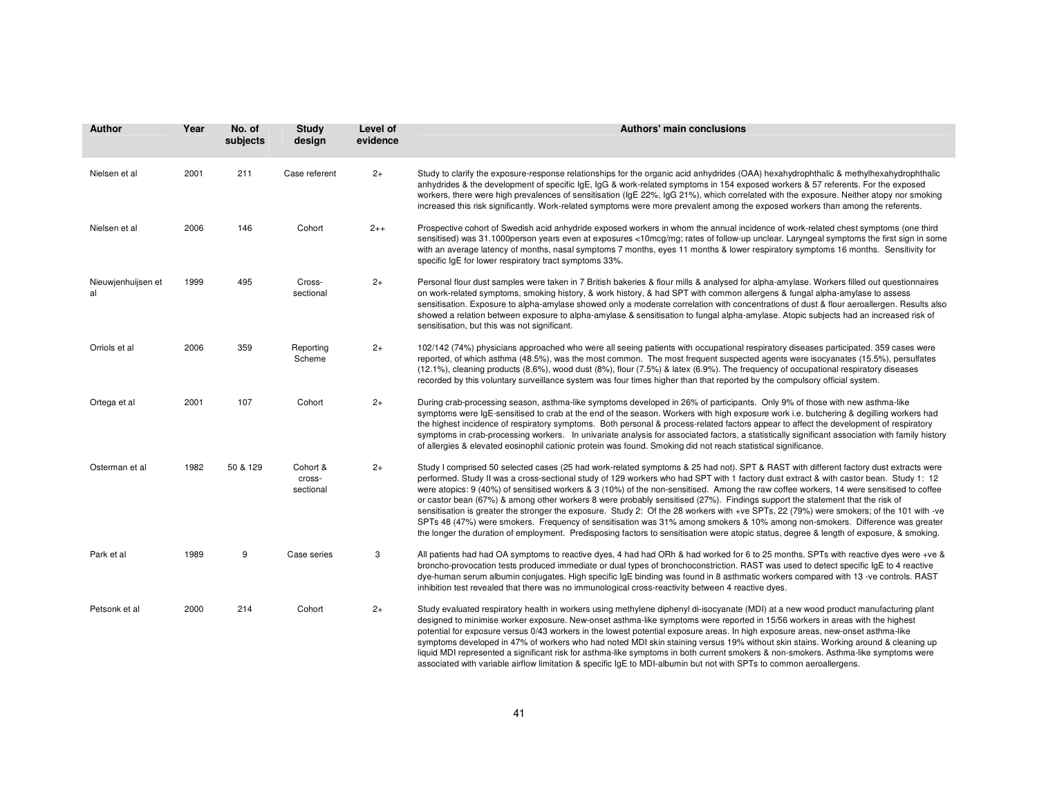| <b>Author</b>            | Year | No. of<br>subjects | Study<br>design                 | Level of<br>evidence | <b>Authors' main conclusions</b>                                                                                                                                                                                                                                                                                                                                                                                                                                                                                                                                                                                                                                                                                                                                                                                                                                                                                                                                                   |
|--------------------------|------|--------------------|---------------------------------|----------------------|------------------------------------------------------------------------------------------------------------------------------------------------------------------------------------------------------------------------------------------------------------------------------------------------------------------------------------------------------------------------------------------------------------------------------------------------------------------------------------------------------------------------------------------------------------------------------------------------------------------------------------------------------------------------------------------------------------------------------------------------------------------------------------------------------------------------------------------------------------------------------------------------------------------------------------------------------------------------------------|
| Nielsen et al            | 2001 | 211                | Case referent                   | $2+$                 | Study to clarify the exposure-response relationships for the organic acid anhydrides (OAA) hexahydrophthalic & methylhexahydrophthalic<br>anhydrides & the development of specific IgE, IgG & work-related symptoms in 154 exposed workers & 57 referents. For the exposed<br>workers, there were high prevalences of sensitisation (IgE 22%, IgG 21%), which correlated with the exposure. Neither atopy nor smoking<br>increased this risk significantly. Work-related symptoms were more prevalent among the exposed workers than among the referents.                                                                                                                                                                                                                                                                                                                                                                                                                          |
| Nielsen et al            | 2006 | 146                | Cohort                          | $2++$                | Prospective cohort of Swedish acid anhydride exposed workers in whom the annual incidence of work-related chest symptoms (one third<br>sensitised) was 31.1000person years even at exposures <10mcg/mg; rates of follow-up unclear. Laryngeal symptoms the first sign in some<br>with an average latency of months, nasal symptoms 7 months, eyes 11 months & lower respiratory symptoms 16 months. Sensitivity for<br>specific IgE for lower respiratory tract symptoms 33%.                                                                                                                                                                                                                                                                                                                                                                                                                                                                                                      |
| Nieuwjenhuijsen et<br>al | 1999 | 495                | Cross-<br>sectional             | $2+$                 | Personal flour dust samples were taken in 7 British bakeries & flour mills & analysed for alpha-amylase. Workers filled out questionnaires<br>on work-related symptoms, smoking history, & work history, & had SPT with common allergens & fungal alpha-amylase to assess<br>sensitisation. Exposure to alpha-amylase showed only a moderate correlation with concentrations of dust & flour aeroallergen. Results also<br>showed a relation between exposure to alpha-amylase & sensitisation to fungal alpha-amylase. Atopic subjects had an increased risk of<br>sensitisation, but this was not significant.                                                                                                                                                                                                                                                                                                                                                                   |
| Orriols et al            | 2006 | 359                | Reporting<br>Scheme             | $2+$                 | 102/142 (74%) physicians approached who were all seeing patients with occupational respiratory diseases participated. 359 cases were<br>reported, of which asthma (48.5%), was the most common. The most frequent suspected agents were isocyanates (15.5%), persulfates<br>(12.1%), cleaning products (8.6%), wood dust (8%), flour (7.5%) & latex (6.9%). The frequency of occupational respiratory diseases<br>recorded by this voluntary surveillance system was four times higher than that reported by the compulsory official system.                                                                                                                                                                                                                                                                                                                                                                                                                                       |
| Ortega et al             | 2001 | 107                | Cohort                          | $2+$                 | During crab-processing season, asthma-like symptoms developed in 26% of participants. Only 9% of those with new asthma-like<br>symptoms were IgE-sensitised to crab at the end of the season. Workers with high exposure work i.e. butchering & degilling workers had<br>the highest incidence of respiratory symptoms. Both personal & process-related factors appear to affect the development of respiratory<br>symptoms in crab-processing workers. In univariate analysis for associated factors, a statistically significant association with family history<br>of allergies & elevated eosinophil cationic protein was found. Smoking did not reach statistical significance.                                                                                                                                                                                                                                                                                               |
| Osterman et al           | 1982 | 50 & 129           | Cohort &<br>cross-<br>sectional | $2+$                 | Study I comprised 50 selected cases (25 had work-related symptoms & 25 had not). SPT & RAST with different factory dust extracts were<br>performed. Study II was a cross-sectional study of 129 workers who had SPT with 1 factory dust extract & with castor bean. Study 1: 12<br>were atopics: 9 (40%) of sensitised workers & 3 (10%) of the non-sensitised. Among the raw coffee workers, 14 were sensitised to coffee<br>or castor bean (67%) & among other workers 8 were probably sensitised (27%). Findings support the statement that the risk of<br>sensitisation is greater the stronger the exposure. Study 2: Of the 28 workers with +ve SPTs, 22 (79%) were smokers; of the 101 with -ve<br>SPTs 48 (47%) were smokers. Frequency of sensitisation was 31% among smokers & 10% among non-smokers. Difference was greater<br>the longer the duration of employment. Predisposing factors to sensitisation were atopic status, degree & length of exposure, & smoking. |
| Park et al               | 1989 | 9                  | Case series                     | 3                    | All patients had had OA symptoms to reactive dyes, 4 had had ORh & had worked for 6 to 25 months. SPTs with reactive dyes were +ve &<br>broncho-provocation tests produced immediate or dual types of bronchoconstriction. RAST was used to detect specific IgE to 4 reactive<br>dye-human serum albumin conjugates. High specific IgE binding was found in 8 asthmatic workers compared with 13 -ve controls. RAST<br>inhibition test revealed that there was no immunological cross-reactivity between 4 reactive dyes.                                                                                                                                                                                                                                                                                                                                                                                                                                                          |
| Petsonk et al            | 2000 | 214                | Cohort                          | $2+$                 | Study evaluated respiratory health in workers using methylene diphenyl di-isocyanate (MDI) at a new wood product manufacturing plant<br>designed to minimise worker exposure. New-onset asthma-like symptoms were reported in 15/56 workers in areas with the highest<br>potential for exposure versus 0/43 workers in the lowest potential exposure areas. In high exposure areas, new-onset asthma-like<br>symptoms developed in 47% of workers who had noted MDI skin staining versus 19% without skin stains. Working around & cleaning up<br>liquid MDI represented a significant risk for asthma-like symptoms in both current smokers & non-smokers. Asthma-like symptoms were<br>associated with variable airflow limitation & specific IgE to MDI-albumin but not with SPTs to common aeroallergens.                                                                                                                                                                      |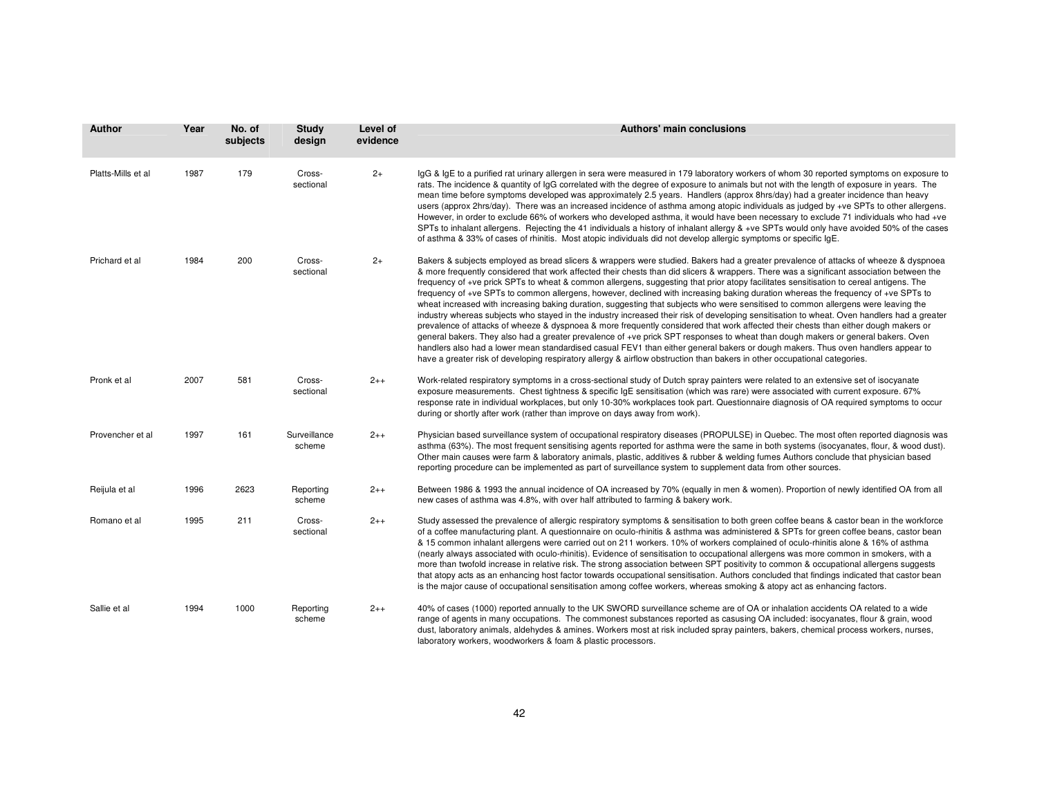| Author             | Year | No. of<br>subjects | <b>Study</b><br>design | Level of<br>evidence | Authors' main conclusions                                                                                                                                                                                                                                                                                                                                                                                                                                                                                                                                                                                                                                                                                                                                                                                                                                                                                                                                                                                                                                                                                                                                                                                                                                                                                                                                                                         |
|--------------------|------|--------------------|------------------------|----------------------|---------------------------------------------------------------------------------------------------------------------------------------------------------------------------------------------------------------------------------------------------------------------------------------------------------------------------------------------------------------------------------------------------------------------------------------------------------------------------------------------------------------------------------------------------------------------------------------------------------------------------------------------------------------------------------------------------------------------------------------------------------------------------------------------------------------------------------------------------------------------------------------------------------------------------------------------------------------------------------------------------------------------------------------------------------------------------------------------------------------------------------------------------------------------------------------------------------------------------------------------------------------------------------------------------------------------------------------------------------------------------------------------------|
| Platts-Mills et al | 1987 | 179                | Cross-<br>sectional    | $2+$                 | lgG & lgE to a purified rat urinary allergen in sera were measured in 179 laboratory workers of whom 30 reported symptoms on exposure to<br>rats. The incidence & quantity of IgG correlated with the degree of exposure to animals but not with the length of exposure in years. The<br>mean time before symptoms developed was approximately 2.5 years. Handlers (approx 8hrs/day) had a greater incidence than heavy<br>users (approx 2hrs/day). There was an increased incidence of asthma among atopic individuals as judged by +ve SPTs to other allergens.<br>However, in order to exclude 66% of workers who developed asthma, it would have been necessary to exclude 71 individuals who had +ve<br>SPTs to inhalant allergens. Rejecting the 41 individuals a history of inhalant allergy & +ve SPTs would only have avoided 50% of the cases<br>of asthma & 33% of cases of rhinitis. Most atopic individuals did not develop allergic symptoms or specific IgE.                                                                                                                                                                                                                                                                                                                                                                                                                       |
| Prichard et al     | 1984 | 200                | Cross-<br>sectional    | $2+$                 | Bakers & subjects employed as bread slicers & wrappers were studied. Bakers had a greater prevalence of attacks of wheeze & dyspnoea<br>& more frequently considered that work affected their chests than did slicers & wrappers. There was a significant association between the<br>frequency of +ve prick SPTs to wheat & common allergens, suggesting that prior atopy facilitates sensitisation to cereal antigens. The<br>frequency of +ve SPTs to common allergens, however, declined with increasing baking duration whereas the frequency of +ve SPTs to<br>wheat increased with increasing baking duration, suggesting that subjects who were sensitised to common allergens were leaving the<br>industry whereas subjects who stayed in the industry increased their risk of developing sensitisation to wheat. Oven handlers had a greater<br>prevalence of attacks of wheeze & dyspnoea & more frequently considered that work affected their chests than either dough makers or<br>general bakers. They also had a greater prevalence of +ve prick SPT responses to wheat than dough makers or general bakers. Oven<br>handlers also had a lower mean standardised casual FEV1 than either general bakers or dough makers. Thus oven handlers appear to<br>have a greater risk of developing respiratory allergy & airflow obstruction than bakers in other occupational categories. |
| Pronk et al        | 2007 | 581                | Cross-<br>sectional    | $2++$                | Work-related respiratory symptoms in a cross-sectional study of Dutch spray painters were related to an extensive set of isocyanate<br>exposure measurements. Chest tightness & specific IgE sensitisation (which was rare) were associated with current exposure. 67%<br>response rate in individual workplaces, but only 10-30% workplaces took part. Questionnaire diagnosis of OA required symptoms to occur<br>during or shortly after work (rather than improve on days away from work).                                                                                                                                                                                                                                                                                                                                                                                                                                                                                                                                                                                                                                                                                                                                                                                                                                                                                                    |
| Provencher et al   | 1997 | 161                | Surveillance<br>scheme | $2++$                | Physician based surveillance system of occupational respiratory diseases (PROPULSE) in Quebec. The most often reported diagnosis was<br>asthma (63%). The most frequent sensitising agents reported for asthma were the same in both systems (isocyanates, flour, & wood dust).<br>Other main causes were farm & laboratory animals, plastic, additives & rubber & welding fumes Authors conclude that physician based<br>reporting procedure can be implemented as part of surveillance system to supplement data from other sources.                                                                                                                                                                                                                                                                                                                                                                                                                                                                                                                                                                                                                                                                                                                                                                                                                                                            |
| Reijula et al      | 1996 | 2623               | Reporting<br>scheme    | $2++$                | Between 1986 & 1993 the annual incidence of OA increased by 70% (equally in men & women). Proportion of newly identified OA from all<br>new cases of asthma was 4.8%, with over half attributed to farming & bakery work.                                                                                                                                                                                                                                                                                                                                                                                                                                                                                                                                                                                                                                                                                                                                                                                                                                                                                                                                                                                                                                                                                                                                                                         |
| Romano et al       | 1995 | 211                | Cross-<br>sectional    | $2++$                | Study assessed the prevalence of allergic respiratory symptoms & sensitisation to both green coffee beans & castor bean in the workforce<br>of a coffee manufacturing plant. A questionnaire on oculo-rhinitis & asthma was administered & SPTs for green coffee beans, castor bean<br>& 15 common inhalant allergens were carried out on 211 workers. 10% of workers complained of oculo-rhinitis alone & 16% of asthma<br>(nearly always associated with oculo-rhinitis). Evidence of sensitisation to occupational allergens was more common in smokers, with a<br>more than twofold increase in relative risk. The strong association between SPT positivity to common & occupational allergens suggests<br>that atopy acts as an enhancing host factor towards occupational sensitisation. Authors concluded that findings indicated that castor bean<br>is the major cause of occupational sensitisation among coffee workers, whereas smoking & atopy act as enhancing factors.                                                                                                                                                                                                                                                                                                                                                                                                            |
| Sallie et al       | 1994 | 1000               | Reporting<br>scheme    | $2++$                | 40% of cases (1000) reported annually to the UK SWORD surveillance scheme are of OA or inhalation accidents OA related to a wide<br>range of agents in many occupations. The commonest substances reported as casusing OA included: isocyanates, flour & grain, wood<br>dust, laboratory animals, aldehydes & amines. Workers most at risk included spray painters, bakers, chemical process workers, nurses,<br>laboratory workers, woodworkers & foam & plastic processors.                                                                                                                                                                                                                                                                                                                                                                                                                                                                                                                                                                                                                                                                                                                                                                                                                                                                                                                     |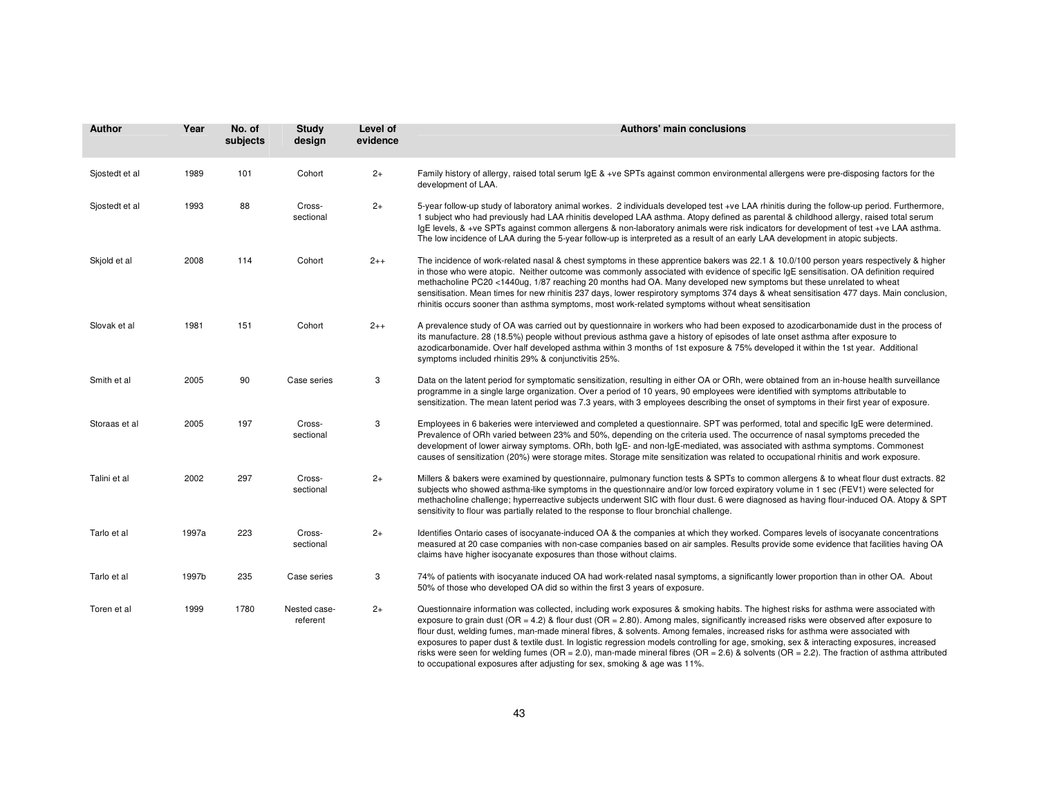| <b>Author</b>  | Year  | No. of<br>subjects | <b>Study</b><br>design   | Level of<br>evidence | Authors' main conclusions                                                                                                                                                                                                                                                                                                                                                                                                                                                                                                                                                                                                                                                                                                                                                                 |
|----------------|-------|--------------------|--------------------------|----------------------|-------------------------------------------------------------------------------------------------------------------------------------------------------------------------------------------------------------------------------------------------------------------------------------------------------------------------------------------------------------------------------------------------------------------------------------------------------------------------------------------------------------------------------------------------------------------------------------------------------------------------------------------------------------------------------------------------------------------------------------------------------------------------------------------|
| Sjostedt et al | 1989  | 101                | Cohort                   | $2+$                 | Family history of allergy, raised total serum IgE & +ve SPTs against common environmental allergens were pre-disposing factors for the<br>development of LAA.                                                                                                                                                                                                                                                                                                                                                                                                                                                                                                                                                                                                                             |
| Sjostedt et al | 1993  | 88                 | Cross-<br>sectional      | $2+$                 | 5-year follow-up study of laboratory animal workes. 2 individuals developed test +ve LAA rhinitis during the follow-up period. Furthermore,<br>1 subject who had previously had LAA rhinitis developed LAA asthma. Atopy defined as parental & childhood allergy, raised total serum<br>lgE levels, & +ve SPTs against common allergens & non-laboratory animals were risk indicators for development of test +ve LAA asthma.<br>The low incidence of LAA during the 5-year follow-up is interpreted as a result of an early LAA development in atopic subjects.                                                                                                                                                                                                                          |
| Skjold et al   | 2008  | 114                | Cohort                   | $2++$                | The incidence of work-related nasal & chest symptoms in these apprentice bakers was 22.1 & 10.0/100 person years respectively & higher<br>in those who were atopic. Neither outcome was commonly associated with evidence of specific IgE sensitisation. OA definition required<br>methacholine PC20 <1440ug, 1/87 reaching 20 months had OA. Many developed new symptoms but these unrelated to wheat<br>sensitisation. Mean times for new rhinitis 237 days, lower respirotory symptoms 374 days & wheat sensitisation 477 days. Main conclusion,<br>rhinitis occurs sooner than asthma symptoms, most work-related symptoms without wheat sensitisation                                                                                                                                |
| Slovak et al   | 1981  | 151                | Cohort                   | $2++$                | A prevalence study of OA was carried out by questionnaire in workers who had been exposed to azodicarbonamide dust in the process of<br>its manufacture. 28 (18.5%) people without previous asthma gave a history of episodes of late onset asthma after exposure to<br>azodicarbonamide. Over half developed asthma within 3 months of 1st exposure & 75% developed it within the 1st year. Additional<br>symptoms included rhinitis 29% & conjunctivitis 25%.                                                                                                                                                                                                                                                                                                                           |
| Smith et al    | 2005  | 90                 | Case series              | 3                    | Data on the latent period for symptomatic sensitization, resulting in either OA or ORh, were obtained from an in-house health surveillance<br>programme in a single large organization. Over a period of 10 years, 90 employees were identified with symptoms attributable to<br>sensitization. The mean latent period was 7.3 years, with 3 employees describing the onset of symptoms in their first year of exposure.                                                                                                                                                                                                                                                                                                                                                                  |
| Storaas et al  | 2005  | 197                | Cross-<br>sectional      | 3                    | Employees in 6 bakeries were interviewed and completed a questionnaire. SPT was performed, total and specific IgE were determined.<br>Prevalence of ORh varied between 23% and 50%, depending on the criteria used. The occurrence of nasal symptoms preceded the<br>development of lower airway symptoms. ORh, both IgE- and non-IgE-mediated, was associated with asthma symptoms. Commonest<br>causes of sensitization (20%) were storage mites. Storage mite sensitization was related to occupational rhinitis and work exposure.                                                                                                                                                                                                                                                    |
| Talini et al   | 2002  | 297                | Cross-<br>sectional      | $2+$                 | Millers & bakers were examined by questionnaire, pulmonary function tests & SPTs to common allergens & to wheat flour dust extracts. 82<br>subjects who showed asthma-like symptoms in the questionnaire and/or low forced expiratory volume in 1 sec (FEV1) were selected for<br>methacholine challenge; hyperreactive subjects underwent SIC with flour dust. 6 were diagnosed as having flour-induced OA. Atopy & SPT<br>sensitivity to flour was partially related to the response to flour bronchial challenge.                                                                                                                                                                                                                                                                      |
| Tarlo et al    | 1997a | 223                | Cross-<br>sectional      | $2+$                 | Identifies Ontario cases of isocyanate-induced OA & the companies at which they worked. Compares levels of isocyanate concentrations<br>measured at 20 case companies with non-case companies based on air samples. Results provide some evidence that facilities having OA<br>claims have higher isocyanate exposures than those without claims.                                                                                                                                                                                                                                                                                                                                                                                                                                         |
| Tarlo et al    | 1997b | 235                | Case series              | 3                    | 74% of patients with isocyanate induced OA had work-related nasal symptoms, a significantly lower proportion than in other OA. About<br>50% of those who developed OA did so within the first 3 years of exposure.                                                                                                                                                                                                                                                                                                                                                                                                                                                                                                                                                                        |
| Toren et al    | 1999  | 1780               | Nested case-<br>referent | $2+$                 | Questionnaire information was collected, including work exposures & smoking habits. The highest risks for asthma were associated with<br>exposure to grain dust (OR = 4.2) & flour dust (OR = 2.80). Among males, significantly increased risks were observed after exposure to<br>flour dust, welding fumes, man-made mineral fibres, & solvents. Among females, increased risks for asthma were associated with<br>exposures to paper dust & textile dust. In logistic regression models controlling for age, smoking, sex & interacting exposures, increased<br>risks were seen for welding fumes (OR = 2.0), man-made mineral fibres (OR = 2.6) & solvents (OR = 2.2). The fraction of asthma attributed<br>to occupational exposures after adjusting for sex, smoking & age was 11%. |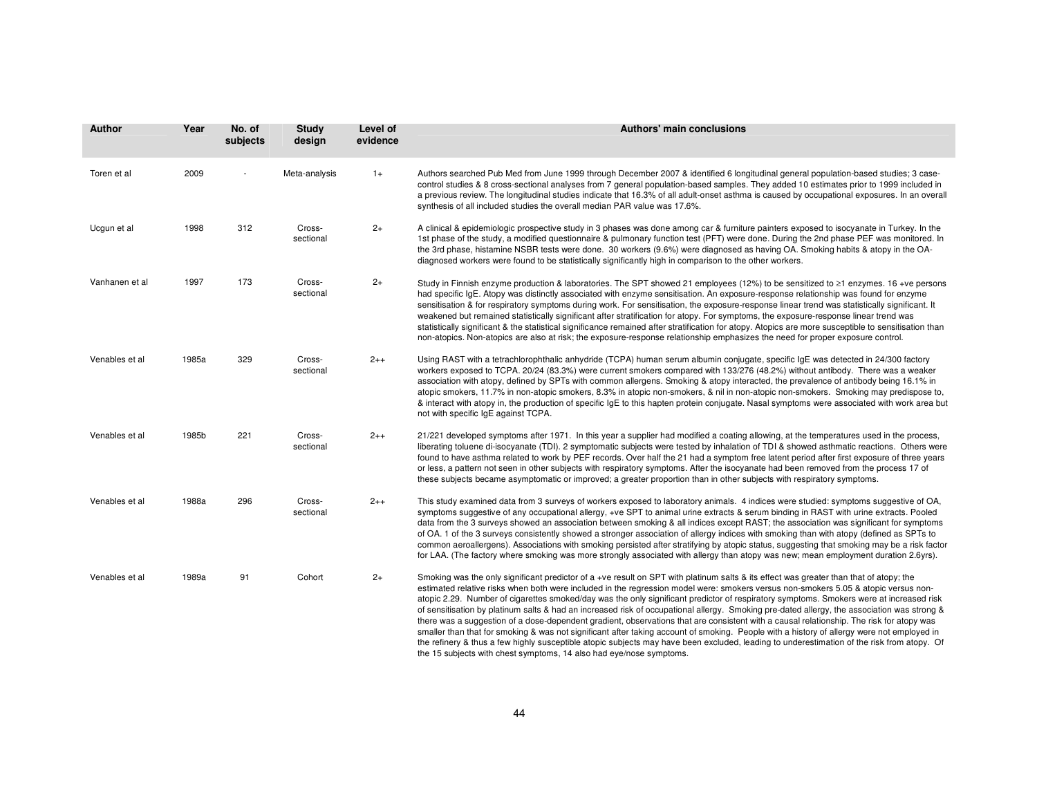| <b>Author</b>  | Year  | No. of<br>subjects | Study<br>design     | Level of<br>evidence | <b>Authors' main conclusions</b>                                                                                                                                                                                                                                                                                                                                                                                                                                                                                                                                                                                                                                                                                                                                                                                                                                                                                                                                                                                                                                                       |
|----------------|-------|--------------------|---------------------|----------------------|----------------------------------------------------------------------------------------------------------------------------------------------------------------------------------------------------------------------------------------------------------------------------------------------------------------------------------------------------------------------------------------------------------------------------------------------------------------------------------------------------------------------------------------------------------------------------------------------------------------------------------------------------------------------------------------------------------------------------------------------------------------------------------------------------------------------------------------------------------------------------------------------------------------------------------------------------------------------------------------------------------------------------------------------------------------------------------------|
| Toren et al    | 2009  |                    | Meta-analysis       | $1+$                 | Authors searched Pub Med from June 1999 through December 2007 & identified 6 longitudinal general population-based studies; 3 case-<br>control studies & 8 cross-sectional analyses from 7 general population-based samples. They added 10 estimates prior to 1999 included in<br>a previous review. The longitudinal studies indicate that 16.3% of all adult-onset asthma is caused by occupational exposures. In an overall<br>synthesis of all included studies the overall median PAR value was 17.6%.                                                                                                                                                                                                                                                                                                                                                                                                                                                                                                                                                                            |
| Ucgun et al    | 1998  | 312                | Cross-<br>sectional | $2+$                 | A clinical & epidemiologic prospective study in 3 phases was done among car & furniture painters exposed to isocyanate in Turkey. In the<br>1st phase of the study, a modified questionnaire & pulmonary function test (PFT) were done. During the 2nd phase PEF was monitored. In<br>the 3rd phase, histamine NSBR tests were done. 30 workers (9.6%) were diagnosed as having OA. Smoking habits & atopy in the OA-<br>diagnosed workers were found to be statistically significantly high in comparison to the other workers.                                                                                                                                                                                                                                                                                                                                                                                                                                                                                                                                                       |
| Vanhanen et al | 1997  | 173                | Cross-<br>sectional | $2+$                 | Study in Finnish enzyme production & laboratories. The SPT showed 21 employees (12%) to be sensitized to ≥1 enzymes. 16+ve persons<br>had specific IgE. Atopy was distinctly associated with enzyme sensitisation. An exposure-response relationship was found for enzyme<br>sensitisation & for respiratory symptoms during work. For sensitisation, the exposure-response linear trend was statistically significant. It<br>weakened but remained statistically significant after stratification for atopy. For symptoms, the exposure-response linear trend was<br>statistically significant & the statistical significance remained after stratification for atopy. Atopics are more susceptible to sensitisation than<br>non-atopics. Non-atopics are also at risk; the exposure-response relationship emphasizes the need for proper exposure control.                                                                                                                                                                                                                           |
| Venables et al | 1985a | 329                | Cross-<br>sectional | $2++$                | Using RAST with a tetrachlorophthalic anhydride (TCPA) human serum albumin conjugate, specific IgE was detected in 24/300 factory<br>workers exposed to TCPA. 20/24 (83.3%) were current smokers compared with 133/276 (48.2%) without antibody. There was a weaker<br>association with atopy, defined by SPTs with common allergens. Smoking & atopy interacted, the prevalence of antibody being 16.1% in<br>atopic smokers, 11.7% in non-atopic smokers, 8.3% in atopic non-smokers, & nil in non-atopic non-smokers. Smoking may predispose to,<br>& interact with atopy in, the production of specific IgE to this hapten protein conjugate. Nasal symptoms were associated with work area but<br>not with specific IgE against TCPA.                                                                                                                                                                                                                                                                                                                                             |
| Venables et al | 1985b | 221                | Cross-<br>sectional | $2++$                | 21/221 developed symptoms after 1971. In this year a supplier had modified a coating allowing, at the temperatures used in the process,<br>liberating toluene di-isocyanate (TDI). 2 symptomatic subjects were tested by inhalation of TDI & showed asthmatic reactions. Others were<br>found to have asthma related to work by PEF records. Over half the 21 had a symptom free latent period after first exposure of three years<br>or less, a pattern not seen in other subjects with respiratory symptoms. After the isocyanate had been removed from the process 17 of<br>these subjects became asymptomatic or improved; a greater proportion than in other subjects with respiratory symptoms.                                                                                                                                                                                                                                                                                                                                                                                  |
| Venables et al | 1988a | 296                | Cross-<br>sectional | $2++$                | This study examined data from 3 surveys of workers exposed to laboratory animals. 4 indices were studied: symptoms suggestive of OA,<br>symptoms suggestive of any occupational allergy, +ve SPT to animal urine extracts & serum binding in RAST with urine extracts. Pooled<br>data from the 3 surveys showed an association between smoking & all indices except RAST; the association was significant for symptoms<br>of OA. 1 of the 3 surveys consistently showed a stronger association of allergy indices with smoking than with atopy (defined as SPTs to<br>common aeroallergens). Associations with smoking persisted after stratifying by atopic status, suggesting that smoking may be a risk factor<br>for LAA. (The factory where smoking was more strongly associated with allergy than atopy was new; mean employment duration 2.6yrs).                                                                                                                                                                                                                               |
| Venables et al | 1989a | 91                 | Cohort              | $2+$                 | Smoking was the only significant predictor of a +ve result on SPT with platinum salts & its effect was greater than that of atopy; the<br>estimated relative risks when both were included in the regression model were: smokers versus non-smokers 5.05 & atopic versus non-<br>atopic 2.29. Number of cigarettes smoked/day was the only significant predictor of respiratory symptoms. Smokers were at increased risk<br>of sensitisation by platinum salts & had an increased risk of occupational allergy. Smoking pre-dated allergy, the association was strong &<br>there was a suggestion of a dose-dependent gradient, observations that are consistent with a causal relationship. The risk for atopy was<br>smaller than that for smoking & was not significant after taking account of smoking. People with a history of allergy were not employed in<br>the refinery & thus a few highly susceptible atopic subjects may have been excluded, leading to underestimation of the risk from atopy. Of<br>the 15 subjects with chest symptoms, 14 also had eye/nose symptoms. |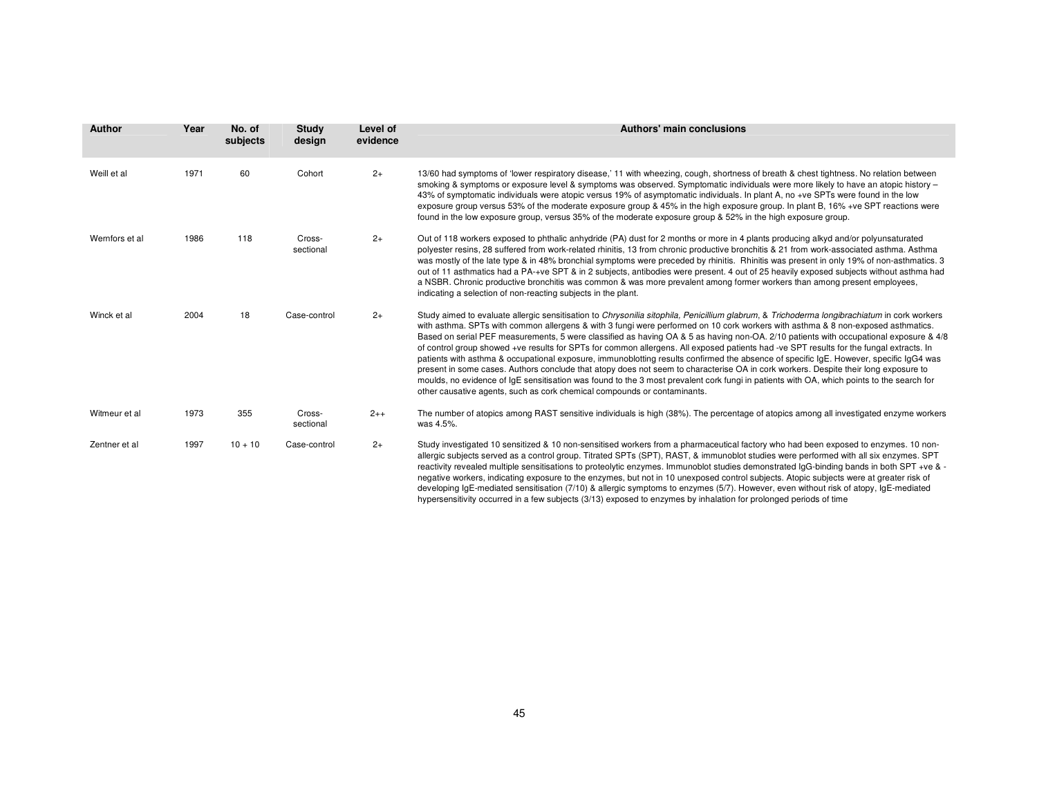| <b>Author</b>  | Year | No. of<br>subjects | Study<br>design     | Level of<br>evidence | Authors' main conclusions                                                                                                                                                                                                                                                                                                                                                                                                                                                                                                                                                                                                                                                                                                                                                                                                                                                                                                                                                                                                                                                     |
|----------------|------|--------------------|---------------------|----------------------|-------------------------------------------------------------------------------------------------------------------------------------------------------------------------------------------------------------------------------------------------------------------------------------------------------------------------------------------------------------------------------------------------------------------------------------------------------------------------------------------------------------------------------------------------------------------------------------------------------------------------------------------------------------------------------------------------------------------------------------------------------------------------------------------------------------------------------------------------------------------------------------------------------------------------------------------------------------------------------------------------------------------------------------------------------------------------------|
| Weill et al    | 1971 | 60                 | Cohort              | $2+$                 | 13/60 had symptoms of 'lower respiratory disease,' 11 with wheezing, cough, shortness of breath & chest tightness. No relation between<br>smoking & symptoms or exposure level & symptoms was observed. Symptomatic individuals were more likely to have an atopic history -<br>43% of symptomatic individuals were atopic versus 19% of asymptomatic individuals. In plant A, no +ve SPTs were found in the low<br>exposure group versus 53% of the moderate exposure group & 45% in the high exposure group. In plant B, 16% +ve SPT reactions were<br>found in the low exposure group, versus 35% of the moderate exposure group & 52% in the high exposure group.                                                                                                                                                                                                                                                                                                                                                                                                         |
| Wernfors et al | 1986 | 118                | Cross-<br>sectional | $2+$                 | Out of 118 workers exposed to phthalic anhydride (PA) dust for 2 months or more in 4 plants producing alkyd and/or polyunsaturated<br>polyester resins, 28 suffered from work-related rhinitis, 13 from chronic productive bronchitis & 21 from work-associated asthma. Asthma<br>was mostly of the late type & in 48% bronchial symptoms were preceded by rhinitis. Rhinitis was present in only 19% of non-asthmatics. 3<br>out of 11 asthmatics had a PA-+ve SPT & in 2 subjects, antibodies were present. 4 out of 25 heavily exposed subjects without asthma had<br>a NSBR. Chronic productive bronchitis was common & was more prevalent among former workers than among present employees,<br>indicating a selection of non-reacting subjects in the plant.                                                                                                                                                                                                                                                                                                            |
| Winck et al    | 2004 | 18                 | Case-control        | $2+$                 | Study aimed to evaluate allergic sensitisation to Chrysonilia sitophila, Penicillium glabrum, & Trichoderma longibrachiatum in cork workers<br>with asthma. SPTs with common allergens & with 3 fungi were performed on 10 cork workers with asthma & 8 non-exposed asthmatics.<br>Based on serial PEF measurements, 5 were classified as having OA & 5 as having non-OA. 2/10 patients with occupational exposure & 4/8<br>of control group showed +ve results for SPTs for common allergens. All exposed patients had -ve SPT results for the fungal extracts. In<br>patients with asthma & occupational exposure, immunoblotting results confirmed the absence of specific IgE. However, specific IgG4 was<br>present in some cases. Authors conclude that atopy does not seem to characterise OA in cork workers. Despite their long exposure to<br>moulds, no evidence of IgE sensitisation was found to the 3 most prevalent cork fungi in patients with OA, which points to the search for<br>other causative agents, such as cork chemical compounds or contaminants. |
| Witmeur et al  | 1973 | 355                | Cross-<br>sectional | $2++$                | The number of atopics among RAST sensitive individuals is high (38%). The percentage of atopics among all investigated enzyme workers<br>was 4.5%.                                                                                                                                                                                                                                                                                                                                                                                                                                                                                                                                                                                                                                                                                                                                                                                                                                                                                                                            |
| Zentner et al  | 1997 | $10 + 10$          | Case-control        | $2+$                 | Study investigated 10 sensitized & 10 non-sensitised workers from a pharmaceutical factory who had been exposed to enzymes. 10 non-<br>allergic subjects served as a control group. Titrated SPTs (SPT), RAST, & immunoblot studies were performed with all six enzymes. SPT<br>reactivity revealed multiple sensitisations to proteolytic enzymes. Immunoblot studies demonstrated IgG-binding bands in both SPT +ve & -<br>negative workers, indicating exposure to the enzymes, but not in 10 unexposed control subjects. Atopic subjects were at greater risk of<br>developing IgE-mediated sensitisation (7/10) & allergic symptoms to enzymes (5/7). However, even without risk of atopy, IgE-mediated<br>hypersensitivity occurred in a few subjects (3/13) exposed to enzymes by inhalation for prolonged periods of time                                                                                                                                                                                                                                             |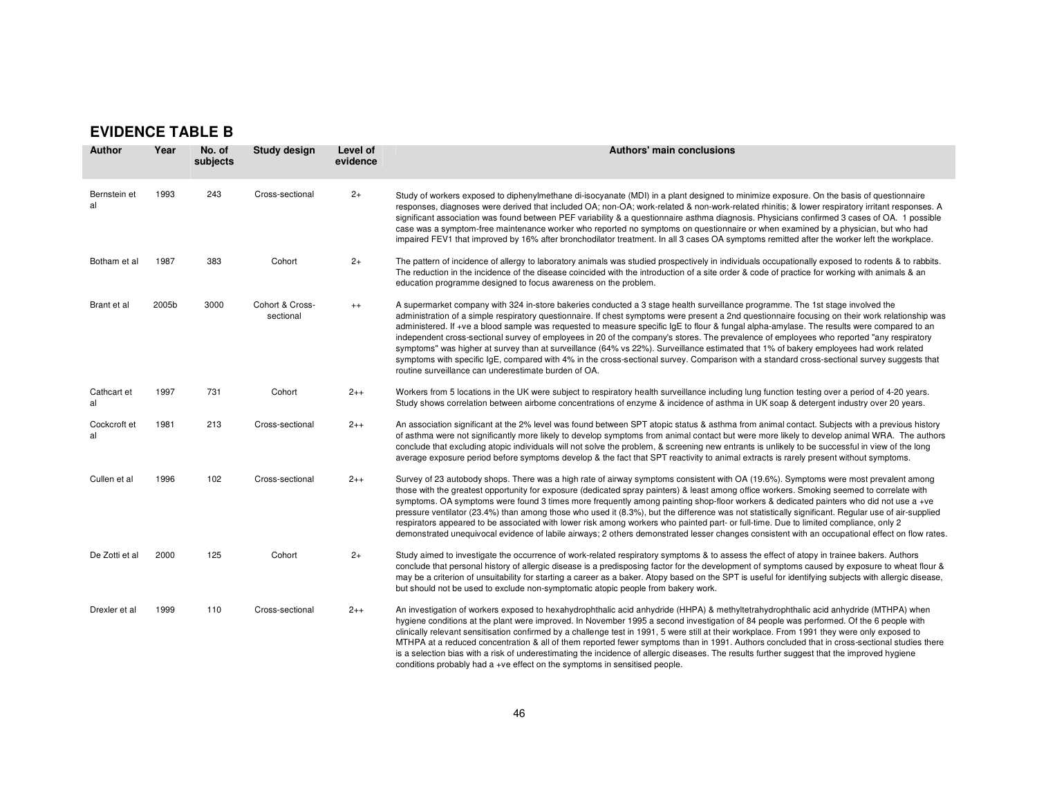## **EVIDENCE TABLE B**

| <b>Author</b>      | Year  | No. of<br>subjects | <b>Study design</b>          | Level of<br>evidence | Authors' main conclusions                                                                                                                                                                                                                                                                                                                                                                                                                                                                                                                                                                                                                                                                                                                                                                                                                                                                                                    |
|--------------------|-------|--------------------|------------------------------|----------------------|------------------------------------------------------------------------------------------------------------------------------------------------------------------------------------------------------------------------------------------------------------------------------------------------------------------------------------------------------------------------------------------------------------------------------------------------------------------------------------------------------------------------------------------------------------------------------------------------------------------------------------------------------------------------------------------------------------------------------------------------------------------------------------------------------------------------------------------------------------------------------------------------------------------------------|
| Bernstein et<br>al | 1993  | 243                | Cross-sectional              | $2+$                 | Study of workers exposed to diphenylmethane di-isocyanate (MDI) in a plant designed to minimize exposure. On the basis of questionnaire<br>responses, diagnoses were derived that included OA; non-OA; work-related & non-work-related rhinitis; & lower respiratory irritant responses. A<br>significant association was found between PEF variability & a questionnaire asthma diagnosis. Physicians confirmed 3 cases of OA. 1 possible<br>case was a symptom-free maintenance worker who reported no symptoms on questionnaire or when examined by a physician, but who had<br>impaired FEV1 that improved by 16% after bronchodilator treatment. In all 3 cases OA symptoms remitted after the worker left the workplace.                                                                                                                                                                                               |
| Botham et al       | 1987  | 383                | Cohort                       | $2+$                 | The pattern of incidence of allergy to laboratory animals was studied prospectively in individuals occupationally exposed to rodents & to rabbits.<br>The reduction in the incidence of the disease coincided with the introduction of a site order & code of practice for working with animals & an<br>education programme designed to focus awareness on the problem.                                                                                                                                                                                                                                                                                                                                                                                                                                                                                                                                                      |
| Brant et al        | 2005b | 3000               | Cohort & Cross-<br>sectional | $^{++}$              | A supermarket company with 324 in-store bakeries conducted a 3 stage health surveillance programme. The 1st stage involved the<br>administration of a simple respiratory questionnaire. If chest symptoms were present a 2nd questionnaire focusing on their work relationship was<br>administered. If +ve a blood sample was requested to measure specific IgE to flour & fungal alpha-amylase. The results were compared to an<br>independent cross-sectional survey of employees in 20 of the company's stores. The prevalence of employees who reported "any respiratory<br>symptoms" was higher at survey than at surveillance (64% vs 22%). Surveillance estimated that 1% of bakery employees had work related<br>symptoms with specific IgE, compared with 4% in the cross-sectional survey. Comparison with a standard cross-sectional survey suggests that<br>routine surveillance can underestimate burden of OA. |
| Cathcart et<br>al  | 1997  | 731                | Cohort                       | $2++$                | Workers from 5 locations in the UK were subject to respiratory health surveillance including lung function testing over a period of 4-20 years.<br>Study shows correlation between airborne concentrations of enzyme & incidence of asthma in UK soap & detergent industry over 20 years.                                                                                                                                                                                                                                                                                                                                                                                                                                                                                                                                                                                                                                    |
| Cockcroft et<br>al | 1981  | 213                | Cross-sectional              | $2++$                | An association significant at the 2% level was found between SPT atopic status & asthma from animal contact. Subjects with a previous history<br>of asthma were not significantly more likely to develop symptoms from animal contact but were more likely to develop animal WRA. The authors<br>conclude that excluding atopic individuals will not solve the problem, & screening new entrants is unlikely to be successful in view of the long<br>average exposure period before symptoms develop & the fact that SPT reactivity to animal extracts is rarely present without symptoms.                                                                                                                                                                                                                                                                                                                                   |
| Cullen et al       | 1996  | 102                | Cross-sectional              | $2++$                | Survey of 23 autobody shops. There was a high rate of airway symptoms consistent with OA (19.6%). Symptoms were most prevalent among<br>those with the greatest opportunity for exposure (dedicated spray painters) & least among office workers. Smoking seemed to correlate with<br>symptoms. OA symptoms were found 3 times more frequently among painting shop-floor workers & dedicated painters who did not use a +ve<br>pressure ventilator (23.4%) than among those who used it (8.3%), but the difference was not statistically significant. Regular use of air-supplied<br>respirators appeared to be associated with lower risk among workers who painted part- or full-time. Due to limited compliance, only 2<br>demonstrated unequivocal evidence of labile airways; 2 others demonstrated lesser changes consistent with an occupational effect on flow rates.                                                |
| De Zotti et al     | 2000  | 125                | Cohort                       | $2+$                 | Study aimed to investigate the occurrence of work-related respiratory symptoms & to assess the effect of atopy in trainee bakers. Authors<br>conclude that personal history of allergic disease is a predisposing factor for the development of symptoms caused by exposure to wheat flour &<br>may be a criterion of unsuitability for starting a career as a baker. Atopy based on the SPT is useful for identifying subjects with allergic disease,<br>but should not be used to exclude non-symptomatic atopic people from bakery work.                                                                                                                                                                                                                                                                                                                                                                                  |
| Drexler et al      | 1999  | 110                | Cross-sectional              | $2++$                | An investigation of workers exposed to hexahydrophthalic acid anhydride (HHPA) & methyltetrahydrophthalic acid anhydride (MTHPA) when<br>hygiene conditions at the plant were improved. In November 1995 a second investigation of 84 people was performed. Of the 6 people with<br>clinically relevant sensitisation confirmed by a challenge test in 1991, 5 were still at their workplace. From 1991 they were only exposed to<br>MTHPA at a reduced concentration & all of them reported fewer symptoms than in 1991. Authors concluded that in cross-sectional studies there<br>is a selection bias with a risk of underestimating the incidence of allergic diseases. The results further suggest that the improved hygiene<br>conditions probably had a +ve effect on the symptoms in sensitised people.                                                                                                              |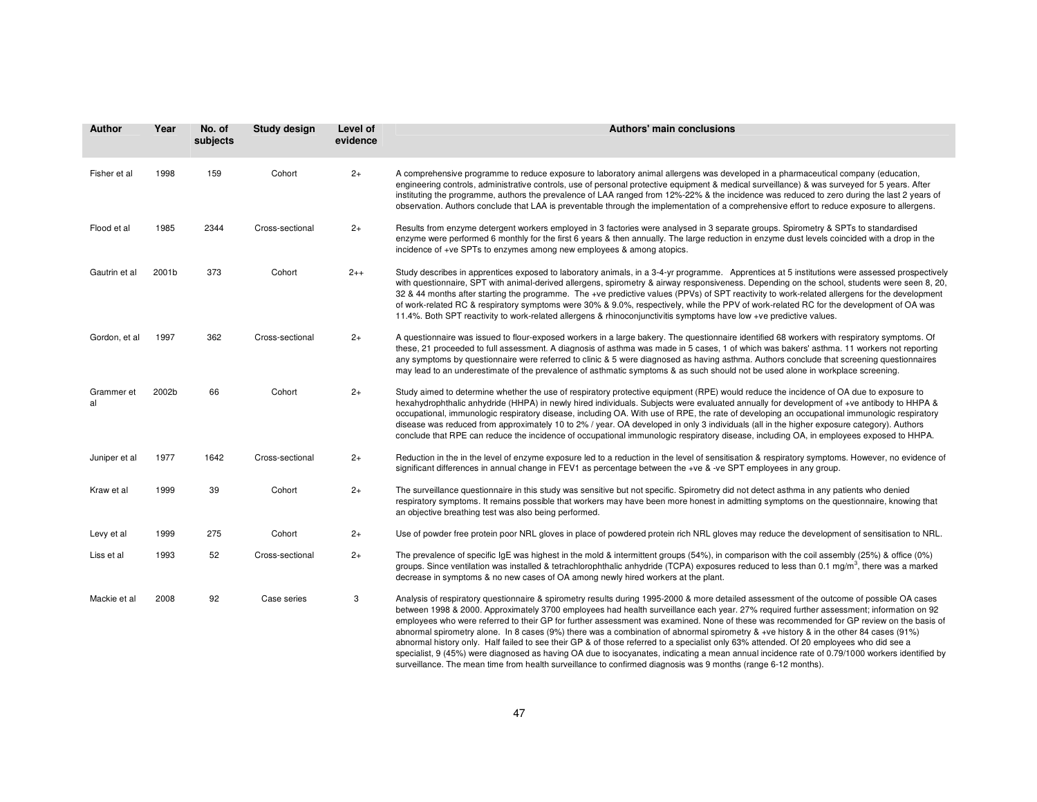| Author           | Year  | No. of<br>subjects | Study design    | Level of<br>evidence | Authors' main conclusions                                                                                                                                                                                                                                                                                                                                                                                                                                                                                                                                                                                                                                                                                                                                                                                                                                                   |
|------------------|-------|--------------------|-----------------|----------------------|-----------------------------------------------------------------------------------------------------------------------------------------------------------------------------------------------------------------------------------------------------------------------------------------------------------------------------------------------------------------------------------------------------------------------------------------------------------------------------------------------------------------------------------------------------------------------------------------------------------------------------------------------------------------------------------------------------------------------------------------------------------------------------------------------------------------------------------------------------------------------------|
| Fisher et al     | 1998  | 159                | Cohort          | $2+$                 | A comprehensive programme to reduce exposure to laboratory animal allergens was developed in a pharmaceutical company (education,<br>engineering controls, administrative controls, use of personal protective equipment & medical surveillance) & was surveyed for 5 years. After<br>instituting the programme, authors the prevalence of LAA ranged from 12%-22% & the incidence was reduced to zero during the last 2 years of<br>observation. Authors conclude that LAA is preventable through the implementation of a comprehensive effort to reduce exposure to allergens.                                                                                                                                                                                                                                                                                            |
| Flood et al      | 1985  | 2344               | Cross-sectional | $2+$                 | Results from enzyme detergent workers employed in 3 factories were analysed in 3 separate groups. Spirometry & SPTs to standardised<br>enzyme were performed 6 monthly for the first 6 years & then annually. The large reduction in enzyme dust levels coincided with a drop in the<br>incidence of +ve SPTs to enzymes among new employees & among atopics.                                                                                                                                                                                                                                                                                                                                                                                                                                                                                                               |
| Gautrin et al    | 2001b | 373                | Cohort          | $2++$                | Study describes in apprentices exposed to laboratory animals, in a 3-4-yr programme. Apprentices at 5 institutions were assessed prospectively<br>with questionnaire, SPT with animal-derived allergens, spirometry & airway responsiveness. Depending on the school, students were seen 8, 20,<br>32 & 44 months after starting the programme. The +ve predictive values (PPVs) of SPT reactivity to work-related allergens for the development<br>of work-related RC & respiratory symptoms were 30% & 9.0%, respectively, while the PPV of work-related RC for the development of OA was<br>11.4%. Both SPT reactivity to work-related allergens & rhinoconjunctivitis symptoms have low +ve predictive values.                                                                                                                                                          |
| Gordon, et al    | 1997  | 362                | Cross-sectional | $2+$                 | A questionnaire was issued to flour-exposed workers in a large bakery. The questionnaire identified 68 workers with respiratory symptoms. Of<br>these, 21 proceeded to full assessment. A diagnosis of asthma was made in 5 cases, 1 of which was bakers' asthma. 11 workers not reporting<br>any symptoms by questionnaire were referred to clinic & 5 were diagnosed as having asthma. Authors conclude that screening questionnaires<br>may lead to an underestimate of the prevalence of asthmatic symptoms & as such should not be used alone in workplace screening.                                                                                                                                                                                                                                                                                                  |
| Grammer et<br>al | 2002b | 66                 | Cohort          | $2+$                 | Study aimed to determine whether the use of respiratory protective equipment (RPE) would reduce the incidence of OA due to exposure to<br>hexahydrophthalic anhydride (HHPA) in newly hired individuals. Subjects were evaluated annually for development of +ve antibody to HHPA &<br>occupational, immunologic respiratory disease, including OA. With use of RPE, the rate of developing an occupational immunologic respiratory<br>disease was reduced from approximately 10 to 2% / year. OA developed in only 3 individuals (all in the higher exposure category). Authors<br>conclude that RPE can reduce the incidence of occupational immunologic respiratory disease, including OA, in employees exposed to HHPA.                                                                                                                                                 |
| Juniper et al    | 1977  | 1642               | Cross-sectional | $2+$                 | Reduction in the in the level of enzyme exposure led to a reduction in the level of sensitisation & respiratory symptoms. However, no evidence of<br>significant differences in annual change in FEV1 as percentage between the +ve & -ve SPT employees in any group.                                                                                                                                                                                                                                                                                                                                                                                                                                                                                                                                                                                                       |
| Kraw et al       | 1999  | 39                 | Cohort          | $2+$                 | The surveillance questionnaire in this study was sensitive but not specific. Spirometry did not detect asthma in any patients who denied<br>respiratory symptoms. It remains possible that workers may have been more honest in admitting symptoms on the questionnaire, knowing that<br>an objective breathing test was also being performed.                                                                                                                                                                                                                                                                                                                                                                                                                                                                                                                              |
| Levy et al       | 1999  | 275                | Cohort          | $2+$                 | Use of powder free protein poor NRL gloves in place of powdered protein rich NRL gloves may reduce the development of sensitisation to NRL.                                                                                                                                                                                                                                                                                                                                                                                                                                                                                                                                                                                                                                                                                                                                 |
| Liss et al       | 1993  | 52                 | Cross-sectional | $2+$                 | The prevalence of specific IgE was highest in the mold & intermittent groups (54%), in comparison with the coil assembly (25%) & office (0%)<br>groups. Since ventilation was installed & tetrachlorophthalic anhydride (TCPA) exposures reduced to less than 0.1 mg/m <sup>3</sup> , there was a marked<br>decrease in symptoms & no new cases of OA among newly hired workers at the plant.                                                                                                                                                                                                                                                                                                                                                                                                                                                                               |
| Mackie et al     | 2008  | 92                 | Case series     | 3                    | Analysis of respiratory questionnaire & spirometry results during 1995-2000 & more detailed assessment of the outcome of possible OA cases<br>between 1998 & 2000. Approximately 3700 employees had health surveillance each year. 27% required further assessment; information on 92<br>employees who were referred to their GP for further assessment was examined. None of these was recommended for GP review on the basis of<br>abnormal spirometry alone. In 8 cases (9%) there was a combination of abnormal spirometry $&$ +ve history $&$ in the other 84 cases (91%)<br>abnormal history only. Half failed to see their GP & of those referred to a specialist only 63% attended. Of 20 employees who did see a<br>specialist, 9 (45%) were diagnosed as having OA due to isocyanates, indicating a mean annual incidence rate of 0.79/1000 workers identified by |

surveillance. The mean time from health surveillance to confirmed diagnosis was 9 months (range 6-12 months).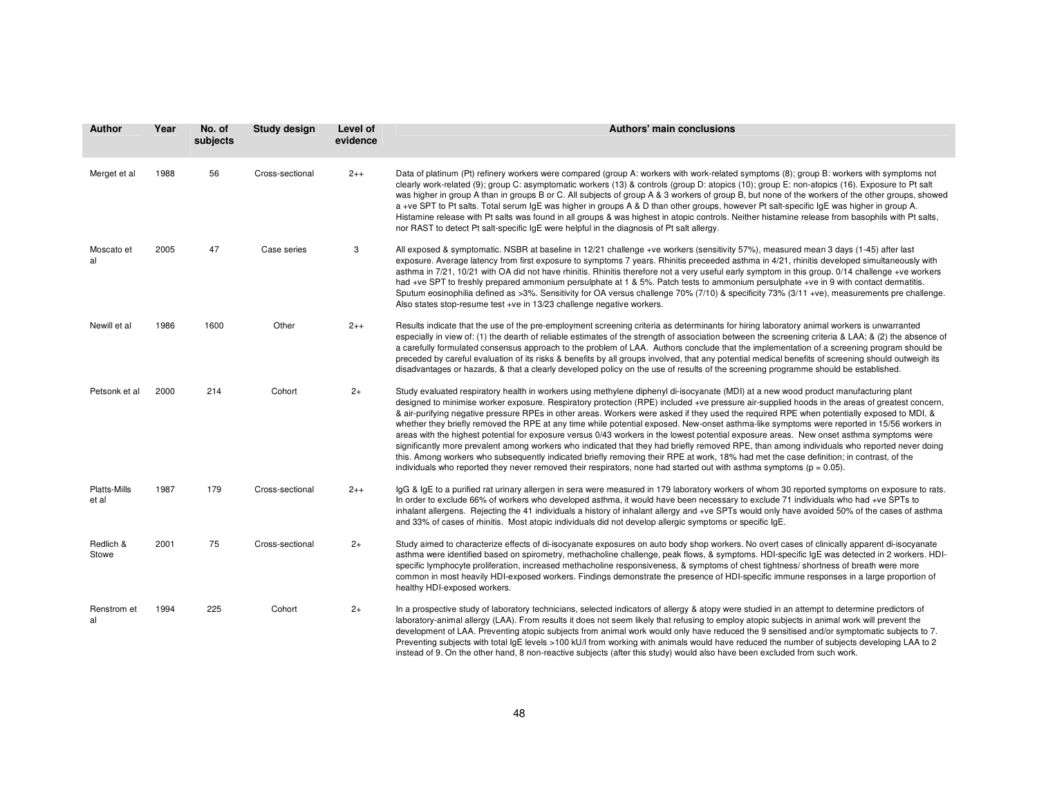| <b>Author</b>         | Year | No. of<br>subjects | Study design    | Level of<br>evidence | <b>Authors' main conclusions</b>                                                                                                                                                                                                                                                                                                                                                                                                                                                                                                                                                                                                                                                                                                                                                                                                                                                                                                                                                                                                                                                                                                                    |
|-----------------------|------|--------------------|-----------------|----------------------|-----------------------------------------------------------------------------------------------------------------------------------------------------------------------------------------------------------------------------------------------------------------------------------------------------------------------------------------------------------------------------------------------------------------------------------------------------------------------------------------------------------------------------------------------------------------------------------------------------------------------------------------------------------------------------------------------------------------------------------------------------------------------------------------------------------------------------------------------------------------------------------------------------------------------------------------------------------------------------------------------------------------------------------------------------------------------------------------------------------------------------------------------------|
| Merget et al          | 1988 | 56                 | Cross-sectional | $2++$                | Data of platinum (Pt) refinery workers were compared (group A: workers with work-related symptoms (8); group B: workers with symptoms not<br>clearly work-related (9); group C: asymptomatic workers (13) & controls (group D: atopics (10); group E: non-atopics (16). Exposure to Pt salt<br>was higher in group A than in groups B or C. All subjects of group A & 3 workers of group B, but none of the workers of the other groups, showed<br>a +ve SPT to Pt salts. Total serum IgE was higher in groups A & D than other groups, however Pt salt-specific IgE was higher in group A.<br>Histamine release with Pt salts was found in all groups & was highest in atopic controls. Neither histamine release from basophils with Pt salts,<br>nor RAST to detect Pt salt-specific IgE were helpful in the diagnosis of Pt salt allergy.                                                                                                                                                                                                                                                                                                       |
| Moscato et<br>al      | 2005 | 47                 | Case series     | 3                    | All exposed & symptomatic. NSBR at baseline in 12/21 challenge +ve workers (sensitivity 57%), measured mean 3 days (1-45) after last<br>exposure. Average latency from first exposure to symptoms 7 years. Rhinitis preceeded asthma in 4/21, rhinitis developed simultaneously with<br>asthma in 7/21, 10/21 with OA did not have rhinitis. Rhinitis therefore not a very useful early symptom in this group. 0/14 challenge +ve workers<br>had +ve SPT to freshly prepared ammonium persulphate at 1 & 5%. Patch tests to ammonium persulphate +ve in 9 with contact dermatitis.<br>Sputum eosinophilia defined as >3%. Sensitivity for OA versus challenge 70% (7/10) & specificity 73% (3/11 +ve), measurements pre challenge.<br>Also states stop-resume test +ve in 13/23 challenge negative workers.                                                                                                                                                                                                                                                                                                                                         |
| Newill et al          | 1986 | 1600               | Other           | $2++$                | Results indicate that the use of the pre-employment screening criteria as determinants for hiring laboratory animal workers is unwarranted<br>especially in view of: (1) the dearth of reliable estimates of the strength of association between the screening criteria & LAA; & (2) the absence of<br>a carefully formulated consensus approach to the problem of LAA. Authors conclude that the implementation of a screening program should be<br>preceded by careful evaluation of its risks & benefits by all groups involved, that any potential medical benefits of screening should outweigh its<br>disadvantages or hazards, & that a clearly developed policy on the use of results of the screening programme should be established.                                                                                                                                                                                                                                                                                                                                                                                                     |
| Petsonk et al         | 2000 | 214                | Cohort          | $2+$                 | Study evaluated respiratory health in workers using methylene diphenyl di-isocyanate (MDI) at a new wood product manufacturing plant<br>designed to minimise worker exposure. Respiratory protection (RPE) included +ve pressure air-supplied hoods in the areas of greatest concern,<br>& air-purifying negative pressure RPEs in other areas. Workers were asked if they used the required RPE when potentially exposed to MDI, &<br>whether they briefly removed the RPE at any time while potential exposed. New-onset asthma-like symptoms were reported in 15/56 workers in<br>areas with the highest potential for exposure versus 0/43 workers in the lowest potential exposure areas. New onset asthma symptoms were<br>significantly more prevalent among workers who indicated that they had briefly removed RPE, than among individuals who reported never doing<br>this. Among workers who subsequently indicated briefly removing their RPE at work, 18% had met the case definition; in contrast, of the<br>individuals who reported they never removed their respirators, none had started out with asthma symptoms ( $p = 0.05$ ). |
| Platts-Mills<br>et al | 1987 | 179                | Cross-sectional | $2++$                | IgG & IgE to a purified rat urinary allergen in sera were measured in 179 laboratory workers of whom 30 reported symptoms on exposure to rats.<br>In order to exclude 66% of workers who developed asthma, it would have been necessary to exclude 71 individuals who had +ve SPTs to<br>inhalant allergens. Rejecting the 41 individuals a history of inhalant allergy and +ve SPTs would only have avoided 50% of the cases of asthma<br>and 33% of cases of rhinitis. Most atopic individuals did not develop allergic symptoms or specific IgE.                                                                                                                                                                                                                                                                                                                                                                                                                                                                                                                                                                                                 |
| Redlich &<br>Stowe    | 2001 | 75                 | Cross-sectional | $2+$                 | Study aimed to characterize effects of di-isocyanate exposures on auto body shop workers. No overt cases of clinically apparent di-isocyanate<br>asthma were identified based on spirometry, methacholine challenge, peak flows, & symptoms. HDI-specific IgE was detected in 2 workers. HDI-<br>specific lymphocyte proliferation, increased methacholine responsiveness, & symptoms of chest tightness/shortness of breath were more<br>common in most heavily HDI-exposed workers. Findings demonstrate the presence of HDI-specific immune responses in a large proportion of<br>healthy HDI-exposed workers.                                                                                                                                                                                                                                                                                                                                                                                                                                                                                                                                   |
| Renstrom et<br>al     | 1994 | 225                | Cohort          | $2+$                 | In a prospective study of laboratory technicians, selected indicators of allergy & atopy were studied in an attempt to determine predictors of<br>laboratory-animal allergy (LAA). From results it does not seem likely that refusing to employ atopic subjects in animal work will prevent the<br>development of LAA. Preventing atopic subjects from animal work would only have reduced the 9 sensitised and/or symptomatic subjects to 7.<br>Preventing subjects with total IgE levels >100 kU/I from working with animals would have reduced the number of subjects developing LAA to 2<br>instead of 9. On the other hand, 8 non-reactive subjects (after this study) would also have been excluded from such work.                                                                                                                                                                                                                                                                                                                                                                                                                           |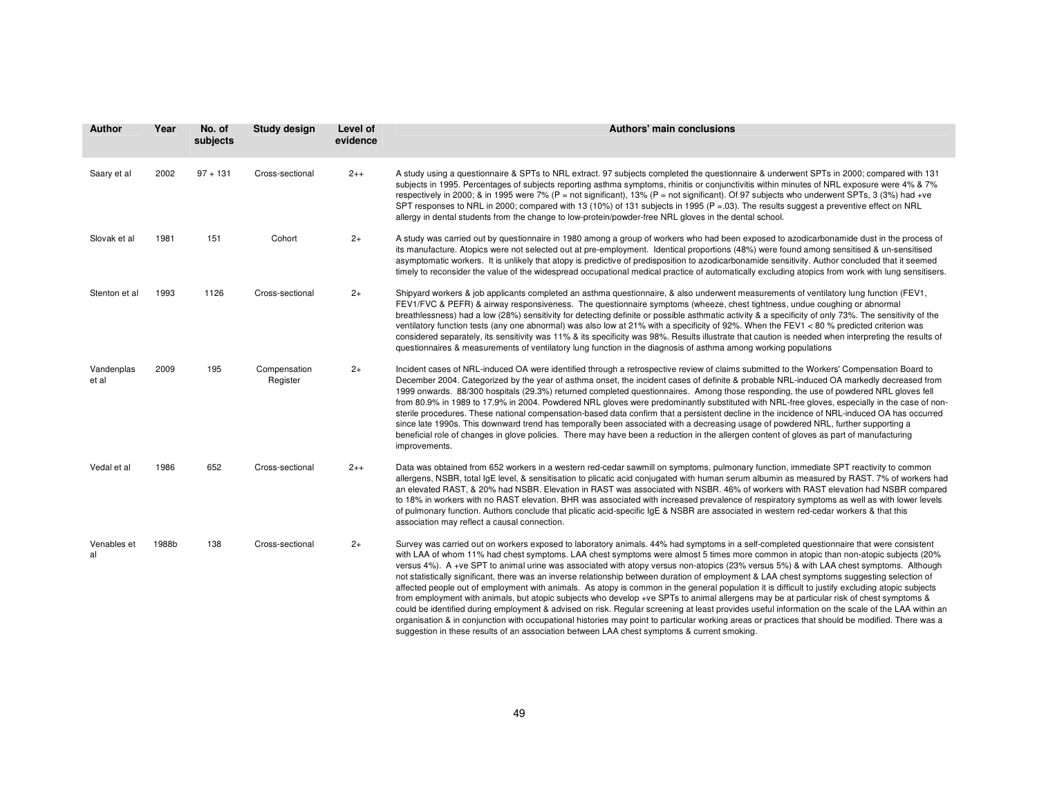| Author              | Year  | No. of<br>subjects | <b>Study design</b>      | Level of<br>evidence | <b>Authors' main conclusions</b>                                                                                                                                                                                                                                                                                                                                                                                                                                                                                                                                                                                                                                                                                                                                                                                                                                                                                                                                                                                                                                                                                                                                                                                                                                                    |
|---------------------|-------|--------------------|--------------------------|----------------------|-------------------------------------------------------------------------------------------------------------------------------------------------------------------------------------------------------------------------------------------------------------------------------------------------------------------------------------------------------------------------------------------------------------------------------------------------------------------------------------------------------------------------------------------------------------------------------------------------------------------------------------------------------------------------------------------------------------------------------------------------------------------------------------------------------------------------------------------------------------------------------------------------------------------------------------------------------------------------------------------------------------------------------------------------------------------------------------------------------------------------------------------------------------------------------------------------------------------------------------------------------------------------------------|
| Saary et al         | 2002  | $97 + 131$         | Cross-sectional          | $2++$                | A study using a questionnaire & SPTs to NRL extract. 97 subjects completed the questionnaire & underwent SPTs in 2000; compared with 131<br>subjects in 1995. Percentages of subjects reporting asthma symptoms, rhinitis or conjunctivitis within minutes of NRL exposure were 4% & 7%<br>respectively in 2000; & in 1995 were 7% (P = not significant), 13% (P = not significant). Of 97 subjects who underwent SPTs, 3 (3%) had +ve<br>SPT responses to NRL in 2000; compared with 13 (10%) of 131 subjects in 1995 ( $P = 03$ ). The results suggest a preventive effect on NRL<br>allergy in dental students from the change to low-protein/powder-free NRL gloves in the dental school.                                                                                                                                                                                                                                                                                                                                                                                                                                                                                                                                                                                       |
| Slovak et al        | 1981  | 151                | Cohort                   | $2+$                 | A study was carried out by questionnaire in 1980 among a group of workers who had been exposed to azodicarbonamide dust in the process of<br>its manufacture. Atopics were not selected out at pre-employment. Identical proportions (48%) were found among sensitised & un-sensitised<br>asymptomatic workers. It is unlikely that atopy is predictive of predisposition to azodicarbonamide sensitivity. Author concluded that it seemed<br>timely to reconsider the value of the widespread occupational medical practice of automatically excluding atopics from work with lung sensitisers.                                                                                                                                                                                                                                                                                                                                                                                                                                                                                                                                                                                                                                                                                    |
| Stenton et al       | 1993  | 1126               | Cross-sectional          | $2+$                 | Shipyard workers & job applicants completed an asthma questionnaire, & also underwent measurements of ventilatory lung function (FEV1,<br>FEV1/FVC & PEFR) & airway responsiveness. The questionnaire symptoms (wheeze, chest tightness, undue coughing or abnormal<br>breathlessness) had a low (28%) sensitivity for detecting definite or possible asthmatic activity & a specificity of only 73%. The sensitivity of the<br>ventilatory function tests (any one abnormal) was also low at 21% with a specificity of 92%. When the FEV1 < 80 % predicted criterion was<br>considered separately, its sensitivity was 11% & its specificity was 98%. Results illustrate that caution is needed when interpreting the results of<br>questionnaires & measurements of ventilatory lung function in the diagnosis of asthma among working populations                                                                                                                                                                                                                                                                                                                                                                                                                                |
| Vandenplas<br>et al | 2009  | 195                | Compensation<br>Register | $2+$                 | Incident cases of NRL-induced OA were identified through a retrospective review of claims submitted to the Workers' Compensation Board to<br>December 2004. Categorized by the year of asthma onset, the incident cases of definite & probable NRL-induced OA markedly decreased from<br>1999 onwards. 88/300 hospitals (29.3%) returned completed questionnaires. Among those responding, the use of powdered NRL gloves fell<br>from 80.9% in 1989 to 17.9% in 2004. Powdered NRL gloves were predominantly substituted with NRL-free gloves, especially in the case of non-<br>sterile procedures. These national compensation-based data confirm that a persistent decline in the incidence of NRL-induced OA has occurred<br>since late 1990s. This downward trend has temporally been associated with a decreasing usage of powdered NRL, further supporting a<br>beneficial role of changes in glove policies. There may have been a reduction in the allergen content of gloves as part of manufacturing<br>improvements.                                                                                                                                                                                                                                                   |
| Vedal et al         | 1986  | 652                | Cross-sectional          | $2++$                | Data was obtained from 652 workers in a western red-cedar sawmill on symptoms, pulmonary function, immediate SPT reactivity to common<br>allergens, NSBR, total IgE level, & sensitisation to plicatic acid conjugated with human serum albumin as measured by RAST. 7% of workers had<br>an elevated RAST, & 20% had NSBR. Elevation in RAST was associated with NSBR. 46% of workers with RAST elevation had NSBR compared<br>to 18% in workers with no RAST elevation. BHR was associated with increased prevalence of respiratory symptoms as well as with lower levels<br>of pulmonary function. Authors conclude that plicatic acid-specific IgE & NSBR are associated in western red-cedar workers & that this<br>association may reflect a causal connection.                                                                                                                                                                                                                                                                                                                                                                                                                                                                                                               |
| Venables et<br>al   | 1988b | 138                | Cross-sectional          | $2+$                 | Survey was carried out on workers exposed to laboratory animals. 44% had symptoms in a self-completed questionnaire that were consistent<br>with LAA of whom 11% had chest symptoms. LAA chest symptoms were almost 5 times more common in atopic than non-atopic subjects (20%<br>versus 4%). A +ve SPT to animal urine was associated with atopy versus non-atopics (23% versus 5%) & with LAA chest symptoms. Although<br>not statistically significant, there was an inverse relationship between duration of employment & LAA chest symptoms suggesting selection of<br>affected people out of employment with animals. As atopy is common in the general population it is difficult to justify excluding atopic subjects<br>from employment with animals, but atopic subjects who develop +ve SPTs to animal allergens may be at particular risk of chest symptoms &<br>could be identified during employment & advised on risk. Regular screening at least provides useful information on the scale of the LAA within an<br>organisation & in conjunction with occupational histories may point to particular working areas or practices that should be modified. There was a<br>suggestion in these results of an association between LAA chest symptoms & current smoking. |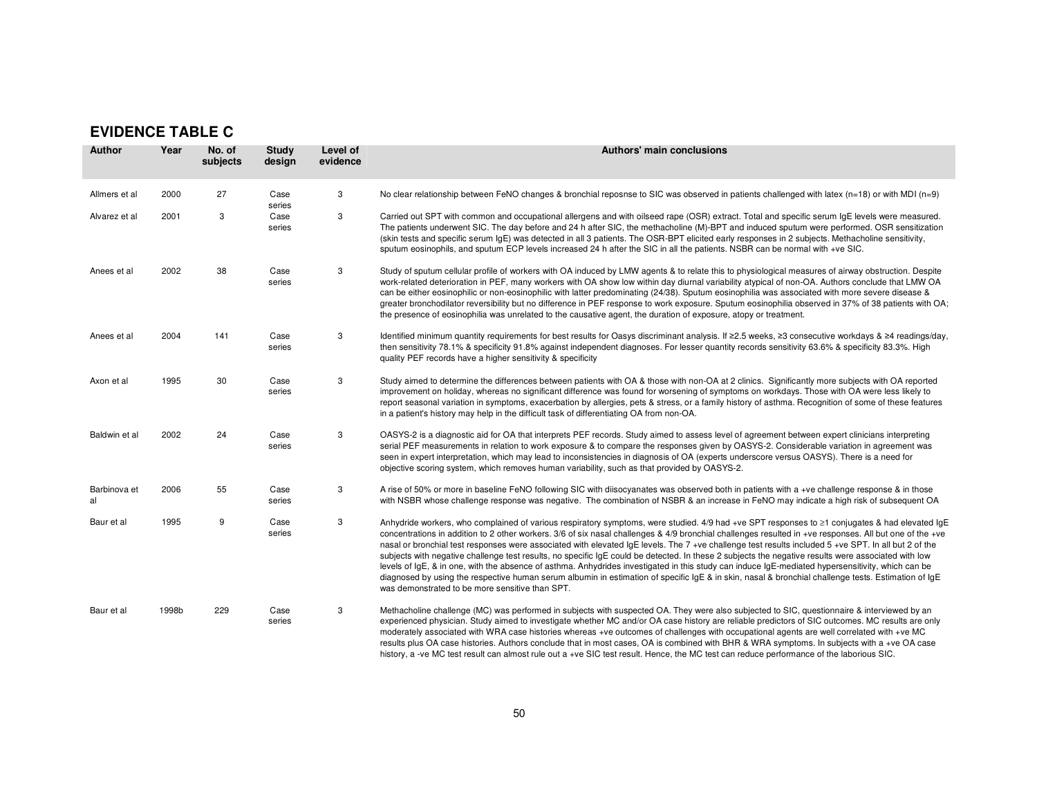## **EVIDENCE TABLE C**

| <b>Author</b>      | Year  | No. of<br>subjects | Study<br>design | Level of<br>evidence | Authors' main conclusions                                                                                                                                                                                                                                                                                                                                                                                                                                                                                                                                                                                                                                                                                                                                                                                                                                                                                                                                                               |
|--------------------|-------|--------------------|-----------------|----------------------|-----------------------------------------------------------------------------------------------------------------------------------------------------------------------------------------------------------------------------------------------------------------------------------------------------------------------------------------------------------------------------------------------------------------------------------------------------------------------------------------------------------------------------------------------------------------------------------------------------------------------------------------------------------------------------------------------------------------------------------------------------------------------------------------------------------------------------------------------------------------------------------------------------------------------------------------------------------------------------------------|
| Allmers et al      | 2000  | 27                 | Case<br>series  | 3                    | No clear relationship between FeNO changes & bronchial reposnse to SIC was observed in patients challenged with latex ( $n=18$ ) or with MDI ( $n=9$ )                                                                                                                                                                                                                                                                                                                                                                                                                                                                                                                                                                                                                                                                                                                                                                                                                                  |
| Alvarez et al      | 2001  | 3                  | Case<br>series  | 3                    | Carried out SPT with common and occupational allergens and with oilseed rape (OSR) extract. Total and specific serum IgE levels were measured.<br>The patients underwent SIC. The day before and 24 h after SIC, the methacholine (M)-BPT and induced sputum were performed. OSR sensitization<br>(skin tests and specific serum IgE) was detected in all 3 patients. The OSR-BPT elicited early responses in 2 subjects. Methacholine sensitivity,<br>sputum eosinophils, and sputum ECP levels increased 24 h after the SIC in all the patients. NSBR can be normal with +ve SIC.                                                                                                                                                                                                                                                                                                                                                                                                     |
| Anees et al        | 2002  | 38                 | Case<br>series  | 3                    | Study of sputum cellular profile of workers with OA induced by LMW agents & to relate this to physiological measures of airway obstruction. Despite<br>work-related deterioration in PEF, many workers with OA show low within day diurnal variability atypical of non-OA. Authors conclude that LMW OA<br>can be either eosinophilic or non-eosinophilic with latter predominating (24/38). Sputum eosinophilia was associated with more severe disease &<br>greater bronchodilator reversibility but no difference in PEF response to work exposure. Sputum eosinophilia observed in 37% of 38 patients with OA;<br>the presence of eosinophilia was unrelated to the causative agent, the duration of exposure, atopy or treatment.                                                                                                                                                                                                                                                  |
| Anees et al        | 2004  | 141                | Case<br>series  | 3                    | Identified minimum quantity requirements for best results for Oasys discriminant analysis. If ≥2.5 weeks, ≥3 consecutive workdays & ≥4 readings/day,<br>then sensitivity 78.1% & specificity 91.8% against independent diagnoses. For lesser quantity records sensitivity 63.6% & specificity 83.3%. High<br>quality PEF records have a higher sensitivity & specificity                                                                                                                                                                                                                                                                                                                                                                                                                                                                                                                                                                                                                |
| Axon et al         | 1995  | 30                 | Case<br>series  | 3                    | Study aimed to determine the differences between patients with OA & those with non-OA at 2 clinics. Significantly more subjects with OA reported<br>improvement on holiday, whereas no significant difference was found for worsening of symptoms on workdays. Those with OA were less likely to<br>report seasonal variation in symptoms, exacerbation by allergies, pets & stress, or a family history of asthma. Recognition of some of these features<br>in a patient's history may help in the difficult task of differentiating OA from non-OA.                                                                                                                                                                                                                                                                                                                                                                                                                                   |
| Baldwin et al      | 2002  | 24                 | Case<br>series  | 3                    | OASYS-2 is a diagnostic aid for OA that interprets PEF records. Study aimed to assess level of agreement between expert clinicians interpreting<br>serial PEF measurements in relation to work exposure & to compare the responses given by OASYS-2. Considerable variation in agreement was<br>seen in expert interpretation, which may lead to inconsistencies in diagnosis of OA (experts underscore versus OASYS). There is a need for<br>objective scoring system, which removes human variability, such as that provided by OASYS-2.                                                                                                                                                                                                                                                                                                                                                                                                                                              |
| Barbinova et<br>al | 2006  | 55                 | Case<br>series  | 3                    | A rise of 50% or more in baseline FeNO following SIC with diisocyanates was observed both in patients with a +ve challenge response & in those<br>with NSBR whose challenge response was negative. The combination of NSBR & an increase in FeNO may indicate a high risk of subsequent OA                                                                                                                                                                                                                                                                                                                                                                                                                                                                                                                                                                                                                                                                                              |
| Baur et al         | 1995  | 9                  | Case<br>series  | 3                    | Anhydride workers, who complained of various respiratory symptoms, were studied. 4/9 had +ve SPT responses to ≥1 conjugates & had elevated IgE<br>concentrations in addition to 2 other workers. 3/6 of six nasal challenges & 4/9 bronchial challenges resulted in +ve responses. All but one of the +ve<br>nasal or bronchial test responses were associated with elevated IgE levels. The 7 +ve challenge test results included 5 +ve SPT. In all but 2 of the<br>subjects with negative challenge test results, no specific IgE could be detected. In these 2 subjects the negative results were associated with low<br>levels of IgE, & in one, with the absence of asthma. Anhydrides investigated in this study can induce IgE-mediated hypersensitivity, which can be<br>diagnosed by using the respective human serum albumin in estimation of specific IgE & in skin, nasal & bronchial challenge tests. Estimation of IgE<br>was demonstrated to be more sensitive than SPT. |
| Baur et al         | 1998b | 229                | Case<br>series  | 3                    | Methacholine challenge (MC) was performed in subjects with suspected OA. They were also subjected to SIC, questionnaire & interviewed by an<br>experienced physician. Study aimed to investigate whether MC and/or OA case history are reliable predictors of SIC outcomes. MC results are only<br>moderately associated with WRA case histories whereas +ve outcomes of challenges with occupational agents are well correlated with +ve MC<br>results plus OA case histories. Authors conclude that in most cases, OA is combined with BHR & WRA symptoms. In subjects with a +ve OA case<br>history, a -ve MC test result can almost rule out a +ve SIC test result. Hence, the MC test can reduce performance of the laborious SIC.                                                                                                                                                                                                                                                 |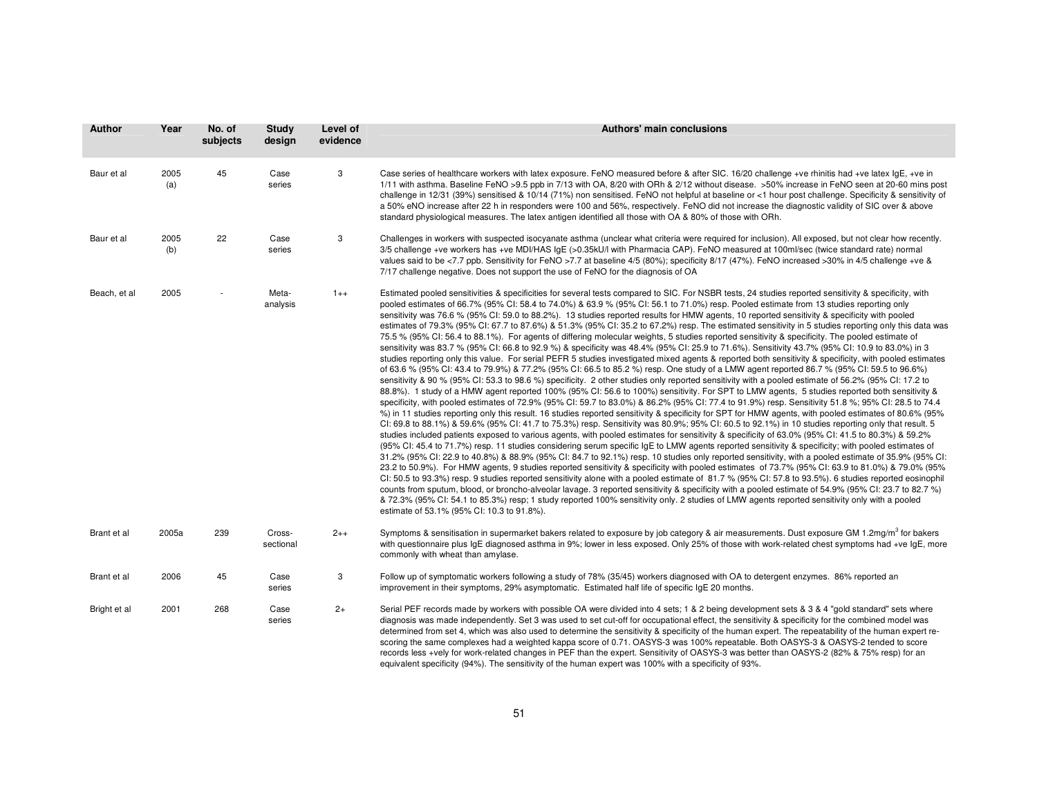| <b>Author</b> | Year        | No. of<br>subjects | <b>Study</b><br>design | Level of<br>evidence | Authors' main conclusions                                                                                                                                                                                                                                                                                                                                                                                                                                                                                                                                                                                                                                                                                                                                                                                                                                                                                                                                                                                                                                                                                                                                                                                                                                                                                                                                                                                                                                                                                                                                                                                                                                                                                                                                                                                                                                                                                                                                                                                                                                                                                                                                                                                                                                                                                                                                                                                                                                                                                                                                                                                                                                                                                                                                                                                                                                                                                                                                                                                                                                                                                                                 |
|---------------|-------------|--------------------|------------------------|----------------------|-------------------------------------------------------------------------------------------------------------------------------------------------------------------------------------------------------------------------------------------------------------------------------------------------------------------------------------------------------------------------------------------------------------------------------------------------------------------------------------------------------------------------------------------------------------------------------------------------------------------------------------------------------------------------------------------------------------------------------------------------------------------------------------------------------------------------------------------------------------------------------------------------------------------------------------------------------------------------------------------------------------------------------------------------------------------------------------------------------------------------------------------------------------------------------------------------------------------------------------------------------------------------------------------------------------------------------------------------------------------------------------------------------------------------------------------------------------------------------------------------------------------------------------------------------------------------------------------------------------------------------------------------------------------------------------------------------------------------------------------------------------------------------------------------------------------------------------------------------------------------------------------------------------------------------------------------------------------------------------------------------------------------------------------------------------------------------------------------------------------------------------------------------------------------------------------------------------------------------------------------------------------------------------------------------------------------------------------------------------------------------------------------------------------------------------------------------------------------------------------------------------------------------------------------------------------------------------------------------------------------------------------------------------------------------------------------------------------------------------------------------------------------------------------------------------------------------------------------------------------------------------------------------------------------------------------------------------------------------------------------------------------------------------------------------------------------------------------------------------------------------------------|
| Baur et al    | 2005<br>(a) | 45                 | Case<br>series         | 3                    | Case series of healthcare workers with latex exposure. FeNO measured before & after SIC. 16/20 challenge +ve rhinitis had +ve latex IgE, +ve in<br>1/11 with asthma. Baseline FeNO >9.5 ppb in 7/13 with OA, 8/20 with ORh & 2/12 without disease. >50% increase in FeNO seen at 20-60 mins post<br>challenge in 12/31 (39%) sensitised & 10/14 (71%) non sensitised. FeNO not helpful at baseline or <1 hour post challenge. Specificity & sensitivity of<br>a 50% eNO increase after 22 h in responders were 100 and 56%, respectively. FeNO did not increase the diagnostic validity of SIC over & above<br>standard physiological measures. The latex antigen identified all those with OA & 80% of those with ORh.                                                                                                                                                                                                                                                                                                                                                                                                                                                                                                                                                                                                                                                                                                                                                                                                                                                                                                                                                                                                                                                                                                                                                                                                                                                                                                                                                                                                                                                                                                                                                                                                                                                                                                                                                                                                                                                                                                                                                                                                                                                                                                                                                                                                                                                                                                                                                                                                                   |
| Baur et al    | 2005<br>(b) | 22                 | Case<br>series         | 3                    | Challenges in workers with suspected isocyanate asthma (unclear what criteria were required for inclusion). All exposed, but not clear how recently.<br>3/5 challenge +ve workers has +ve MDI/HAS IgE (>0.35kU/I with Pharmacia CAP). FeNO measured at 100mI/sec (twice standard rate) normal<br>values said to be <7.7 ppb. Sensitivity for FeNO >7.7 at baseline 4/5 (80%); specificity 8/17 (47%). FeNO increased >30% in 4/5 challenge +ve &<br>7/17 challenge negative. Does not support the use of FeNO for the diagnosis of OA                                                                                                                                                                                                                                                                                                                                                                                                                                                                                                                                                                                                                                                                                                                                                                                                                                                                                                                                                                                                                                                                                                                                                                                                                                                                                                                                                                                                                                                                                                                                                                                                                                                                                                                                                                                                                                                                                                                                                                                                                                                                                                                                                                                                                                                                                                                                                                                                                                                                                                                                                                                                     |
| Beach, et al  | 2005        |                    | Meta-<br>analysis      | $1++$                | Estimated pooled sensitivities & specificities for several tests compared to SIC. For NSBR tests, 24 studies reported sensitivity & specificity, with<br>pooled estimates of 66.7% (95% CI: 58.4 to 74.0%) & 63.9 % (95% CI: 56.1 to 71.0%) resp. Pooled estimate from 13 studies reporting only<br>sensitivity was 76.6 % (95% CI: 59.0 to 88.2%). 13 studies reported results for HMW agents, 10 reported sensitivity & specificity with pooled<br>estimates of 79.3% (95% CI: 67.7 to 87.6%) & 51.3% (95% CI: 35.2 to 67.2%) resp. The estimated sensitivity in 5 studies reporting only this data was<br>75.5 % (95% CI: 56.4 to 88.1%). For agents of differing molecular weights, 5 studies reported sensitivity & specificity. The pooled estimate of<br>sensitivity was 83.7 % (95% CI: 66.8 to 92.9 %) & specificity was 48.4% (95% CI: 25.9 to 71.6%). Sensitivity 43.7% (95% CI: 10.9 to 83.0%) in 3<br>studies reporting only this value. For serial PEFR 5 studies investigated mixed agents & reported both sensitivity & specificity, with pooled estimates<br>of 63.6 % (95% CI: 43.4 to 79.9%) & 77.2% (95% CI: 66.5 to 85.2 %) resp. One study of a LMW agent reported 86.7 % (95% CI: 59.5 to 96.6%)<br>sensitivity & 90 % (95% CI: 53.3 to 98.6 %) specificity. 2 other studies only reported sensitivity with a pooled estimate of 56.2% (95% CI: 17.2 to<br>88.8%). 1 study of a HMW agent reported 100% (95% CI: 56.6 to 100%) sensitivity. For SPT to LMW agents, 5 studies reported both sensitivity &<br>specificity, with pooled estimates of 72.9% (95% CI: 59.7 to 83.0%) & 86.2% (95% CI: 77.4 to 91.9%) resp. Sensitivity 51.8 %; 95% CI: 28.5 to 74.4<br>%) in 11 studies reporting only this result. 16 studies reported sensitivity & specificity for SPT for HMW agents, with pooled estimates of 80.6% (95%<br>CI: 69.8 to 88.1%) & 59.6% (95% CI: 41.7 to 75.3%) resp. Sensitivity was 80.9%; 95% CI: 60.5 to 92.1%) in 10 studies reporting only that result. 5<br>studies included patients exposed to various agents, with pooled estimates for sensitivity & specificity of 63.0% (95% CI: 41.5 to 80.3%) & 59.2%<br>(95% CI: 45.4 to 71.7%) resp. 11 studies considering serum specific IgE to LMW agents reported sensitivity & specificity; with pooled estimates of<br>31.2% (95% CI: 22.9 to 40.8%) & 88.9% (95% CI: 84.7 to 92.1%) resp. 10 studies only reported sensitivity, with a pooled estimate of 35.9% (95% CI:<br>23.2 to 50.9%). For HMW agents, 9 studies reported sensitivity & specificity with pooled estimates of 73.7% (95% CI: 63.9 to 81.0%) & 79.0% (95%<br>CI: 50.5 to 93.3%) resp. 9 studies reported sensitivity alone with a pooled estimate of 81.7% (95% CI: 57.8 to 93.5%). 6 studies reported eosinophil<br>counts from sputum, blood, or broncho-alveolar lavage. 3 reported sensitivity & specificity with a pooled estimate of 54.9% (95% CI: 23.7 to 82.7 %)<br>& 72.3% (95% CI: 54.1 to 85.3%) resp; 1 study reported 100% sensitivity only. 2 studies of LMW agents reported sensitivity only with a pooled<br>estimate of 53.1% (95% CI: 10.3 to 91.8%). |
| Brant et al   | 2005a       | 239                | Cross-<br>sectional    | $2++$                | Symptoms & sensitisation in supermarket bakers related to exposure by job category & air measurements. Dust exposure GM 1.2mg/m <sup>3</sup> for bakers<br>with questionnaire plus IgE diagnosed asthma in 9%; lower in less exposed. Only 25% of those with work-related chest symptoms had +ve IgE, more<br>commonly with wheat than amylase.                                                                                                                                                                                                                                                                                                                                                                                                                                                                                                                                                                                                                                                                                                                                                                                                                                                                                                                                                                                                                                                                                                                                                                                                                                                                                                                                                                                                                                                                                                                                                                                                                                                                                                                                                                                                                                                                                                                                                                                                                                                                                                                                                                                                                                                                                                                                                                                                                                                                                                                                                                                                                                                                                                                                                                                           |
| Brant et al   | 2006        | 45                 | Case<br>series         | 3                    | Follow up of symptomatic workers following a study of 78% (35/45) workers diagnosed with OA to detergent enzymes. 86% reported an<br>improvement in their symptoms, 29% asymptomatic. Estimated half life of specific IgE 20 months.                                                                                                                                                                                                                                                                                                                                                                                                                                                                                                                                                                                                                                                                                                                                                                                                                                                                                                                                                                                                                                                                                                                                                                                                                                                                                                                                                                                                                                                                                                                                                                                                                                                                                                                                                                                                                                                                                                                                                                                                                                                                                                                                                                                                                                                                                                                                                                                                                                                                                                                                                                                                                                                                                                                                                                                                                                                                                                      |
| Bright et al  | 2001        | 268                | Case<br>series         | $2+$                 | Serial PEF records made by workers with possible OA were divided into 4 sets; 1 & 2 being development sets & 3 & 4 "gold standard" sets where<br>diagnosis was made independently. Set 3 was used to set cut-off for occupational effect, the sensitivity & specificity for the combined model was<br>determined from set 4, which was also used to determine the sensitivity & specificity of the human expert. The repeatability of the human expert re-<br>scoring the same complexes had a weighted kappa score of 0.71. OASYS-3 was 100% repeatable. Both OASYS-3 & OASYS-2 tended to score<br>records less +vely for work-related changes in PEF than the expert. Sensitivity of OASYS-3 was better than OASYS-2 (82% & 75% resp) for an<br>equivalent specificity (94%). The sensitivity of the human expert was 100% with a specificity of 93%.                                                                                                                                                                                                                                                                                                                                                                                                                                                                                                                                                                                                                                                                                                                                                                                                                                                                                                                                                                                                                                                                                                                                                                                                                                                                                                                                                                                                                                                                                                                                                                                                                                                                                                                                                                                                                                                                                                                                                                                                                                                                                                                                                                                                                                                                                   |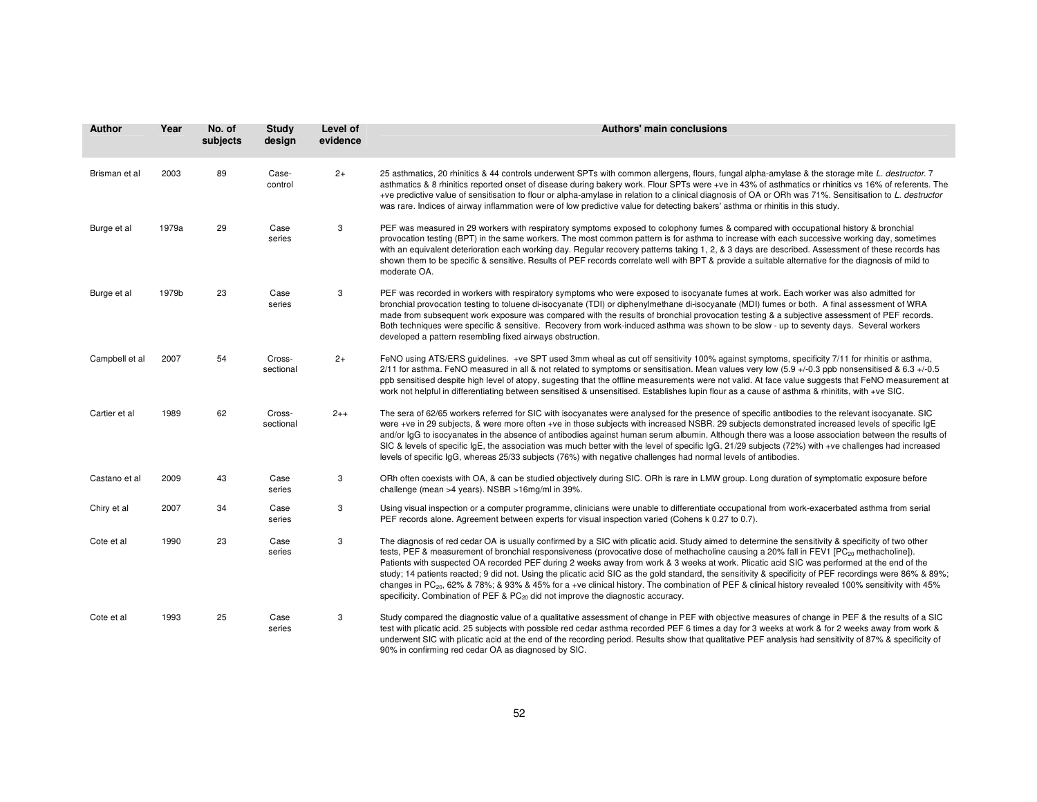| Author         | Year  | No. of<br>subjects | <b>Study</b><br>design | Level of<br>evidence | Authors' main conclusions                                                                                                                                                                                                                                                                                                                                                                                                                                                                                                                                                                                                                                                                                                                                                                                                                                                            |
|----------------|-------|--------------------|------------------------|----------------------|--------------------------------------------------------------------------------------------------------------------------------------------------------------------------------------------------------------------------------------------------------------------------------------------------------------------------------------------------------------------------------------------------------------------------------------------------------------------------------------------------------------------------------------------------------------------------------------------------------------------------------------------------------------------------------------------------------------------------------------------------------------------------------------------------------------------------------------------------------------------------------------|
| Brisman et al  | 2003  | 89                 | Case-<br>control       | $2+$                 | 25 asthmatics, 20 rhinitics & 44 controls underwent SPTs with common allergens, flours, fungal alpha-amylase & the storage mite L. destructor. 7<br>asthmatics & 8 rhinitics reported onset of disease during bakery work. Flour SPTs were +ve in 43% of asthmatics or rhinitics vs 16% of referents. The<br>+ve predictive value of sensitisation to flour or alpha-amylase in relation to a clinical diagnosis of OA or ORh was 71%. Sensitisation to L. destructor<br>was rare. Indices of airway inflammation were of low predictive value for detecting bakers' asthma or rhinitis in this study.                                                                                                                                                                                                                                                                               |
| Burge et al    | 1979a | 29                 | Case<br>series         | 3                    | PEF was measured in 29 workers with respiratory symptoms exposed to colophony fumes & compared with occupational history & bronchial<br>provocation testing (BPT) in the same workers. The most common pattern is for asthma to increase with each successive working day, sometimes<br>with an equivalent deterioration each working day. Regular recovery patterns taking 1, 2, & 3 days are described. Assessment of these records has<br>shown them to be specific & sensitive. Results of PEF records correlate well with BPT & provide a suitable alternative for the diagnosis of mild to<br>moderate OA.                                                                                                                                                                                                                                                                     |
| Burge et al    | 1979b | 23                 | Case<br>series         | 3                    | PEF was recorded in workers with respiratory symptoms who were exposed to isocyanate fumes at work. Each worker was also admitted for<br>bronchial provocation testing to toluene di-isocyanate (TDI) or diphenylmethane di-isocyanate (MDI) fumes or both. A final assessment of WRA<br>made from subsequent work exposure was compared with the results of bronchial provocation testing & a subjective assessment of PEF records.<br>Both techniques were specific & sensitive. Recovery from work-induced asthma was shown to be slow - up to seventy days. Several workers<br>developed a pattern resembling fixed airways obstruction.                                                                                                                                                                                                                                         |
| Campbell et al | 2007  | 54                 | Cross-<br>sectional    | $2+$                 | FeNO using ATS/ERS guidelines. +ve SPT used 3mm wheal as cut off sensitivity 100% against symptoms, specificity 7/11 for rhinitis or asthma,<br>2/11 for asthma. FeNO measured in all & not related to symptoms or sensitisation. Mean values very low (5.9 +/-0.3 ppb nonsensitised & 6.3 +/-0.5<br>ppb sensitised despite high level of atopy, sugesting that the offline measurements were not valid. At face value suggests that FeNO measurement at<br>work not helpful in differentiating between sensitised & unsensitised. Establishes lupin flour as a cause of asthma & rhinitits, with +ve SIC.                                                                                                                                                                                                                                                                           |
| Cartier et al  | 1989  | 62                 | Cross-<br>sectional    | $2++$                | The sera of 62/65 workers referred for SIC with isocyanates were analysed for the presence of specific antibodies to the relevant isocyanate. SIC<br>were +ve in 29 subjects, & were more often +ve in those subjects with increased NSBR. 29 subjects demonstrated increased levels of specific IgE<br>and/or IgG to isocyanates in the absence of antibodies against human serum albumin. Although there was a loose association between the results of<br>SIC & levels of specific IgE, the association was much better with the level of specific IgG. 21/29 subjects (72%) with +ve challenges had increased<br>levels of specific IgG, whereas 25/33 subjects (76%) with negative challenges had normal levels of antibodies.                                                                                                                                                  |
| Castano et al  | 2009  | 43                 | Case<br>series         | 3                    | ORh often coexists with OA, & can be studied objectively during SIC. ORh is rare in LMW group. Long duration of symptomatic exposure before<br>challenge (mean >4 years). NSBR >16mg/ml in 39%.                                                                                                                                                                                                                                                                                                                                                                                                                                                                                                                                                                                                                                                                                      |
| Chiry et al    | 2007  | 34                 | Case<br>series         | 3                    | Using visual inspection or a computer programme, clinicians were unable to differentiate occupational from work-exacerbated asthma from serial<br>PEF records alone. Agreement between experts for visual inspection varied (Cohens k 0.27 to 0.7).                                                                                                                                                                                                                                                                                                                                                                                                                                                                                                                                                                                                                                  |
| Cote et al     | 1990  | 23                 | Case<br>series         | 3                    | The diagnosis of red cedar OA is usually confirmed by a SIC with plicatic acid. Study aimed to determine the sensitivity & specificity of two other<br>tests, PEF & measurement of bronchial responsiveness (provocative dose of methacholine causing a 20% fall in FEV1 [PC <sub>20</sub> methacholine]).<br>Patients with suspected OA recorded PEF during 2 weeks away from work & 3 weeks at work. Plicatic acid SIC was performed at the end of the<br>study; 14 patients reacted; 9 did not. Using the plicatic acid SIC as the gold standard, the sensitivity & specificity of PEF recordings were 86% & 89%;<br>changes in PC <sub>20</sub> , 62% & 78%; & 93% & 45% for a +ve clinical history. The combination of PEF & clinical history revealed 100% sensitivity with 45%<br>specificity. Combination of PEF & PC <sub>20</sub> did not improve the diagnostic accuracy. |
| Cote et al     | 1993  | 25                 | Case<br>series         | 3                    | Study compared the diagnostic value of a qualitative assessment of change in PEF with objective measures of change in PEF & the results of a SIC<br>test with plicatic acid. 25 subjects with possible red cedar asthma recorded PEF 6 times a day for 3 weeks at work & for 2 weeks away from work &<br>underwent SIC with plicatic acid at the end of the recording period. Results show that qualitative PEF analysis had sensitivity of 87% & specificity of<br>90% in confirming red cedar OA as diagnosed by SIC.                                                                                                                                                                                                                                                                                                                                                              |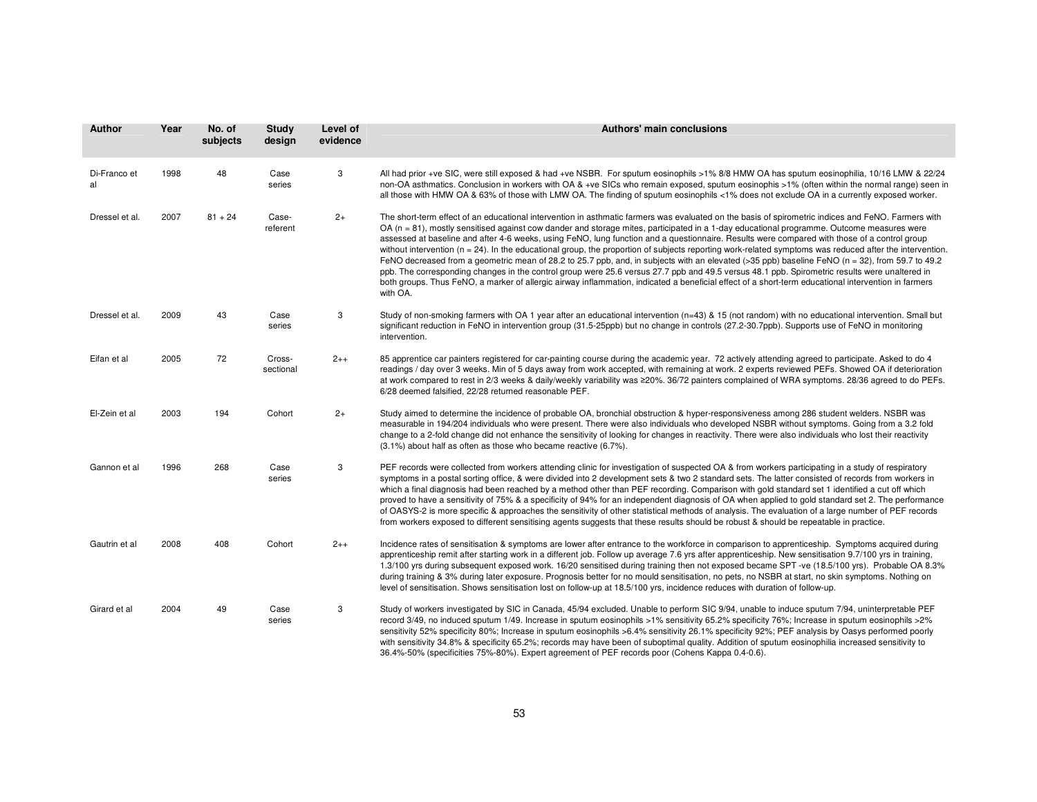| <b>Author</b>      | Year | No. of<br>subjects | Study<br>design     | Level of<br>evidence | Authors' main conclusions                                                                                                                                                                                                                                                                                                                                                                                                                                                                                                                                                                                                                                                                                                                                                                                                                                                                                                                                                                                                                                                             |
|--------------------|------|--------------------|---------------------|----------------------|---------------------------------------------------------------------------------------------------------------------------------------------------------------------------------------------------------------------------------------------------------------------------------------------------------------------------------------------------------------------------------------------------------------------------------------------------------------------------------------------------------------------------------------------------------------------------------------------------------------------------------------------------------------------------------------------------------------------------------------------------------------------------------------------------------------------------------------------------------------------------------------------------------------------------------------------------------------------------------------------------------------------------------------------------------------------------------------|
| Di-Franco et<br>al | 1998 | 48                 | Case<br>series      | 3                    | All had prior +ve SIC, were still exposed & had +ve NSBR. For sputum eosinophils >1% 8/8 HMW OA has sputum eosinophilia, 10/16 LMW & 22/24<br>non-OA asthmatics. Conclusion in workers with OA & +ve SICs who remain exposed, sputum eosinophis >1% (often within the normal range) seen in<br>all those with HMW OA & 63% of those with LMW OA. The finding of sputum eosinophils <1% does not exclude OA in a currently exposed worker.                                                                                                                                                                                                                                                                                                                                                                                                                                                                                                                                                                                                                                             |
| Dressel et al.     | 2007 | $81 + 24$          | Case-<br>referent   | $2+$                 | The short-term effect of an educational intervention in asthmatic farmers was evaluated on the basis of spirometric indices and FeNO. Farmers with<br>OA (n = 81), mostly sensitised against cow dander and storage mites, participated in a 1-day educational programme. Outcome measures were<br>assessed at baseline and after 4-6 weeks, using FeNO, lung function and a questionnaire. Results were compared with those of a control group<br>without intervention ( $n = 24$ ). In the educational group, the proportion of subjects reporting work-related symptoms was reduced after the intervention.<br>FeNO decreased from a geometric mean of 28.2 to 25.7 ppb, and, in subjects with an elevated (>35 ppb) baseline FeNO (n = 32), from 59.7 to 49.2<br>ppb. The corresponding changes in the control group were 25.6 versus 27.7 ppb and 49.5 versus 48.1 ppb. Spirometric results were unaltered in<br>both groups. Thus FeNO, a marker of allergic airway inflammation, indicated a beneficial effect of a short-term educational intervention in farmers<br>with OA. |
| Dressel et al.     | 2009 | 43                 | Case<br>series      | 3                    | Study of non-smoking farmers with OA 1 year after an educational intervention (n=43) & 15 (not random) with no educational intervention. Small but<br>significant reduction in FeNO in intervention group (31.5-25ppb) but no change in controls (27.2-30.7ppb). Supports use of FeNO in monitoring<br>intervention.                                                                                                                                                                                                                                                                                                                                                                                                                                                                                                                                                                                                                                                                                                                                                                  |
| Eifan et al        | 2005 | 72                 | Cross-<br>sectional | $2++$                | 85 apprentice car painters registered for car-painting course during the academic year. 72 actively attending agreed to participate. Asked to do 4<br>readings / day over 3 weeks. Min of 5 days away from work accepted, with remaining at work. 2 experts reviewed PEFs. Showed OA if deterioration<br>at work compared to rest in 2/3 weeks & daily/weekly variability was ≥20%. 36/72 painters complained of WRA symptoms. 28/36 agreed to do PEFs.<br>6/28 deemed falsified, 22/28 returned reasonable PEF.                                                                                                                                                                                                                                                                                                                                                                                                                                                                                                                                                                      |
| El-Zein et al      | 2003 | 194                | Cohort              | $2+$                 | Study aimed to determine the incidence of probable OA, bronchial obstruction & hyper-responsiveness among 286 student welders. NSBR was<br>measurable in 194/204 individuals who were present. There were also individuals who developed NSBR without symptoms. Going from a 3.2 fold<br>change to a 2-fold change did not enhance the sensitivity of looking for changes in reactivity. There were also individuals who lost their reactivity<br>(3.1%) about half as often as those who became reactive (6.7%).                                                                                                                                                                                                                                                                                                                                                                                                                                                                                                                                                                     |
| Gannon et al       | 1996 | 268                | Case<br>series      | 3                    | PEF records were collected from workers attending clinic for investigation of suspected OA & from workers participating in a study of respiratory<br>symptoms in a postal sorting office, & were divided into 2 development sets & two 2 standard sets. The latter consisted of records from workers in<br>which a final diagnosis had been reached by a method other than PEF recording. Comparison with gold standard set 1 identified a cut off which<br>proved to have a sensitivity of 75% & a specificity of 94% for an independent diagnosis of OA when applied to gold standard set 2. The performance<br>of OASYS-2 is more specific & approaches the sensitivity of other statistical methods of analysis. The evaluation of a large number of PEF records<br>from workers exposed to different sensitising agents suggests that these results should be robust & should be repeatable in practice.                                                                                                                                                                         |
| Gautrin et al      | 2008 | 408                | Cohort              | $2++$                | Incidence rates of sensitisation & symptoms are lower after entrance to the workforce in comparison to apprenticeship. Symptoms acquired during<br>apprenticeship remit after starting work in a different job. Follow up average 7.6 yrs after apprenticeship. New sensitisation 9.7/100 yrs in training,<br>1.3/100 yrs during subsequent exposed work. 16/20 sensitised during training then not exposed became SPT -ve (18.5/100 yrs). Probable OA 8.3%<br>during training & 3% during later exposure. Prognosis better for no mould sensitisation, no pets, no NSBR at start, no skin symptoms. Nothing on<br>level of sensitisation. Shows sensitisation lost on follow-up at 18.5/100 yrs, incidence reduces with duration of follow-up.                                                                                                                                                                                                                                                                                                                                       |
| Girard et al       | 2004 | 49                 | Case<br>series      | 3                    | Study of workers investigated by SIC in Canada, 45/94 excluded. Unable to perform SIC 9/94, unable to induce sputum 7/94, uninterpretable PEF<br>record 3/49, no induced sputum 1/49. Increase in sputum eosinophils >1% sensitivity 65.2% specificity 76%; Increase in sputum eosinophils >2%<br>sensitivity 52% specificity 80%; Increase in sputum eosinophils >6.4% sensitivity 26.1% specificity 92%; PEF analysis by Oasys performed poorly<br>with sensitivity 34.8% & specificity 65.2%; records may have been of suboptimal quality. Addition of sputum eosinophilia increased sensitivity to<br>36.4%-50% (specificities 75%-80%). Expert agreement of PEF records poor (Cohens Kappa 0.4-0.6).                                                                                                                                                                                                                                                                                                                                                                             |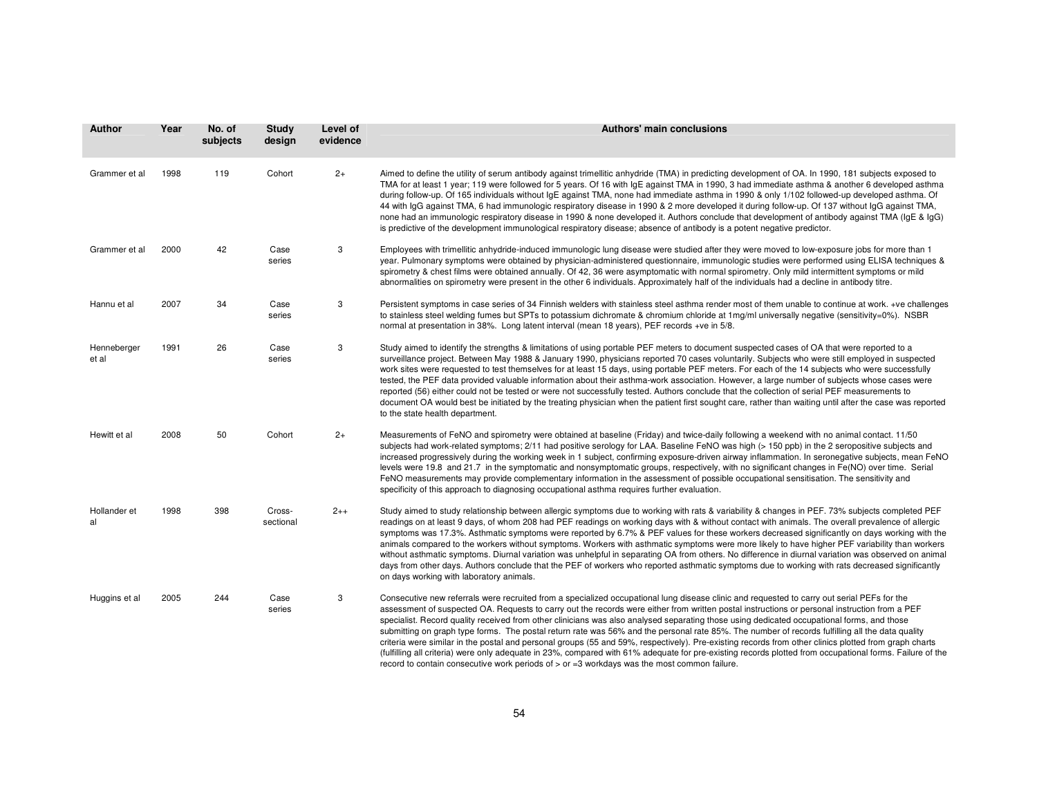| Author               | Year | No. of<br>subjects | Study<br>design     | Level of<br>evidence | Authors' main conclusions                                                                                                                                                                                                                                                                                                                                                                                                                                                                                                                                                                                                                                                                                                                                                                                                                                                                                                                                                                                              |
|----------------------|------|--------------------|---------------------|----------------------|------------------------------------------------------------------------------------------------------------------------------------------------------------------------------------------------------------------------------------------------------------------------------------------------------------------------------------------------------------------------------------------------------------------------------------------------------------------------------------------------------------------------------------------------------------------------------------------------------------------------------------------------------------------------------------------------------------------------------------------------------------------------------------------------------------------------------------------------------------------------------------------------------------------------------------------------------------------------------------------------------------------------|
| Grammer et al        | 1998 | 119                | Cohort              | $2+$                 | Aimed to define the utility of serum antibody against trimellitic anhydride (TMA) in predicting development of OA. In 1990, 181 subjects exposed to<br>TMA for at least 1 year; 119 were followed for 5 years. Of 16 with IqE against TMA in 1990, 3 had immediate asthma & another 6 developed asthma<br>during follow-up. Of 165 individuals without IgE against TMA, none had immediate asthma in 1990 & only 1/102 followed-up developed asthma. Of<br>44 with IgG against TMA, 6 had immunologic respiratory disease in 1990 & 2 more developed it during follow-up. Of 137 without IgG against TMA,<br>none had an immunologic respiratory disease in 1990 & none developed it. Authors conclude that development of antibody against TMA (IgE & IgG)<br>is predictive of the development immunological respiratory disease; absence of antibody is a potent negative predictor.                                                                                                                                 |
| Grammer et al        | 2000 | 42                 | Case<br>series      | 3                    | Employees with trimellitic anhydride-induced immunologic lung disease were studied after they were moved to low-exposure jobs for more than 1<br>year. Pulmonary symptoms were obtained by physician-administered questionnaire, immunologic studies were performed using ELISA techniques &<br>spirometry & chest films were obtained annually. Of 42, 36 were asymptomatic with normal spirometry. Only mild intermittent symptoms or mild<br>abnormalities on spirometry were present in the other 6 individuals. Approximately half of the individuals had a decline in antibody titre.                                                                                                                                                                                                                                                                                                                                                                                                                            |
| Hannu et al          | 2007 | 34                 | Case<br>series      | 3                    | Persistent symptoms in case series of 34 Finnish welders with stainless steel asthma render most of them unable to continue at work. +ve challenges<br>to stainless steel welding fumes but SPTs to potassium dichromate & chromium chloride at 1mg/ml universally negative (sensitivity=0%). NSBR<br>normal at presentation in 38%. Long latent interval (mean 18 years), PEF records +ve in 5/8.                                                                                                                                                                                                                                                                                                                                                                                                                                                                                                                                                                                                                     |
| Henneberger<br>et al | 1991 | 26                 | Case<br>series      | 3                    | Study aimed to identify the strengths & limitations of using portable PEF meters to document suspected cases of OA that were reported to a<br>surveillance project. Between May 1988 & January 1990, physicians reported 70 cases voluntarily. Subjects who were still employed in suspected<br>work sites were requested to test themselves for at least 15 days, using portable PEF meters. For each of the 14 subjects who were successfully<br>tested, the PEF data provided valuable information about their asthma-work association. However, a large number of subjects whose cases were<br>reported (56) either could not be tested or were not successfully tested. Authors conclude that the collection of serial PEF measurements to<br>document OA would best be initiated by the treating physician when the patient first sought care, rather than waiting until after the case was reported<br>to the state health department.                                                                          |
| Hewitt et al         | 2008 | 50                 | Cohort              | $2+$                 | Measurements of FeNO and spirometry were obtained at baseline (Friday) and twice-daily following a weekend with no animal contact. 11/50<br>subjects had work-related symptoms; 2/11 had positive serology for LAA. Baseline FeNO was high (> 150 ppb) in the 2 seropositive subjects and<br>increased progressively during the working week in 1 subject, confirming exposure-driven airway inflammation. In seronegative subjects, mean FeNO<br>levels were 19.8 and 21.7 in the symptomatic and nonsymptomatic groups, respectively, with no significant changes in Fe(NO) over time. Serial<br>FeNO measurements may provide complementary information in the assessment of possible occupational sensitisation. The sensitivity and<br>specificity of this approach to diagnosing occupational asthma requires further evaluation.                                                                                                                                                                                |
| Hollander et<br>al   | 1998 | 398                | Cross-<br>sectional | $2++$                | Study aimed to study relationship between allergic symptoms due to working with rats & variability & changes in PEF. 73% subjects completed PEF<br>readings on at least 9 days, of whom 208 had PEF readings on working days with & without contact with animals. The overall prevalence of allergic<br>symptoms was 17.3%. Asthmatic symptoms were reported by 6.7% & PEF values for these workers decreased significantly on days working with the<br>animals compared to the workers without symptoms. Workers with asthmatic symptoms were more likely to have higher PEF variability than workers<br>without asthmatic symptoms. Diurnal variation was unhelpful in separating OA from others. No difference in diurnal variation was observed on animal<br>days from other days. Authors conclude that the PEF of workers who reported asthmatic symptoms due to working with rats decreased significantly<br>on days working with laboratory animals.                                                           |
| Huggins et al        | 2005 | 244                | Case<br>series      | 3                    | Consecutive new referrals were recruited from a specialized occupational lung disease clinic and requested to carry out serial PEFs for the<br>assessment of suspected OA. Requests to carry out the records were either from written postal instructions or personal instruction from a PEF<br>specialist. Record quality received from other clinicians was also analysed separating those using dedicated occupational forms, and those<br>submitting on graph type forms. The postal return rate was 56% and the personal rate 85%. The number of records fulfilling all the data quality<br>criteria were similar in the postal and personal groups (55 and 59%, respectively). Pre-existing records from other clinics plotted from graph charts<br>(fulfilling all criteria) were only adequate in 23%, compared with 61% adequate for pre-existing records plotted from occupational forms. Failure of the<br>record to contain consecutive work periods of $>$ or $=$ 3 workdays was the most common failure. |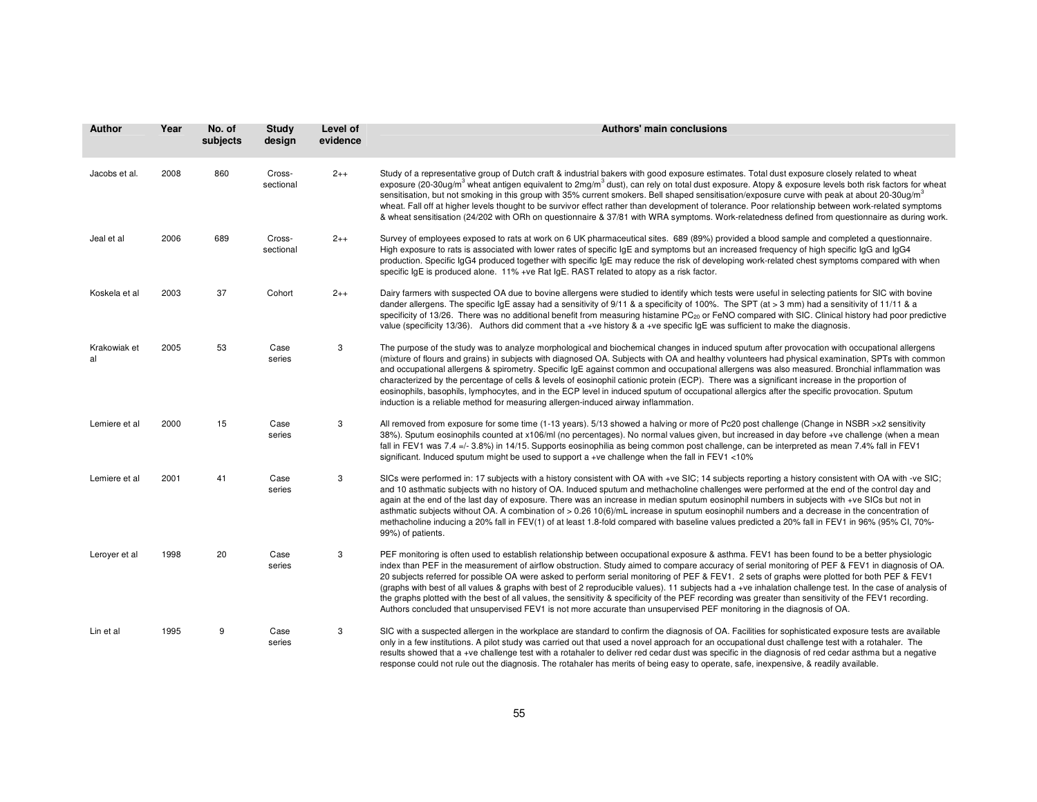| <b>Author</b>      | Year | No. of<br>subjects | <b>Study</b><br>design | Level of<br>evidence | Authors' main conclusions                                                                                                                                                                                                                                                                                                                                                                                                                                                                                                                                                                                                                                                                                                                                                                                                                                                                           |
|--------------------|------|--------------------|------------------------|----------------------|-----------------------------------------------------------------------------------------------------------------------------------------------------------------------------------------------------------------------------------------------------------------------------------------------------------------------------------------------------------------------------------------------------------------------------------------------------------------------------------------------------------------------------------------------------------------------------------------------------------------------------------------------------------------------------------------------------------------------------------------------------------------------------------------------------------------------------------------------------------------------------------------------------|
| Jacobs et al.      | 2008 | 860                | Cross-<br>sectional    | $2++$                | Study of a representative group of Dutch craft & industrial bakers with good exposure estimates. Total dust exposure closely related to wheat<br>exposure (20-30uq/m <sup>3</sup> wheat antigen equivalent to 2mg/m <sup>3</sup> dust), can rely on total dust exposure. Atopy & exposure levels both risk factors for wheat<br>sensitisation, but not smoking in this group with 35% current smokers. Bell shaped sensitisation/exposure curve with peak at about 20-30ug/m <sup>3</sup><br>wheat. Fall off at higher levels thought to be survivor effect rather than development of tolerance. Poor relationship between work-related symptoms<br>& wheat sensitisation (24/202 with ORh on questionnaire & 37/81 with WRA symptoms. Work-relatedness defined from questionnaire as during work.                                                                                                 |
| Jeal et al         | 2006 | 689                | Cross-<br>sectional    | $2++$                | Survey of employees exposed to rats at work on 6 UK pharmaceutical sites. 689 (89%) provided a blood sample and completed a questionnaire.<br>High exposure to rats is associated with lower rates of specific IgE and symptoms but an increased frequency of high specific IgG and IgG4<br>production. Specific IgG4 produced together with specific IgE may reduce the risk of developing work-related chest symptoms compared with when<br>specific IqE is produced alone. 11% +ve Rat IqE. RAST related to atopy as a risk factor.                                                                                                                                                                                                                                                                                                                                                              |
| Koskela et al      | 2003 | 37                 | Cohort                 | $2++$                | Dairy farmers with suspected OA due to bovine allergens were studied to identify which tests were useful in selecting patients for SIC with bovine<br>dander allergens. The specific IgE assay had a sensitivity of $9/11$ & a specificity of 100%. The SPT (at > 3 mm) had a sensitivity of 11/11 & a<br>specificity of 13/26. There was no additional benefit from measuring histamine PC <sub>20</sub> or FeNO compared with SIC. Clinical history had poor predictive<br>value (specificity 13/36). Authors did comment that a +ve history & a +ve specific IgE was sufficient to make the diagnosis.                                                                                                                                                                                                                                                                                           |
| Krakowiak et<br>al | 2005 | 53                 | Case<br>series         | 3                    | The purpose of the study was to analyze morphological and biochemical changes in induced sputum after provocation with occupational allergens<br>(mixture of flours and grains) in subjects with diagnosed OA. Subjects with OA and healthy volunteers had physical examination, SPTs with common<br>and occupational allergens & spirometry. Specific IgE against common and occupational allergens was also measured. Bronchial inflammation was<br>characterized by the percentage of cells & levels of eosinophil cationic protein (ECP). There was a significant increase in the proportion of<br>eosinophils, basophils, lymphocytes, and in the ECP level in induced sputum of occupational allergics after the specific provocation. Sputum<br>induction is a reliable method for measuring allergen-induced airway inflammation.                                                           |
| Lemiere et al      | 2000 | 15                 | Case<br>series         | 3                    | All removed from exposure for some time (1-13 years). 5/13 showed a halving or more of Pc20 post challenge (Change in NSBR >x2 sensitivity<br>38%). Sputum eosinophils counted at x106/ml (no percentages). No normal values given, but increased in day before +ve challenge (when a mean<br>fall in FEV1 was 7.4 =/- 3.8%) in 14/15. Supports eosinophilia as being common post challenge, can be interpreted as mean 7.4% fall in FEV1<br>significant. Induced sputum might be used to support a +ve challenge when the fall in FEV1 <10%                                                                                                                                                                                                                                                                                                                                                        |
| Lemiere et al      | 2001 | 41                 | Case<br>series         | 3                    | SICs were performed in: 17 subjects with a history consistent with OA with +ve SIC; 14 subjects reporting a history consistent with OA with -ve SIC;<br>and 10 asthmatic subjects with no history of OA. Induced sputum and methacholine challenges were performed at the end of the control day and<br>again at the end of the last day of exposure. There was an increase in median sputum eosinophil numbers in subjects with +ve SICs but not in<br>asthmatic subjects without OA. A combination of > 0.26 10(6)/mL increase in sputum eosinophil numbers and a decrease in the concentration of<br>methacholine inducing a 20% fall in FEV(1) of at least 1.8-fold compared with baseline values predicted a 20% fall in FEV1 in 96% (95% CI, 70%-<br>99%) of patients.                                                                                                                        |
| Leroyer et al      | 1998 | 20                 | Case<br>series         | 3                    | PEF monitoring is often used to establish relationship between occupational exposure & asthma. FEV1 has been found to be a better physiologic<br>index than PEF in the measurement of airflow obstruction. Study aimed to compare accuracy of serial monitoring of PEF & FEV1 in diagnosis of OA.<br>20 subjects referred for possible OA were asked to perform serial monitoring of PEF & FEV1. 2 sets of graphs were plotted for both PEF & FEV1<br>(graphs with best of all values & graphs with best of 2 reproducible values). 11 subjects had a +ve inhalation challenge test. In the case of analysis of<br>the graphs plotted with the best of all values, the sensitivity & specificity of the PEF recording was greater than sensitivity of the FEV1 recording.<br>Authors concluded that unsupervised FEV1 is not more accurate than unsupervised PEF monitoring in the diagnosis of OA. |
| Lin et al          | 1995 | 9                  | Case<br>series         | 3                    | SIC with a suspected allergen in the workplace are standard to confirm the diagnosis of OA. Facilities for sophisticated exposure tests are available<br>only in a few institutions. A pilot study was carried out that used a novel approach for an occupational dust challenge test with a rotahaler. The<br>results showed that a +ve challenge test with a rotahaler to deliver red cedar dust was specific in the diagnosis of red cedar asthma but a negative<br>response could not rule out the diagnosis. The rotahaler has merits of being easy to operate, safe, inexpensive, & readily available.                                                                                                                                                                                                                                                                                        |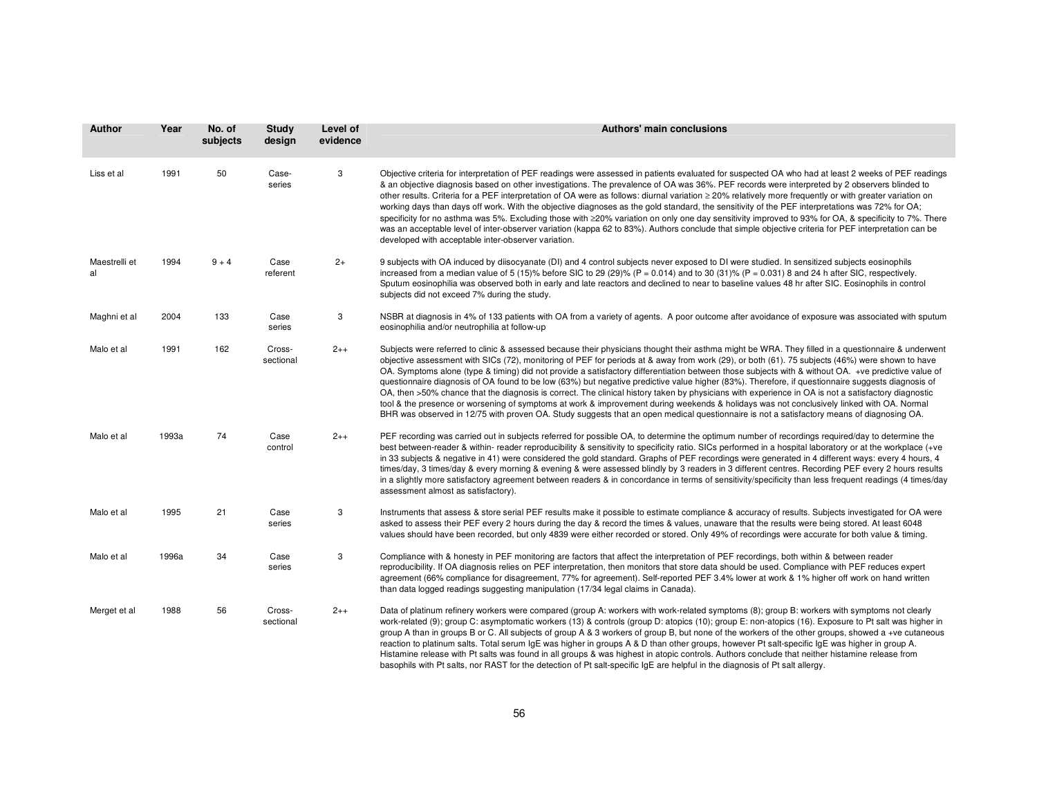| Author              | Year  | No. of<br>subjects | <b>Study</b><br>design | Level of<br>evidence | Authors' main conclusions                                                                                                                                                                                                                                                                                                                                                                                                                                                                                                                                                                                                                                                                                                                                                                                                                                                                                                                                                                                                                                          |
|---------------------|-------|--------------------|------------------------|----------------------|--------------------------------------------------------------------------------------------------------------------------------------------------------------------------------------------------------------------------------------------------------------------------------------------------------------------------------------------------------------------------------------------------------------------------------------------------------------------------------------------------------------------------------------------------------------------------------------------------------------------------------------------------------------------------------------------------------------------------------------------------------------------------------------------------------------------------------------------------------------------------------------------------------------------------------------------------------------------------------------------------------------------------------------------------------------------|
| Liss et al          | 1991  | 50                 | Case-<br>series        | 3                    | Objective criteria for interpretation of PEF readings were assessed in patients evaluated for suspected OA who had at least 2 weeks of PEF readings<br>& an objective diagnosis based on other investigations. The prevalence of OA was 36%. PEF records were interpreted by 2 observers blinded to<br>other results. Criteria for a PEF interpretation of OA were as follows: diurnal variation ≥ 20% relatively more frequently or with greater variation on<br>working days than days off work. With the objective diagnoses as the gold standard, the sensitivity of the PEF interpretations was 72% for OA;<br>specificity for no asthma was 5%. Excluding those with ≥20% variation on only one day sensitivity improved to 93% for OA, & specificity to 7%. There<br>was an acceptable level of inter-observer variation (kappa 62 to 83%). Authors conclude that simple objective criteria for PEF interpretation can be<br>developed with acceptable inter-observer variation.                                                                            |
| Maestrelli et<br>al | 1994  | $9 + 4$            | Case<br>referent       | $2+$                 | 9 subjects with OA induced by diisocyanate (DI) and 4 control subjects never exposed to DI were studied. In sensitized subjects eosinophils<br>increased from a median value of 5 (15)% before SIC to 29 (29)% ( $P = 0.014$ ) and to 30 (31)% ( $P = 0.031$ ) 8 and 24 h after SIC, respectively.<br>Sputum eosinophilia was observed both in early and late reactors and declined to near to baseline values 48 hr after SIC. Eosinophils in control<br>subjects did not exceed 7% during the study.                                                                                                                                                                                                                                                                                                                                                                                                                                                                                                                                                             |
| Maghni et al        | 2004  | 133                | Case<br>series         | 3                    | NSBR at diagnosis in 4% of 133 patients with OA from a variety of agents. A poor outcome after avoidance of exposure was associated with sputum<br>eosinophilia and/or neutrophilia at follow-up                                                                                                                                                                                                                                                                                                                                                                                                                                                                                                                                                                                                                                                                                                                                                                                                                                                                   |
| Malo et al          | 1991  | 162                | Cross-<br>sectional    | $2++$                | Subjects were referred to clinic & assessed because their physicians thought their asthma might be WRA. They filled in a questionnaire & underwent<br>objective assessment with SICs (72), monitoring of PEF for periods at & away from work (29), or both (61). 75 subjects (46%) were shown to have<br>OA. Symptoms alone (type & timing) did not provide a satisfactory differentiation between those subjects with & without OA. +ve predictive value of<br>questionnaire diagnosis of OA found to be low (63%) but negative predictive value higher (83%). Therefore, if questionnaire suggests diagnosis of<br>OA, then >50% chance that the diagnosis is correct. The clinical history taken by physicians with experience in OA is not a satisfactory diagnostic<br>tool & the presence or worsening of symptoms at work & improvement during weekends & holidays was not conclusively linked with OA. Normal<br>BHR was observed in 12/75 with proven OA. Study suggests that an open medical questionnaire is not a satisfactory means of diagnosing OA. |
| Malo et al          | 1993a | 74                 | Case<br>control        | $2++$                | PEF recording was carried out in subjects referred for possible OA, to determine the optimum number of recordings required/day to determine the<br>best between-reader & within- reader reproducibility & sensitivity to specificity ratio. SICs performed in a hospital laboratory or at the workplace (+ve<br>in 33 subjects & negative in 41) were considered the gold standard. Graphs of PEF recordings were generated in 4 different ways: every 4 hours, 4<br>times/day, 3 times/day & every morning & evening & were assessed blindly by 3 readers in 3 different centres. Recording PEF every 2 hours results<br>in a slightly more satisfactory agreement between readers & in concordance in terms of sensitivity/specificity than less frequent readings (4 times/day<br>assessment almost as satisfactory).                                                                                                                                                                                                                                           |
| Malo et al          | 1995  | 21                 | Case<br>series         | 3                    | Instruments that assess & store serial PEF results make it possible to estimate compliance & accuracy of results. Subjects investigated for OA were<br>asked to assess their PEF every 2 hours during the day & record the times & values, unaware that the results were being stored. At least 6048<br>values should have been recorded, but only 4839 were either recorded or stored. Only 49% of recordings were accurate for both value & timing.                                                                                                                                                                                                                                                                                                                                                                                                                                                                                                                                                                                                              |
| Malo et al          | 1996a | 34                 | Case<br>series         | 3                    | Compliance with & honesty in PEF monitoring are factors that affect the interpretation of PEF recordings, both within & between reader<br>reproducibility. If OA diagnosis relies on PEF interpretation, then monitors that store data should be used. Compliance with PEF reduces expert<br>agreement (66% compliance for disagreement, 77% for agreement). Self-reported PEF 3.4% lower at work & 1% higher off work on hand written<br>than data logged readings suggesting manipulation (17/34 legal claims in Canada).                                                                                                                                                                                                                                                                                                                                                                                                                                                                                                                                        |
| Merget et al        | 1988  | 56                 | Cross-<br>sectional    | $2++$                | Data of platinum refinery workers were compared (group A: workers with work-related symptoms (8); group B: workers with symptoms not clearly<br>work-related (9); group C: asymptomatic workers (13) & controls (group D: atopics (10); group E: non-atopics (16). Exposure to Pt salt was higher in<br>group A than in groups B or C. All subjects of group A & 3 workers of group B, but none of the workers of the other groups, showed a +ve cutaneous<br>reaction to platinum salts. Total serum IgE was higher in groups A & D than other groups, however Pt salt-specific IgE was higher in group A.<br>Histamine release with Pt salts was found in all groups & was highest in atopic controls. Authors conclude that neither histamine release from                                                                                                                                                                                                                                                                                                      |

basophils with Pt salts, nor RAST for the detection of Pt salt-specific IgE are helpful in the diagnosis of Pt salt allergy.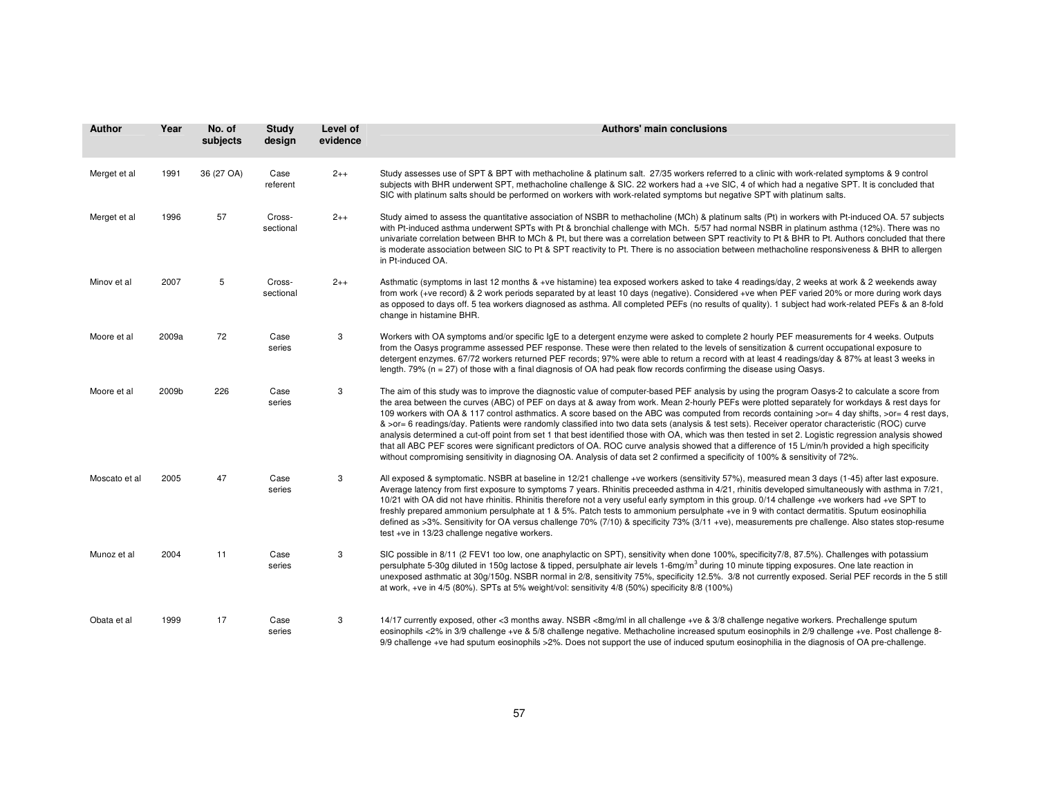| Author        | Year  | No. of<br>subjects | <b>Study</b><br>design | Level of<br>evidence | <b>Authors' main conclusions</b>                                                                                                                                                                                                                                                                                                                                                                                                                                                                                                                                                                                                                                                                                                                                                                                                                                                                                                                                                                                                                          |
|---------------|-------|--------------------|------------------------|----------------------|-----------------------------------------------------------------------------------------------------------------------------------------------------------------------------------------------------------------------------------------------------------------------------------------------------------------------------------------------------------------------------------------------------------------------------------------------------------------------------------------------------------------------------------------------------------------------------------------------------------------------------------------------------------------------------------------------------------------------------------------------------------------------------------------------------------------------------------------------------------------------------------------------------------------------------------------------------------------------------------------------------------------------------------------------------------|
| Merget et al  | 1991  | 36 (27 OA)         | Case<br>referent       | $2++$                | Study assesses use of SPT & BPT with methacholine & platinum salt. 27/35 workers referred to a clinic with work-related symptoms & 9 control<br>subjects with BHR underwent SPT, methacholine challenge & SIC. 22 workers had a +ve SIC, 4 of which had a negative SPT. It is concluded that<br>SIC with platinum salts should be performed on workers with work-related symptoms but negative SPT with platinum salts.                                                                                                                                                                                                                                                                                                                                                                                                                                                                                                                                                                                                                                   |
| Merget et al  | 1996  | 57                 | Cross-<br>sectional    | $2++$                | Study aimed to assess the quantitative association of NSBR to methacholine (MCh) & platinum salts (Pt) in workers with Pt-induced OA. 57 subjects<br>with Pt-induced asthma underwent SPTs with Pt & bronchial challenge with MCh. 5/57 had normal NSBR in platinum asthma (12%). There was no<br>univariate correlation between BHR to MCh & Pt, but there was a correlation between SPT reactivity to Pt & BHR to Pt. Authors concluded that there<br>is moderate association between SIC to Pt & SPT reactivity to Pt. There is no association between methacholine responsiveness & BHR to allergen<br>in Pt-induced OA.                                                                                                                                                                                                                                                                                                                                                                                                                              |
| Minov et al   | 2007  | 5                  | Cross-<br>sectional    | $2++$                | Asthmatic (symptoms in last 12 months & +ve histamine) tea exposed workers asked to take 4 readings/day, 2 weeks at work & 2 weekends away<br>from work (+ve record) & 2 work periods separated by at least 10 days (negative). Considered +ve when PEF varied 20% or more during work days<br>as opposed to days off. 5 tea workers diagnosed as asthma. All completed PEFs (no results of quality). 1 subject had work-related PEFs & an 8-fold<br>change in histamine BHR.                                                                                                                                                                                                                                                                                                                                                                                                                                                                                                                                                                             |
| Moore et al   | 2009a | 72                 | Case<br>series         | 3                    | Workers with OA symptoms and/or specific IgE to a detergent enzyme were asked to complete 2 hourly PEF measurements for 4 weeks. Outputs<br>from the Oasys programme assessed PEF response. These were then related to the levels of sensitization & current occupational exposure to<br>detergent enzymes. 67/72 workers returned PEF records; 97% were able to return a record with at least 4 readings/day & 87% at least 3 weeks in<br>length. $79\%$ ( $n = 27$ ) of those with a final diagnosis of OA had peak flow records confirming the disease using Oasys.                                                                                                                                                                                                                                                                                                                                                                                                                                                                                    |
| Moore et al   | 2009b | 226                | Case<br>series         | 3                    | The aim of this study was to improve the diagnostic value of computer-based PEF analysis by using the program Oasys-2 to calculate a score from<br>the area between the curves (ABC) of PEF on days at & away from work. Mean 2-hourly PEFs were plotted separately for workdays & rest days for<br>109 workers with OA & 117 control asthmatics. A score based on the ABC was computed from records containing >or= 4 day shifts, >or= 4 rest days,<br>& >or= 6 readings/day. Patients were randomly classified into two data sets (analysis & test sets). Receiver operator characteristic (ROC) curve<br>analysis determined a cut-off point from set 1 that best identified those with OA, which was then tested in set 2. Logistic regression analysis showed<br>that all ABC PEF scores were significant predictors of OA. ROC curve analysis showed that a difference of 15 L/min/h provided a high specificity<br>without compromising sensitivity in diagnosing OA. Analysis of data set 2 confirmed a specificity of 100% & sensitivity of 72%. |
| Moscato et al | 2005  | 47                 | Case<br>series         | 3                    | All exposed & symptomatic. NSBR at baseline in 12/21 challenge +ve workers (sensitivity 57%), measured mean 3 days (1-45) after last exposure.<br>Average latency from first exposure to symptoms 7 years. Rhinitis preceeded asthma in 4/21, rhinitis developed simultaneously with asthma in 7/21,<br>10/21 with OA did not have rhinitis. Rhinitis therefore not a very useful early symptom in this group. 0/14 challenge +ve workers had +ve SPT to<br>freshly prepared ammonium persulphate at 1 & 5%. Patch tests to ammonium persulphate +ve in 9 with contact dermatitis. Sputum eosinophilia<br>defined as >3%. Sensitivity for OA versus challenge 70% (7/10) & specificity 73% (3/11 +ve), measurements pre challenge. Also states stop-resume<br>test +ve in 13/23 challenge negative workers.                                                                                                                                                                                                                                               |
| Munoz et al   | 2004  | 11                 | Case<br>series         | 3                    | SIC possible in 8/11 (2 FEV1 too low, one anaphylactic on SPT), sensitivity when done 100%, specificity7/8, 87.5%). Challenges with potassium<br>persulphate 5-30g diluted in 150g lactose & tipped, persulphate air levels 1-6mg/m <sup>3</sup> during 10 minute tipping exposures. One late reaction in<br>unexposed asthmatic at 30g/150g. NSBR normal in 2/8, sensitivity 75%, specificity 12.5%. 3/8 not currently exposed. Serial PEF records in the 5 still<br>at work, +ve in 4/5 (80%). SPTs at 5% weight/vol: sensitivity 4/8 (50%) specificity 8/8 (100%)                                                                                                                                                                                                                                                                                                                                                                                                                                                                                      |
| Obata et al   | 1999  | 17                 | Case<br>series         | 3                    | 14/17 currently exposed, other <3 months away. NSBR <8mg/ml in all challenge +ve & 3/8 challenge negative workers. Prechallenge sputum<br>eosinophils <2% in 3/9 challenge +ve & 5/8 challenge negative. Methacholine increased sputum eosinophils in 2/9 challenge +ve. Post challenge 8-<br>9/9 challenge +ve had sputum eosinophils >2%. Does not support the use of induced sputum eosinophilia in the diagnosis of OA pre-challenge.                                                                                                                                                                                                                                                                                                                                                                                                                                                                                                                                                                                                                 |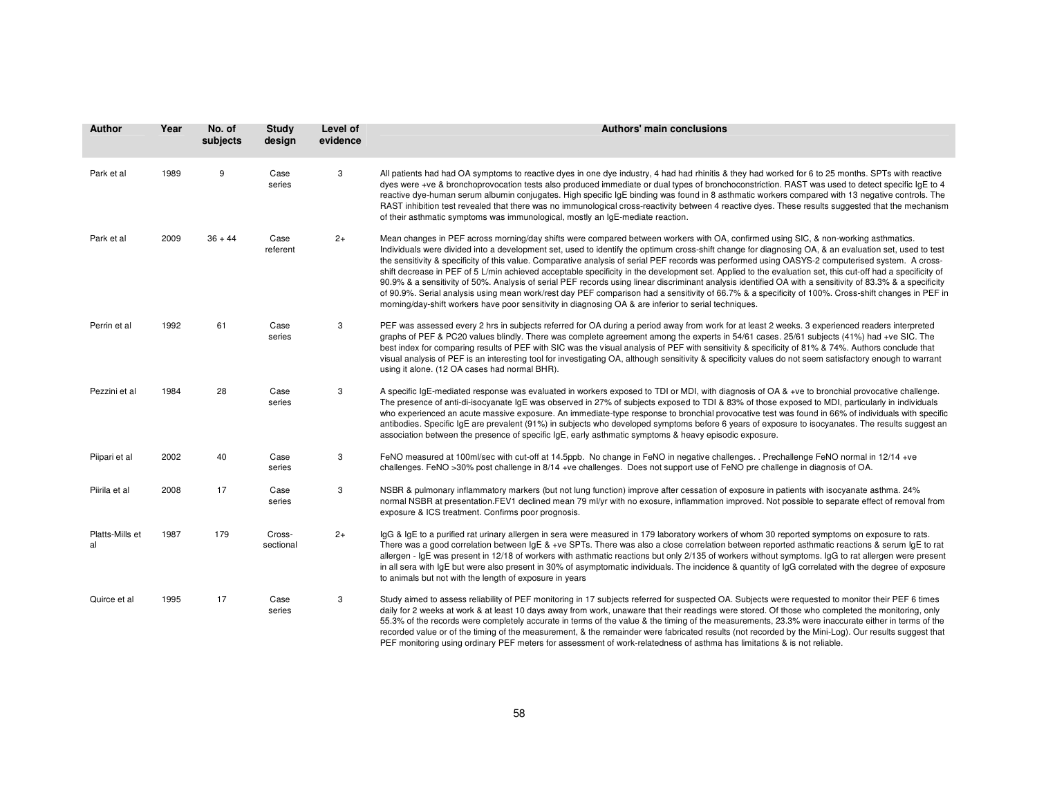| Author                | Year | No. of<br>subjects | <b>Study</b><br>design | Level of<br>evidence | <b>Authors' main conclusions</b>                                                                                                                                                                                                                                                                                                                                                                                                                                                                                                                                                                                                                                                                                                                                                                                                                                                                                                                                                                                                            |
|-----------------------|------|--------------------|------------------------|----------------------|---------------------------------------------------------------------------------------------------------------------------------------------------------------------------------------------------------------------------------------------------------------------------------------------------------------------------------------------------------------------------------------------------------------------------------------------------------------------------------------------------------------------------------------------------------------------------------------------------------------------------------------------------------------------------------------------------------------------------------------------------------------------------------------------------------------------------------------------------------------------------------------------------------------------------------------------------------------------------------------------------------------------------------------------|
| Park et al            | 1989 | 9                  | Case<br>series         | 3                    | All patients had had OA symptoms to reactive dyes in one dye industry, 4 had had rhinitis & they had worked for 6 to 25 months. SPTs with reactive<br>dyes were +ve & bronchoprovocation tests also produced immediate or dual types of bronchoconstriction. RAST was used to detect specific IqE to 4<br>reactive dye-human serum albumin conjugates. High specific IgE binding was found in 8 asthmatic workers compared with 13 negative controls. The<br>RAST inhibition test revealed that there was no immunological cross-reactivity between 4 reactive dyes. These results suggested that the mechanism<br>of their asthmatic symptoms was immunological, mostly an IgE-mediate reaction.                                                                                                                                                                                                                                                                                                                                           |
| Park et al            | 2009 | $36 + 44$          | Case<br>referent       | $2+$                 | Mean changes in PEF across morning/day shifts were compared between workers with OA, confirmed using SIC, & non-working asthmatics.<br>Individuals were divided into a development set, used to identify the optimum cross-shift change for diagnosing OA, & an evaluation set, used to test<br>the sensitivity & specificity of this value. Comparative analysis of serial PEF records was performed using OASYS-2 computerised system. A cross-<br>shift decrease in PEF of 5 L/min achieved acceptable specificity in the development set. Applied to the evaluation set, this cut-off had a specificity of<br>90.9% & a sensitivity of 50%. Analysis of serial PEF records using linear discriminant analysis identified OA with a sensitivity of 83.3% & a specificity<br>of 90.9%. Serial analysis using mean work/rest day PEF comparison had a sensitivity of 66.7% & a specificity of 100%. Cross-shift changes in PEF in<br>morning/day-shift workers have poor sensitivity in diagnosing OA & are inferior to serial techniques. |
| Perrin et al          | 1992 | 61                 | Case<br>series         | 3                    | PEF was assessed every 2 hrs in subjects referred for OA during a period away from work for at least 2 weeks. 3 experienced readers interpreted<br>graphs of PEF & PC20 values blindly. There was complete agreement among the experts in 54/61 cases. 25/61 subjects (41%) had +ve SIC. The<br>best index for comparing results of PEF with SIC was the visual analysis of PEF with sensitivity & specificity of 81% & 74%. Authors conclude that<br>visual analysis of PEF is an interesting tool for investigating OA, although sensitivity & specificity values do not seem satisfactory enough to warrant<br>using it alone. (12 OA cases had normal BHR).                                                                                                                                                                                                                                                                                                                                                                             |
| Pezzini et al         | 1984 | 28                 | Case<br>series         | 3                    | A specific IgE-mediated response was evaluated in workers exposed to TDI or MDI, with diagnosis of OA & +ve to bronchial provocative challenge.<br>The presence of anti-di-isocyanate IgE was observed in 27% of subjects exposed to TDI & 83% of those exposed to MDI, particularly in individuals<br>who experienced an acute massive exposure. An immediate-type response to bronchial provocative test was found in 66% of individuals with specific<br>antibodies. Specific IgE are prevalent (91%) in subjects who developed symptoms before 6 years of exposure to isocyanates. The results suggest an<br>association between the presence of specific IgE, early asthmatic symptoms & heavy episodic exposure.                                                                                                                                                                                                                                                                                                                      |
| Piipari et al         | 2002 | 40                 | Case<br>series         | 3                    | FeNO measured at 100ml/sec with cut-off at 14.5ppb. No change in FeNO in negative challenges. . Prechallenge FeNO normal in 12/14 +ve<br>challenges. FeNO >30% post challenge in 8/14 +ve challenges. Does not support use of FeNO pre challenge in diagnosis of OA.                                                                                                                                                                                                                                                                                                                                                                                                                                                                                                                                                                                                                                                                                                                                                                        |
| Piirila et al         | 2008 | 17                 | Case<br>series         | 3                    | NSBR & pulmonary inflammatory markers (but not lung function) improve after cessation of exposure in patients with isocyanate asthma. 24%<br>normal NSBR at presentation.FEV1 declined mean 79 ml/yr with no exosure, inflammation improved. Not possible to separate effect of removal from<br>exposure & ICS treatment. Confirms poor prognosis.                                                                                                                                                                                                                                                                                                                                                                                                                                                                                                                                                                                                                                                                                          |
| Platts-Mills et<br>al | 1987 | 179                | Cross-<br>sectional    | $2+$                 | IgG & IgE to a purified rat urinary allergen in sera were measured in 179 laboratory workers of whom 30 reported symptoms on exposure to rats.<br>There was a good correlation between IgE & +ve SPTs. There was also a close correlation between reported asthmatic reactions & serum IgE to rat<br>allergen - IgE was present in 12/18 of workers with asthmatic reactions but only 2/135 of workers without symptoms. IgG to rat allergen were present<br>in all sera with IgE but were also present in 30% of asymptomatic individuals. The incidence & quantity of IgG correlated with the degree of exposure<br>to animals but not with the length of exposure in years                                                                                                                                                                                                                                                                                                                                                               |
| Quirce et al          | 1995 | 17                 | Case<br>series         | 3                    | Study aimed to assess reliability of PEF monitoring in 17 subjects referred for suspected OA. Subjects were requested to monitor their PEF 6 times<br>daily for 2 weeks at work & at least 10 days away from work, unaware that their readings were stored. Of those who completed the monitoring, only<br>55.3% of the records were completely accurate in terms of the value & the timing of the measurements, 23.3% were inaccurate either in terms of the<br>recorded value or of the timing of the measurement, & the remainder were fabricated results (not recorded by the Mini-Log). Our results suggest that<br>PEF monitoring using ordinary PEF meters for assessment of work-relatedness of asthma has limitations & is not reliable.                                                                                                                                                                                                                                                                                           |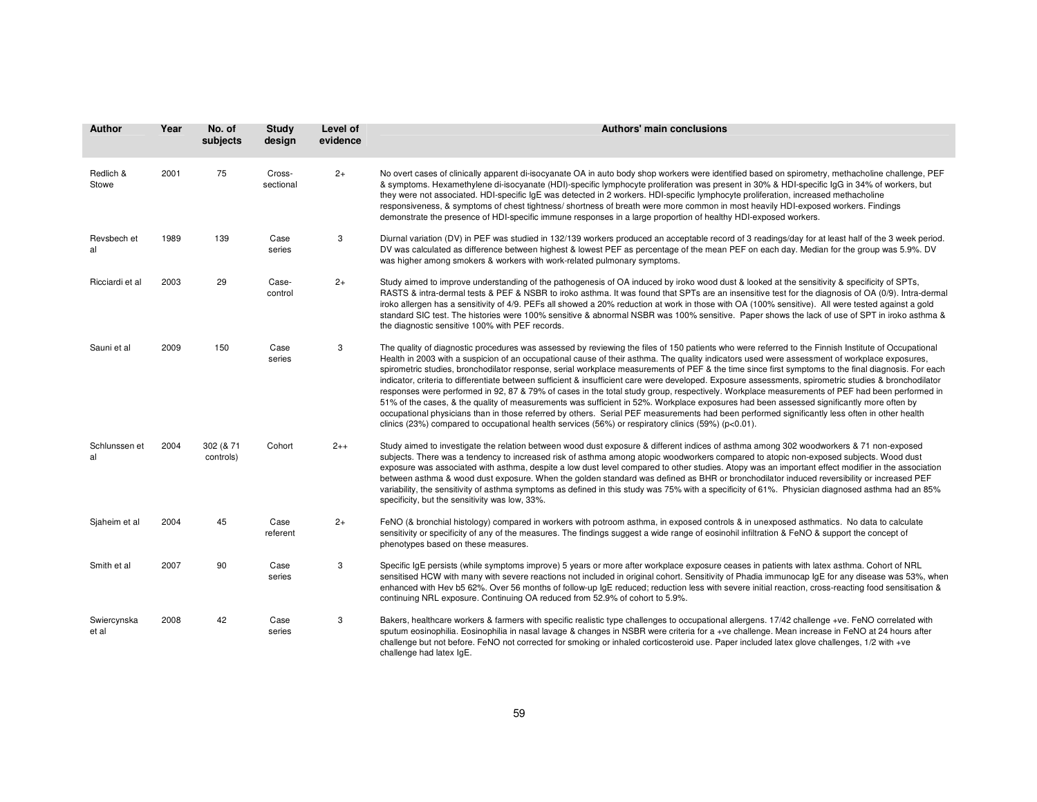| Author               | Year | No. of<br>subjects     | <b>Study</b><br>design | Level of<br>evidence | <b>Authors' main conclusions</b>                                                                                                                                                                                                                                                                                                                                                                                                                                                                                                                                                                                                                                                                                                                                                                                                                                                                                                                                                                                                                                                                                                                                           |
|----------------------|------|------------------------|------------------------|----------------------|----------------------------------------------------------------------------------------------------------------------------------------------------------------------------------------------------------------------------------------------------------------------------------------------------------------------------------------------------------------------------------------------------------------------------------------------------------------------------------------------------------------------------------------------------------------------------------------------------------------------------------------------------------------------------------------------------------------------------------------------------------------------------------------------------------------------------------------------------------------------------------------------------------------------------------------------------------------------------------------------------------------------------------------------------------------------------------------------------------------------------------------------------------------------------|
| Redlich &<br>Stowe   | 2001 | 75                     | Cross-<br>sectional    | $2+$                 | No overt cases of clinically apparent di-isocyanate OA in auto body shop workers were identified based on spirometry, methacholine challenge, PEF<br>& symptoms. Hexamethylene di-isocyanate (HDI)-specific lymphocyte proliferation was present in 30% & HDI-specific IqG in 34% of workers, but<br>they were not associated. HDI-specific IqE was detected in 2 workers. HDI-specific lymphocyte proliferation, increased methacholine<br>responsiveness, & symptoms of chest tightness/shortness of breath were more common in most heavily HDI-exposed workers. Findings<br>demonstrate the presence of HDI-specific immune responses in a large proportion of healthy HDI-exposed workers.                                                                                                                                                                                                                                                                                                                                                                                                                                                                            |
| Revsbech et<br>al    | 1989 | 139                    | Case<br>series         | 3                    | Diurnal variation (DV) in PEF was studied in 132/139 workers produced an acceptable record of 3 readings/day for at least half of the 3 week period.<br>DV was calculated as difference between highest & lowest PEF as percentage of the mean PEF on each day. Median for the group was 5.9%. DV<br>was higher among smokers & workers with work-related pulmonary symptoms.                                                                                                                                                                                                                                                                                                                                                                                                                                                                                                                                                                                                                                                                                                                                                                                              |
| Ricciardi et al      | 2003 | 29                     | Case-<br>control       | $2+$                 | Study aimed to improve understanding of the pathogenesis of OA induced by iroko wood dust & looked at the sensitivity & specificity of SPTs,<br>RASTS & intra-dermal tests & PEF & NSBR to iroko asthma. It was found that SPTs are an insensitive test for the diagnosis of OA (0/9). Intra-dermal<br>iroko allergen has a sensitivity of 4/9. PEFs all showed a 20% reduction at work in those with OA (100% sensitive). All were tested against a gold<br>standard SIC test. The histories were 100% sensitive & abnormal NSBR was 100% sensitive. Paper shows the lack of use of SPT in iroko asthma &<br>the diagnostic sensitive 100% with PEF records.                                                                                                                                                                                                                                                                                                                                                                                                                                                                                                              |
| Sauni et al          | 2009 | 150                    | Case<br>series         | 3                    | The quality of diagnostic procedures was assessed by reviewing the files of 150 patients who were referred to the Finnish Institute of Occupational<br>Health in 2003 with a suspicion of an occupational cause of their asthma. The quality indicators used were assessment of workplace exposures,<br>spirometric studies, bronchodilator response, serial workplace measurements of PEF & the time since first symptoms to the final diagnosis. For each<br>indicator, criteria to differentiate between sufficient & insufficient care were developed. Exposure assessments, spirometric studies & bronchodilator<br>responses were performed in 92, 87 & 79% of cases in the total study group, respectively. Workplace measurements of PEF had been performed in<br>51% of the cases, & the quality of measurements was sufficient in 52%. Workplace exposures had been assessed significantly more often by<br>occupational physicians than in those referred by others. Serial PEF measurements had been performed significantly less often in other health<br>clinics (23%) compared to occupational health services (56%) or respiratory clinics (59%) (p<0.01). |
| Schlunssen et<br>al  | 2004 | 302 (& 71<br>controls) | Cohort                 | $2++$                | Study aimed to investigate the relation between wood dust exposure & different indices of asthma among 302 woodworkers & 71 non-exposed<br>subjects. There was a tendency to increased risk of asthma among atopic woodworkers compared to atopic non-exposed subjects. Wood dust<br>exposure was associated with asthma, despite a low dust level compared to other studies. Atopy was an important effect modifier in the association<br>between asthma & wood dust exposure. When the golden standard was defined as BHR or bronchodilator induced reversibility or increased PEF<br>variability, the sensitivity of asthma symptoms as defined in this study was 75% with a specificity of 61%. Physician diagnosed asthma had an 85%<br>specificity, but the sensitivity was low, 33%.                                                                                                                                                                                                                                                                                                                                                                                |
| Siaheim et al        | 2004 | 45                     | Case<br>referent       | $2+$                 | FeNO (& bronchial histology) compared in workers with potroom asthma, in exposed controls & in unexposed asthmatics. No data to calculate<br>sensitivity or specificity of any of the measures. The findings suggest a wide range of eosinohil infiltration & FeNO & support the concept of<br>phenotypes based on these measures.                                                                                                                                                                                                                                                                                                                                                                                                                                                                                                                                                                                                                                                                                                                                                                                                                                         |
| Smith et al          | 2007 | 90                     | Case<br>series         | 3                    | Specific IgE persists (while symptoms improve) 5 years or more after workplace exposure ceases in patients with latex asthma. Cohort of NRL<br>sensitised HCW with many with severe reactions not included in original cohort. Sensitivity of Phadia immunocap IgE for any disease was 53%, when<br>enhanced with Hev b5 62%. Over 56 months of follow-up IgE reduced; reduction less with severe initial reaction, cross-reacting food sensitisation &<br>continuing NRL exposure. Continuing OA reduced from 52.9% of cohort to 5.9%.                                                                                                                                                                                                                                                                                                                                                                                                                                                                                                                                                                                                                                    |
| Swiercynska<br>et al | 2008 | 42                     | Case<br>series         | 3                    | Bakers, healthcare workers & farmers with specific realistic type challenges to occupational allergens. 17/42 challenge +ve. FeNO correlated with<br>sputum eosinophilia. Eosinophilia in nasal lavage & changes in NSBR were criteria for a +ve challenge. Mean increase in FeNO at 24 hours after<br>challenge but not before. FeNO not corrected for smoking or inhaled corticosteroid use. Paper included latex glove challenges, 1/2 with +ve<br>challenge had latex IgE.                                                                                                                                                                                                                                                                                                                                                                                                                                                                                                                                                                                                                                                                                             |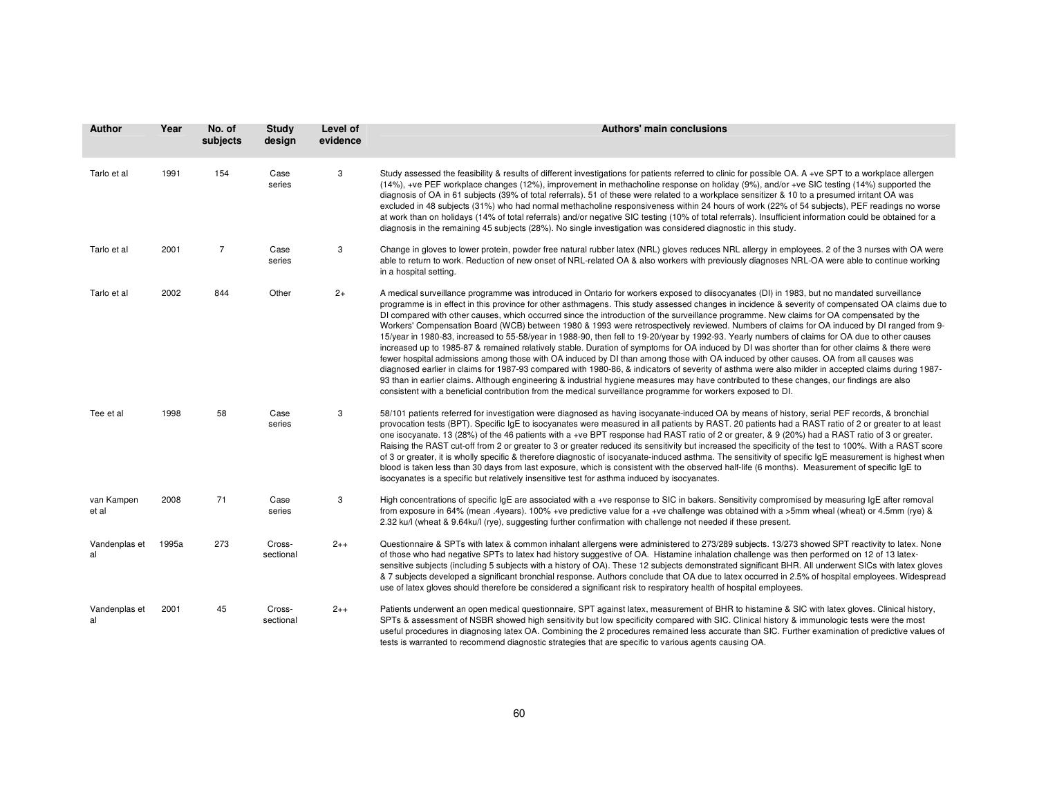| <b>Author</b>       | Year  | No. of<br>subjects | Study<br>design     | Level of<br>evidence | Authors' main conclusions                                                                                                                                                                                                                                                                                                                                                                                                                                                                                                                                                                                                                                                                                                                                                                                                                                                                                                                                                                                                                                                                                                                                                                                                                                                                                                                                                                                                                                  |
|---------------------|-------|--------------------|---------------------|----------------------|------------------------------------------------------------------------------------------------------------------------------------------------------------------------------------------------------------------------------------------------------------------------------------------------------------------------------------------------------------------------------------------------------------------------------------------------------------------------------------------------------------------------------------------------------------------------------------------------------------------------------------------------------------------------------------------------------------------------------------------------------------------------------------------------------------------------------------------------------------------------------------------------------------------------------------------------------------------------------------------------------------------------------------------------------------------------------------------------------------------------------------------------------------------------------------------------------------------------------------------------------------------------------------------------------------------------------------------------------------------------------------------------------------------------------------------------------------|
| Tarlo et al         | 1991  | 154                | Case<br>series      | 3                    | Study assessed the feasibility & results of different investigations for patients referred to clinic for possible OA. A +ve SPT to a workplace allergen<br>(14%), +ve PEF workplace changes (12%), improvement in methacholine response on holiday (9%), and/or +ve SIC testing (14%) supported the<br>diagnosis of OA in 61 subjects (39% of total referrals). 51 of these were related to a workplace sensitizer & 10 to a presumed irritant OA was<br>excluded in 48 subjects (31%) who had normal methacholine responsiveness within 24 hours of work (22% of 54 subjects), PEF readings no worse<br>at work than on holidays (14% of total referrals) and/or negative SIC testing (10% of total referrals). Insufficient information could be obtained for a<br>diagnosis in the remaining 45 subjects (28%). No single investigation was considered diagnostic in this study.                                                                                                                                                                                                                                                                                                                                                                                                                                                                                                                                                                        |
| Tarlo et al         | 2001  | $\overline{7}$     | Case<br>series      | 3                    | Change in gloves to lower protein, powder free natural rubber latex (NRL) gloves reduces NRL allergy in employees. 2 of the 3 nurses with OA were<br>able to return to work. Reduction of new onset of NRL-related OA & also workers with previously diagnoses NRL-OA were able to continue working<br>in a hospital setting.                                                                                                                                                                                                                                                                                                                                                                                                                                                                                                                                                                                                                                                                                                                                                                                                                                                                                                                                                                                                                                                                                                                              |
| Tarlo et al         | 2002  | 844                | Other               | $2+$                 | A medical surveillance programme was introduced in Ontario for workers exposed to diisocyanates (DI) in 1983, but no mandated surveillance<br>programme is in effect in this province for other asthmagens. This study assessed changes in incidence & severity of compensated OA claims due to<br>DI compared with other causes, which occurred since the introduction of the surveillance programme. New claims for OA compensated by the<br>Workers' Compensation Board (WCB) between 1980 & 1993 were retrospectively reviewed. Numbers of claims for OA induced by DI ranged from 9-<br>15/year in 1980-83, increased to 55-58/year in 1988-90, then fell to 19-20/year by 1992-93. Yearly numbers of claims for OA due to other causes<br>increased up to 1985-87 & remained relatively stable. Duration of symptoms for OA induced by DI was shorter than for other claims & there were<br>fewer hospital admissions among those with OA induced by DI than among those with OA induced by other causes. OA from all causes was<br>diagnosed earlier in claims for 1987-93 compared with 1980-86, & indicators of severity of asthma were also milder in accepted claims during 1987-<br>93 than in earlier claims. Although engineering & industrial hygiene measures may have contributed to these changes, our findings are also<br>consistent with a beneficial contribution from the medical surveillance programme for workers exposed to DI. |
| Tee et al           | 1998  | 58                 | Case<br>series      | 3                    | 58/101 patients referred for investigation were diagnosed as having isocyanate-induced OA by means of history, serial PEF records, & bronchial<br>provocation tests (BPT). Specific IgE to isocyanates were measured in all patients by RAST. 20 patients had a RAST ratio of 2 or greater to at least<br>one isocyanate. 13 (28%) of the 46 patients with a +ve BPT response had RAST ratio of 2 or greater, & 9 (20%) had a RAST ratio of 3 or greater.<br>Raising the RAST cut-off from 2 or greater to 3 or greater reduced its sensitivity but increased the specificity of the test to 100%. With a RAST score<br>of 3 or greater, it is wholly specific & therefore diagnostic of isocyanate-induced asthma. The sensitivity of specific IgE measurement is highest when<br>blood is taken less than 30 days from last exposure, which is consistent with the observed half-life (6 months). Measurement of specific IgE to<br>isocyanates is a specific but relatively insensitive test for asthma induced by isocyanates.                                                                                                                                                                                                                                                                                                                                                                                                                         |
| van Kampen<br>et al | 2008  | 71                 | Case<br>series      | 3                    | High concentrations of specific IgE are associated with a +ve response to SIC in bakers. Sensitivity compromised by measuring IgE after removal<br>from exposure in 64% (mean .4years). 100% +ve predictive value for a +ve challenge was obtained with a >5mm wheal (wheat) or 4.5mm (rye) &<br>2.32 ku/l (wheat & 9.64ku/l (rye), suggesting further confirmation with challenge not needed if these present.                                                                                                                                                                                                                                                                                                                                                                                                                                                                                                                                                                                                                                                                                                                                                                                                                                                                                                                                                                                                                                            |
| Vandenplas et<br>al | 1995a | 273                | Cross-<br>sectional | $2++$                | Questionnaire & SPTs with latex & common inhalant allergens were administered to 273/289 subjects. 13/273 showed SPT reactivity to latex. None<br>of those who had negative SPTs to latex had history suggestive of OA. Histamine inhalation challenge was then performed on 12 of 13 latex-<br>sensitive subjects (including 5 subjects with a history of OA). These 12 subjects demonstrated significant BHR. All underwent SICs with latex gloves<br>& 7 subjects developed a significant bronchial response. Authors conclude that OA due to latex occurred in 2.5% of hospital employees. Widespread<br>use of latex gloves should therefore be considered a significant risk to respiratory health of hospital employees.                                                                                                                                                                                                                                                                                                                                                                                                                                                                                                                                                                                                                                                                                                                            |
| Vandenplas et<br>al | 2001  | 45                 | Cross-<br>sectional | $2++$                | Patients underwent an open medical questionnaire, SPT against latex, measurement of BHR to histamine & SIC with latex gloves. Clinical history,<br>SPTs & assessment of NSBR showed high sensitivity but low specificity compared with SIC. Clinical history & immunologic tests were the most<br>useful procedures in diagnosing latex OA. Combining the 2 procedures remained less accurate than SIC. Further examination of predictive values of<br>tests is warranted to recommend diagnostic strategies that are specific to various agents causing OA.                                                                                                                                                                                                                                                                                                                                                                                                                                                                                                                                                                                                                                                                                                                                                                                                                                                                                               |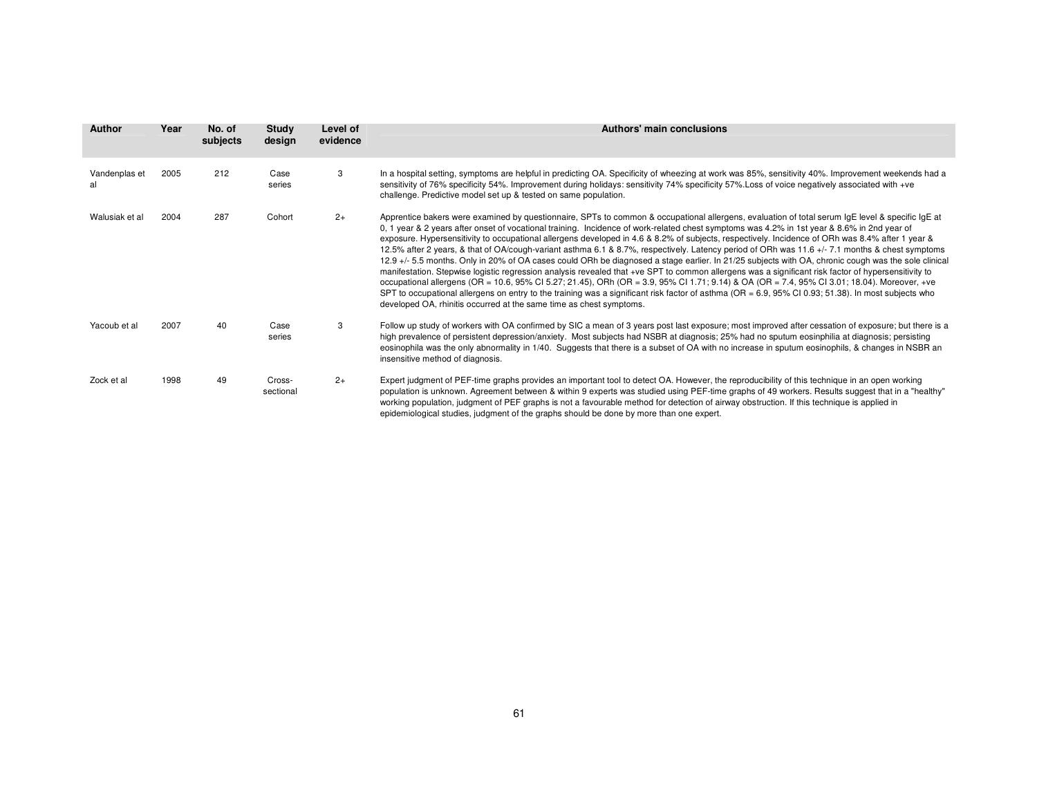| <b>Author</b>       | Year | No. of<br>subjects | Study<br>design     | Level of<br>evidence | Authors' main conclusions                                                                                                                                                                                                                                                                                                                                                                                                                                                                                                                                                                                                                                                                                                                                                                                                                                                                                                                                                                                                                                                                                                                                                                                                                                                                                 |
|---------------------|------|--------------------|---------------------|----------------------|-----------------------------------------------------------------------------------------------------------------------------------------------------------------------------------------------------------------------------------------------------------------------------------------------------------------------------------------------------------------------------------------------------------------------------------------------------------------------------------------------------------------------------------------------------------------------------------------------------------------------------------------------------------------------------------------------------------------------------------------------------------------------------------------------------------------------------------------------------------------------------------------------------------------------------------------------------------------------------------------------------------------------------------------------------------------------------------------------------------------------------------------------------------------------------------------------------------------------------------------------------------------------------------------------------------|
| Vandenplas et<br>al | 2005 | 212                | Case<br>series      | 3                    | In a hospital setting, symptoms are helpful in predicting OA. Specificity of wheezing at work was 85%, sensitivity 40%. Improvement weekends had a<br>sensitivity of 76% specificity 54%. Improvement during holidays: sensitivity 74% specificity 57%. Loss of voice negatively associated with +ve<br>challenge. Predictive model set up & tested on same population.                                                                                                                                                                                                                                                                                                                                                                                                                                                                                                                                                                                                                                                                                                                                                                                                                                                                                                                                   |
| Walusiak et al      | 2004 | 287                | Cohort              | $2+$                 | Apprentice bakers were examined by questionnaire, SPTs to common & occupational allergens, evaluation of total serum IgE level & specific IgE at<br>0, 1 year & 2 years after onset of vocational training. Incidence of work-related chest symptoms was 4.2% in 1st year & 8.6% in 2nd year of<br>exposure. Hypersensitivity to occupational allergens developed in 4.6 & 8.2% of subjects, respectively. Incidence of ORh was 8.4% after 1 year &<br>12.5% after 2 years, & that of OA/cough-variant asthma 6.1 & 8.7%, respectively. Latency period of ORh was 11.6 +/- 7.1 months & chest symptoms<br>12.9 +/- 5.5 months. Only in 20% of OA cases could ORh be diagnosed a stage earlier. In 21/25 subjects with OA, chronic cough was the sole clinical<br>manifestation. Stepwise logistic regression analysis revealed that +ve SPT to common allergens was a significant risk factor of hypersensitivity to<br>occupational allergens (OR = 10.6, 95% CI 5.27; 21.45), ORh (OR = 3.9, 95% CI 1.71; 9.14) & OA (OR = 7.4, 95% CI 3.01; 18.04). Moreover, +ve<br>SPT to occupational allergens on entry to the training was a significant risk factor of asthma ( $OR = 6.9$ , $95\%$ CI 0.93; 51.38). In most subjects who<br>developed OA, rhinitis occurred at the same time as chest symptoms. |
| Yacoub et al        | 2007 | 40                 | Case<br>series      | 3                    | Follow up study of workers with OA confirmed by SIC a mean of 3 years post last exposure; most improved after cessation of exposure; but there is a<br>high prevalence of persistent depression/anxiety. Most subjects had NSBR at diagnosis; 25% had no sputum eosinphilia at diagnosis; persisting<br>eosinophila was the only abnormality in 1/40. Suggests that there is a subset of OA with no increase in sputum eosinophils, & changes in NSBR an<br>insensitive method of diagnosis.                                                                                                                                                                                                                                                                                                                                                                                                                                                                                                                                                                                                                                                                                                                                                                                                              |
| Zock et al          | 1998 | 49                 | Cross-<br>sectional | $2+$                 | Expert judgment of PEF-time graphs provides an important tool to detect OA. However, the reproducibility of this technique in an open working<br>population is unknown. Agreement between & within 9 experts was studied using PEF-time graphs of 49 workers. Results suggest that in a "healthy"<br>working population, judgment of PEF graphs is not a favourable method for detection of airway obstruction. If this technique is applied in<br>epidemiological studies, judgment of the graphs should be done by more than one expert.                                                                                                                                                                                                                                                                                                                                                                                                                                                                                                                                                                                                                                                                                                                                                                |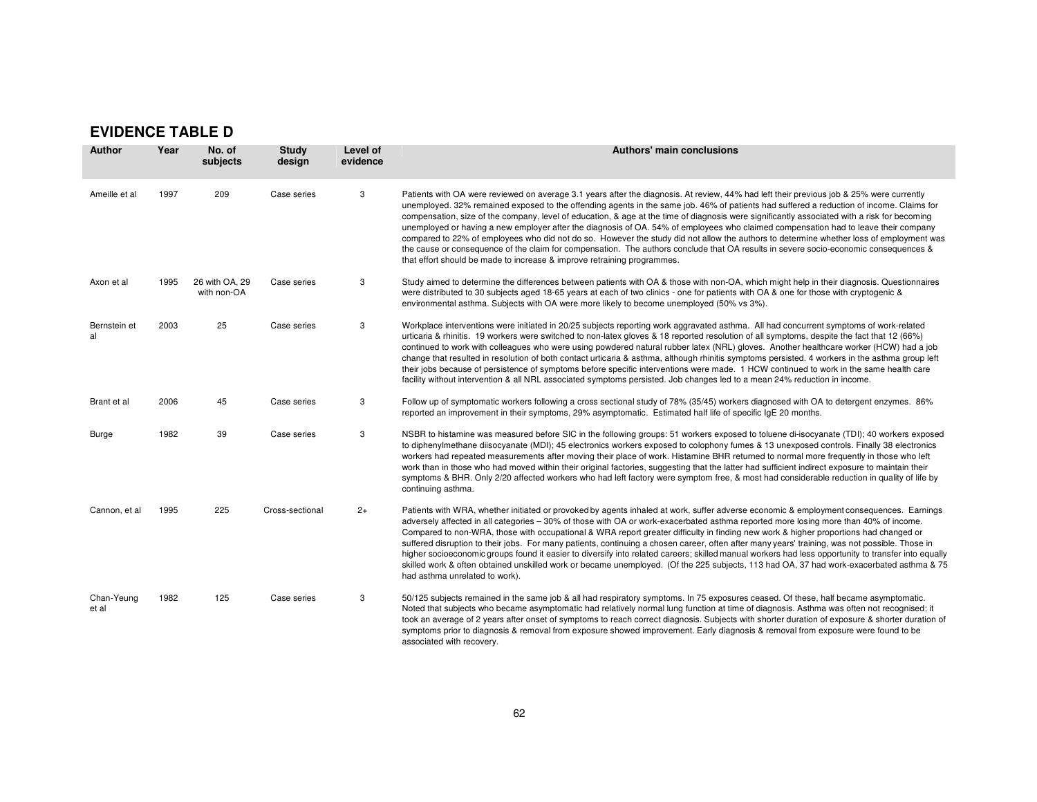## **EVIDENCE TABLE D**

| <b>Author</b>       | Year | No. of<br>subjects            | <b>Study</b><br>design | Level of<br>evidence | Authors' main conclusions                                                                                                                                                                                                                                                                                                                                                                                                                                                                                                                                                                                                                                                                                                                                                                                                                                                                                                                 |
|---------------------|------|-------------------------------|------------------------|----------------------|-------------------------------------------------------------------------------------------------------------------------------------------------------------------------------------------------------------------------------------------------------------------------------------------------------------------------------------------------------------------------------------------------------------------------------------------------------------------------------------------------------------------------------------------------------------------------------------------------------------------------------------------------------------------------------------------------------------------------------------------------------------------------------------------------------------------------------------------------------------------------------------------------------------------------------------------|
| Ameille et al       | 1997 | 209                           | Case series            | 3                    | Patients with OA were reviewed on average 3.1 years after the diagnosis. At review, 44% had left their previous job & 25% were currently<br>unemployed. 32% remained exposed to the offending agents in the same job. 46% of patients had suffered a reduction of income. Claims for<br>compensation, size of the company, level of education, & age at the time of diagnosis were significantly associated with a risk for becoming<br>unemployed or having a new employer after the diagnosis of OA. 54% of employees who claimed compensation had to leave their company<br>compared to 22% of employees who did not do so. However the study did not allow the authors to determine whether loss of employment was<br>the cause or consequence of the claim for compensation. The authors conclude that OA results in severe socio-economic consequences &<br>that effort should be made to increase & improve retraining programmes. |
| Axon et al          | 1995 | 26 with OA, 29<br>with non-OA | Case series            | 3                    | Study aimed to determine the differences between patients with OA & those with non-OA, which might help in their diagnosis. Questionnaires<br>were distributed to 30 subjects aged 18-65 years at each of two clinics - one for patients with OA & one for those with cryptogenic &<br>environmental asthma. Subjects with OA were more likely to become unemployed (50% vs 3%).                                                                                                                                                                                                                                                                                                                                                                                                                                                                                                                                                          |
| Bernstein et<br>al  | 2003 | 25                            | Case series            | 3                    | Workplace interventions were initiated in 20/25 subjects reporting work aggravated asthma. All had concurrent symptoms of work-related<br>urticaria & rhinitis. 19 workers were switched to non-latex gloves & 18 reported resolution of all symptoms, despite the fact that 12 (66%)<br>continued to work with colleagues who were using powdered natural rubber latex (NRL) gloves. Another healthcare worker (HCW) had a job<br>change that resulted in resolution of both contact urticaria & asthma, although rhinitis symptoms persisted. 4 workers in the asthma group left<br>their jobs because of persistence of symptoms before specific interventions were made. 1 HCW continued to work in the same health care<br>facility without intervention & all NRL associated symptoms persisted. Job changes led to a mean 24% reduction in income.                                                                                 |
| Brant et al         | 2006 | 45                            | Case series            | 3                    | Follow up of symptomatic workers following a cross sectional study of 78% (35/45) workers diagnosed with OA to detergent enzymes. 86%<br>reported an improvement in their symptoms, 29% asymptomatic. Estimated half life of specific IqE 20 months.                                                                                                                                                                                                                                                                                                                                                                                                                                                                                                                                                                                                                                                                                      |
| Burge               | 1982 | 39                            | Case series            | 3                    | NSBR to histamine was measured before SIC in the following groups: 51 workers exposed to toluene di-isocyanate (TDI); 40 workers exposed<br>to diphenylmethane diisocyanate (MDI); 45 electronics workers exposed to colophony fumes & 13 unexposed controls. Finally 38 electronics<br>workers had repeated measurements after moving their place of work. Histamine BHR returned to normal more frequently in those who left<br>work than in those who had moved within their original factories, suggesting that the latter had sufficient indirect exposure to maintain their<br>symptoms & BHR. Only 2/20 affected workers who had left factory were symptom free, & most had considerable reduction in quality of life by<br>continuing asthma.                                                                                                                                                                                     |
| Cannon, et al       | 1995 | 225                           | Cross-sectional        | $2+$                 | Patients with WRA, whether initiated or provoked by agents inhaled at work, suffer adverse economic & employment consequences. Earnings<br>adversely affected in all categories - 30% of those with OA or work-exacerbated asthma reported more losing more than 40% of income.<br>Compared to non-WRA, those with occupational & WRA report greater difficulty in finding new work & higher proportions had changed or<br>suffered disruption to their jobs. For many patients, continuing a chosen career, often after many years' training, was not possible. Those in<br>higher socioeconomic groups found it easier to diversify into related careers; skilled manual workers had less opportunity to transfer into equally<br>skilled work & often obtained unskilled work or became unemployed. (Of the 225 subjects, 113 had OA, 37 had work-exacerbated asthma & 75<br>had asthma unrelated to work).                            |
| Chan-Yeung<br>et al | 1982 | 125                           | Case series            | 3                    | 50/125 subjects remained in the same job & all had respiratory symptoms. In 75 exposures ceased. Of these, half became asymptomatic.<br>Noted that subjects who became asymptomatic had relatively normal lung function at time of diagnosis. Asthma was often not recognised; it<br>took an average of 2 years after onset of symptoms to reach correct diagnosis. Subjects with shorter duration of exposure & shorter duration of<br>symptoms prior to diagnosis & removal from exposure showed improvement. Early diagnosis & removal from exposure were found to be<br>associated with recovery.                                                                                                                                                                                                                                                                                                                                     |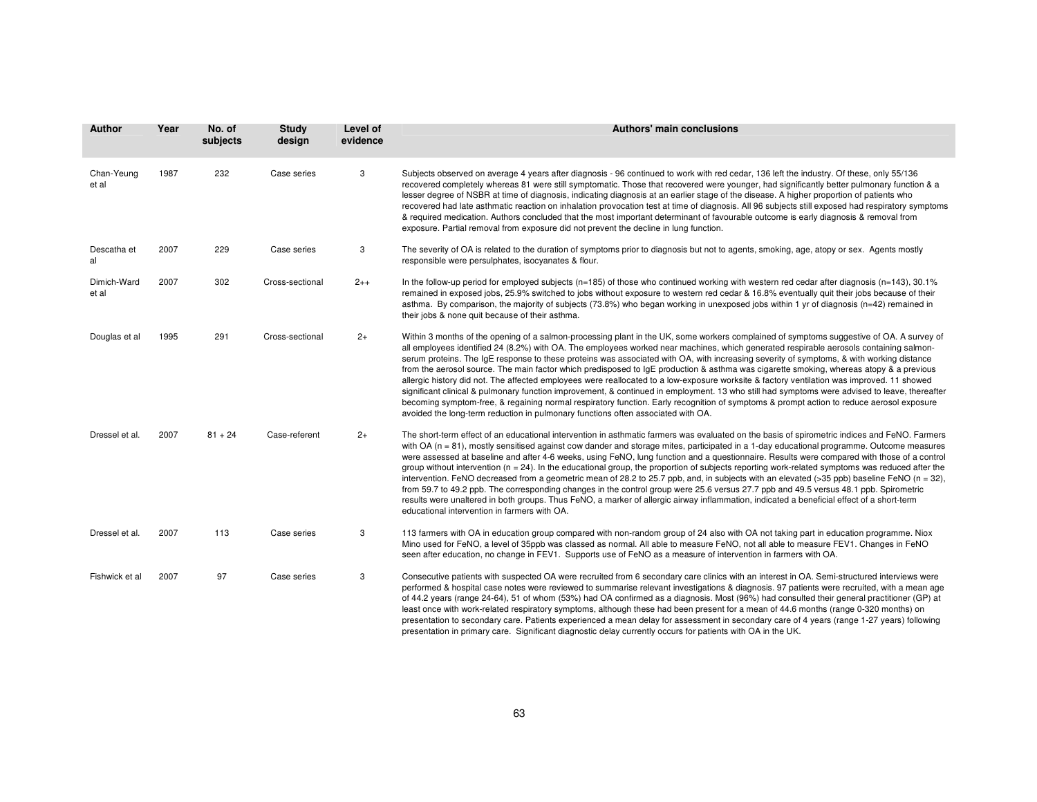| <b>Author</b>        | Year | No. of<br>subjects | <b>Study</b><br>design | Level of<br>evidence | <b>Authors' main conclusions</b>                                                                                                                                                                                                                                                                                                                                                                                                                                                                                                                                                                                                                                                                                                                                                                                                                                                                                                                                                                                                                                                                         |
|----------------------|------|--------------------|------------------------|----------------------|----------------------------------------------------------------------------------------------------------------------------------------------------------------------------------------------------------------------------------------------------------------------------------------------------------------------------------------------------------------------------------------------------------------------------------------------------------------------------------------------------------------------------------------------------------------------------------------------------------------------------------------------------------------------------------------------------------------------------------------------------------------------------------------------------------------------------------------------------------------------------------------------------------------------------------------------------------------------------------------------------------------------------------------------------------------------------------------------------------|
| Chan-Yeung<br>et al  | 1987 | 232                | Case series            | 3                    | Subjects observed on average 4 years after diagnosis - 96 continued to work with red cedar, 136 left the industry. Of these, only 55/136<br>recovered completely whereas 81 were still symptomatic. Those that recovered were younger, had significantly better pulmonary function & a<br>lesser degree of NSBR at time of diagnosis, indicating diagnosis at an earlier stage of the disease. A higher proportion of patients who<br>recovered had late asthmatic reaction on inhalation provocation test at time of diagnosis. All 96 subjects still exposed had respiratory symptoms<br>& required medication. Authors concluded that the most important determinant of favourable outcome is early diagnosis & removal from<br>exposure. Partial removal from exposure did not prevent the decline in lung function.                                                                                                                                                                                                                                                                                 |
| Descatha et<br>al    | 2007 | 229                | Case series            | 3                    | The severity of OA is related to the duration of symptoms prior to diagnosis but not to agents, smoking, age, atopy or sex. Agents mostly<br>responsible were persulphates, isocyanates & flour.                                                                                                                                                                                                                                                                                                                                                                                                                                                                                                                                                                                                                                                                                                                                                                                                                                                                                                         |
| Dimich-Ward<br>et al | 2007 | 302                | Cross-sectional        | $2++$                | In the follow-up period for employed subjects ( $n=185$ ) of those who continued working with western red cedar after diagnosis ( $n=143$ ), 30.1%<br>remained in exposed jobs, 25.9% switched to jobs without exposure to western red cedar & 16.8% eventually quit their jobs because of their<br>asthma. By comparison, the majority of subjects (73.8%) who began working in unexposed jobs within 1 yr of diagnosis (n=42) remained in<br>their jobs & none quit because of their asthma.                                                                                                                                                                                                                                                                                                                                                                                                                                                                                                                                                                                                           |
| Douglas et al        | 1995 | 291                | Cross-sectional        | $2+$                 | Within 3 months of the opening of a salmon-processing plant in the UK, some workers complained of symptoms suggestive of OA. A survey of<br>all employees identified 24 (8.2%) with OA. The employees worked near machines, which generated respirable aerosols containing salmon-<br>serum proteins. The IqE response to these proteins was associated with OA, with increasing severity of symptoms, & with working distance<br>from the aerosol source. The main factor which predisposed to IqE production & asthma was cigarette smoking, whereas atopy & a previous<br>allergic history did not. The affected employees were reallocated to a low-exposure worksite & factory ventilation was improved. 11 showed<br>significant clinical & pulmonary function improvement, & continued in employment. 13 who still had symptoms were advised to leave, thereafter<br>becoming symptom-free, & regaining normal respiratory function. Early recognition of symptoms & prompt action to reduce aerosol exposure<br>avoided the long-term reduction in pulmonary functions often associated with OA. |
| Dressel et al.       | 2007 | $81 + 24$          | Case-referent          | $2+$                 | The short-term effect of an educational intervention in asthmatic farmers was evaluated on the basis of spirometric indices and FeNO. Farmers<br>with $OA (n = 81)$ , mostly sensitised against cow dander and storage mites, participated in a 1-day educational programme. Outcome measures<br>were assessed at baseline and after 4-6 weeks, using FeNO, lung function and a questionnaire. Results were compared with those of a control<br>group without intervention ( $n = 24$ ). In the educational group, the proportion of subjects reporting work-related symptoms was reduced after the<br>intervention. FeNO decreased from a geometric mean of 28.2 to 25.7 ppb, and, in subjects with an elevated (>35 ppb) baseline FeNO (n = 32),<br>from 59.7 to 49.2 ppb. The corresponding changes in the control group were 25.6 versus 27.7 ppb and 49.5 versus 48.1 ppb. Spirometric<br>results were unaltered in both groups. Thus FeNO, a marker of allergic airway inflammation, indicated a beneficial effect of a short-term<br>educational intervention in farmers with OA.                 |
| Dressel et al.       | 2007 | 113                | Case series            | 3                    | 113 farmers with OA in education group compared with non-random group of 24 also with OA not taking part in education programme. Niox<br>Mino used for FeNO, a level of 35ppb was classed as normal. All able to measure FeNO, not all able to measure FEV1. Changes in FeNO<br>seen after education, no change in FEV1. Supports use of FeNO as a measure of intervention in farmers with OA.                                                                                                                                                                                                                                                                                                                                                                                                                                                                                                                                                                                                                                                                                                           |
| Fishwick et al       | 2007 | 97                 | Case series            | 3                    | Consecutive patients with suspected OA were recruited from 6 secondary care clinics with an interest in OA. Semi-structured interviews were<br>performed & hospital case notes were reviewed to summarise relevant investigations & diagnosis. 97 patients were recruited, with a mean age<br>of 44.2 years (range 24-64), 51 of whom (53%) had OA confirmed as a diagnosis. Most (96%) had consulted their general practitioner (GP) at<br>least once with work-related respiratory symptoms, although these had been present for a mean of 44.6 months (range 0-320 months) on<br>presentation to secondary care. Patients experienced a mean delay for assessment in secondary care of 4 years (range 1-27 years) following<br>presentation in primary care. Significant diagnostic delay currently occurs for patients with OA in the UK.                                                                                                                                                                                                                                                            |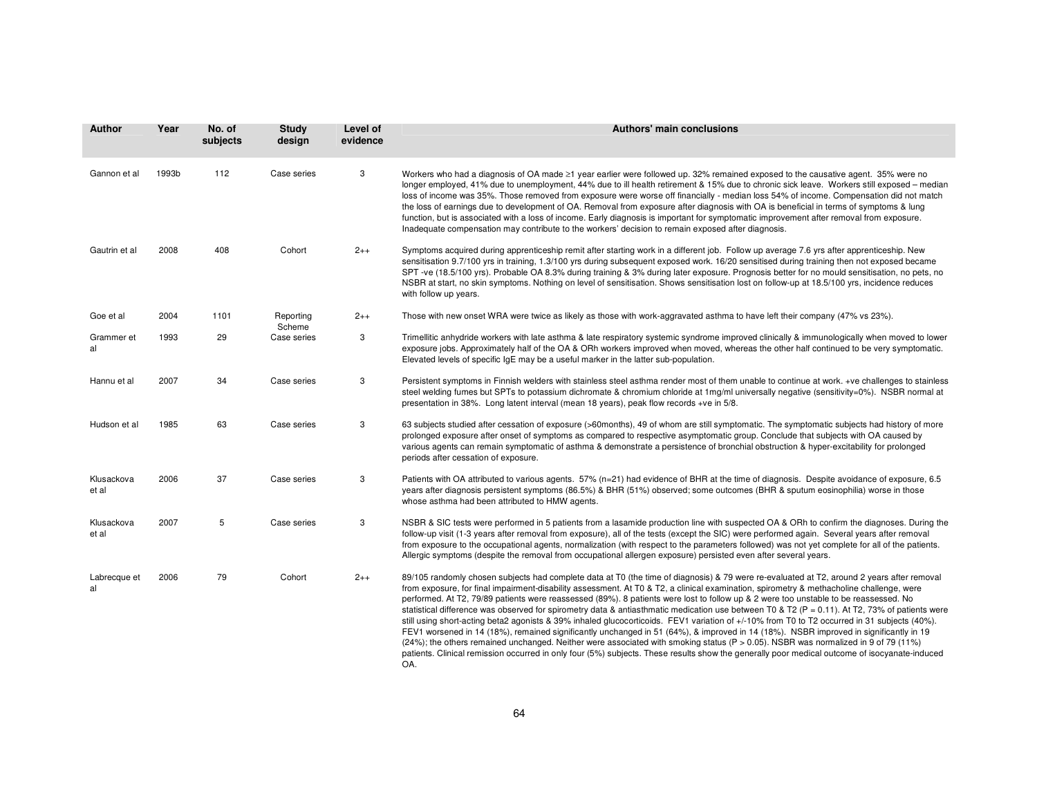| <b>Author</b>       | Year  | No. of<br>subjects | <b>Study</b><br>design | Level of<br>evidence | Authors' main conclusions                                                                                                                                                                                                                                                                                                                                                                                                                                                                                                                                                                                                                                                                                                                                                                                                                                                                                                                                                                                                                                                                                                                                                   |
|---------------------|-------|--------------------|------------------------|----------------------|-----------------------------------------------------------------------------------------------------------------------------------------------------------------------------------------------------------------------------------------------------------------------------------------------------------------------------------------------------------------------------------------------------------------------------------------------------------------------------------------------------------------------------------------------------------------------------------------------------------------------------------------------------------------------------------------------------------------------------------------------------------------------------------------------------------------------------------------------------------------------------------------------------------------------------------------------------------------------------------------------------------------------------------------------------------------------------------------------------------------------------------------------------------------------------|
| Gannon et al        | 1993b | 112                | Case series            | 3                    | Workers who had a diagnosis of OA made ≥1 year earlier were followed up. 32% remained exposed to the causative agent. 35% were no<br>longer employed, 41% due to unemployment, 44% due to ill health retirement & 15% due to chronic sick leave. Workers still exposed – median<br>loss of income was 35%. Those removed from exposure were worse off financially - median loss 54% of income. Compensation did not match<br>the loss of earnings due to development of OA. Removal from exposure after diagnosis with OA is beneficial in terms of symptoms & lung<br>function, but is associated with a loss of income. Early diagnosis is important for symptomatic improvement after removal from exposure.<br>Inadequate compensation may contribute to the workers' decision to remain exposed after diagnosis.                                                                                                                                                                                                                                                                                                                                                       |
| Gautrin et al       | 2008  | 408                | Cohort                 | $2++$                | Symptoms acquired during apprenticeship remit after starting work in a different job. Follow up average 7.6 yrs after apprenticeship. New<br>sensitisation 9.7/100 yrs in training, 1.3/100 yrs during subsequent exposed work. 16/20 sensitised during training then not exposed became<br>SPT -ve (18.5/100 yrs). Probable OA 8.3% during training & 3% during later exposure. Prognosis better for no mould sensitisation, no pets, no<br>NSBR at start, no skin symptoms. Nothing on level of sensitisation. Shows sensitisation lost on follow-up at 18.5/100 yrs, incidence reduces<br>with follow up years.                                                                                                                                                                                                                                                                                                                                                                                                                                                                                                                                                          |
| Goe et al           | 2004  | 1101               | Reporting              | $2++$                | Those with new onset WRA were twice as likely as those with work-aggravated asthma to have left their company (47% vs 23%).                                                                                                                                                                                                                                                                                                                                                                                                                                                                                                                                                                                                                                                                                                                                                                                                                                                                                                                                                                                                                                                 |
| Grammer et<br>al    | 1993  | 29                 | Scheme<br>Case series  | 3                    | Trimellitic anhydride workers with late asthma & late respiratory systemic syndrome improved clinically & immunologically when moved to lower<br>exposure jobs. Approximately half of the OA & ORh workers improved when moved, whereas the other half continued to be very symptomatic.<br>Elevated levels of specific IgE may be a useful marker in the latter sub-population.                                                                                                                                                                                                                                                                                                                                                                                                                                                                                                                                                                                                                                                                                                                                                                                            |
| Hannu et al         | 2007  | 34                 | Case series            | 3                    | Persistent symptoms in Finnish welders with stainless steel asthma render most of them unable to continue at work. +ve challenges to stainless<br>steel welding fumes but SPTs to potassium dichromate & chromium chloride at 1mg/ml universally negative (sensitivity=0%). NSBR normal at<br>presentation in 38%. Long latent interval (mean 18 years), peak flow records +ve in 5/8.                                                                                                                                                                                                                                                                                                                                                                                                                                                                                                                                                                                                                                                                                                                                                                                      |
| Hudson et al        | 1985  | 63                 | Case series            | 3                    | 63 subjects studied after cessation of exposure (>60months), 49 of whom are still symptomatic. The symptomatic subjects had history of more<br>prolonged exposure after onset of symptoms as compared to respective asymptomatic group. Conclude that subjects with OA caused by<br>various agents can remain symptomatic of asthma & demonstrate a persistence of bronchial obstruction & hyper-excitability for prolonged<br>periods after cessation of exposure.                                                                                                                                                                                                                                                                                                                                                                                                                                                                                                                                                                                                                                                                                                         |
| Klusackova<br>et al | 2006  | 37                 | Case series            | 3                    | Patients with OA attributed to various agents. 57% (n=21) had evidence of BHR at the time of diagnosis. Despite avoidance of exposure, 6.5<br>years after diagnosis persistent symptoms (86.5%) & BHR (51%) observed; some outcomes (BHR & sputum eosinophilia) worse in those<br>whose asthma had been attributed to HMW agents.                                                                                                                                                                                                                                                                                                                                                                                                                                                                                                                                                                                                                                                                                                                                                                                                                                           |
| Klusackova<br>et al | 2007  | 5                  | Case series            | 3                    | NSBR & SIC tests were performed in 5 patients from a lasamide production line with suspected OA & ORh to confirm the diagnoses. During the<br>follow-up visit (1-3 years after removal from exposure), all of the tests (except the SIC) were performed again. Several years after removal<br>from exposure to the occupational agents, normalization (with respect to the parameters followed) was not yet complete for all of the patients.<br>Allergic symptoms (despite the removal from occupational allergen exposure) persisted even after several years.                                                                                                                                                                                                                                                                                                                                                                                                                                                                                                                                                                                                            |
| Labrecque et<br>al  | 2006  | 79                 | Cohort                 | $2++$                | 89/105 randomly chosen subjects had complete data at T0 (the time of diagnosis) & 79 were re-evaluated at T2, around 2 years after removal<br>from exposure, for final impairment-disability assessment. At T0 & T2, a clinical examination, spirometry & methacholine challenge, were<br>performed. At T2, 79/89 patients were reassessed (89%). 8 patients were lost to follow up & 2 were too unstable to be reassessed. No<br>statistical difference was observed for spirometry data & antiasthmatic medication use between T0 & T2 ( $P = 0.11$ ). At T2, 73% of patients were<br>still using short-acting beta2 agonists & 39% inhaled glucocorticoids. FEV1 variation of +/-10% from T0 to T2 occurred in 31 subjects (40%).<br>FEV1 worsened in 14 (18%), remained significantly unchanged in 51 (64%), & improved in 14 (18%). NSBR improved in significantly in 19<br>(24%); the others remained unchanged. Neither were associated with smoking status (P > 0.05). NSBR was normalized in 9 of 79 (11%)<br>patients. Clinical remission occurred in only four (5%) subjects. These results show the generally poor medical outcome of isocyanate-induced<br>OA. |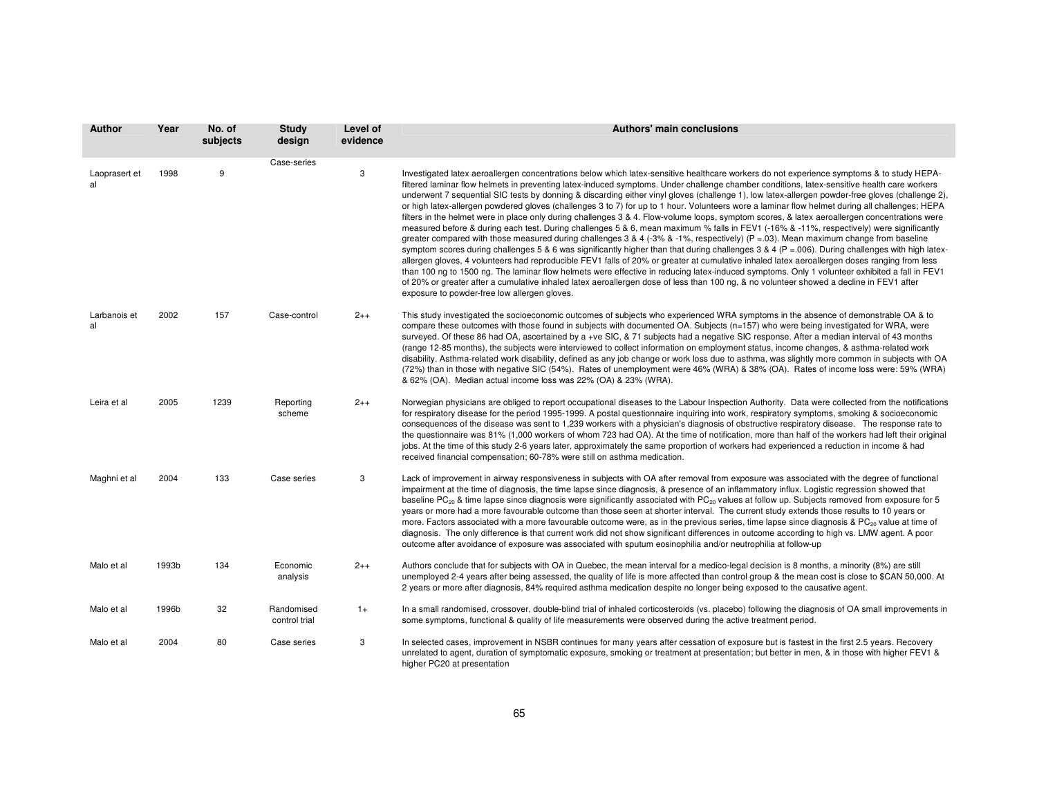| <b>Author</b>       | Year  | No. of<br>subjects | <b>Study</b><br>design      | Level of<br>evidence | Authors' main conclusions                                                                                                                                                                                                                                                                                                                                                                                                                                                                                                                                                                                                                                                                                                                                                                                                                                                                                                                                                                                                                                                                                                                                                                                                                                                                                                                                                                                                                                                                                                                                                                                                                                                                |
|---------------------|-------|--------------------|-----------------------------|----------------------|------------------------------------------------------------------------------------------------------------------------------------------------------------------------------------------------------------------------------------------------------------------------------------------------------------------------------------------------------------------------------------------------------------------------------------------------------------------------------------------------------------------------------------------------------------------------------------------------------------------------------------------------------------------------------------------------------------------------------------------------------------------------------------------------------------------------------------------------------------------------------------------------------------------------------------------------------------------------------------------------------------------------------------------------------------------------------------------------------------------------------------------------------------------------------------------------------------------------------------------------------------------------------------------------------------------------------------------------------------------------------------------------------------------------------------------------------------------------------------------------------------------------------------------------------------------------------------------------------------------------------------------------------------------------------------------|
| Laoprasert et<br>al | 1998  | 9                  | Case-series                 | 3                    | Investigated latex aeroallergen concentrations below which latex-sensitive healthcare workers do not experience symptoms & to study HEPA-<br>filtered laminar flow helmets in preventing latex-induced symptoms. Under challenge chamber conditions, latex-sensitive health care workers<br>underwent 7 sequential SIC tests by donning & discarding either vinyl gloves (challenge 1), low latex-allergen powder-free gloves (challenge 2),<br>or high latex-allergen powdered gloves (challenges 3 to 7) for up to 1 hour. Volunteers wore a laminar flow helmet during all challenges; HEPA<br>filters in the helmet were in place only during challenges 3 & 4. Flow-volume loops, symptom scores, & latex aeroallergen concentrations were<br>measured before & during each test. During challenges 5 & 6, mean maximum % falls in FEV1 (-16% & -11%, respectively) were significantly<br>greater compared with those measured during challenges 3 & 4 (-3% & -1%, respectively) ( $P = 03$ ). Mean maximum change from baseline<br>symptom scores during challenges 5 & 6 was significantly higher than that during challenges 3 & 4 ( $P = 006$ ). During challenges with high latex-<br>allergen gloves, 4 volunteers had reproducible FEV1 falls of 20% or greater at cumulative inhaled latex aeroallergen doses ranging from less<br>than 100 ng to 1500 ng. The laminar flow helmets were effective in reducing latex-induced symptoms. Only 1 volunteer exhibited a fall in FEV1<br>of 20% or greater after a cumulative inhaled latex aeroallergen dose of less than 100 ng, & no volunteer showed a decline in FEV1 after<br>exposure to powder-free low allergen gloves. |
| Larbanois et<br>al  | 2002  | 157                | Case-control                | $2++$                | This study investigated the socioeconomic outcomes of subjects who experienced WRA symptoms in the absence of demonstrable OA & to<br>compare these outcomes with those found in subjects with documented OA. Subjects (n=157) who were being investigated for WRA, were<br>surveyed. Of these 86 had OA, ascertained by a +ve SIC, & 71 subjects had a negative SIC response. After a median interval of 43 months<br>(range 12-85 months), the subjects were interviewed to collect information on employment status, income changes, & asthma-related work<br>disability. Asthma-related work disability, defined as any job change or work loss due to asthma, was slightly more common in subjects with OA<br>(72%) than in those with negative SIC (54%). Rates of unemployment were 46% (WRA) & 38% (OA). Rates of income loss were: 59% (WRA)<br>& 62% (OA). Median actual income loss was 22% (OA) & 23% (WRA).                                                                                                                                                                                                                                                                                                                                                                                                                                                                                                                                                                                                                                                                                                                                                                 |
| Leira et al         | 2005  | 1239               | Reporting<br>scheme         | $2++$                | Norwegian physicians are obliged to report occupational diseases to the Labour Inspection Authority. Data were collected from the notifications<br>for respiratory disease for the period 1995-1999. A postal questionnaire inquiring into work, respiratory symptoms, smoking & socioeconomic<br>consequences of the disease was sent to 1,239 workers with a physician's diagnosis of obstructive respiratory disease. The response rate to<br>the questionnaire was 81% (1,000 workers of whom 723 had OA). At the time of notification, more than half of the workers had left their original<br>jobs. At the time of this study 2-6 years later, approximately the same proportion of workers had experienced a reduction in income & had<br>received financial compensation; 60-78% were still on asthma medication.                                                                                                                                                                                                                                                                                                                                                                                                                                                                                                                                                                                                                                                                                                                                                                                                                                                               |
| Maghni et al        | 2004  | 133                | Case series                 | 3                    | Lack of improvement in airway responsiveness in subjects with OA after removal from exposure was associated with the degree of functional<br>impairment at the time of diagnosis, the time lapse since diagnosis, & presence of an inflammatory influx. Logistic regression showed that<br>baseline PC <sub>20</sub> & time lapse since diagnosis were significantly associated with PC <sub>20</sub> values at follow up. Subjects removed from exposure for 5<br>years or more had a more favourable outcome than those seen at shorter interval. The current study extends those results to 10 years or<br>more. Factors associated with a more favourable outcome were, as in the previous series, time lapse since diagnosis & PC <sub>20</sub> value at time of<br>diagnosis. The only difference is that current work did not show significant differences in outcome according to high vs. LMW agent. A poor<br>outcome after avoidance of exposure was associated with sputum eosinophilia and/or neutrophilia at follow-up                                                                                                                                                                                                                                                                                                                                                                                                                                                                                                                                                                                                                                                     |
| Malo et al          | 1993b | 134                | Economic<br>analysis        | $2++$                | Authors conclude that for subjects with OA in Quebec, the mean interval for a medico-legal decision is 8 months, a minority (8%) are still<br>unemployed 2-4 years after being assessed, the quality of life is more affected than control group & the mean cost is close to \$CAN 50,000. At<br>2 years or more after diagnosis, 84% required asthma medication despite no longer being exposed to the causative agent.                                                                                                                                                                                                                                                                                                                                                                                                                                                                                                                                                                                                                                                                                                                                                                                                                                                                                                                                                                                                                                                                                                                                                                                                                                                                 |
| Malo et al          | 1996b | 32                 | Randomised<br>control trial | $1+$                 | In a small randomised, crossover, double-blind trial of inhaled corticosteroids (vs. placebo) following the diagnosis of OA small improvements in<br>some symptoms, functional & quality of life measurements were observed during the active treatment period.                                                                                                                                                                                                                                                                                                                                                                                                                                                                                                                                                                                                                                                                                                                                                                                                                                                                                                                                                                                                                                                                                                                                                                                                                                                                                                                                                                                                                          |
| Malo et al          | 2004  | 80                 | Case series                 | 3                    | In selected cases, improvement in NSBR continues for many years after cessation of exposure but is fastest in the first 2.5 years. Recovery<br>unrelated to agent, duration of symptomatic exposure, smoking or treatment at presentation; but better in men, & in those with higher FEV1 &<br>higher PC20 at presentation                                                                                                                                                                                                                                                                                                                                                                                                                                                                                                                                                                                                                                                                                                                                                                                                                                                                                                                                                                                                                                                                                                                                                                                                                                                                                                                                                               |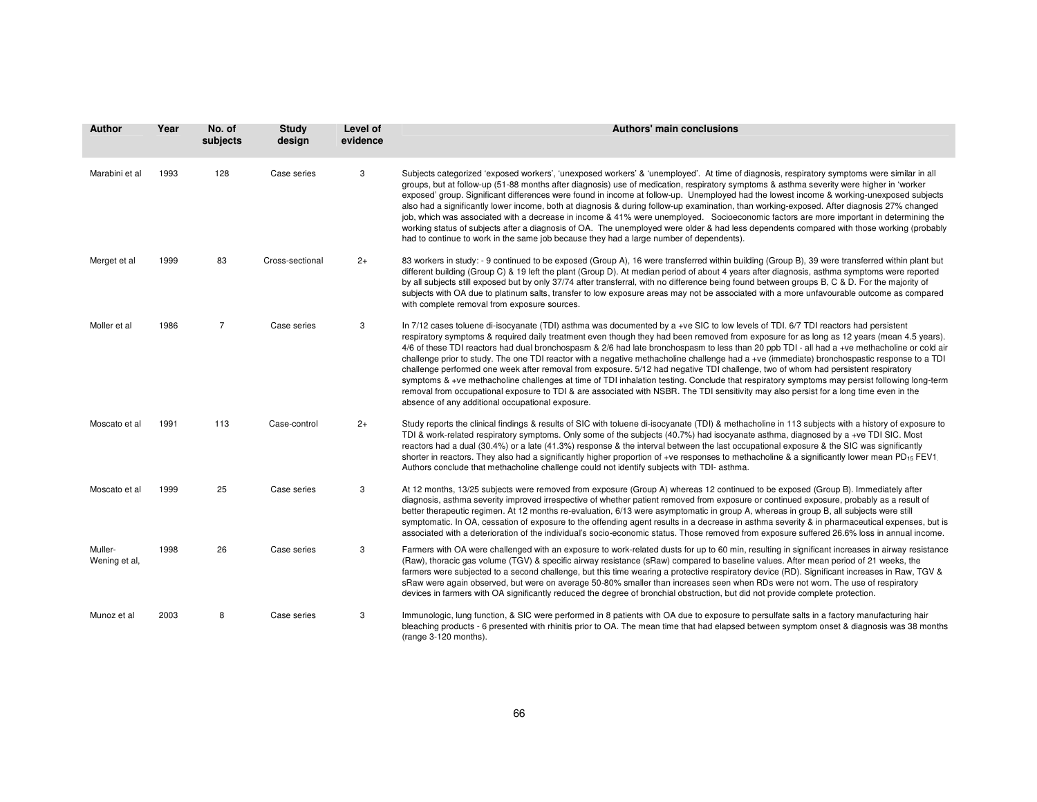| <b>Author</b>            | Year | No. of<br>subjects | <b>Study</b><br>design | Level of<br>evidence | <b>Authors' main conclusions</b>                                                                                                                                                                                                                                                                                                                                                                                                                                                                                                                                                                                                                                                                                                                                                                                                                                                                                                                                                                                                                                  |
|--------------------------|------|--------------------|------------------------|----------------------|-------------------------------------------------------------------------------------------------------------------------------------------------------------------------------------------------------------------------------------------------------------------------------------------------------------------------------------------------------------------------------------------------------------------------------------------------------------------------------------------------------------------------------------------------------------------------------------------------------------------------------------------------------------------------------------------------------------------------------------------------------------------------------------------------------------------------------------------------------------------------------------------------------------------------------------------------------------------------------------------------------------------------------------------------------------------|
| Marabini et al           | 1993 | 128                | Case series            | 3                    | Subjects categorized 'exposed workers', 'unexposed workers' & 'unemployed'. At time of diagnosis, respiratory symptoms were similar in all<br>groups, but at follow-up (51-88 months after diagnosis) use of medication, respiratory symptoms & asthma severity were higher in 'worker<br>exposed' group. Significant differences were found in income at follow-up. Unemployed had the lowest income & working-unexposed subjects<br>also had a significantly lower income, both at diagnosis & during follow-up examination, than working-exposed. After diagnosis 27% changed<br>job, which was associated with a decrease in income & 41% were unemployed. Socioeconomic factors are more important in determining the<br>working status of subjects after a diagnosis of OA. The unemployed were older & had less dependents compared with those working (probably<br>had to continue to work in the same job because they had a large number of dependents).                                                                                                |
| Merget et al             | 1999 | 83                 | Cross-sectional        | $2+$                 | 83 workers in study: - 9 continued to be exposed (Group A), 16 were transferred within building (Group B), 39 were transferred within plant but<br>different building (Group C) & 19 left the plant (Group D). At median period of about 4 years after diagnosis, asthma symptoms were reported<br>by all subjects still exposed but by only 37/74 after transferral, with no difference being found between groups B, C & D. For the majority of<br>subjects with OA due to platinum salts, transfer to low exposure areas may not be associated with a more unfavourable outcome as compared<br>with complete removal from exposure sources.                                                                                                                                                                                                                                                                                                                                                                                                                    |
| Moller et al             | 1986 | $\overline{7}$     | Case series            | 3                    | In 7/12 cases toluene di-isocyanate (TDI) asthma was documented by a +ve SIC to low levels of TDI. 6/7 TDI reactors had persistent<br>respiratory symptoms & required daily treatment even though they had been removed from exposure for as long as 12 years (mean 4.5 years).<br>4/6 of these TDI reactors had dual bronchospasm & 2/6 had late bronchospasm to less than 20 ppb TDI - all had a +ve methacholine or cold air<br>challenge prior to study. The one TDI reactor with a negative methacholine challenge had a +ve (immediate) bronchospastic response to a TDI<br>challenge performed one week after removal from exposure. 5/12 had negative TDI challenge, two of whom had persistent respiratory<br>symptoms & +ve methacholine challenges at time of TDI inhalation testing. Conclude that respiratory symptoms may persist following long-term<br>removal from occupational exposure to TDI & are associated with NSBR. The TDI sensitivity may also persist for a long time even in the<br>absence of any additional occupational exposure. |
| Moscato et al            | 1991 | 113                | Case-control           | $2+$                 | Study reports the clinical findings & results of SIC with toluene di-isocyanate (TDI) & methacholine in 113 subjects with a history of exposure to<br>TDI & work-related respiratory symptoms. Only some of the subjects (40.7%) had isocyanate asthma, diagnosed by a +ve TDI SIC. Most<br>reactors had a dual (30.4%) or a late (41.3%) response & the interval between the last occupational exposure & the SIC was significantly<br>shorter in reactors. They also had a significantly higher proportion of +ve responses to methacholine & a significantly lower mean PD <sub>15</sub> FEV1<br>Authors conclude that methacholine challenge could not identify subjects with TDI- asthma.                                                                                                                                                                                                                                                                                                                                                                    |
| Moscato et al            | 1999 | 25                 | Case series            | 3                    | At 12 months, 13/25 subjects were removed from exposure (Group A) whereas 12 continued to be exposed (Group B). Immediately after<br>diagnosis, asthma severity improved irrespective of whether patient removed from exposure or continued exposure, probably as a result of<br>better therapeutic regimen. At 12 months re-evaluation, 6/13 were asymptomatic in group A, whereas in group B, all subjects were still<br>symptomatic. In OA, cessation of exposure to the offending agent results in a decrease in asthma severity & in pharmaceutical expenses, but is<br>associated with a deterioration of the individual's socio-economic status. Those removed from exposure suffered 26.6% loss in annual income.                                                                                                                                                                                                                                                                                                                                         |
| Muller-<br>Wening et al, | 1998 | 26                 | Case series            | 3                    | Farmers with OA were challenged with an exposure to work-related dusts for up to 60 min, resulting in significant increases in airway resistance<br>(Raw), thoracic gas volume (TGV) & specific airway resistance (sRaw) compared to baseline values. After mean period of 21 weeks, the<br>farmers were subjected to a second challenge, but this time wearing a protective respiratory device (RD). Significant increases in Raw, TGV &<br>sRaw were again observed, but were on average 50-80% smaller than increases seen when RDs were not worn. The use of respiratory<br>devices in farmers with OA significantly reduced the degree of bronchial obstruction, but did not provide complete protection.                                                                                                                                                                                                                                                                                                                                                    |
| Munoz et al              | 2003 | 8                  | Case series            | 3                    | Immunologic, lung function, & SIC were performed in 8 patients with OA due to exposure to persulfate salts in a factory manufacturing hair<br>bleaching products - 6 presented with rhinitis prior to OA. The mean time that had elapsed between symptom onset & diagnosis was 38 months<br>(range 3-120 months).                                                                                                                                                                                                                                                                                                                                                                                                                                                                                                                                                                                                                                                                                                                                                 |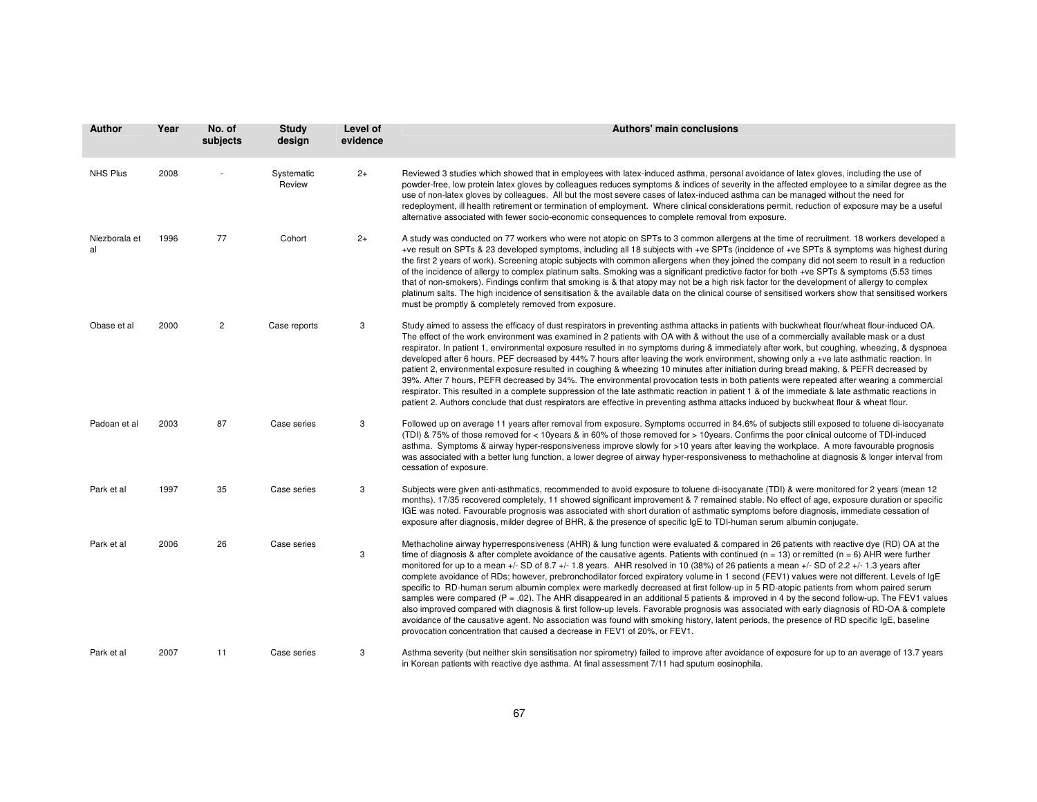| <b>Author</b>       | Year | No. of<br>subjects | <b>Study</b><br>design | Level of<br>evidence | <b>Authors' main conclusions</b>                                                                                                                                                                                                                                                                                                                                                                                                                                                                                                                                                                                                                                                                                                                                                                                                                                                                                                                                                                                                                                                                                                                                                                                                                            |
|---------------------|------|--------------------|------------------------|----------------------|-------------------------------------------------------------------------------------------------------------------------------------------------------------------------------------------------------------------------------------------------------------------------------------------------------------------------------------------------------------------------------------------------------------------------------------------------------------------------------------------------------------------------------------------------------------------------------------------------------------------------------------------------------------------------------------------------------------------------------------------------------------------------------------------------------------------------------------------------------------------------------------------------------------------------------------------------------------------------------------------------------------------------------------------------------------------------------------------------------------------------------------------------------------------------------------------------------------------------------------------------------------|
| <b>NHS Plus</b>     | 2008 |                    | Systematic<br>Review   | $2+$                 | Reviewed 3 studies which showed that in employees with latex-induced asthma, personal avoidance of latex gloves, including the use of<br>powder-free, low protein latex gloves by colleagues reduces symptoms & indices of severity in the affected employee to a similar degree as the<br>use of non-latex gloves by colleagues. All but the most severe cases of latex-induced asthma can be managed without the need for<br>redeployment, ill health retirement or termination of employment. Where clinical considerations permit, reduction of exposure may be a useful<br>alternative associated with fewer socio-economic consequences to complete removal from exposure.                                                                                                                                                                                                                                                                                                                                                                                                                                                                                                                                                                            |
| Niezborala et<br>al | 1996 | 77                 | Cohort                 | $2+$                 | A study was conducted on 77 workers who were not atopic on SPTs to 3 common allergens at the time of recruitment. 18 workers developed a<br>+ve result on SPTs & 23 developed symptoms, including all 18 subjects with +ve SPTs (incidence of +ve SPTs & symptoms was highest during<br>the first 2 years of work). Screening atopic subjects with common allergens when they joined the company did not seem to result in a reduction<br>of the incidence of allergy to complex platinum salts. Smoking was a significant predictive factor for both +ve SPTs & symptoms (5.53 times<br>that of non-smokers). Findings confirm that smoking is & that atopy may not be a high risk factor for the development of allergy to complex<br>platinum salts. The high incidence of sensitisation & the available data on the clinical course of sensitised workers show that sensitised workers<br>must be promptly & completely removed from exposure.                                                                                                                                                                                                                                                                                                          |
| Obase et al         | 2000 | 2                  | Case reports           | 3                    | Study aimed to assess the efficacy of dust respirators in preventing asthma attacks in patients with buckwheat flour/wheat flour-induced OA.<br>The effect of the work environment was examined in 2 patients with OA with & without the use of a commercially available mask or a dust<br>respirator. In patient 1, environmental exposure resulted in no symptoms during & immediately after work, but coughing, wheezing, & dyspnoea<br>developed after 6 hours. PEF decreased by 44% 7 hours after leaving the work environment, showing only a +ve late asthmatic reaction. In<br>patient 2, environmental exposure resulted in coughing & wheezing 10 minutes after initiation during bread making, & PEFR decreased by<br>39%. After 7 hours, PEFR decreased by 34%. The environmental provocation tests in both patients were repeated after wearing a commercial<br>respirator. This resulted in a complete suppression of the late asthmatic reaction in patient 1 & of the immediate & late asthmatic reactions in<br>patient 2. Authors conclude that dust respirators are effective in preventing asthma attacks induced by buckwheat flour & wheat flour.                                                                                     |
| Padoan et al        | 2003 | 87                 | Case series            | 3                    | Followed up on average 11 years after removal from exposure. Symptoms occurred in 84.6% of subjects still exposed to toluene di-isocyanate<br>(TDI) & 75% of those removed for < 10years & in 60% of those removed for > 10years. Confirms the poor clinical outcome of TDI-induced<br>asthma. Symptoms & airway hyper-responsiveness improve slowly for >10 years after leaving the workplace. A more favourable prognosis<br>was associated with a better lung function, a lower degree of airway hyper-responsiveness to methacholine at diagnosis & longer interval from<br>cessation of exposure.                                                                                                                                                                                                                                                                                                                                                                                                                                                                                                                                                                                                                                                      |
| Park et al          | 1997 | 35                 | Case series            | 3                    | Subjects were given anti-asthmatics, recommended to avoid exposure to toluene di-isocyanate (TDI) & were monitored for 2 years (mean 12<br>months). 17/35 recovered completely, 11 showed significant improvement & 7 remained stable. No effect of age, exposure duration or specific<br>IGE was noted. Favourable prognosis was associated with short duration of asthmatic symptoms before diagnosis, immediate cessation of<br>exposure after diagnosis, milder degree of BHR, & the presence of specific $lgE$ to TDI-human serum albumin conjugate.                                                                                                                                                                                                                                                                                                                                                                                                                                                                                                                                                                                                                                                                                                   |
| Park et al          | 2006 | 26                 | Case series            | 3                    | Methacholine airway hyperresponsiveness (AHR) & lung function were evaluated & compared in 26 patients with reactive dye (RD) OA at the<br>time of diagnosis & after complete avoidance of the causative agents. Patients with continued ( $n = 13$ ) or remitted ( $n = 6$ ) AHR were further<br>monitored for up to a mean +/- SD of 8.7 +/- 1.8 years. AHR resolved in 10 (38%) of 26 patients a mean +/- SD of 2.2 +/- 1.3 years after<br>complete avoidance of RDs; however, prebronchodilator forced expiratory volume in 1 second (FEV1) values were not different. Levels of IgE<br>specific to RD-human serum albumin complex were markedly decreased at first follow-up in 5 RD-atopic patients from whom paired serum<br>samples were compared ( $P = .02$ ). The AHR disappeared in an additional 5 patients & improved in 4 by the second follow-up. The FEV1 values<br>also improved compared with diagnosis & first follow-up levels. Favorable prognosis was associated with early diagnosis of RD-OA & complete<br>avoidance of the causative agent. No association was found with smoking history, latent periods, the presence of RD specific IgE, baseline<br>provocation concentration that caused a decrease in FEV1 of 20%, or FEV1. |
| Park et al          | 2007 | 11                 | Case series            | 3                    | Asthma severity (but neither skin sensitisation nor spirometry) failed to improve after avoidance of exposure for up to an average of 13.7 years<br>in Korean patients with reactive dye asthma. At final assessment 7/11 had sputum eosinophila.                                                                                                                                                                                                                                                                                                                                                                                                                                                                                                                                                                                                                                                                                                                                                                                                                                                                                                                                                                                                           |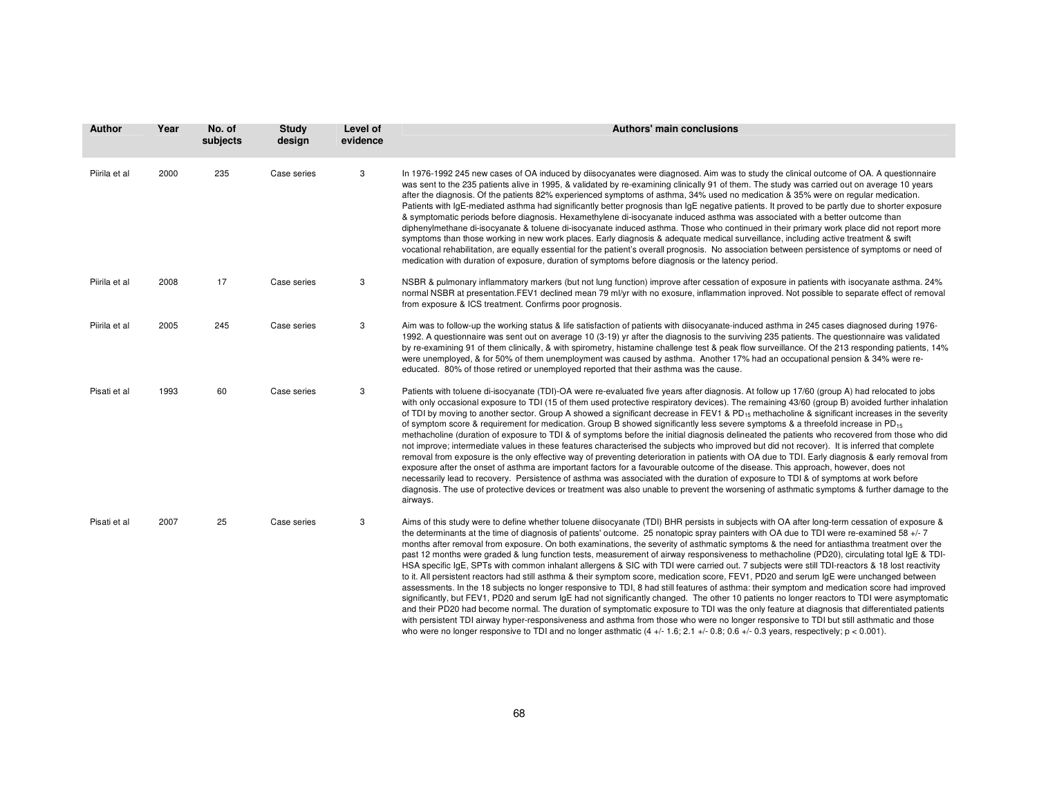| Author        | Year | No. of<br>subjects | Study<br>design | Level of<br>evidence | <b>Authors' main conclusions</b>                                                                                                                                                                                                                                                                                                                                                                                                                                                                                                                                                                                                                                                                                                                                                                                                                                                                                                                                                                                                                                                                                                                                                                                                                                                                                                                                                                                                                                                                                                                                                                                                                  |
|---------------|------|--------------------|-----------------|----------------------|---------------------------------------------------------------------------------------------------------------------------------------------------------------------------------------------------------------------------------------------------------------------------------------------------------------------------------------------------------------------------------------------------------------------------------------------------------------------------------------------------------------------------------------------------------------------------------------------------------------------------------------------------------------------------------------------------------------------------------------------------------------------------------------------------------------------------------------------------------------------------------------------------------------------------------------------------------------------------------------------------------------------------------------------------------------------------------------------------------------------------------------------------------------------------------------------------------------------------------------------------------------------------------------------------------------------------------------------------------------------------------------------------------------------------------------------------------------------------------------------------------------------------------------------------------------------------------------------------------------------------------------------------|
| Piirila et al | 2000 | 235                | Case series     | 3                    | In 1976-1992 245 new cases of OA induced by diisocyanates were diagnosed. Aim was to study the clinical outcome of OA. A questionnaire<br>was sent to the 235 patients alive in 1995, & validated by re-examining clinically 91 of them. The study was carried out on average 10 years<br>after the diagnosis. Of the patients 82% experienced symptoms of asthma, 34% used no medication & 35% were on regular medication.<br>Patients with IgE-mediated asthma had significantly better prognosis than IgE negative patients. It proved to be partly due to shorter exposure<br>& symptomatic periods before diagnosis. Hexamethylene di-isocyanate induced asthma was associated with a better outcome than<br>diphenylmethane di-isocyanate & toluene di-isocyanate induced asthma. Those who continued in their primary work place did not report more<br>symptoms than those working in new work places. Early diagnosis & adequate medical surveillance, including active treatment & swift<br>vocational rehabilitation, are equally essential for the patient's overall prognosis. No association between persistence of symptoms or need of<br>medication with duration of exposure, duration of symptoms before diagnosis or the latency period.                                                                                                                                                                                                                                                                                                                                                                                       |
| Piirila et al | 2008 | 17                 | Case series     | 3                    | NSBR & pulmonary inflammatory markers (but not lung function) improve after cessation of exposure in patients with isocyanate asthma. 24%<br>normal NSBR at presentation.FEV1 declined mean 79 ml/yr with no exosure, inflammation inproved. Not possible to separate effect of removal<br>from exposure & ICS treatment. Confirms poor prognosis.                                                                                                                                                                                                                                                                                                                                                                                                                                                                                                                                                                                                                                                                                                                                                                                                                                                                                                                                                                                                                                                                                                                                                                                                                                                                                                |
| Piirila et al | 2005 | 245                | Case series     | 3                    | Aim was to follow-up the working status & life satisfaction of patients with diisocyanate-induced asthma in 245 cases diagnosed during 1976-<br>1992. A questionnaire was sent out on average 10 (3-19) yr after the diagnosis to the surviving 235 patients. The questionnaire was validated<br>by re-examining 91 of them clinically, & with spirometry, histamine challenge test & peak flow surveillance. Of the 213 responding patients, 14%<br>were unemployed, & for 50% of them unemployment was caused by asthma. Another 17% had an occupational pension & 34% were re-<br>educated. 80% of those retired or unemployed reported that their asthma was the cause.                                                                                                                                                                                                                                                                                                                                                                                                                                                                                                                                                                                                                                                                                                                                                                                                                                                                                                                                                                       |
| Pisati et al  | 1993 | 60                 | Case series     | 3                    | Patients with toluene di-isocyanate (TDI)-OA were re-evaluated five years after diagnosis. At follow up 17/60 (group A) had relocated to jobs<br>with only occasional exposure to TDI (15 of them used protective respiratory devices). The remaining 43/60 (group B) avoided further inhalation<br>of TDI by moving to another sector. Group A showed a significant decrease in FEV1 & PD <sub>15</sub> methacholine & significant increases in the severity<br>of symptom score & requirement for medication. Group B showed significantly less severe symptoms & a threefold increase in PD <sub>15</sub><br>methacholine (duration of exposure to TDI & of symptoms before the initial diagnosis delineated the patients who recovered from those who did<br>not improve; intermediate values in these features characterised the subjects who improved but did not recover). It is inferred that complete<br>removal from exposure is the only effective way of preventing deterioration in patients with OA due to TDI. Early diagnosis & early removal from<br>exposure after the onset of asthma are important factors for a favourable outcome of the disease. This approach, however, does not<br>necessarily lead to recovery. Persistence of asthma was associated with the duration of exposure to TDI & of symptoms at work before<br>diagnosis. The use of protective devices or treatment was also unable to prevent the worsening of asthmatic symptoms & further damage to the<br>airways.                                                                                                                                      |
| Pisati et al  | 2007 | 25                 | Case series     | 3                    | Aims of this study were to define whether toluene diisocyanate (TDI) BHR persists in subjects with OA after long-term cessation of exposure &<br>the determinants at the time of diagnosis of patients' outcome. 25 nonatopic spray painters with OA due to TDI were re-examined 58 +/-7<br>months after removal from exposure. On both examinations, the severity of asthmatic symptoms & the need for antiasthma treatment over the<br>past 12 months were graded & lung function tests, measurement of airway responsiveness to methacholine (PD20), circulating total IgE & TDI-<br>HSA specific IgE, SPTs with common inhalant allergens & SIC with TDI were carried out. 7 subjects were still TDI-reactors & 18 lost reactivity<br>to it. All persistent reactors had still asthma & their symptom score, medication score, FEV1, PD20 and serum IgE were unchanged between<br>assessments. In the 18 subjects no longer responsive to TDI, 8 had still features of asthma: their symptom and medication score had improved<br>significantly, but FEV1, PD20 and serum IgE had not significantly changed. The other 10 patients no longer reactors to TDI were asymptomatic<br>and their PD20 had become normal. The duration of symptomatic exposure to TDI was the only feature at diagnosis that differentiated patients<br>with persistent TDI airway hyper-responsiveness and asthma from those who were no longer responsive to TDI but still asthmatic and those<br>who were no longer responsive to TDI and no longer asthmatic $(4 + (-1.6, 2.1 + (-0.8, 0.6 + (-0.3 \text{ years}, \text{ respectively})) \text{ s} - (0.001)$ . |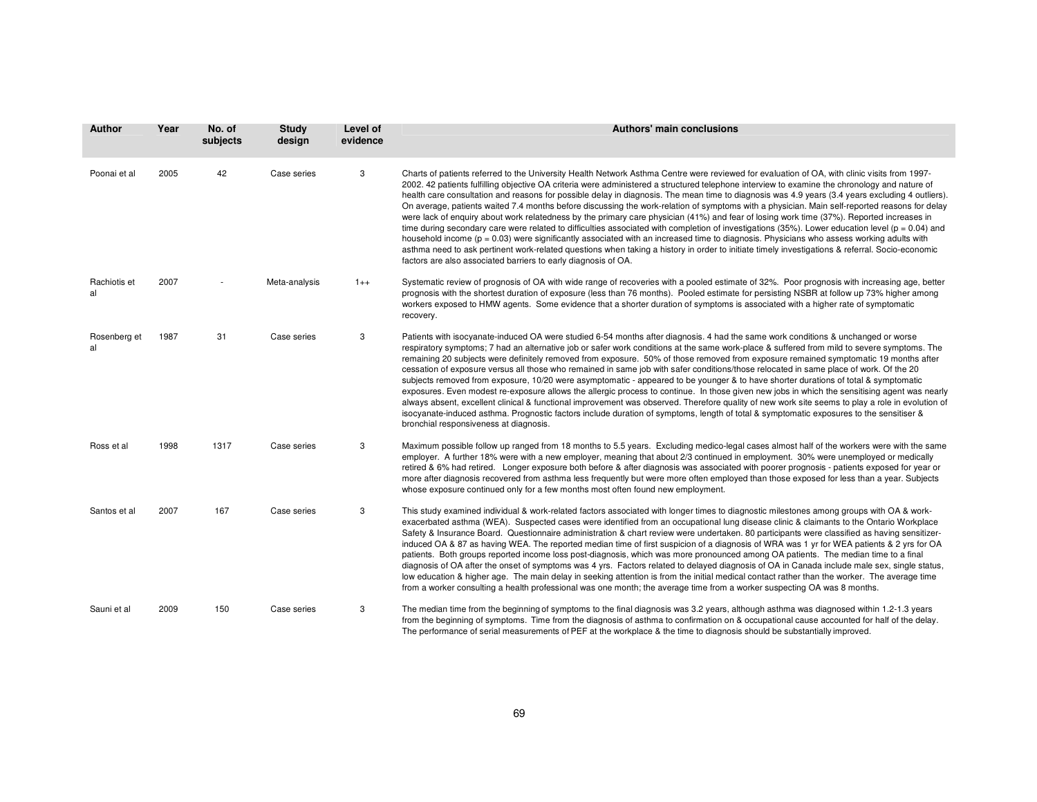| <b>Author</b>      | Year | No. of<br>subjects | <b>Study</b><br>design | Level of<br>evidence | <b>Authors' main conclusions</b>                                                                                                                                                                                                                                                                                                                                                                                                                                                                                                                                                                                                                                                                                                                                                                                                                                                                                                                                                                                                                                                                                                                                                                                                                                           |
|--------------------|------|--------------------|------------------------|----------------------|----------------------------------------------------------------------------------------------------------------------------------------------------------------------------------------------------------------------------------------------------------------------------------------------------------------------------------------------------------------------------------------------------------------------------------------------------------------------------------------------------------------------------------------------------------------------------------------------------------------------------------------------------------------------------------------------------------------------------------------------------------------------------------------------------------------------------------------------------------------------------------------------------------------------------------------------------------------------------------------------------------------------------------------------------------------------------------------------------------------------------------------------------------------------------------------------------------------------------------------------------------------------------|
| Poonai et al       | 2005 | 42                 | Case series            | 3                    | Charts of patients referred to the University Health Network Asthma Centre were reviewed for evaluation of OA, with clinic visits from 1997-<br>2002. 42 patients fulfilling objective OA criteria were administered a structured telephone interview to examine the chronology and nature of<br>health care consultation and reasons for possible delay in diagnosis. The mean time to diagnosis was 4.9 years (3.4 years excluding 4 outliers).<br>On average, patients waited 7.4 months before discussing the work-relation of symptoms with a physician. Main self-reported reasons for delay<br>were lack of enquiry about work relatedness by the primary care physician (41%) and fear of losing work time (37%). Reported increases in<br>time during secondary care were related to difficulties associated with completion of investigations (35%). Lower education level ( $p = 0.04$ ) and<br>household income $(p = 0.03)$ were significantly associated with an increased time to diagnosis. Physicians who assess working adults with<br>asthma need to ask pertinent work-related questions when taking a history in order to initiate timely investigations & referral. Socio-economic<br>factors are also associated barriers to early diagnosis of OA. |
| Rachiotis et<br>al | 2007 |                    | Meta-analysis          | $1++$                | Systematic review of prognosis of OA with wide range of recoveries with a pooled estimate of 32%. Poor prognosis with increasing age, better<br>prognosis with the shortest duration of exposure (less than 76 months). Pooled estimate for persisting NSBR at follow up 73% higher among<br>workers exposed to HMW agents. Some evidence that a shorter duration of symptoms is associated with a higher rate of symptomatic<br>recovery.                                                                                                                                                                                                                                                                                                                                                                                                                                                                                                                                                                                                                                                                                                                                                                                                                                 |
| Rosenberg et<br>al | 1987 | 31                 | Case series            | 3                    | Patients with isocyanate-induced OA were studied 6-54 months after diagnosis. 4 had the same work conditions & unchanged or worse<br>respiratory symptoms; 7 had an alternative job or safer work conditions at the same work-place & suffered from mild to severe symptoms. The<br>remaining 20 subjects were definitely removed from exposure. 50% of those removed from exposure remained symptomatic 19 months after<br>cessation of exposure versus all those who remained in same job with safer conditions/those relocated in same place of work. Of the 20<br>subjects removed from exposure, 10/20 were asymptomatic - appeared to be younger & to have shorter durations of total & symptomatic<br>exposures. Even modest re-exposure allows the allergic process to continue. In those given new jobs in which the sensitising agent was nearly<br>always absent, excellent clinical & functional improvement was observed. Therefore quality of new work site seems to play a role in evolution of<br>isocyanate-induced asthma. Prognostic factors include duration of symptoms, length of total & symptomatic exposures to the sensitiser &<br>bronchial responsiveness at diagnosis.                                                                        |
| Ross et al         | 1998 | 1317               | Case series            | 3                    | Maximum possible follow up ranged from 18 months to 5.5 years. Excluding medico-legal cases almost half of the workers were with the same<br>employer. A further 18% were with a new employer, meaning that about 2/3 continued in employment. 30% were unemployed or medically<br>retired & 6% had retired. Longer exposure both before & after diagnosis was associated with poorer prognosis - patients exposed for year or<br>more after diagnosis recovered from asthma less frequently but were more often employed than those exposed for less than a year. Subjects<br>whose exposure continued only for a few months most often found new employment.                                                                                                                                                                                                                                                                                                                                                                                                                                                                                                                                                                                                             |
| Santos et al       | 2007 | 167                | Case series            | 3                    | This study examined individual & work-related factors associated with longer times to diagnostic milestones among groups with OA & work-<br>exacerbated asthma (WEA). Suspected cases were identified from an occupational lung disease clinic & claimants to the Ontario Workplace<br>Safety & Insurance Board. Questionnaire administration & chart review were undertaken. 80 participants were classified as having sensitizer-<br>induced OA & 87 as having WEA. The reported median time of first suspicion of a diagnosis of WRA was 1 yr for WEA patients & 2 yrs for OA<br>patients. Both groups reported income loss post-diagnosis, which was more pronounced among OA patients. The median time to a final<br>diagnosis of OA after the onset of symptoms was 4 yrs. Factors related to delayed diagnosis of OA in Canada include male sex, single status,<br>low education & higher age. The main delay in seeking attention is from the initial medical contact rather than the worker. The average time<br>from a worker consulting a health professional was one month; the average time from a worker suspecting OA was 8 months.                                                                                                                         |
| Sauni et al        | 2009 | 150                | Case series            | 3                    | The median time from the beginning of symptoms to the final diagnosis was 3.2 years, although asthma was diagnosed within 1.2-1.3 years<br>from the beginning of symptoms. Time from the diagnosis of asthma to confirmation on & occupational cause accounted for half of the delay.<br>The performance of serial measurements of PEF at the workplace & the time to diagnosis should be substantially improved.                                                                                                                                                                                                                                                                                                                                                                                                                                                                                                                                                                                                                                                                                                                                                                                                                                                          |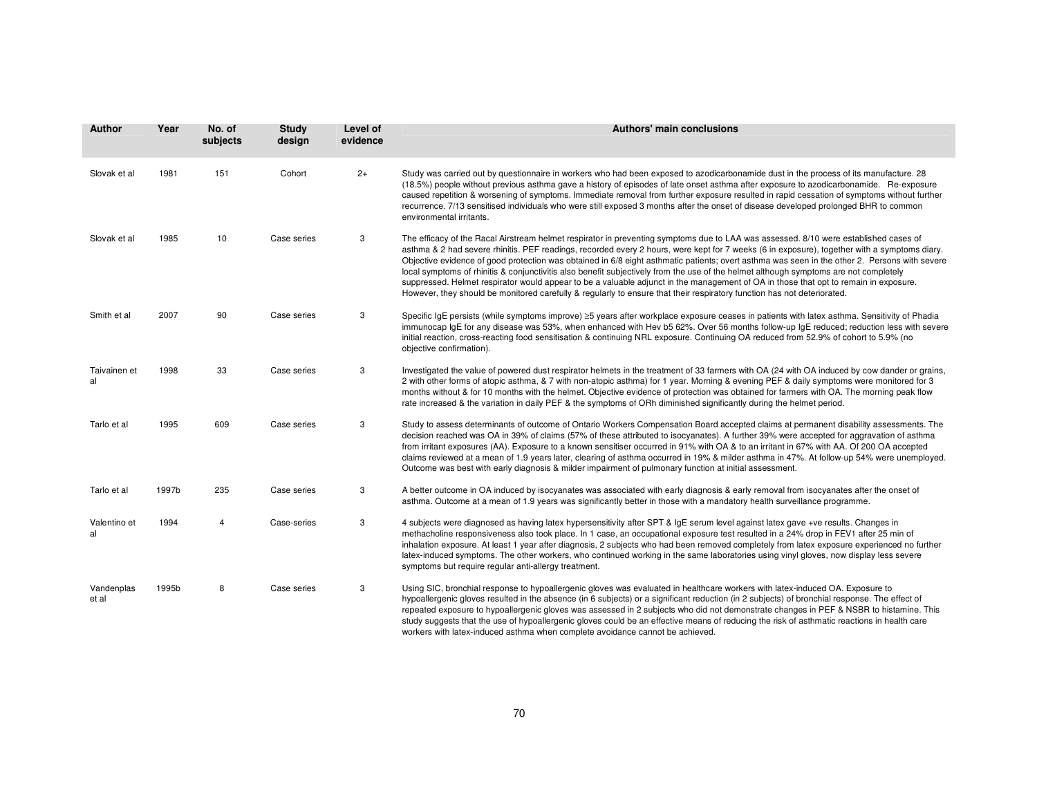| <b>Author</b>       | Year  | No. of<br>subjects | <b>Study</b><br>design | Level of<br>evidence | <b>Authors' main conclusions</b>                                                                                                                                                                                                                                                                                                                                                                                                                                                                                                                                                                                                                                                                                                                                                                                                                  |
|---------------------|-------|--------------------|------------------------|----------------------|---------------------------------------------------------------------------------------------------------------------------------------------------------------------------------------------------------------------------------------------------------------------------------------------------------------------------------------------------------------------------------------------------------------------------------------------------------------------------------------------------------------------------------------------------------------------------------------------------------------------------------------------------------------------------------------------------------------------------------------------------------------------------------------------------------------------------------------------------|
| Slovak et al        | 1981  | 151                | Cohort                 | $2+$                 | Study was carried out by questionnaire in workers who had been exposed to azodicarbonamide dust in the process of its manufacture. 28<br>(18.5%) people without previous asthma gave a history of episodes of late onset asthma after exposure to azodicarbonamide. Re-exposure<br>caused repetition & worsening of symptoms. Immediate removal from further exposure resulted in rapid cessation of symptoms without further<br>recurrence. 7/13 sensitised individuals who were still exposed 3 months after the onset of disease developed prolonged BHR to common<br>environmental irritants.                                                                                                                                                                                                                                                 |
| Slovak et al        | 1985  | 10                 | Case series            | 3                    | The efficacy of the Racal Airstream helmet respirator in preventing symptoms due to LAA was assessed. 8/10 were established cases of<br>asthma & 2 had severe rhinitis. PEF readings, recorded every 2 hours, were kept for 7 weeks (6 in exposure), together with a symptoms diary.<br>Objective evidence of good protection was obtained in 6/8 eight asthmatic patients; overt asthma was seen in the other 2. Persons with severe<br>local symptoms of rhinitis & conjunctivitis also benefit subjectively from the use of the helmet although symptoms are not completely<br>suppressed. Helmet respirator would appear to be a valuable adjunct in the management of OA in those that opt to remain in exposure.<br>However, they should be monitored carefully & regularly to ensure that their respiratory function has not deteriorated. |
| Smith et al         | 2007  | 90                 | Case series            | 3                    | Specific IgE persists (while symptoms improve) ≥5 years after workplace exposure ceases in patients with latex asthma. Sensitivity of Phadia<br>immunocap IgE for any disease was 53%, when enhanced with Hev b5 62%. Over 56 months follow-up IgE reduced; reduction less with severe<br>initial reaction, cross-reacting food sensitisation & continuing NRL exposure. Continuing OA reduced from 52.9% of cohort to 5.9% (no<br>objective confirmation).                                                                                                                                                                                                                                                                                                                                                                                       |
| Taivainen et<br>al  | 1998  | 33                 | Case series            | 3                    | Investigated the value of powered dust respirator helmets in the treatment of 33 farmers with OA (24 with OA induced by cow dander or grains,<br>2 with other forms of atopic asthma, & 7 with non-atopic asthma) for 1 year. Morning & evening PEF & daily symptoms were monitored for 3<br>months without & for 10 months with the helmet. Objective evidence of protection was obtained for farmers with OA. The morning peak flow<br>rate increased & the variation in daily PEF & the symptoms of ORh diminished significantly during the helmet period.                                                                                                                                                                                                                                                                                     |
| Tarlo et al         | 1995  | 609                | Case series            | 3                    | Study to assess determinants of outcome of Ontario Workers Compensation Board accepted claims at permanent disability assessments. The<br>decision reached was OA in 39% of claims (57% of these attributed to isocyanates). A further 39% were accepted for aggravation of asthma<br>from irritant exposures (AA). Exposure to a known sensitiser occurred in 91% with OA & to an irritant in 67% with AA. Of 200 OA accepted<br>claims reviewed at a mean of 1.9 years later, clearing of asthma occurred in 19% & milder asthma in 47%. At follow-up 54% were unemployed.<br>Outcome was best with early diagnosis & milder impairment of pulmonary function at initial assessment.                                                                                                                                                            |
| Tarlo et al         | 1997b | 235                | Case series            | 3                    | A better outcome in OA induced by isocyanates was associated with early diagnosis & early removal from isocyanates after the onset of<br>asthma. Outcome at a mean of 1.9 years was significantly better in those with a mandatory health surveillance programme.                                                                                                                                                                                                                                                                                                                                                                                                                                                                                                                                                                                 |
| Valentino et<br>al  | 1994  | 4                  | Case-series            | 3                    | 4 subjects were diagnosed as having latex hypersensitivity after SPT & IgE serum level against latex gave +ve results. Changes in<br>methacholine responsiveness also took place. In 1 case, an occupational exposure test resulted in a 24% drop in FEV1 after 25 min of<br>inhalation exposure. At least 1 year after diagnosis, 2 subjects who had been removed completely from latex exposure experienced no further<br>latex-induced symptoms. The other workers, who continued working in the same laboratories using vinyl gloves, now display less severe<br>symptoms but require regular anti-allergy treatment.                                                                                                                                                                                                                         |
| Vandenplas<br>et al | 1995b | 8                  | Case series            | 3                    | Using SIC, bronchial response to hypoallergenic gloves was evaluated in healthcare workers with latex-induced OA. Exposure to<br>hypoallergenic gloves resulted in the absence (in 6 subjects) or a significant reduction (in 2 subjects) of bronchial response. The effect of<br>repeated exposure to hypoallergenic gloves was assessed in 2 subjects who did not demonstrate changes in PEF & NSBR to histamine. This<br>study suggests that the use of hypoallergenic gloves could be an effective means of reducing the risk of asthmatic reactions in health care<br>workers with latex-induced asthma when complete avoidance cannot be achieved.                                                                                                                                                                                          |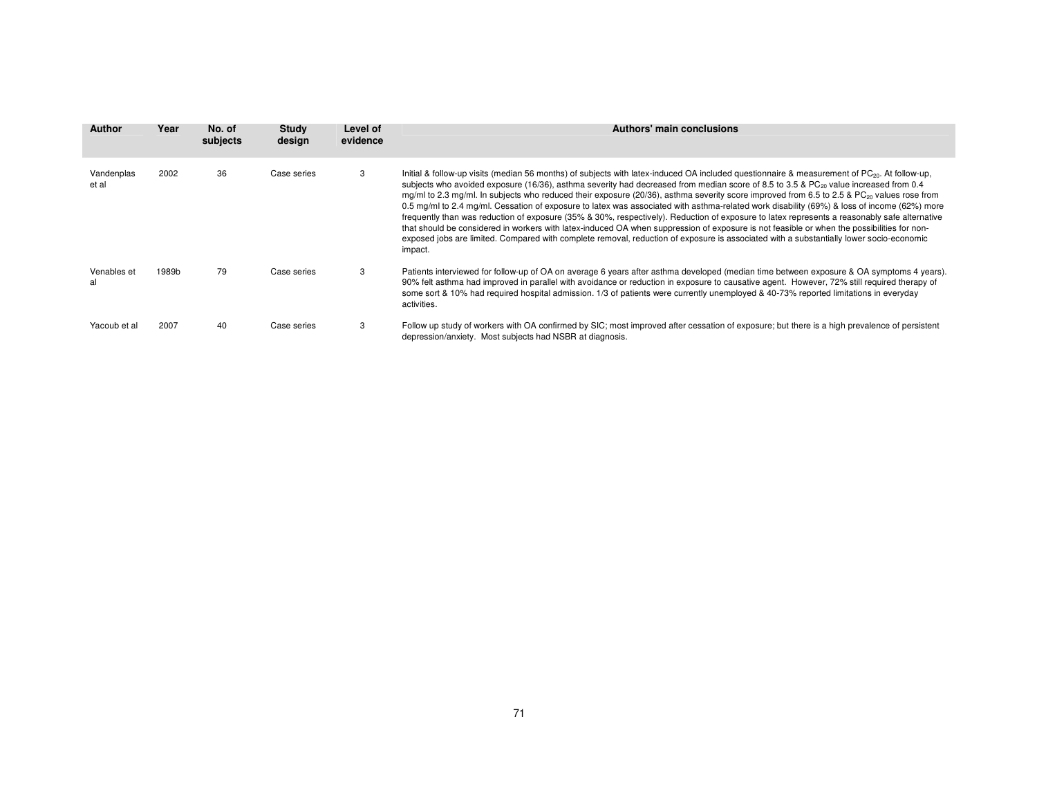| Author              | Year  | No. of<br>subjects | Study<br>design | Level of<br>evidence | Authors' main conclusions                                                                                                                                                                                                                                                                                                                                                                                                                                                                                                                                                                                                                                                                                                                                                                                                                                                                                                                                                                                                                                                 |
|---------------------|-------|--------------------|-----------------|----------------------|---------------------------------------------------------------------------------------------------------------------------------------------------------------------------------------------------------------------------------------------------------------------------------------------------------------------------------------------------------------------------------------------------------------------------------------------------------------------------------------------------------------------------------------------------------------------------------------------------------------------------------------------------------------------------------------------------------------------------------------------------------------------------------------------------------------------------------------------------------------------------------------------------------------------------------------------------------------------------------------------------------------------------------------------------------------------------|
| Vandenplas<br>et al | 2002  | 36                 | Case series     | 3                    | Initial & follow-up visits (median 56 months) of subjects with latex-induced OA included questionnaire & measurement of PC <sub>20</sub> . At follow-up,<br>subjects who avoided exposure (16/36), asthma severity had decreased from median score of 8.5 to 3.5 & PC <sub>20</sub> value increased from 0.4<br>mg/ml to 2.3 mg/ml. In subjects who reduced their exposure (20/36), asthma severity score improved from 6.5 to 2.5 & PC <sub>20</sub> values rose from<br>0.5 mg/ml to 2.4 mg/ml. Cessation of exposure to latex was associated with asthma-related work disability (69%) & loss of income (62%) more<br>frequently than was reduction of exposure (35% & 30%, respectively). Reduction of exposure to latex represents a reasonably safe alternative<br>that should be considered in workers with latex-induced OA when suppression of exposure is not feasible or when the possibilities for non-<br>exposed jobs are limited. Compared with complete removal, reduction of exposure is associated with a substantially lower socio-economic<br>impact. |
| Venables et<br>al   | 1989b | 79                 | Case series     | 3                    | Patients interviewed for follow-up of OA on average 6 years after asthma developed (median time between exposure & OA symptoms 4 years).<br>90% felt asthma had improved in parallel with avoidance or reduction in exposure to causative agent. However, 72% still required therapy of<br>some sort & 10% had required hospital admission. 1/3 of patients were currently unemployed & 40-73% reported limitations in everyday<br>activities.                                                                                                                                                                                                                                                                                                                                                                                                                                                                                                                                                                                                                            |
| Yacoub et al        | 2007  | 40                 | Case series     | 3                    | Follow up study of workers with OA confirmed by SIC; most improved after cessation of exposure; but there is a high prevalence of persistent<br>depression/anxiety. Most subjects had NSBR at diagnosis.                                                                                                                                                                                                                                                                                                                                                                                                                                                                                                                                                                                                                                                                                                                                                                                                                                                                  |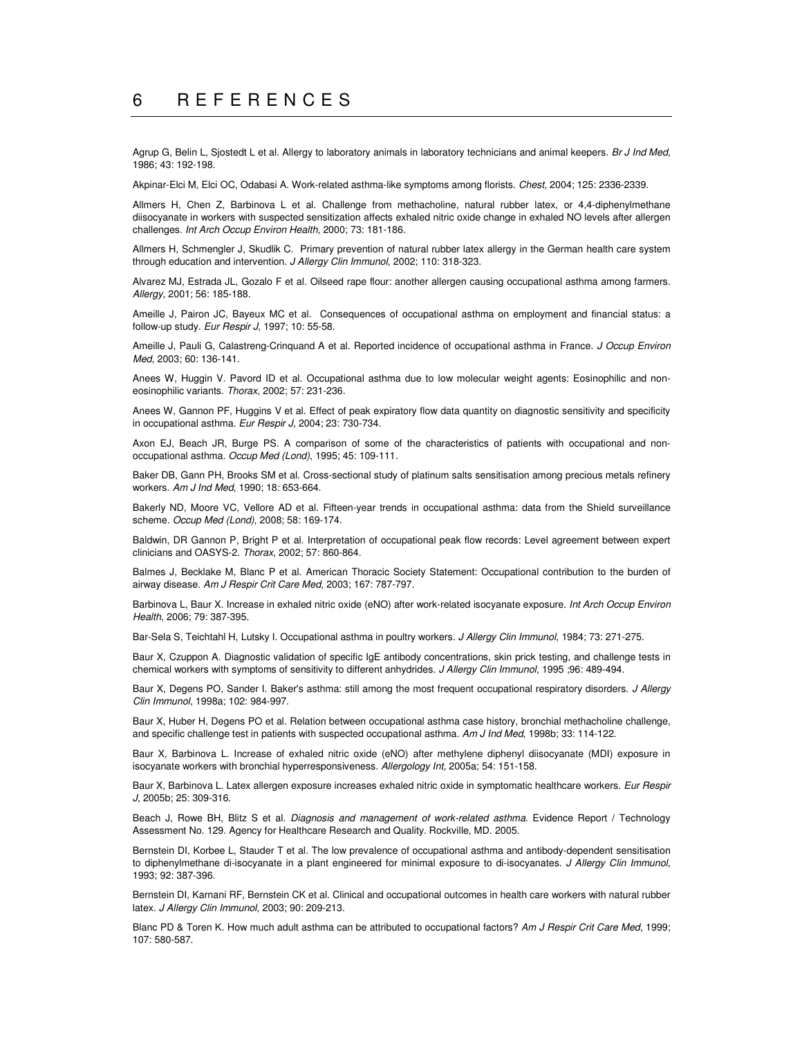Agrup G, Belin L, Sjostedt L et al. Allergy to laboratory animals in laboratory technicians and animal keepers. *Br J Ind Med*, 1986; 43: 192-198.

Akpinar-Elci M, Elci OC, Odabasi A. Work-related asthma-like symptoms among florists. *Chest,* 2004; 125: 2336-2339.

Allmers H, Chen Z, Barbinova L et al. Challenge from methacholine, natural rubber latex, or 4,4-diphenylmethane diisocyanate in workers with suspected sensitization affects exhaled nitric oxide change in exhaled NO levels after allergen challenges. *Int Arch Occup Environ Health*, 2000; 73: 181-186.

Allmers H, Schmengler J, Skudlik C. Primary prevention of natural rubber latex allergy in the German health care system through education and intervention. *J Allergy Clin Immunol*, 2002; 110: 318-323.

Alvarez MJ, Estrada JL, Gozalo F et al. Oilseed rape flour: another allergen causing occupational asthma among farmers. *Allergy,* 2001; 56: 185-188.

Ameille J, Pairon JC, Bayeux MC et al. Consequences of occupational asthma on employment and financial status: a follow-up study. *Eur Respir J*, 1997; 10: 55-58.

Ameille J, Pauli G, Calastreng-Crinquand A et al. Reported incidence of occupational asthma in France. *J Occup Environ Med*, 2003; 60: 136-141.

Anees W, Huggin V. Pavord ID et al. Occupational asthma due to low molecular weight agents: Eosinophilic and noneosinophilic variants. *Thorax*, 2002; 57: 231-236.

Anees W, Gannon PF, Huggins V et al. Effect of peak expiratory flow data quantity on diagnostic sensitivity and specificity in occupational asthma. *Eur Respir J,* 2004; 23: 730-734.

Axon EJ, Beach JR, Burge PS. A comparison of some of the characteristics of patients with occupational and nonoccupational asthma. *Occup Med (Lond)*, 1995; 45: 109-111.

Baker DB, Gann PH, Brooks SM et al. Cross-sectional study of platinum salts sensitisation among precious metals refinery workers. *Am J Ind Med*, 1990; 18: 653-664.

Bakerly ND, Moore VC, Vellore AD et al. Fifteen-year trends in occupational asthma: data from the Shield surveillance scheme. *Occup Med (Lond)*, 2008; 58: 169-174.

Baldwin, DR Gannon P, Bright P et al. Interpretation of occupational peak flow records: Level agreement between expert clinicians and OASYS-2. *Thorax*, 2002; 57: 860-864.

Balmes J, Becklake M, Blanc P et al. American Thoracic Society Statement: Occupational contribution to the burden of airway disease. *Am J Respir Crit Care Med*, 2003; 167: 787-797.

Barbinova L, Baur X. Increase in exhaled nitric oxide (eNO) after work-related isocyanate exposure. *Int Arch Occup Environ Health*, 2006; 79: 387-395.

Bar-Sela S, Teichtahl H, Lutsky I. Occupational asthma in poultry workers. *J Allergy Clin Immunol*, 1984; 73: 271-275.

Baur X, Czuppon A. Diagnostic validation of specific IgE antibody concentrations, skin prick testing, and challenge tests in chemical workers with symptoms of sensitivity to different anhydrides. *J Allergy Clin Immunol*, 1995 ;96: 489-494.

Baur X, Degens PO, Sander I. Baker's asthma: still among the most frequent occupational respiratory disorders. *J Allergy Clin Immunol*, 1998a; 102: 984-997.

Baur X, Huber H, Degens PO et al. Relation between occupational asthma case history, bronchial methacholine challenge, and specific challenge test in patients with suspected occupational asthma. *Am J Ind Med*, 1998b; 33: 114-122.

Baur X, Barbinova L. Increase of exhaled nitric oxide (eNO) after methylene diphenyl diisocyanate (MDI) exposure in isocyanate workers with bronchial hyperresponsiveness. *Allergology Int,* 2005a; 54: 151-158.

Baur X, Barbinova L. Latex allergen exposure increases exhaled nitric oxide in symptomatic healthcare workers. *Eur Respir J*, 2005b; 25: 309-316.

Beach J, Rowe BH, Blitz S et al. *Diagnosis and management of work-related asthma*. Evidence Report / Technology Assessment No. 129. Agency for Healthcare Research and Quality. Rockville, MD. 2005.

Bernstein DI, Korbee L, Stauder T et al. The low prevalence of occupational asthma and antibody-dependent sensitisation to diphenylmethane di-isocyanate in a plant engineered for minimal exposure to di-isocyanates. *J Allergy Clin Immunol*, 1993; 92: 387-396.

Bernstein DI, Karnani RF, Bernstein CK et al. Clinical and occupational outcomes in health care workers with natural rubber latex. *J Allergy Clin Immunol*, 2003; 90: 209-213.

Blanc PD & Toren K. How much adult asthma can be attributed to occupational factors? *Am J Respir Crit Care Med*, 1999; 107: 580-587.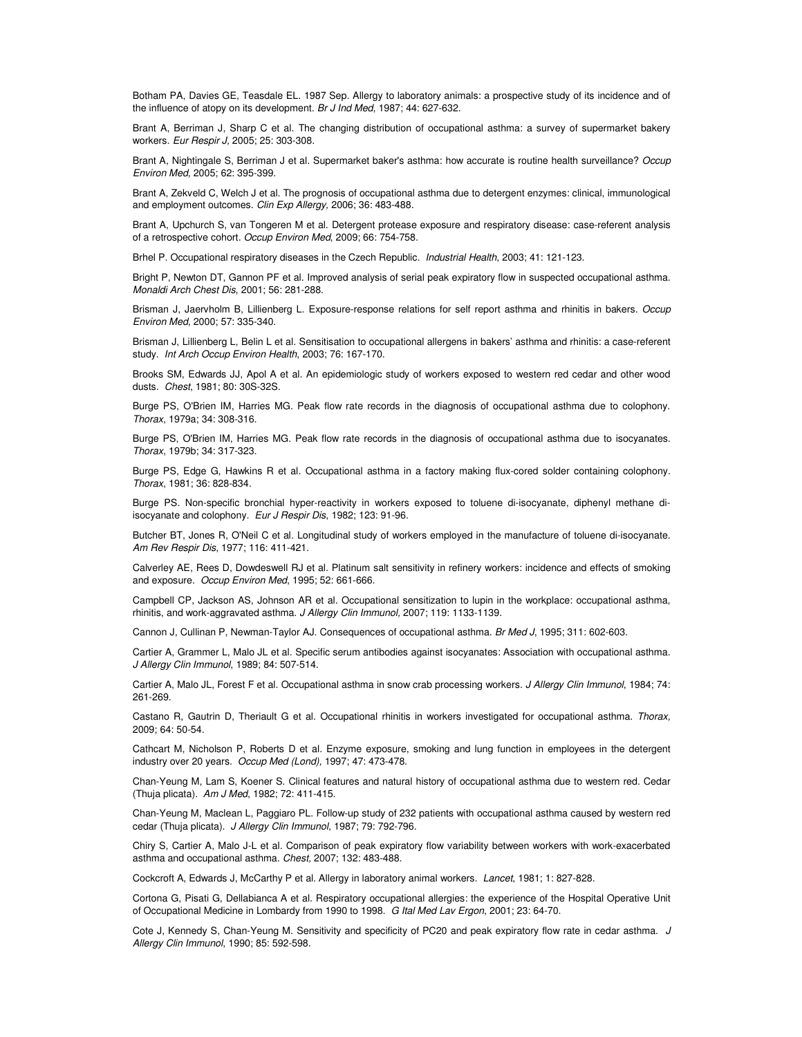Botham PA, Davies GE, Teasdale EL. 1987 Sep. Allergy to laboratory animals: a prospective study of its incidence and of the influence of atopy on its development. *Br J Ind Med*, 1987; 44: 627-632.

Brant A, Berriman J, Sharp C et al. The changing distribution of occupational asthma: a survey of supermarket bakery workers. *Eur Respir J,* 2005; 25: 303-308.

Brant A, Nightingale S, Berriman J et al. Supermarket baker's asthma: how accurate is routine health surveillance? *Occup Environ Med,* 2005; 62: 395-399.

Brant A, Zekveld C, Welch J et al. The prognosis of occupational asthma due to detergent enzymes: clinical, immunological and employment outcomes. *Clin Exp Allergy,* 2006; 36: 483-488.

Brant A, Upchurch S, van Tongeren M et al. Detergent protease exposure and respiratory disease: case-referent analysis of a retrospective cohort. *Occup Environ Med*, 2009; 66: 754-758.

Brhel P. Occupational respiratory diseases in the Czech Republic. *Industrial Health*, 2003; 41: 121-123.

Bright P, Newton DT, Gannon PF et al. Improved analysis of serial peak expiratory flow in suspected occupational asthma. *Monaldi Arch Chest Dis*, 2001; 56: 281-288.

Brisman J, Jaervholm B, Lillienberg L. Exposure-response relations for self report asthma and rhinitis in bakers. *Occup Environ Med*, 2000; 57: 335-340.

Brisman J, Lillienberg L, Belin L et al. Sensitisation to occupational allergens in bakers' asthma and rhinitis: a case-referent study. *Int Arch Occup Environ Health*, 2003; 76: 167-170.

Brooks SM, Edwards JJ, Apol A et al. An epidemiologic study of workers exposed to western red cedar and other wood dusts. *Chest*, 1981; 80: 30S-32S.

Burge PS, O'Brien IM, Harries MG. Peak flow rate records in the diagnosis of occupational asthma due to colophony. *Thorax*, 1979a; 34: 308-316.

Burge PS, O'Brien IM, Harries MG. Peak flow rate records in the diagnosis of occupational asthma due to isocyanates. *Thorax*, 1979b; 34: 317-323.

Burge PS, Edge G, Hawkins R et al. Occupational asthma in a factory making flux-cored solder containing colophony. *Thorax*, 1981; 36: 828-834.

Burge PS. Non-specific bronchial hyper-reactivity in workers exposed to toluene di-isocyanate, diphenyl methane diisocyanate and colophony. *Eur J Respir Dis*, 1982; 123: 91-96.

Butcher BT, Jones R, O'Neil C et al. Longitudinal study of workers employed in the manufacture of toluene di-isocyanate. *Am Rev Respir Dis*, 1977; 116: 411-421.

Calverley AE, Rees D, Dowdeswell RJ et al. Platinum salt sensitivity in refinery workers: incidence and effects of smoking and exposure. *Occup Environ Med*, 1995; 52: 661-666.

Campbell CP, Jackson AS, Johnson AR et al. Occupational sensitization to lupin in the workplace: occupational asthma, rhinitis, and work-aggravated asthma. *J Allergy Clin Immunol,* 2007; 119: 1133-1139.

Cannon J, Cullinan P, Newman-Taylor AJ. Consequences of occupational asthma. *Br Med J*, 1995; 311: 602-603.

Cartier A, Grammer L, Malo JL et al. Specific serum antibodies against isocyanates: Association with occupational asthma. *J Allergy Clin Immunol*, 1989; 84: 507-514.

Cartier A, Malo JL, Forest F et al. Occupational asthma in snow crab processing workers. *J Allergy Clin Immunol*, 1984; 74: 261-269.

Castano R, Gautrin D, Theriault G et al. Occupational rhinitis in workers investigated for occupational asthma. *Thorax,* 2009; 64: 50-54.

Cathcart M, Nicholson P, Roberts D et al. Enzyme exposure, smoking and lung function in employees in the detergent industry over 20 years. *Occup Med (Lond),* 1997; 47: 473-478.

Chan-Yeung M, Lam S, Koener S. Clinical features and natural history of occupational asthma due to western red. Cedar (Thuja plicata). *Am J Med*, 1982; 72: 411-415.

Chan-Yeung M, Maclean L, Paggiaro PL. Follow-up study of 232 patients with occupational asthma caused by western red cedar (Thuja plicata). *J Allergy Clin Immunol*, 1987; 79: 792-796.

Chiry S, Cartier A, Malo J-L et al. Comparison of peak expiratory flow variability between workers with work-exacerbated asthma and occupational asthma. *Chest,* 2007; 132: 483-488.

Cockcroft A, Edwards J, McCarthy P et al. Allergy in laboratory animal workers. *Lancet*, 1981; 1: 827-828.

Cortona G, Pisati G, Dellabianca A et al. Respiratory occupational allergies: the experience of the Hospital Operative Unit of Occupational Medicine in Lombardy from 1990 to 1998. *G Ital Med Lav Ergon*, 2001; 23: 64-70.

Cote J, Kennedy S, Chan-Yeung M. Sensitivity and specificity of PC20 and peak expiratory flow rate in cedar asthma. *J Allergy Clin Immunol*, 1990; 85: 592-598.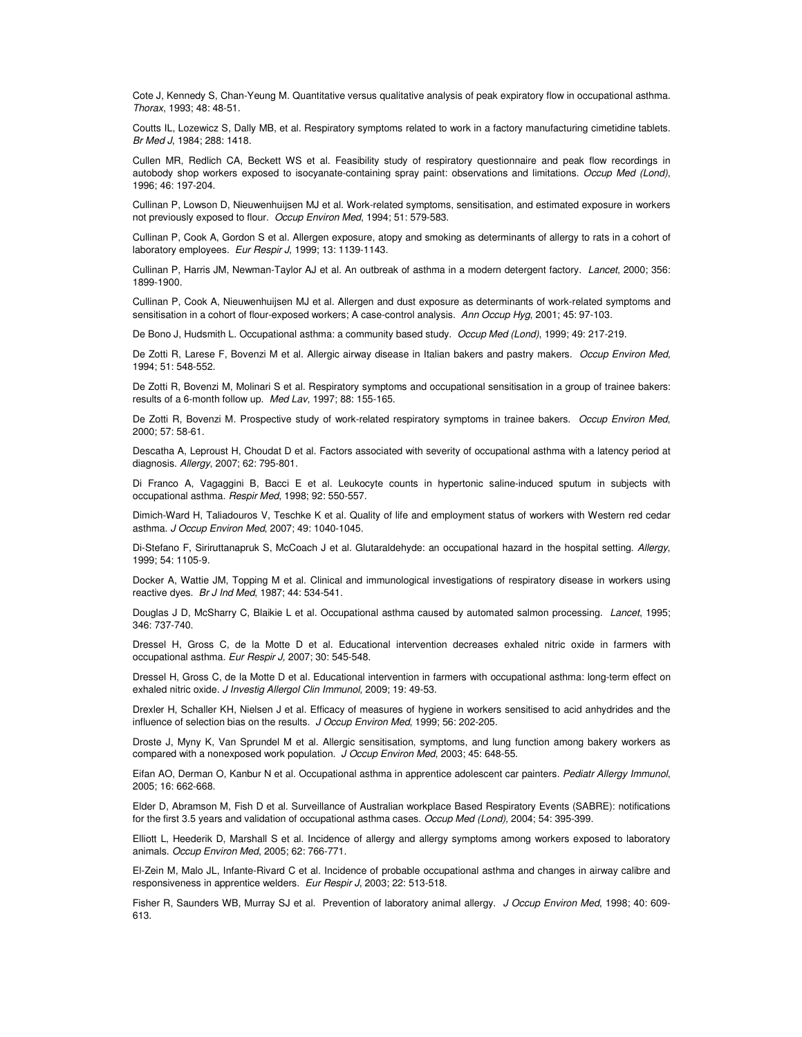Cote J, Kennedy S, Chan-Yeung M. Quantitative versus qualitative analysis of peak expiratory flow in occupational asthma. *Thorax*, 1993; 48: 48-51.

Coutts IL, Lozewicz S, Dally MB, et al. Respiratory symptoms related to work in a factory manufacturing cimetidine tablets. *Br Med J*, 1984; 288: 1418.

Cullen MR, Redlich CA, Beckett WS et al. Feasibility study of respiratory questionnaire and peak flow recordings in autobody shop workers exposed to isocyanate-containing spray paint: observations and limitations. *Occup Med (Lond)*, 1996; 46: 197-204.

Cullinan P, Lowson D, Nieuwenhuijsen MJ et al. Work-related symptoms, sensitisation, and estimated exposure in workers not previously exposed to flour. *Occup Environ Med*, 1994; 51: 579-583.

Cullinan P, Cook A, Gordon S et al. Allergen exposure, atopy and smoking as determinants of allergy to rats in a cohort of laboratory employees. *Eur Respir J*, 1999; 13: 1139-1143.

Cullinan P, Harris JM, Newman-Taylor AJ et al. An outbreak of asthma in a modern detergent factory. *Lancet*, 2000; 356: 1899-1900.

Cullinan P, Cook A, Nieuwenhuijsen MJ et al. Allergen and dust exposure as determinants of work-related symptoms and sensitisation in a cohort of flour-exposed workers; A case-control analysis. *Ann Occup Hyg*, 2001; 45: 97-103.

De Bono J, Hudsmith L. Occupational asthma: a community based study. *Occup Med (Lond)*, 1999; 49: 217-219.

De Zotti R, Larese F, Bovenzi M et al. Allergic airway disease in Italian bakers and pastry makers. *Occup Environ Med*, 1994; 51: 548-552.

De Zotti R, Bovenzi M, Molinari S et al. Respiratory symptoms and occupational sensitisation in a group of trainee bakers: results of a 6-month follow up. *Med Lav*, 1997; 88: 155-165.

De Zotti R, Bovenzi M. Prospective study of work-related respiratory symptoms in trainee bakers. *Occup Environ Med*, 2000; 57: 58-61.

Descatha A, Leproust H, Choudat D et al. Factors associated with severity of occupational asthma with a latency period at diagnosis. *Allergy*, 2007; 62: 795-801.

Di Franco A, Vagaggini B, Bacci E et al. Leukocyte counts in hypertonic saline-induced sputum in subjects with occupational asthma. *Respir Med*, 1998; 92: 550-557.

Dimich-Ward H, Taliadouros V, Teschke K et al. Quality of life and employment status of workers with Western red cedar asthma. *J Occup Environ Med*, 2007; 49: 1040-1045.

Di-Stefano F, Siriruttanapruk S, McCoach J et al. Glutaraldehyde: an occupational hazard in the hospital setting. *Allergy*, 1999; 54: 1105-9.

Docker A, Wattie JM, Topping M et al. Clinical and immunological investigations of respiratory disease in workers using reactive dyes. *Br J Ind Med*, 1987; 44: 534-541.

Douglas J D, McSharry C, Blaikie L et al. Occupational asthma caused by automated salmon processing. *Lancet*, 1995; 346: 737-740.

Dressel H, Gross C, de la Motte D et al. Educational intervention decreases exhaled nitric oxide in farmers with occupational asthma. *Eur Respir J,* 2007; 30: 545-548.

Dressel H, Gross C, de la Motte D et al. Educational intervention in farmers with occupational asthma: long-term effect on exhaled nitric oxide. *J Investig Allergol Clin Immunol,* 2009; 19: 49-53.

Drexler H, Schaller KH, Nielsen J et al. Efficacy of measures of hygiene in workers sensitised to acid anhydrides and the influence of selection bias on the results. *J Occup Environ Med*, 1999; 56: 202-205.

Droste J, Myny K, Van Sprundel M et al. Allergic sensitisation, symptoms, and lung function among bakery workers as compared with a nonexposed work population. *J Occup Environ Med*, 2003; 45: 648-55.

Eifan AO, Derman O, Kanbur N et al. Occupational asthma in apprentice adolescent car painters*. Pediatr Allergy Immunol*, 2005; 16: 662-668.

Elder D, Abramson M, Fish D et al. Surveillance of Australian workplace Based Respiratory Events (SABRE): notifications for the first 3.5 years and validation of occupational asthma cases. *Occup Med (Lond),* 2004; 54: 395-399.

Elliott L, Heederik D, Marshall S et al. Incidence of allergy and allergy symptoms among workers exposed to laboratory animals. *Occup Environ Med*, 2005; 62: 766-771.

El-Zein M, Malo JL, Infante-Rivard C et al. Incidence of probable occupational asthma and changes in airway calibre and responsiveness in apprentice welders. *Eur Respir J*, 2003; 22: 513-518.

Fisher R, Saunders WB, Murray SJ et al. Prevention of laboratory animal allergy. *J Occup Environ Med*, 1998; 40: 609- 613.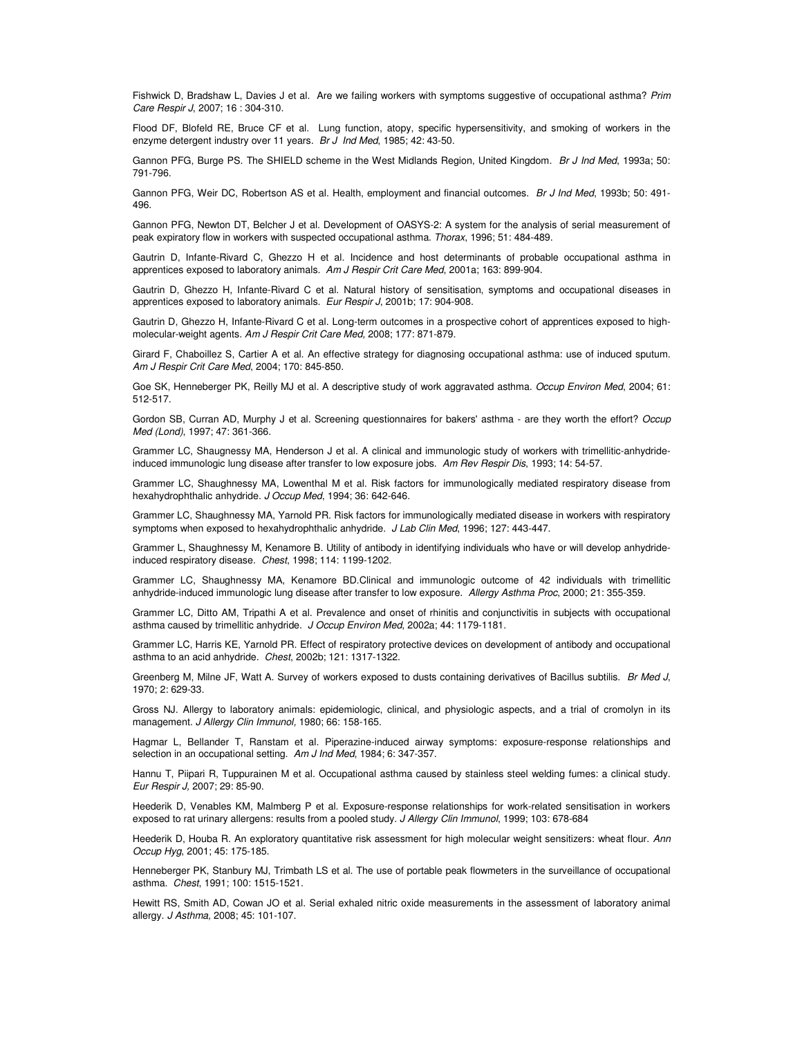Fishwick D, Bradshaw L, Davies J et al. Are we failing workers with symptoms suggestive of occupational asthma? *Prim Care Respir J*, 2007; 16 : 304-310.

Flood DF, Blofeld RE, Bruce CF et al. Lung function, atopy, specific hypersensitivity, and smoking of workers in the enzyme detergent industry over 11 years. *Br J Ind Med*, 1985; 42: 43-50.

Gannon PFG, Burge PS. The SHIELD scheme in the West Midlands Region, United Kingdom. *Br J Ind Med*, 1993a; 50: 791-796.

Gannon PFG, Weir DC, Robertson AS et al. Health, employment and financial outcomes. *Br J Ind Med*, 1993b; 50: 491- 496.

Gannon PFG, Newton DT, Belcher J et al. Development of OASYS-2: A system for the analysis of serial measurement of peak expiratory flow in workers with suspected occupational asthma. *Thorax*, 1996; 51: 484-489.

Gautrin D, Infante-Rivard C, Ghezzo H et al. Incidence and host determinants of probable occupational asthma in apprentices exposed to laboratory animals. *Am J Respir Crit Care Med*, 2001a; 163: 899-904.

Gautrin D, Ghezzo H, Infante-Rivard C et al. Natural history of sensitisation, symptoms and occupational diseases in apprentices exposed to laboratory animals. *Eur Respir J*, 2001b; 17: 904-908.

Gautrin D, Ghezzo H, Infante-Rivard C et al. Long-term outcomes in a prospective cohort of apprentices exposed to highmolecular-weight agents. *Am J Respir Crit Care Med,* 2008; 177: 871-879.

Girard F, Chaboillez S, Cartier A et al. An effective strategy for diagnosing occupational asthma: use of induced sputum. *Am J Respir Crit Care Med*, 2004; 170: 845-850.

Goe SK, Henneberger PK, Reilly MJ et al. A descriptive study of work aggravated asthma. *Occup Environ Med*, 2004; 61: 512-517.

Gordon SB, Curran AD, Murphy J et al. Screening questionnaires for bakers' asthma - are they worth the effort? *Occup Med (Lond)*, 1997; 47: 361-366.

Grammer LC, Shaugnessy MA, Henderson J et al. A clinical and immunologic study of workers with trimellitic-anhydrideinduced immunologic lung disease after transfer to low exposure jobs. *Am Rev Respir Dis*, 1993; 14: 54-57.

Grammer LC, Shaughnessy MA, Lowenthal M et al. Risk factors for immunologically mediated respiratory disease from hexahydrophthalic anhydride. *J Occup Med*, 1994; 36: 642-646.

Grammer LC, Shaughnessy MA, Yarnold PR. Risk factors for immunologically mediated disease in workers with respiratory symptoms when exposed to hexahydrophthalic anhydride. *J Lab Clin Med*, 1996; 127: 443-447.

Grammer L, Shaughnessy M, Kenamore B. Utility of antibody in identifying individuals who have or will develop anhydrideinduced respiratory disease. *Chest*, 1998; 114: 1199-1202.

Grammer LC, Shaughnessy MA, Kenamore BD.Clinical and immunologic outcome of 42 individuals with trimellitic anhydride-induced immunologic lung disease after transfer to low exposure. *Allergy Asthma Proc*, 2000; 21: 355-359.

Grammer LC, Ditto AM, Tripathi A et al. Prevalence and onset of rhinitis and conjunctivitis in subjects with occupational asthma caused by trimellitic anhydride. *J Occup Environ Med*, 2002a; 44: 1179-1181.

Grammer LC, Harris KE, Yarnold PR. Effect of respiratory protective devices on development of antibody and occupational asthma to an acid anhydride. *Chest*, 2002b; 121: 1317-1322.

Greenberg M, Milne JF, Watt A. Survey of workers exposed to dusts containing derivatives of Bacillus subtilis. *Br Med J*, 1970; 2: 629-33.

Gross NJ. Allergy to laboratory animals: epidemiologic, clinical, and physiologic aspects, and a trial of cromolyn in its management. *J Allergy Clin Immunol,* 1980; 66: 158-165.

Hagmar L, Bellander T, Ranstam et al. Piperazine-induced airway symptoms: exposure-response relationships and selection in an occupational setting. *Am J Ind Med*, 1984; 6: 347-357.

Hannu T, Piipari R, Tuppurainen M et al. Occupational asthma caused by stainless steel welding fumes: a clinical study. *Eur Respir J,* 2007; 29: 85-90.

Heederik D, Venables KM, Malmberg P et al. Exposure-response relationships for work-related sensitisation in workers exposed to rat urinary allergens: results from a pooled study. *J Allergy Clin Immunol*, 1999; 103: 678-684

Heederik D, Houba R. An exploratory quantitative risk assessment for high molecular weight sensitizers: wheat flour. *Ann Occup Hyg*, 2001; 45: 175-185.

Henneberger PK, Stanbury MJ, Trimbath LS et al. The use of portable peak flowmeters in the surveillance of occupational asthma. *Chest*, 1991; 100: 1515-1521.

Hewitt RS, Smith AD, Cowan JO et al. Serial exhaled nitric oxide measurements in the assessment of laboratory animal allergy. *J Asthma,* 2008; 45: 101-107.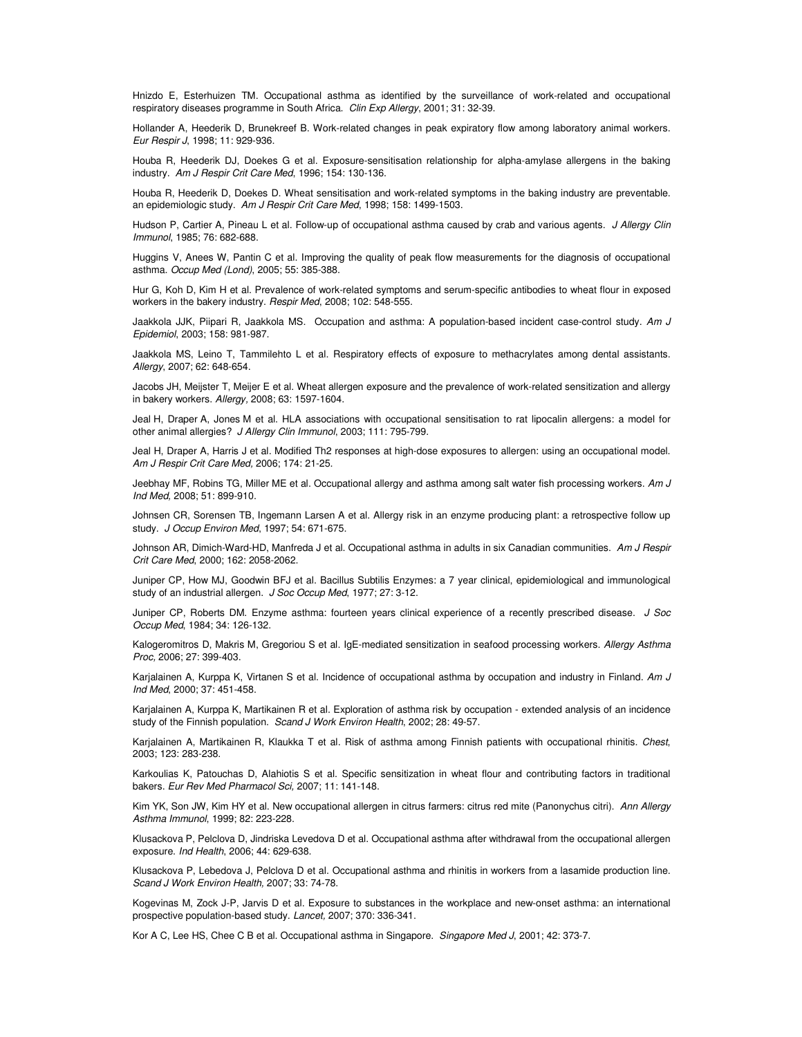Hnizdo E, Esterhuizen TM. Occupational asthma as identified by the surveillance of work-related and occupational respiratory diseases programme in South Africa. *Clin Exp Allergy*, 2001; 31: 32-39.

Hollander A, Heederik D, Brunekreef B. Work-related changes in peak expiratory flow among laboratory animal workers. *Eur Respir J*, 1998; 11: 929-936.

Houba R, Heederik DJ, Doekes G et al. Exposure-sensitisation relationship for alpha-amylase allergens in the baking industry. *Am J Respir Crit Care Med*, 1996; 154: 130-136.

Houba R, Heederik D, Doekes D. Wheat sensitisation and work-related symptoms in the baking industry are preventable. an epidemiologic study. *Am J Respir Crit Care Med*, 1998; 158: 1499-1503.

Hudson P, Cartier A, Pineau L et al. Follow-up of occupational asthma caused by crab and various agents. *J Allergy Clin Immunol*, 1985; 76: 682-688.

Huggins V, Anees W, Pantin C et al. Improving the quality of peak flow measurements for the diagnosis of occupational asthma. *Occup Med (Lond)*, 2005; 55: 385-388.

Hur G, Koh D, Kim H et al. Prevalence of work-related symptoms and serum-specific antibodies to wheat flour in exposed workers in the bakery industry. *Respir Med*, 2008; 102: 548-555.

Jaakkola JJK, Piipari R, Jaakkola MS. Occupation and asthma: A population-based incident case-control study. *Am J Epidemiol*, 2003; 158: 981-987.

Jaakkola MS, Leino T, Tammilehto L et al. Respiratory effects of exposure to methacrylates among dental assistants. *Allergy*, 2007; 62: 648-654.

Jacobs JH, Meijster T, Meijer E et al. Wheat allergen exposure and the prevalence of work-related sensitization and allergy in bakery workers. *Allergy,* 2008; 63: 1597-1604.

Jeal H, Draper A, Jones M et al. HLA associations with occupational sensitisation to rat lipocalin allergens: a model for other animal allergies? *J Allergy Clin Immunol*, 2003; 111: 795-799.

Jeal H, Draper A, Harris J et al. Modified Th2 responses at high-dose exposures to allergen: using an occupational model. *Am J Respir Crit Care Med,* 2006; 174: 21-25.

Jeebhay MF, Robins TG, Miller ME et al. Occupational allergy and asthma among salt water fish processing workers. *Am J Ind Med,* 2008; 51: 899-910.

Johnsen CR, Sorensen TB, Ingemann Larsen A et al. Allergy risk in an enzyme producing plant: a retrospective follow up study. *J Occup Environ Med*, 1997; 54: 671-675.

Johnson AR, Dimich-Ward-HD, Manfreda J et al. Occupational asthma in adults in six Canadian communities. *Am J Respir Crit Care Med*, 2000; 162: 2058-2062.

Juniper CP, How MJ, Goodwin BFJ et al. Bacillus Subtilis Enzymes: a 7 year clinical, epidemiological and immunological study of an industrial allergen. *J Soc Occup Med*, 1977; 27: 3-12.

Juniper CP, Roberts DM. Enzyme asthma: fourteen years clinical experience of a recently prescribed disease. *J Soc Occup Med*, 1984; 34: 126-132.

Kalogeromitros D, Makris M, Gregoriou S et al. IgE-mediated sensitization in seafood processing workers. *Allergy Asthma Proc,* 2006; 27: 399-403.

Karjalainen A, Kurppa K, Virtanen S et al. Incidence of occupational asthma by occupation and industry in Finland. *Am J Ind Med*, 2000; 37: 451-458.

Karjalainen A, Kurppa K, Martikainen R et al. Exploration of asthma risk by occupation - extended analysis of an incidence study of the Finnish population. *Scand J Work Environ Health*, 2002; 28: 49-57.

Karjalainen A, Martikainen R, Klaukka T et al. Risk of asthma among Finnish patients with occupational rhinitis. *Chest*, 2003; 123: 283-238.

Karkoulias K, Patouchas D, Alahiotis S et al. Specific sensitization in wheat flour and contributing factors in traditional bakers. *Eur Rev Med Pharmacol Sci,* 2007; 11: 141-148.

Kim YK, Son JW, Kim HY et al. New occupational allergen in citrus farmers: citrus red mite (Panonychus citri). *Ann Allergy Asthma Immunol*, 1999; 82: 223-228.

Klusackova P, Pelclova D, Jindriska Levedova D et al. Occupational asthma after withdrawal from the occupational allergen exposure. *Ind Health*, 2006; 44: 629-638.

Klusackova P, Lebedova J, Pelclova D et al. Occupational asthma and rhinitis in workers from a lasamide production line. *Scand J Work Environ Health,* 2007; 33: 74-78.

Kogevinas M, Zock J-P, Jarvis D et al. Exposure to substances in the workplace and new-onset asthma: an international prospective population-based study. *Lancet,* 2007; 370: 336-341.

Kor A C, Lee HS, Chee C B et al. Occupational asthma in Singapore. *Singapore Med J*, 2001; 42: 373-7.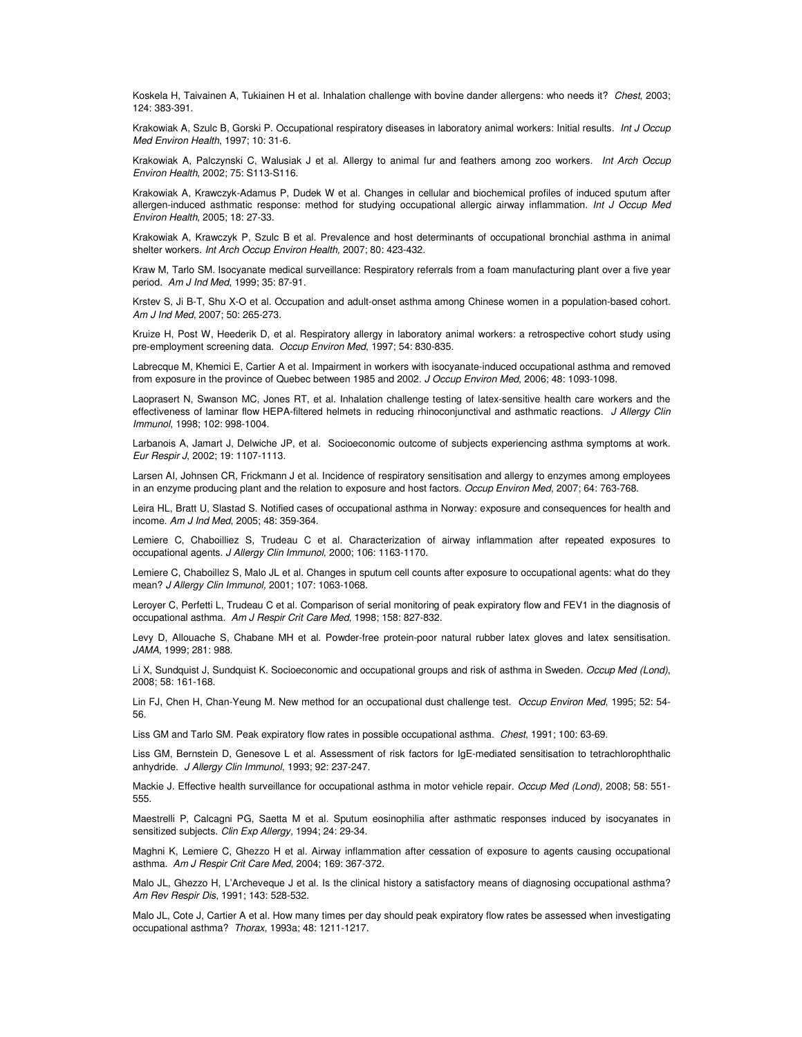Koskela H, Taivainen A, Tukiainen H et al. Inhalation challenge with bovine dander allergens: who needs it? *Chest*, 2003; 124: 383-391.

Krakowiak A, Szulc B, Gorski P. Occupational respiratory diseases in laboratory animal workers: Initial results. *Int J Occup Med Environ Health*, 1997; 10: 31-6.

Krakowiak A, Palczynski C, Walusiak J et al. Allergy to animal fur and feathers among zoo workers. *Int Arch Occup Environ Health*, 2002; 75: S113-S116.

Krakowiak A, Krawczyk-Adamus P, Dudek W et al. Changes in cellular and biochemical profiles of induced sputum after allergen-induced asthmatic response: method for studying occupational allergic airway inflammation. *Int J Occup Med Environ Health*, 2005; 18: 27-33.

Krakowiak A, Krawczyk P, Szulc B et al. Prevalence and host determinants of occupational bronchial asthma in animal shelter workers. *Int Arch Occup Environ Health,* 2007; 80: 423-432.

Kraw M, Tarlo SM. Isocyanate medical surveillance: Respiratory referrals from a foam manufacturing plant over a five year period. *Am J Ind Med*, 1999; 35: 87-91.

Krstev S, Ji B-T, Shu X-O et al. Occupation and adult-onset asthma among Chinese women in a population-based cohort. *Am J Ind Med*, 2007; 50: 265-273.

Kruize H, Post W, Heederik D, et al. Respiratory allergy in laboratory animal workers: a retrospective cohort study using pre-employment screening data. *Occup Environ Med*, 1997; 54: 830-835.

Labrecque M, Khemici E, Cartier A et al. Impairment in workers with isocyanate-induced occupational asthma and removed from exposure in the province of Quebec between 1985 and 2002. *J Occup Environ Med*, 2006; 48: 1093-1098.

Laoprasert N, Swanson MC, Jones RT, et al. Inhalation challenge testing of latex-sensitive health care workers and the effectiveness of laminar flow HEPA-filtered helmets in reducing rhinoconjunctival and asthmatic reactions. *J Allergy Clin Immunol*, 1998; 102: 998-1004.

Larbanois A, Jamart J, Delwiche JP, et al. Socioeconomic outcome of subjects experiencing asthma symptoms at work. *Eur Respir J*, 2002; 19: 1107-1113.

Larsen AI, Johnsen CR, Frickmann J et al. Incidence of respiratory sensitisation and allergy to enzymes among employees in an enzyme producing plant and the relation to exposure and host factors. *Occup Environ Med*, 2007; 64: 763-768.

Leira HL, Bratt U, Slastad S. Notified cases of occupational asthma in Norway: exposure and consequences for health and income. *Am J Ind Med*, 2005; 48: 359-364.

Lemiere C, Chaboilliez S, Trudeau C et al. Characterization of airway inflammation after repeated exposures to occupational agents. *J Allergy Clin Immunol,* 2000; 106: 1163-1170.

Lemiere C, Chaboillez S, Malo JL et al. Changes in sputum cell counts after exposure to occupational agents: what do they mean? *J Allergy Clin Immunol,* 2001; 107: 1063-1068.

Leroyer C, Perfetti L, Trudeau C et al. Comparison of serial monitoring of peak expiratory flow and FEV1 in the diagnosis of occupational asthma. *Am J Respir Crit Care Med*, 1998; 158: 827-832.

Levy D, Allouache S, Chabane MH et al. Powder-free protein-poor natural rubber latex gloves and latex sensitisation. *JAMA*, 1999; 281: 988.

Li X, Sundquist J, Sundquist K. Socioeconomic and occupational groups and risk of asthma in Sweden. *Occup Med (Lond)*, 2008; 58: 161-168.

Lin FJ, Chen H, Chan-Yeung M. New method for an occupational dust challenge test. *Occup Environ Med*, 1995; 52: 54- 56.

Liss GM and Tarlo SM. Peak expiratory flow rates in possible occupational asthma. *Chest*, 1991; 100: 63-69.

Liss GM, Bernstein D, Genesove L et al. Assessment of risk factors for IgE-mediated sensitisation to tetrachlorophthalic anhydride. *J Allergy Clin Immunol*, 1993; 92: 237-247.

Mackie J. Effective health surveillance for occupational asthma in motor vehicle repair. *Occup Med (Lond),* 2008; 58: 551- 555.

Maestrelli P, Calcagni PG, Saetta M et al. Sputum eosinophilia after asthmatic responses induced by isocyanates in sensitized subjects. *Clin Exp Allergy,* 1994; 24: 29-34.

Maghni K, Lemiere C, Ghezzo H et al. Airway inflammation after cessation of exposure to agents causing occupational asthma. *Am J Respir Crit Care Med*, 2004; 169: 367-372.

Malo JL, Ghezzo H, L'Archeveque J et al. Is the clinical history a satisfactory means of diagnosing occupational asthma? *Am Rev Respir Dis*, 1991; 143: 528-532.

Malo JL, Cote J, Cartier A et al. How many times per day should peak expiratory flow rates be assessed when investigating occupational asthma? *Thorax*, 1993a; 48: 1211-1217.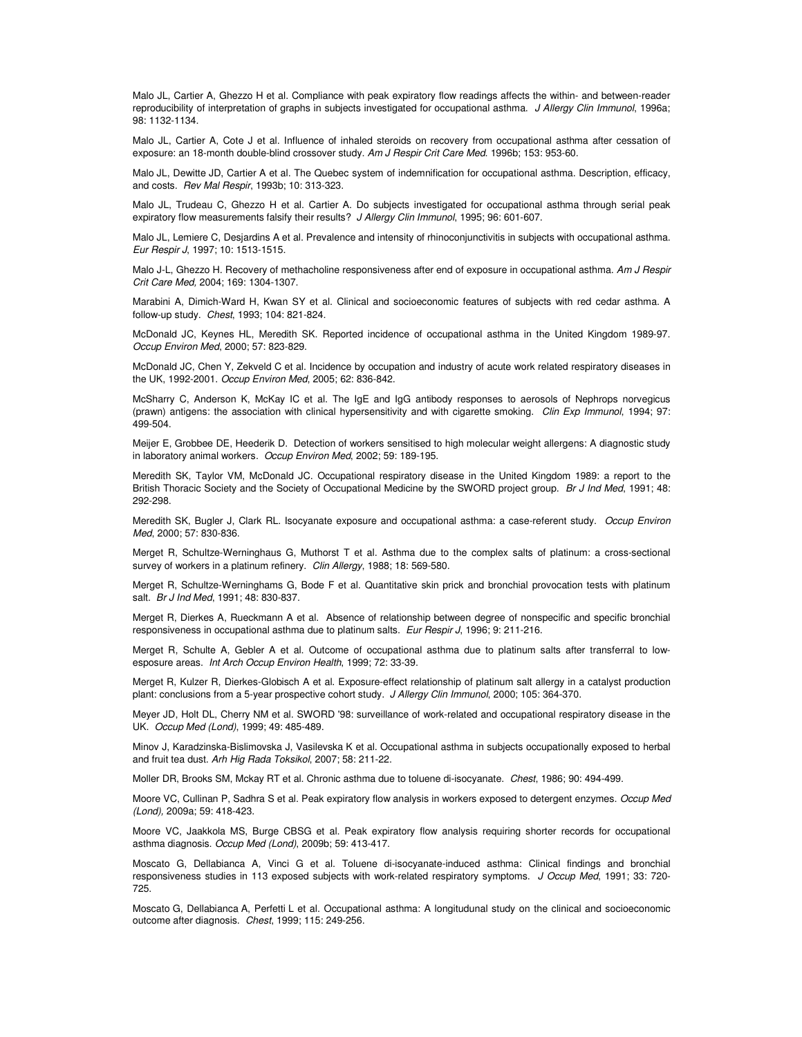Malo JL, Cartier A, Ghezzo H et al. Compliance with peak expiratory flow readings affects the within- and between-reader reproducibility of interpretation of graphs in subjects investigated for occupational asthma. *J Allergy Clin Immunol*, 1996a; 98: 1132-1134.

Malo JL, Cartier A, Cote J et al. Influence of inhaled steroids on recovery from occupational asthma after cessation of exposure: an 18-month double-blind crossover study. *Am J Respir Crit Care Med*. 1996b; 153: 953-60.

Malo JL, Dewitte JD, Cartier A et al. The Quebec system of indemnification for occupational asthma. Description, efficacy, and costs. *Rev Mal Respir*, 1993b; 10: 313-323.

Malo JL, Trudeau C, Ghezzo H et al. Cartier A. Do subjects investigated for occupational asthma through serial peak expiratory flow measurements falsify their results? *J Allergy Clin Immunol*, 1995; 96: 601-607.

Malo JL, Lemiere C, Desjardins A et al. Prevalence and intensity of rhinoconjunctivitis in subjects with occupational asthma. *Eur Respir J*, 1997; 10: 1513-1515.

Malo J-L, Ghezzo H. Recovery of methacholine responsiveness after end of exposure in occupational asthma. *Am J Respir Crit Care Med,* 2004; 169: 1304-1307.

Marabini A, Dimich-Ward H, Kwan SY et al. Clinical and socioeconomic features of subjects with red cedar asthma. A follow-up study. *Chest*, 1993; 104: 821-824.

McDonald JC, Keynes HL, Meredith SK. Reported incidence of occupational asthma in the United Kingdom 1989-97. *Occup Environ Med*, 2000; 57: 823-829.

McDonald JC, Chen Y, Zekveld C et al. Incidence by occupation and industry of acute work related respiratory diseases in the UK, 1992-2001. *Occup Environ Med*, 2005; 62: 836-842.

McSharry C, Anderson K, McKay IC et al. The IgE and IgG antibody responses to aerosols of Nephrops norvegicus (prawn) antigens: the association with clinical hypersensitivity and with cigarette smoking. *Clin Exp Immunol*, 1994; 97: 499-504.

Meijer E, Grobbee DE, Heederik D. Detection of workers sensitised to high molecular weight allergens: A diagnostic study in laboratory animal workers. *Occup Environ Med*, 2002; 59: 189-195.

Meredith SK, Taylor VM, McDonald JC. Occupational respiratory disease in the United Kingdom 1989: a report to the British Thoracic Society and the Society of Occupational Medicine by the SWORD project group. *Br J Ind Med*, 1991; 48: 292-298.

Meredith SK, Bugler J, Clark RL. Isocyanate exposure and occupational asthma: a case-referent study. *Occup Environ Med*, 2000; 57: 830-836.

Merget R, Schultze-Werninghaus G, Muthorst T et al. Asthma due to the complex salts of platinum: a cross-sectional survey of workers in a platinum refinery. *Clin Allergy*, 1988; 18: 569-580.

Merget R, Schultze-Werninghams G, Bode F et al. Quantitative skin prick and bronchial provocation tests with platinum salt. *Br J Ind Med*, 1991; 48: 830-837.

Merget R, Dierkes A, Rueckmann A et al. Absence of relationship between degree of nonspecific and specific bronchial responsiveness in occupational asthma due to platinum salts. *Eur Respir J*, 1996; 9: 211-216.

Merget R, Schulte A, Gebler A et al. Outcome of occupational asthma due to platinum salts after transferral to lowesposure areas. *Int Arch Occup Environ Health*, 1999; 72: 33-39.

Merget R, Kulzer R, Dierkes-Globisch A et al. Exposure-effect relationship of platinum salt allergy in a catalyst production plant: conclusions from a 5-year prospective cohort study. *J Allergy Clin Immunol*, 2000; 105: 364-370.

Meyer JD, Holt DL, Cherry NM et al. SWORD '98: surveillance of work-related and occupational respiratory disease in the UK. *Occup Med (Lond)*, 1999; 49: 485-489.

Minov J, Karadzinska-Bislimovska J, Vasilevska K et al. Occupational asthma in subjects occupationally exposed to herbal and fruit tea dust. *Arh Hig Rada Toksikol*, 2007; 58: 211-22.

Moller DR, Brooks SM, Mckay RT et al. Chronic asthma due to toluene di-isocyanate. *Chest*, 1986; 90: 494-499.

Moore VC, Cullinan P, Sadhra S et al. Peak expiratory flow analysis in workers exposed to detergent enzymes. *Occup Med (Lond),* 2009a; 59: 418-423.

Moore VC, Jaakkola MS, Burge CBSG et al. Peak expiratory flow analysis requiring shorter records for occupational asthma diagnosis. *Occup Med (Lond)*, 2009b; 59: 413-417.

Moscato G, Dellabianca A, Vinci G et al. Toluene di-isocyanate-induced asthma: Clinical findings and bronchial responsiveness studies in 113 exposed subjects with work-related respiratory symptoms. *J Occup Med*, 1991; 33: 720- 725.

Moscato G, Dellabianca A, Perfetti L et al. Occupational asthma: A longitudunal study on the clinical and socioeconomic outcome after diagnosis. *Chest*, 1999; 115: 249-256.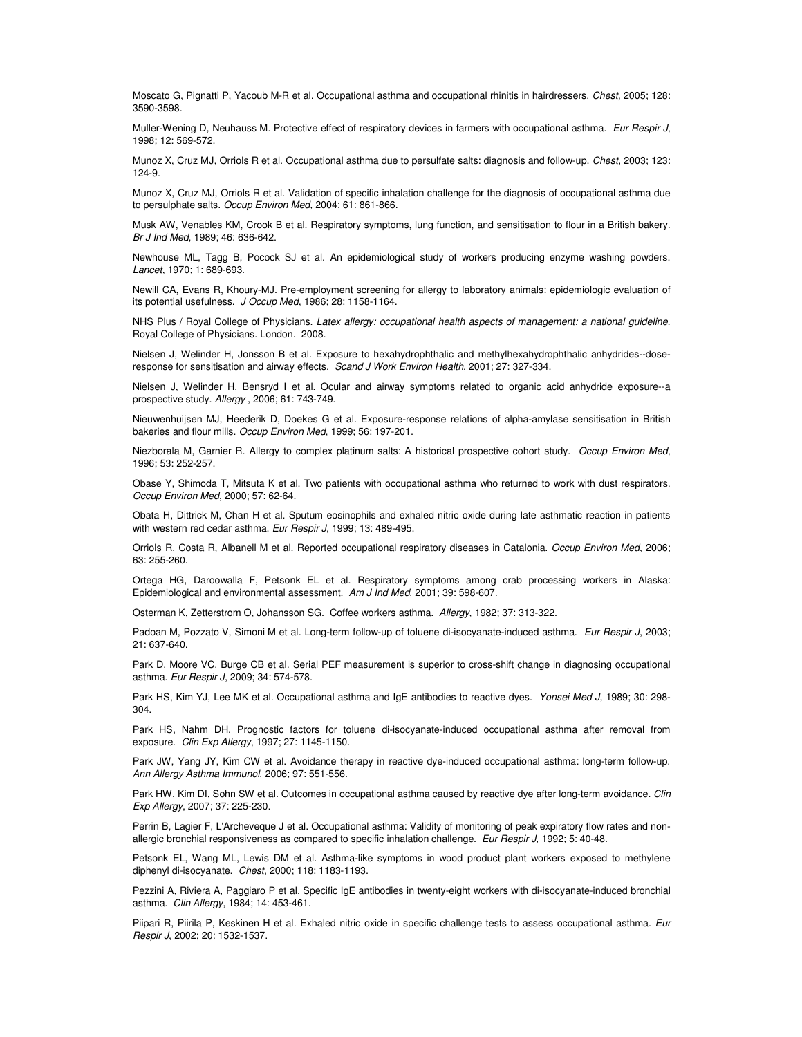Moscato G, Pignatti P, Yacoub M-R et al. Occupational asthma and occupational rhinitis in hairdressers. *Chest,* 2005; 128: 3590-3598.

Muller-Wening D, Neuhauss M. Protective effect of respiratory devices in farmers with occupational asthma. *Eur Respir J*, 1998; 12: 569-572.

Munoz X, Cruz MJ, Orriols R et al. Occupational asthma due to persulfate salts: diagnosis and follow-up. *Chest*, 2003; 123: 124-9.

Munoz X, Cruz MJ, Orriols R et al. Validation of specific inhalation challenge for the diagnosis of occupational asthma due to persulphate salts. *Occup Environ Med,* 2004; 61: 861-866.

Musk AW, Venables KM, Crook B et al. Respiratory symptoms, lung function, and sensitisation to flour in a British bakery. *Br J Ind Med*, 1989; 46: 636-642.

Newhouse ML, Tagg B, Pocock SJ et al. An epidemiological study of workers producing enzyme washing powders. *Lancet*, 1970; 1: 689-693.

Newill CA, Evans R, Khoury-MJ. Pre-employment screening for allergy to laboratory animals: epidemiologic evaluation of its potential usefulness. *J Occup Med*, 1986; 28: 1158-1164.

NHS Plus / Royal College of Physicians. *Latex allergy: occupational health aspects of management: a national guideline.* Royal College of Physicians. London. 2008.

Nielsen J, Welinder H, Jonsson B et al. Exposure to hexahydrophthalic and methylhexahydrophthalic anhydrides--doseresponse for sensitisation and airway effects. *Scand J Work Environ Health*, 2001; 27: 327-334.

Nielsen J, Welinder H, Bensryd I et al. Ocular and airway symptoms related to organic acid anhydride exposure--a prospective study. *Allergy* , 2006; 61: 743-749.

Nieuwenhuijsen MJ, Heederik D, Doekes G et al. Exposure-response relations of alpha-amylase sensitisation in British bakeries and flour mills. *Occup Environ Med*, 1999; 56: 197-201.

Niezborala M, Garnier R. Allergy to complex platinum salts: A historical prospective cohort study. *Occup Environ Med*, 1996; 53: 252-257.

Obase Y, Shimoda T, Mitsuta K et al. Two patients with occupational asthma who returned to work with dust respirators. *Occup Environ Med*, 2000; 57: 62-64.

Obata H, Dittrick M, Chan H et al. Sputum eosinophils and exhaled nitric oxide during late asthmatic reaction in patients with western red cedar asthma. *Eur Respir J*, 1999; 13: 489-495.

Orriols R, Costa R, Albanell M et al. Reported occupational respiratory diseases in Catalonia. *Occup Environ Med*, 2006; 63: 255-260.

Ortega HG, Daroowalla F, Petsonk EL et al. Respiratory symptoms among crab processing workers in Alaska: Epidemiological and environmental assessment. *Am J Ind Med*, 2001; 39: 598-607.

Osterman K, Zetterstrom O, Johansson SG. Coffee workers asthma. *Allergy*, 1982; 37: 313-322.

Padoan M, Pozzato V, Simoni M et al. Long-term follow-up of toluene di-isocyanate-induced asthma. *Eur Respir J*, 2003; 21: 637-640.

Park D, Moore VC, Burge CB et al. Serial PEF measurement is superior to cross-shift change in diagnosing occupational asthma. *Eur Respir J*, 2009; 34: 574-578.

Park HS, Kim YJ, Lee MK et al. Occupational asthma and IgE antibodies to reactive dyes. *Yonsei Med J*, 1989; 30: 298- 304.

Park HS, Nahm DH. Prognostic factors for toluene di-isocyanate-induced occupational asthma after removal from exposure. *Clin Exp Allergy*, 1997; 27: 1145-1150.

Park JW, Yang JY, Kim CW et al. Avoidance therapy in reactive dye-induced occupational asthma: long-term follow-up. *Ann Allergy Asthma Immunol*, 2006; 97: 551-556.

Park HW, Kim DI, Sohn SW et al. Outcomes in occupational asthma caused by reactive dye after long-term avoidance. *Clin Exp Allergy*, 2007; 37: 225-230.

Perrin B, Lagier F, L'Archeveque J et al. Occupational asthma: Validity of monitoring of peak expiratory flow rates and nonallergic bronchial responsiveness as compared to specific inhalation challenge. *Eur Respir J*, 1992; 5: 40-48.

Petsonk EL, Wang ML, Lewis DM et al. Asthma-like symptoms in wood product plant workers exposed to methylene diphenyl di-isocyanate. *Chest*, 2000; 118: 1183-1193.

Pezzini A, Riviera A, Paggiaro P et al. Specific IgE antibodies in twenty-eight workers with di-isocyanate-induced bronchial asthma. *Clin Allergy*, 1984; 14: 453-461.

Piipari R, Piirila P, Keskinen H et al. Exhaled nitric oxide in specific challenge tests to assess occupational asthma. *Eur Respir J*, 2002; 20: 1532-1537.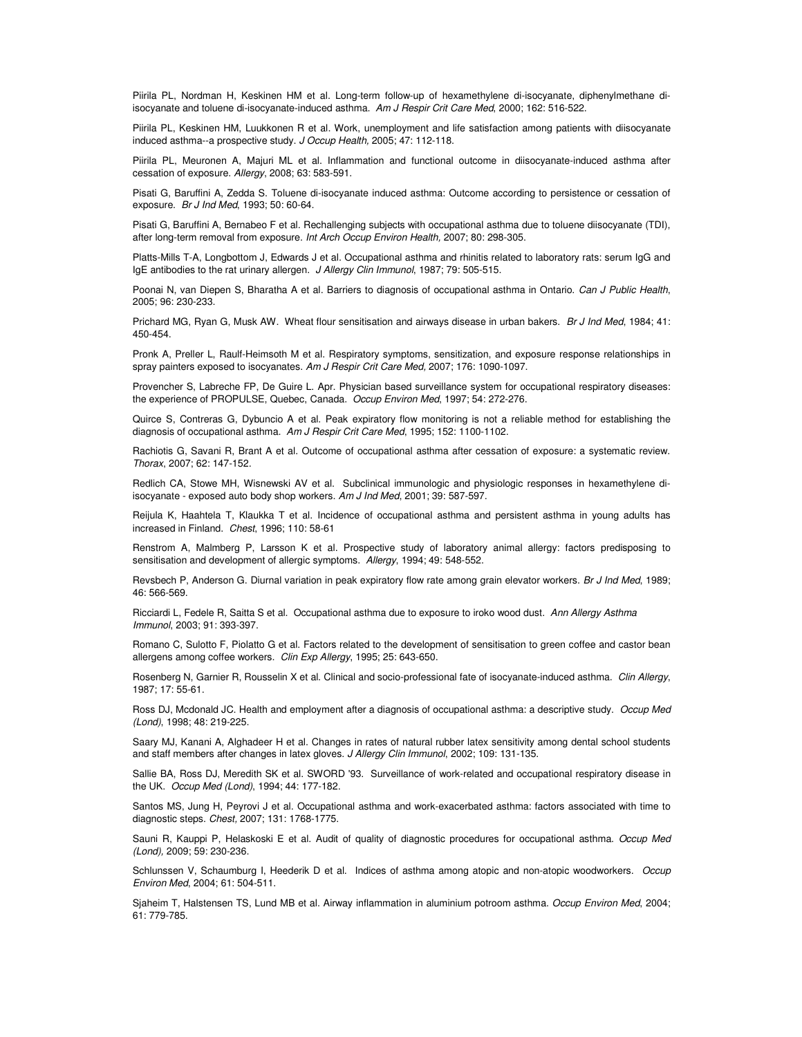Piirila PL, Nordman H, Keskinen HM et al. Long-term follow-up of hexamethylene di-isocyanate, diphenylmethane diisocyanate and toluene di-isocyanate-induced asthma. *Am J Respir Crit Care Med*, 2000; 162: 516-522.

Piirila PL, Keskinen HM, Luukkonen R et al. Work, unemployment and life satisfaction among patients with diisocyanate induced asthma--a prospective study. *J Occup Health,* 2005; 47: 112-118.

Piirila PL, Meuronen A, Majuri ML et al. Inflammation and functional outcome in diisocyanate-induced asthma after cessation of exposure. *Allergy*, 2008; 63: 583-591.

Pisati G, Baruffini A, Zedda S. Toluene di-isocyanate induced asthma: Outcome according to persistence or cessation of exposure. *Br J Ind Med*, 1993; 50: 60-64.

Pisati G, Baruffini A, Bernabeo F et al. Rechallenging subjects with occupational asthma due to toluene diisocyanate (TDI), after long-term removal from exposure. *Int Arch Occup Environ Health,* 2007; 80: 298-305.

Platts-Mills T-A, Longbottom J, Edwards J et al. Occupational asthma and rhinitis related to laboratory rats: serum IgG and IgE antibodies to the rat urinary allergen. *J Allergy Clin Immunol*, 1987; 79: 505-515.

Poonai N, van Diepen S, Bharatha A et al. Barriers to diagnosis of occupational asthma in Ontario. *Can J Public Health*, 2005; 96: 230-233.

Prichard MG, Ryan G, Musk AW. Wheat flour sensitisation and airways disease in urban bakers. *Br J Ind Med*, 1984; 41: 450-454.

Pronk A, Preller L, Raulf-Heimsoth M et al. Respiratory symptoms, sensitization, and exposure response relationships in spray painters exposed to isocyanates. *Am J Respir Crit Care Med,* 2007; 176: 1090-1097.

Provencher S, Labreche FP, De Guire L. Apr. Physician based surveillance system for occupational respiratory diseases: the experience of PROPULSE, Quebec, Canada. *Occup Environ Med*, 1997; 54: 272-276.

Quirce S, Contreras G, Dybuncio A et al. Peak expiratory flow monitoring is not a reliable method for establishing the diagnosis of occupational asthma. *Am J Respir Crit Care Med*, 1995; 152: 1100-1102.

Rachiotis G, Savani R, Brant A et al. Outcome of occupational asthma after cessation of exposure: a systematic review. *Thorax*, 2007; 62: 147-152.

Redlich CA, Stowe MH, Wisnewski AV et al. Subclinical immunologic and physiologic responses in hexamethylene diisocyanate - exposed auto body shop workers. *Am J Ind Med*, 2001; 39: 587-597.

Reijula K, Haahtela T, Klaukka T et al. Incidence of occupational asthma and persistent asthma in young adults has increased in Finland. *Chest*, 1996; 110: 58-61

Renstrom A, Malmberg P, Larsson K et al. Prospective study of laboratory animal allergy: factors predisposing to sensitisation and development of allergic symptoms. *Allergy*, 1994; 49: 548-552.

Revsbech P, Anderson G. Diurnal variation in peak expiratory flow rate among grain elevator workers. *Br J Ind Med*, 1989; 46: 566-569.

Ricciardi L, Fedele R, Saitta S et al. Occupational asthma due to exposure to iroko wood dust. *Ann Allergy Asthma Immunol*, 2003; 91: 393-397.

Romano C, Sulotto F, Piolatto G et al. Factors related to the development of sensitisation to green coffee and castor bean allergens among coffee workers. *Clin Exp Allergy*, 1995; 25: 643-650.

Rosenberg N, Garnier R, Rousselin X et al. Clinical and socio-professional fate of isocyanate-induced asthma. *Clin Allergy*, 1987; 17: 55-61.

Ross DJ, Mcdonald JC. Health and employment after a diagnosis of occupational asthma: a descriptive study. *Occup Med (Lond)*, 1998; 48: 219-225.

Saary MJ, Kanani A, Alghadeer H et al. Changes in rates of natural rubber latex sensitivity among dental school students and staff members after changes in latex gloves. *J Allergy Clin Immunol*, 2002; 109: 131-135.

Sallie BA, Ross DJ, Meredith SK et al. SWORD '93. Surveillance of work-related and occupational respiratory disease in the UK. *Occup Med (Lond)*, 1994; 44: 177-182.

Santos MS, Jung H, Peyrovi J et al. Occupational asthma and work-exacerbated asthma: factors associated with time to diagnostic steps. *Chest,* 2007; 131: 1768-1775.

Sauni R, Kauppi P, Helaskoski E et al. Audit of quality of diagnostic procedures for occupational asthma. *Occup Med (Lond),* 2009; 59: 230-236.

Schlunssen V, Schaumburg I, Heederik D et al. Indices of asthma among atopic and non-atopic woodworkers. *Occup Environ Med*, 2004; 61: 504-511.

Sjaheim T, Halstensen TS, Lund MB et al. Airway inflammation in aluminium potroom asthma. *Occup Environ Med*, 2004; 61: 779-785.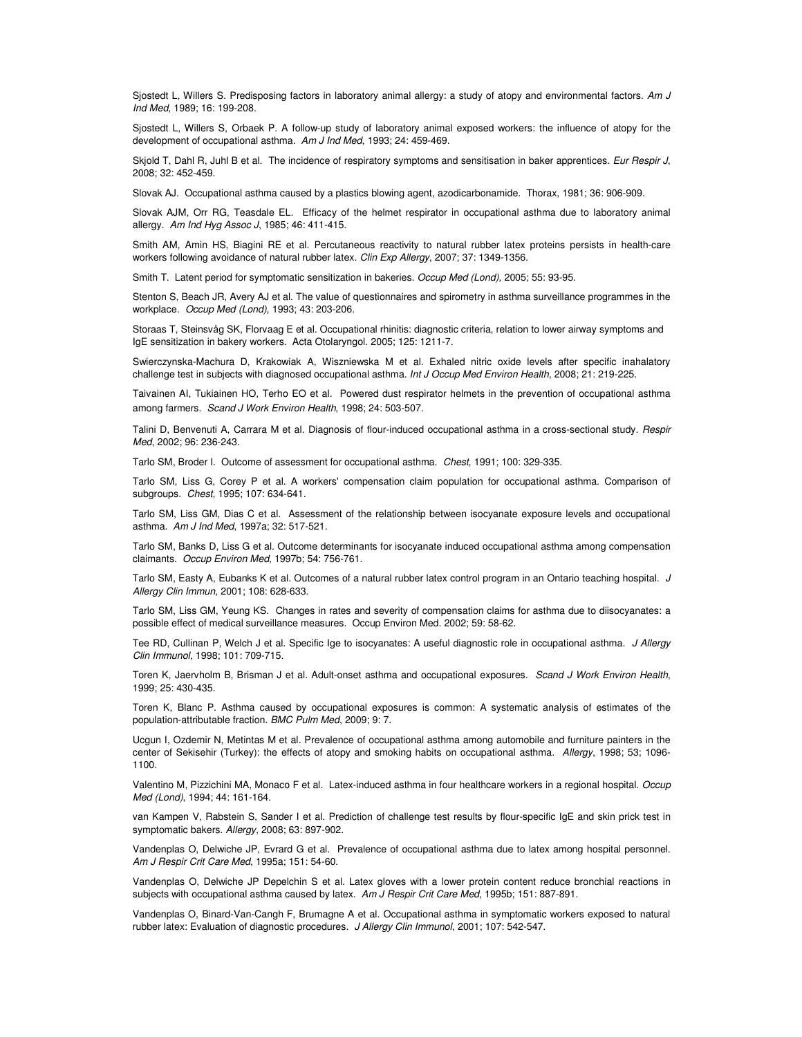Sjostedt L, Willers S. Predisposing factors in laboratory animal allergy: a study of atopy and environmental factors. *Am J Ind Med*, 1989; 16: 199-208.

Sjostedt L, Willers S, Orbaek P. A follow-up study of laboratory animal exposed workers: the influence of atopy for the development of occupational asthma. *Am J Ind Med*, 1993; 24: 459-469.

Skjold T, Dahl R, Juhl B et al. The incidence of respiratory symptoms and sensitisation in baker apprentices. *Eur Respir J*, 2008; 32: 452-459.

Slovak AJ. Occupational asthma caused by a plastics blowing agent, azodicarbonamide. Thorax, 1981; 36: 906-909.

Slovak AJM, Orr RG, Teasdale EL. Efficacy of the helmet respirator in occupational asthma due to laboratory animal allergy. *Am Ind Hyg Assoc J*, 1985; 46: 411-415.

Smith AM, Amin HS, Biagini RE et al. Percutaneous reactivity to natural rubber latex proteins persists in health-care workers following avoidance of natural rubber latex. *Clin Exp Allergy*, 2007; 37: 1349-1356.

Smith T. Latent period for symptomatic sensitization in bakeries. *Occup Med (Lond),* 2005; 55: 93-95.

Stenton S, Beach JR, Avery AJ et al. The value of questionnaires and spirometry in asthma surveillance programmes in the workplace. *Occup Med (Lond)*, 1993; 43: 203-206.

Storaas T, Steinsvåg SK, Florvaag E et al. Occupational rhinitis: diagnostic criteria, relation to lower airway symptoms and IgE sensitization in bakery workers. Acta Otolaryngol. 2005; 125: 1211-7.

Swierczynska-Machura D, Krakowiak A, Wiszniewska M et al. Exhaled nitric oxide levels after specific inahalatory challenge test in subjects with diagnosed occupational asthma. *Int J Occup Med Environ Health*, 2008; 21: 219-225.

Taivainen AI, Tukiainen HO, Terho EO et al. Powered dust respirator helmets in the prevention of occupational asthma among farmers. *Scand J Work Environ Health*, 1998; 24: 503-507.

Talini D, Benvenuti A, Carrara M et al. Diagnosis of flour-induced occupational asthma in a cross-sectional study. *Respir Med*, 2002; 96: 236-243.

Tarlo SM, Broder I. Outcome of assessment for occupational asthma. *Chest*, 1991; 100: 329-335.

Tarlo SM, Liss G, Corey P et al. A workers' compensation claim population for occupational asthma. Comparison of subgroups. *Chest*, 1995; 107: 634-641.

Tarlo SM, Liss GM, Dias C et al. Assessment of the relationship between isocyanate exposure levels and occupational asthma. *Am J Ind Med*, 1997a; 32: 517-521.

Tarlo SM, Banks D, Liss G et al. Outcome determinants for isocyanate induced occupational asthma among compensation claimants. *Occup Environ Med*, 1997b; 54: 756-761.

Tarlo SM, Easty A, Eubanks K et al. Outcomes of a natural rubber latex control program in an Ontario teaching hospital. *J Allergy Clin Immun*, 2001; 108: 628-633.

Tarlo SM, Liss GM, Yeung KS. Changes in rates and severity of compensation claims for asthma due to diisocyanates: a possible effect of medical surveillance measures. Occup Environ Med. 2002; 59: 58-62.

Tee RD, Cullinan P, Welch J et al. Specific Ige to isocyanates: A useful diagnostic role in occupational asthma. *J Allergy Clin Immunol*, 1998; 101: 709-715.

Toren K, Jaervholm B, Brisman J et al. Adult-onset asthma and occupational exposures. *Scand J Work Environ Health*, 1999; 25: 430-435.

Toren K, Blanc P. Asthma caused by occupational exposures is common: A systematic analysis of estimates of the population-attributable fraction. *BMC Pulm Med*, 2009; 9: 7.

Ucgun I, Ozdemir N, Metintas M et al. Prevalence of occupational asthma among automobile and furniture painters in the center of Sekisehir (Turkey): the effects of atopy and smoking habits on occupational asthma. *Allergy*, 1998; 53; 1096- 1100.

Valentino M, Pizzichini MA, Monaco F et al. Latex-induced asthma in four healthcare workers in a regional hospital. *Occup Med (Lond)*, 1994; 44: 161-164.

van Kampen V, Rabstein S, Sander I et al. Prediction of challenge test results by flour-specific IgE and skin prick test in symptomatic bakers. *Allergy*, 2008; 63: 897-902.

Vandenplas O, Delwiche JP, Evrard G et al. Prevalence of occupational asthma due to latex among hospital personnel. *Am J Respir Crit Care Med*, 1995a; 151: 54-60.

Vandenplas O, Delwiche JP Depelchin S et al. Latex gloves with a lower protein content reduce bronchial reactions in subjects with occupational asthma caused by latex. *Am J Respir Crit Care Med*, 1995b; 151: 887-891.

Vandenplas O, Binard-Van-Cangh F, Brumagne A et al. Occupational asthma in symptomatic workers exposed to natural rubber latex: Evaluation of diagnostic procedures. *J Allergy Clin Immunol*, 2001; 107: 542-547.